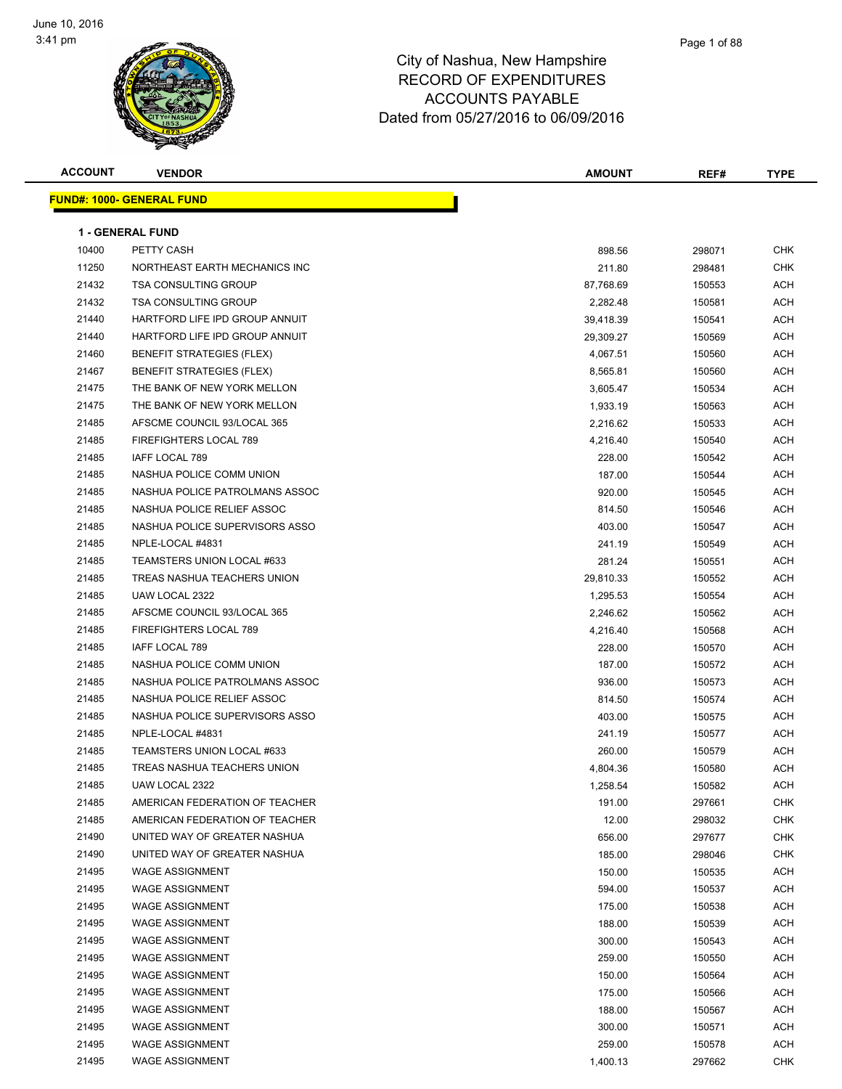

| <b>ACCOUNT</b> | <b>VENDOR</b>                                                   | <b>AMOUNT</b> | REF#   | <b>TYPE</b>              |
|----------------|-----------------------------------------------------------------|---------------|--------|--------------------------|
|                | <u> FUND#: 1000- GENERAL FUND</u>                               |               |        |                          |
|                |                                                                 |               |        |                          |
| 10400          | <b>1 - GENERAL FUND</b><br>PETTY CASH                           | 898.56        | 298071 | <b>CHK</b>               |
| 11250          | NORTHEAST EARTH MECHANICS INC                                   | 211.80        | 298481 | <b>CHK</b>               |
| 21432          | <b>TSA CONSULTING GROUP</b>                                     |               |        | <b>ACH</b>               |
|                | <b>TSA CONSULTING GROUP</b>                                     | 87,768.69     | 150553 | <b>ACH</b>               |
| 21432<br>21440 | HARTFORD LIFE IPD GROUP ANNUIT                                  | 2,282.48      | 150581 |                          |
|                | HARTFORD LIFE IPD GROUP ANNUIT                                  | 39,418.39     | 150541 | <b>ACH</b><br><b>ACH</b> |
| 21440<br>21460 | <b>BENEFIT STRATEGIES (FLEX)</b>                                | 29,309.27     | 150569 |                          |
|                |                                                                 | 4,067.51      | 150560 | ACH                      |
| 21467<br>21475 | <b>BENEFIT STRATEGIES (FLEX)</b><br>THE BANK OF NEW YORK MELLON | 8,565.81      | 150560 | ACH                      |
|                |                                                                 | 3,605.47      | 150534 | ACH                      |
| 21475          | THE BANK OF NEW YORK MELLON                                     | 1,933.19      | 150563 | <b>ACH</b>               |
| 21485          | AFSCME COUNCIL 93/LOCAL 365                                     | 2,216.62      | 150533 | <b>ACH</b>               |
| 21485          | FIREFIGHTERS LOCAL 789                                          | 4,216.40      | 150540 | <b>ACH</b>               |
| 21485          | IAFF LOCAL 789                                                  | 228.00        | 150542 | ACH                      |
| 21485          | NASHUA POLICE COMM UNION                                        | 187.00        | 150544 | ACH                      |
| 21485          | NASHUA POLICE PATROLMANS ASSOC                                  | 920.00        | 150545 | ACH                      |
| 21485          | NASHUA POLICE RELIEF ASSOC                                      | 814.50        | 150546 | ACH                      |
| 21485          | NASHUA POLICE SUPERVISORS ASSO                                  | 403.00        | 150547 | <b>ACH</b>               |
| 21485          | NPLE-LOCAL #4831                                                | 241.19        | 150549 | ACH                      |
| 21485          | TEAMSTERS UNION LOCAL #633                                      | 281.24        | 150551 | ACH                      |
| 21485          | TREAS NASHUA TEACHERS UNION                                     | 29,810.33     | 150552 | ACH                      |
| 21485          | UAW LOCAL 2322                                                  | 1,295.53      | 150554 | ACH                      |
| 21485          | AFSCME COUNCIL 93/LOCAL 365                                     | 2,246.62      | 150562 | <b>ACH</b>               |
| 21485          | FIREFIGHTERS LOCAL 789                                          | 4,216.40      | 150568 | ACH                      |
| 21485          | IAFF LOCAL 789                                                  | 228.00        | 150570 | <b>ACH</b>               |
| 21485          | NASHUA POLICE COMM UNION                                        | 187.00        | 150572 | <b>ACH</b>               |
| 21485          | NASHUA POLICE PATROLMANS ASSOC                                  | 936.00        | 150573 | ACH                      |
| 21485          | NASHUA POLICE RELIEF ASSOC                                      | 814.50        | 150574 | <b>ACH</b>               |
| 21485          | NASHUA POLICE SUPERVISORS ASSO                                  | 403.00        | 150575 | <b>ACH</b>               |
| 21485          | NPLE-LOCAL #4831                                                | 241.19        | 150577 | ACH                      |
| 21485          | TEAMSTERS UNION LOCAL #633                                      | 260.00        | 150579 | ACH                      |
| 21485          | TREAS NASHUA TEACHERS UNION                                     | 4,804.36      | 150580 | <b>ACH</b>               |
| 21485          | UAW LOCAL 2322                                                  | 1,258.54      | 150582 | <b>ACH</b>               |
| 21485          | AMERICAN FEDERATION OF TEACHER                                  | 191.00        | 297661 | <b>CHK</b>               |
| 21485          | AMERICAN FEDERATION OF TEACHER                                  | 12.00         | 298032 | <b>CHK</b>               |
| 21490          | UNITED WAY OF GREATER NASHUA                                    | 656.00        | 297677 | <b>CHK</b>               |
| 21490          | UNITED WAY OF GREATER NASHUA                                    | 185.00        | 298046 | <b>CHK</b>               |
| 21495          | <b>WAGE ASSIGNMENT</b>                                          | 150.00        | 150535 | <b>ACH</b>               |
| 21495          | <b>WAGE ASSIGNMENT</b>                                          | 594.00        | 150537 | <b>ACH</b>               |
| 21495          | <b>WAGE ASSIGNMENT</b>                                          | 175.00        | 150538 | <b>ACH</b>               |
| 21495          | <b>WAGE ASSIGNMENT</b>                                          | 188.00        | 150539 | <b>ACH</b>               |
| 21495          | <b>WAGE ASSIGNMENT</b>                                          | 300.00        | 150543 | <b>ACH</b>               |
| 21495          | <b>WAGE ASSIGNMENT</b>                                          | 259.00        | 150550 | <b>ACH</b>               |
| 21495          | <b>WAGE ASSIGNMENT</b>                                          | 150.00        | 150564 | <b>ACH</b>               |
| 21495          | <b>WAGE ASSIGNMENT</b>                                          | 175.00        | 150566 | <b>ACH</b>               |
| 21495          | <b>WAGE ASSIGNMENT</b>                                          | 188.00        | 150567 | ACH                      |
| 21495          | <b>WAGE ASSIGNMENT</b>                                          | 300.00        | 150571 | ACH                      |
| 21495          | <b>WAGE ASSIGNMENT</b>                                          | 259.00        | 150578 | <b>ACH</b>               |
| 21495          | <b>WAGE ASSIGNMENT</b>                                          | 1,400.13      | 297662 | <b>CHK</b>               |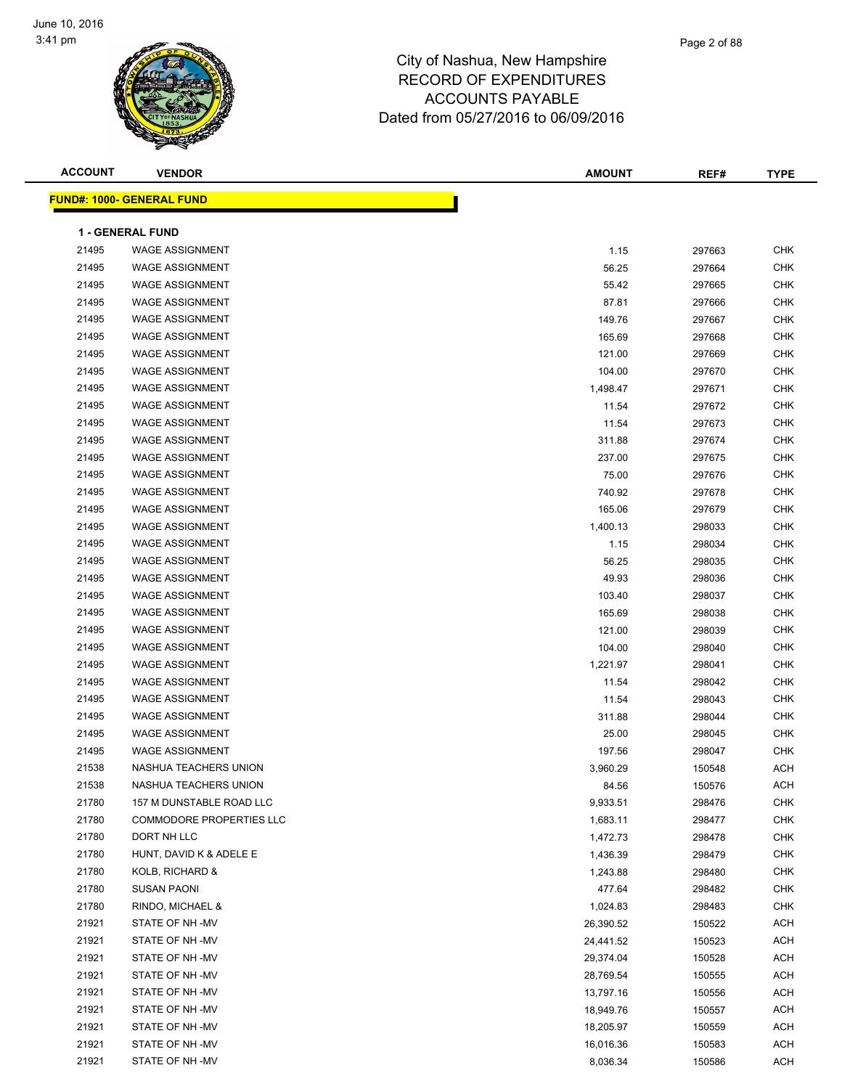

| <b>ACCOUNT</b> | <b>VENDOR</b>                    | AMOUNT    | REF#   | <b>TYPE</b> |
|----------------|----------------------------------|-----------|--------|-------------|
|                | <b>FUND#: 1000- GENERAL FUND</b> |           |        |             |
|                |                                  |           |        |             |
|                | <b>1 - GENERAL FUND</b>          |           |        |             |
| 21495          | <b>WAGE ASSIGNMENT</b>           | 1.15      | 297663 | <b>CHK</b>  |
| 21495          | <b>WAGE ASSIGNMENT</b>           | 56.25     | 297664 | <b>CHK</b>  |
| 21495          | <b>WAGE ASSIGNMENT</b>           | 55.42     | 297665 | <b>CHK</b>  |
| 21495          | <b>WAGE ASSIGNMENT</b>           | 87.81     | 297666 | <b>CHK</b>  |
| 21495          | <b>WAGE ASSIGNMENT</b>           | 149.76    | 297667 | <b>CHK</b>  |
| 21495          | <b>WAGE ASSIGNMENT</b>           | 165.69    | 297668 | <b>CHK</b>  |
| 21495          | <b>WAGE ASSIGNMENT</b>           | 121.00    | 297669 | <b>CHK</b>  |
| 21495          | <b>WAGE ASSIGNMENT</b>           | 104.00    | 297670 | <b>CHK</b>  |
| 21495          | <b>WAGE ASSIGNMENT</b>           | 1,498.47  | 297671 | <b>CHK</b>  |
| 21495          | <b>WAGE ASSIGNMENT</b>           | 11.54     | 297672 | <b>CHK</b>  |
| 21495          | <b>WAGE ASSIGNMENT</b>           | 11.54     | 297673 | <b>CHK</b>  |
| 21495          | <b>WAGE ASSIGNMENT</b>           | 311.88    | 297674 | <b>CHK</b>  |
| 21495          | <b>WAGE ASSIGNMENT</b>           | 237.00    | 297675 | <b>CHK</b>  |
| 21495          | <b>WAGE ASSIGNMENT</b>           | 75.00     | 297676 | <b>CHK</b>  |
| 21495          | <b>WAGE ASSIGNMENT</b>           | 740.92    | 297678 | <b>CHK</b>  |
| 21495          | <b>WAGE ASSIGNMENT</b>           | 165.06    | 297679 | <b>CHK</b>  |
| 21495          | <b>WAGE ASSIGNMENT</b>           | 1,400.13  | 298033 | <b>CHK</b>  |
| 21495          | <b>WAGE ASSIGNMENT</b>           | 1.15      | 298034 | <b>CHK</b>  |
| 21495          | <b>WAGE ASSIGNMENT</b>           | 56.25     | 298035 | <b>CHK</b>  |
| 21495          | <b>WAGE ASSIGNMENT</b>           | 49.93     | 298036 | <b>CHK</b>  |
| 21495          | <b>WAGE ASSIGNMENT</b>           | 103.40    | 298037 | <b>CHK</b>  |
| 21495          | <b>WAGE ASSIGNMENT</b>           | 165.69    | 298038 | <b>CHK</b>  |
| 21495          | <b>WAGE ASSIGNMENT</b>           | 121.00    | 298039 | <b>CHK</b>  |
| 21495          | <b>WAGE ASSIGNMENT</b>           | 104.00    | 298040 | <b>CHK</b>  |
| 21495          | <b>WAGE ASSIGNMENT</b>           | 1,221.97  | 298041 | <b>CHK</b>  |
| 21495          | <b>WAGE ASSIGNMENT</b>           | 11.54     | 298042 | <b>CHK</b>  |
| 21495          | <b>WAGE ASSIGNMENT</b>           | 11.54     | 298043 | <b>CHK</b>  |
| 21495          | <b>WAGE ASSIGNMENT</b>           | 311.88    | 298044 | <b>CHK</b>  |
| 21495          | <b>WAGE ASSIGNMENT</b>           | 25.00     | 298045 | <b>CHK</b>  |
| 21495          | <b>WAGE ASSIGNMENT</b>           | 197.56    | 298047 | <b>CHK</b>  |
| 21538          | NASHUA TEACHERS UNION            | 3,960.29  | 150548 | <b>ACH</b>  |
| 21538          | NASHUA TEACHERS UNION            | 84.56     | 150576 | ACH         |
| 21780          | 157 M DUNSTABLE ROAD LLC         | 9,933.51  | 298476 | <b>CHK</b>  |
| 21780          | <b>COMMODORE PROPERTIES LLC</b>  | 1,683.11  | 298477 | <b>CHK</b>  |
| 21780          | DORT NH LLC                      | 1,472.73  | 298478 | <b>CHK</b>  |
| 21780          | HUNT, DAVID K & ADELE E          | 1,436.39  | 298479 | CHK         |
| 21780          | KOLB, RICHARD &                  | 1,243.88  | 298480 | CHK         |
| 21780          | <b>SUSAN PAONI</b>               | 477.64    | 298482 | CHK         |
| 21780          | RINDO, MICHAEL &                 | 1,024.83  | 298483 | CHK         |
| 21921          | STATE OF NH -MV                  | 26,390.52 | 150522 | ACH         |
| 21921          | STATE OF NH -MV                  | 24,441.52 | 150523 | ACH         |
| 21921          | STATE OF NH-MV                   | 29,374.04 | 150528 | <b>ACH</b>  |
| 21921          | STATE OF NH -MV                  | 28,769.54 | 150555 | ACH         |
| 21921          | STATE OF NH -MV                  | 13,797.16 | 150556 | ACH         |
| 21921          | STATE OF NH-MV                   | 18,949.76 | 150557 | ACH         |
| 21921          | STATE OF NH-MV                   | 18,205.97 | 150559 | ACH         |
| 21921          | STATE OF NH-MV                   | 16,016.36 | 150583 | ACH         |
| 21921          | STATE OF NH-MV                   | 8,036.34  | 150586 | ACH         |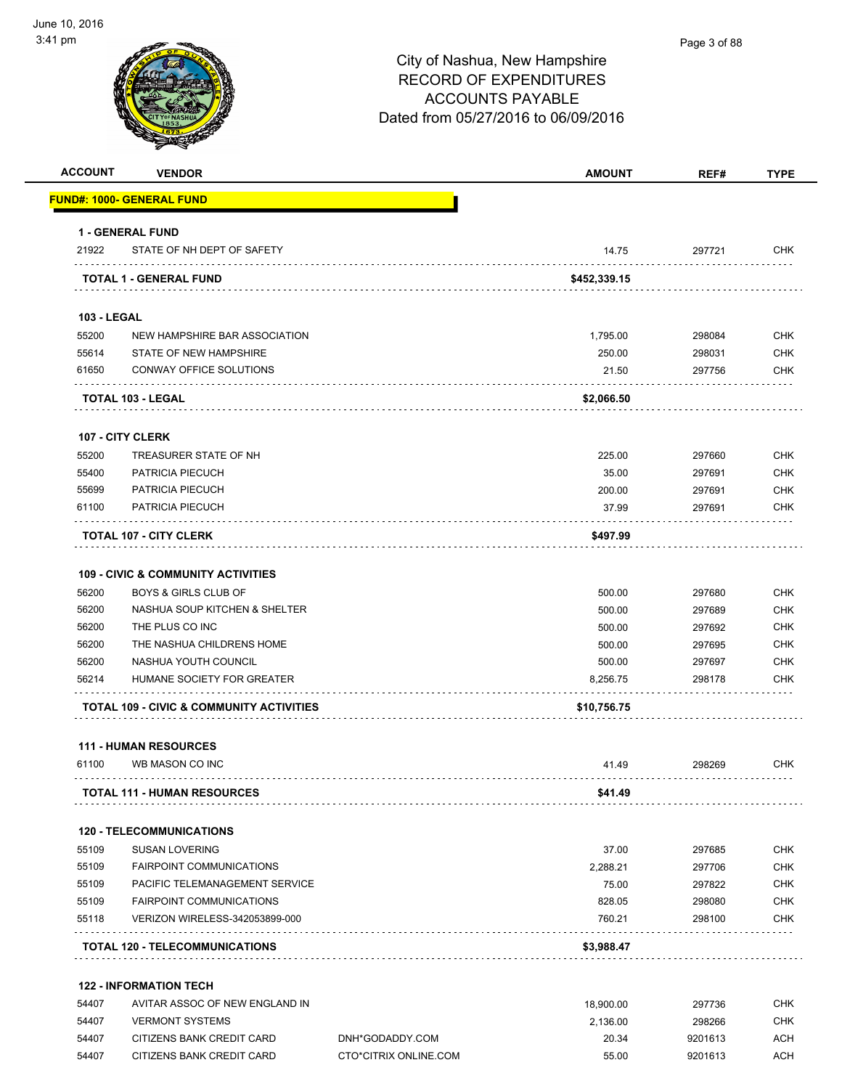

#### Page 3 of 88

# City of Nashua, New Hampshire RECORD OF EXPENDITURES ACCOUNTS PAYABLE Dated from 05/27/2016 to 06/09/2016

| <b>ACCOUNT</b>              | <b>VENDOR</b>                                       |                 | <b>AMOUNT</b>      | REF#             | <b>TYPE</b>       |
|-----------------------------|-----------------------------------------------------|-----------------|--------------------|------------------|-------------------|
|                             | <u> FUND#: 1000- GENERAL FUND</u>                   |                 |                    |                  |                   |
|                             | <b>1 - GENERAL FUND</b>                             |                 |                    |                  |                   |
| 21922                       | STATE OF NH DEPT OF SAFETY                          |                 | 14.75              | 297721           | <b>CHK</b>        |
|                             | TOTAL 1 - GENERAL FUND                              |                 | \$452,339.15       |                  |                   |
|                             |                                                     |                 |                    |                  |                   |
| <b>103 - LEGAL</b><br>55200 | NEW HAMPSHIRE BAR ASSOCIATION                       |                 | 1,795.00           | 298084           | <b>CHK</b>        |
| 55614                       | STATE OF NEW HAMPSHIRE                              |                 | 250.00             | 298031           | <b>CHK</b>        |
| 61650                       | CONWAY OFFICE SOLUTIONS                             |                 | 21.50              | 297756           | <b>CHK</b>        |
|                             |                                                     |                 |                    |                  |                   |
|                             | <b>TOTAL 103 - LEGAL</b>                            |                 | \$2,066.50         |                  |                   |
|                             | <b>107 - CITY CLERK</b>                             |                 |                    |                  |                   |
| 55200                       | TREASURER STATE OF NH                               |                 | 225.00             | 297660           | <b>CHK</b>        |
| 55400                       | PATRICIA PIECUCH                                    |                 | 35.00              | 297691           | <b>CHK</b>        |
| 55699                       | PATRICIA PIECUCH                                    |                 | 200.00             | 297691           | <b>CHK</b>        |
| 61100                       | PATRICIA PIECUCH                                    |                 | 37.99              | 297691           | <b>CHK</b>        |
|                             | <b>TOTAL 107 - CITY CLERK</b>                       |                 | \$497.99           |                  |                   |
|                             |                                                     |                 |                    |                  |                   |
|                             | <b>109 - CIVIC &amp; COMMUNITY ACTIVITIES</b>       |                 |                    |                  |                   |
| 56200                       | <b>BOYS &amp; GIRLS CLUB OF</b>                     |                 | 500.00             | 297680           | <b>CHK</b>        |
| 56200                       | NASHUA SOUP KITCHEN & SHELTER                       |                 | 500.00             | 297689           | <b>CHK</b>        |
| 56200                       | THE PLUS CO INC                                     |                 | 500.00             | 297692           | <b>CHK</b>        |
| 56200                       | THE NASHUA CHILDRENS HOME                           |                 | 500.00             | 297695           | <b>CHK</b>        |
| 56200<br>56214              | NASHUA YOUTH COUNCIL<br>HUMANE SOCIETY FOR GREATER  |                 | 500.00<br>8,256.75 | 297697<br>298178 | CHK<br><b>CHK</b> |
|                             |                                                     |                 |                    |                  |                   |
|                             | <b>TOTAL 109 - CIVIC &amp; COMMUNITY ACTIVITIES</b> |                 | \$10,756.75        |                  |                   |
|                             | <b>111 - HUMAN RESOURCES</b>                        |                 |                    |                  |                   |
| 61100                       | WB MASON CO INC                                     |                 | 41.49              | 298269           | <b>CHK</b>        |
|                             | <b>TOTAL 111 - HUMAN RESOURCES</b>                  |                 | \$41.49            |                  |                   |
|                             | <b>120 - TELECOMMUNICATIONS</b>                     |                 |                    |                  |                   |
| 55109                       | <b>SUSAN LOVERING</b>                               |                 | 37.00              | 297685           | CHK               |
| 55109                       | <b>FAIRPOINT COMMUNICATIONS</b>                     |                 | 2,288.21           | 297706           | <b>CHK</b>        |
| 55109                       | PACIFIC TELEMANAGEMENT SERVICE                      |                 | 75.00              | 297822           | CHK               |
| 55109                       | <b>FAIRPOINT COMMUNICATIONS</b>                     |                 | 828.05             | 298080           | CHK               |
| 55118                       | VERIZON WIRELESS-342053899-000                      |                 | 760.21             | 298100           | <b>CHK</b>        |
|                             | TOTAL 120 - TELECOMMUNICATIONS                      |                 | \$3,988.47         |                  |                   |
|                             | <b>122 - INFORMATION TECH</b>                       |                 |                    |                  |                   |
| 54407                       | AVITAR ASSOC OF NEW ENGLAND IN                      |                 | 18,900.00          | 297736           | CHK               |
| 54407                       | <b>VERMONT SYSTEMS</b>                              |                 | 2,136.00           | 298266           | <b>CHK</b>        |
| 54407                       | CITIZENS BANK CREDIT CARD                           | DNH*GODADDY.COM | 20.34              | 9201613          | <b>ACH</b>        |

54407 CITIZENS BANK CREDIT CARD CTO\*CITRIX ONLINE.COM 55.00 9201613 ACH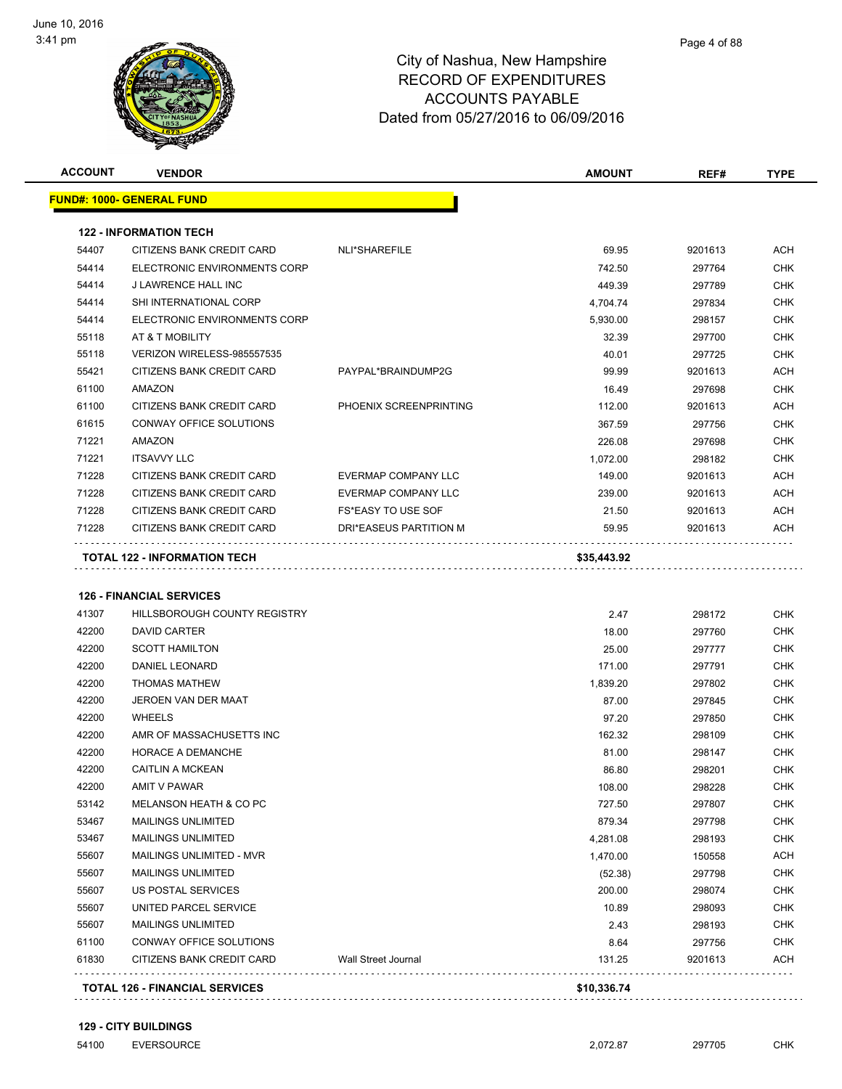

|       | <b>VENDOR</b>                    |                            | <b>AMOUNT</b>  | REF#              | <b>TYPE</b>                                                                                                                                                                                                                                                                          |
|-------|----------------------------------|----------------------------|----------------|-------------------|--------------------------------------------------------------------------------------------------------------------------------------------------------------------------------------------------------------------------------------------------------------------------------------|
|       | <b>FUND#: 1000- GENERAL FUND</b> |                            |                |                   |                                                                                                                                                                                                                                                                                      |
|       | <b>122 - INFORMATION TECH</b>    |                            |                |                   |                                                                                                                                                                                                                                                                                      |
| 54407 | CITIZENS BANK CREDIT CARD        | NLI*SHAREFILE              | 69.95          | 9201613           | ACH                                                                                                                                                                                                                                                                                  |
| 54414 | ELECTRONIC ENVIRONMENTS CORP     |                            | 742.50         | 297764            | <b>CHK</b>                                                                                                                                                                                                                                                                           |
| 54414 | J LAWRENCE HALL INC              |                            | 449.39         | 297789            | <b>CHK</b>                                                                                                                                                                                                                                                                           |
| 54414 | SHI INTERNATIONAL CORP           |                            | 4,704.74       | 297834            | <b>CHK</b>                                                                                                                                                                                                                                                                           |
| 54414 | ELECTRONIC ENVIRONMENTS CORP     |                            | 5,930.00       | 298157            | <b>CHK</b>                                                                                                                                                                                                                                                                           |
| 55118 | AT & T MOBILITY                  |                            | 32.39          | 297700            | <b>CHK</b>                                                                                                                                                                                                                                                                           |
| 55118 | VERIZON WIRELESS-985557535       |                            | 40.01          | 297725            | <b>CHK</b>                                                                                                                                                                                                                                                                           |
| 55421 | CITIZENS BANK CREDIT CARD        | PAYPAL*BRAINDUMP2G         | 99.99          | 9201613           | ACH                                                                                                                                                                                                                                                                                  |
| 61100 | AMAZON                           |                            | 16.49          | 297698            | <b>CHK</b>                                                                                                                                                                                                                                                                           |
| 61100 | CITIZENS BANK CREDIT CARD        | PHOENIX SCREENPRINTING     | 112.00         | 9201613           | <b>ACH</b>                                                                                                                                                                                                                                                                           |
| 61615 | CONWAY OFFICE SOLUTIONS          |                            | 367.59         | 297756            | <b>CHK</b>                                                                                                                                                                                                                                                                           |
| 71221 | AMAZON                           |                            | 226.08         | 297698            | <b>CHK</b>                                                                                                                                                                                                                                                                           |
| 71221 | <b>ITSAVVY LLC</b>               |                            | 1,072.00       | 298182            | <b>CHK</b>                                                                                                                                                                                                                                                                           |
| 71228 | CITIZENS BANK CREDIT CARD        | <b>EVERMAP COMPANY LLC</b> | 149.00         | 9201613           | <b>ACH</b>                                                                                                                                                                                                                                                                           |
| 71228 | CITIZENS BANK CREDIT CARD        | <b>EVERMAP COMPANY LLC</b> | 239.00         | 9201613           | <b>ACH</b>                                                                                                                                                                                                                                                                           |
| 71228 | CITIZENS BANK CREDIT CARD        | <b>FS*EASY TO USE SOF</b>  | 21.50          | 9201613           | <b>ACH</b>                                                                                                                                                                                                                                                                           |
| 71228 | CITIZENS BANK CREDIT CARD        | DRI*EASEUS PARTITION M     | 59.95          | 9201613           | ACH                                                                                                                                                                                                                                                                                  |
|       | TOTAL 122 - INFORMATION TECH     |                            | \$35,443.92    |                   |                                                                                                                                                                                                                                                                                      |
|       |                                  |                            |                |                   |                                                                                                                                                                                                                                                                                      |
|       |                                  |                            |                |                   |                                                                                                                                                                                                                                                                                      |
|       | <b>126 - FINANCIAL SERVICES</b>  |                            |                |                   |                                                                                                                                                                                                                                                                                      |
| 41307 | HILLSBOROUGH COUNTY REGISTRY     |                            | 2.47           | 298172            |                                                                                                                                                                                                                                                                                      |
| 42200 | DAVID CARTER                     |                            | 18.00          | 297760            |                                                                                                                                                                                                                                                                                      |
| 42200 | <b>SCOTT HAMILTON</b>            |                            | 25.00          | 297777            |                                                                                                                                                                                                                                                                                      |
| 42200 | DANIEL LEONARD                   |                            | 171.00         | 297791            |                                                                                                                                                                                                                                                                                      |
| 42200 | <b>THOMAS MATHEW</b>             |                            | 1,839.20       | 297802            |                                                                                                                                                                                                                                                                                      |
| 42200 | JEROEN VAN DER MAAT              |                            | 87.00          | 297845            |                                                                                                                                                                                                                                                                                      |
| 42200 | <b>WHEELS</b>                    |                            | 97.20          | 297850            |                                                                                                                                                                                                                                                                                      |
| 42200 | AMR OF MASSACHUSETTS INC         |                            | 162.32         | 298109            |                                                                                                                                                                                                                                                                                      |
| 42200 | HORACE A DEMANCHE                |                            | 81.00          | 298147            |                                                                                                                                                                                                                                                                                      |
| 42200 | <b>CAITLIN A MCKEAN</b>          |                            | 86.80          | 298201            |                                                                                                                                                                                                                                                                                      |
| 42200 | AMIT V PAWAR                     |                            | 108.00         | 298228            |                                                                                                                                                                                                                                                                                      |
| 53142 | MELANSON HEATH & CO PC           |                            | 727.50         | 297807            |                                                                                                                                                                                                                                                                                      |
| 53467 | <b>MAILINGS UNLIMITED</b>        |                            | 879.34         | 297798            |                                                                                                                                                                                                                                                                                      |
| 53467 | <b>MAILINGS UNLIMITED</b>        |                            | 4,281.08       | 298193            |                                                                                                                                                                                                                                                                                      |
| 55607 | <b>MAILINGS UNLIMITED - MVR</b>  |                            | 1,470.00       | 150558            |                                                                                                                                                                                                                                                                                      |
| 55607 | <b>MAILINGS UNLIMITED</b>        |                            | (52.38)        | 297798            |                                                                                                                                                                                                                                                                                      |
| 55607 | US POSTAL SERVICES               |                            | 200.00         | 298074            |                                                                                                                                                                                                                                                                                      |
| 55607 | UNITED PARCEL SERVICE            |                            | 10.89          | 298093            |                                                                                                                                                                                                                                                                                      |
| 55607 | <b>MAILINGS UNLIMITED</b>        |                            | 2.43           | 298193            |                                                                                                                                                                                                                                                                                      |
| 61100 | CONWAY OFFICE SOLUTIONS          |                            |                |                   |                                                                                                                                                                                                                                                                                      |
| 61830 | CITIZENS BANK CREDIT CARD        | <b>Wall Street Journal</b> | 8.64<br>131.25 | 297756<br>9201613 | <b>CHK</b><br><b>CHK</b><br><b>CHK</b><br><b>CHK</b><br><b>CHK</b><br><b>CHK</b><br><b>CHK</b><br><b>CHK</b><br><b>CHK</b><br>CHK<br><b>CHK</b><br>CHK<br><b>CHK</b><br><b>CHK</b><br><b>ACH</b><br><b>CHK</b><br><b>CHK</b><br><b>CHK</b><br><b>CHK</b><br><b>CHK</b><br><b>ACH</b> |

**129 - CITY BUILDINGS**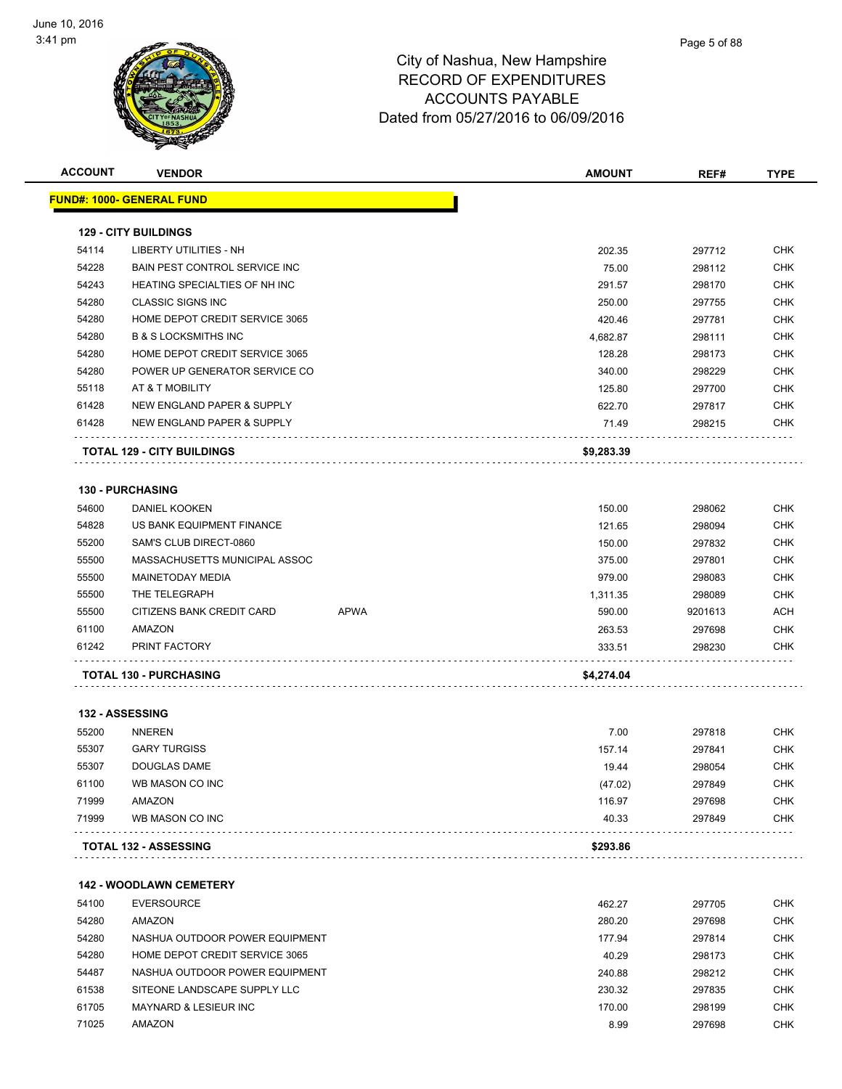

| <b>ACCOUNT</b> | <b>VENDOR</b>                     |             | <b>AMOUNT</b> | REF#    | <b>TYPE</b> |
|----------------|-----------------------------------|-------------|---------------|---------|-------------|
|                | <u> FUND#: 1000- GENERAL FUND</u> |             |               |         |             |
|                |                                   |             |               |         |             |
|                | <b>129 - CITY BUILDINGS</b>       |             |               |         |             |
| 54114          | <b>LIBERTY UTILITIES - NH</b>     |             | 202.35        | 297712  | <b>CHK</b>  |
| 54228          | BAIN PEST CONTROL SERVICE INC     |             | 75.00         | 298112  | <b>CHK</b>  |
| 54243          | HEATING SPECIALTIES OF NH INC     |             | 291.57        | 298170  | <b>CHK</b>  |
| 54280          | <b>CLASSIC SIGNS INC</b>          |             | 250.00        | 297755  | <b>CHK</b>  |
| 54280          | HOME DEPOT CREDIT SERVICE 3065    |             | 420.46        | 297781  | <b>CHK</b>  |
| 54280          | <b>B &amp; S LOCKSMITHS INC</b>   |             | 4,682.87      | 298111  | <b>CHK</b>  |
| 54280          | HOME DEPOT CREDIT SERVICE 3065    |             | 128.28        | 298173  | <b>CHK</b>  |
| 54280          | POWER UP GENERATOR SERVICE CO     |             | 340.00        | 298229  | <b>CHK</b>  |
| 55118          | AT & T MOBILITY                   |             | 125.80        | 297700  | <b>CHK</b>  |
| 61428          | NEW ENGLAND PAPER & SUPPLY        |             | 622.70        | 297817  | <b>CHK</b>  |
| 61428          | NEW ENGLAND PAPER & SUPPLY        |             | 71.49         | 298215  | <b>CHK</b>  |
|                | <b>TOTAL 129 - CITY BUILDINGS</b> |             | \$9,283.39    |         |             |
|                | 130 - PURCHASING                  |             |               |         |             |
| 54600          | DANIEL KOOKEN                     |             | 150.00        | 298062  | <b>CHK</b>  |
| 54828          | US BANK EQUIPMENT FINANCE         |             | 121.65        | 298094  | <b>CHK</b>  |
| 55200          | SAM'S CLUB DIRECT-0860            |             | 150.00        | 297832  | <b>CHK</b>  |
| 55500          | MASSACHUSETTS MUNICIPAL ASSOC     |             | 375.00        | 297801  | <b>CHK</b>  |
| 55500          | MAINETODAY MEDIA                  |             | 979.00        | 298083  | <b>CHK</b>  |
| 55500          | THE TELEGRAPH                     |             | 1,311.35      | 298089  | <b>CHK</b>  |
| 55500          | CITIZENS BANK CREDIT CARD         | <b>APWA</b> | 590.00        | 9201613 | ACH         |
| 61100          | AMAZON                            |             | 263.53        | 297698  | <b>CHK</b>  |
| 61242          | PRINT FACTORY                     |             | 333.51        | 298230  | <b>CHK</b>  |
|                | <b>TOTAL 130 - PURCHASING</b>     |             | \$4,274.04    |         |             |
|                |                                   |             |               |         |             |
|                | <b>132 - ASSESSING</b>            |             |               |         |             |
| 55200          | <b>NNEREN</b>                     |             | 7.00          | 297818  | <b>CHK</b>  |
| 55307          | <b>GARY TURGISS</b>               |             | 157.14        | 297841  | <b>CHK</b>  |
| 55307          | DOUGLAS DAME                      |             | 19.44         | 298054  | <b>CHK</b>  |
| 61100          | WB MASON CO INC                   |             | (47.02)       | 297849  | <b>CHK</b>  |
| 71999          | AMAZON                            |             | 116.97        | 297698  | CHK         |
| 71999          | WB MASON CO INC                   |             | 40.33         | 297849  | CHK         |
|                | <b>TOTAL 132 - ASSESSING</b>      |             | \$293.86      |         |             |
|                | <b>142 - WOODLAWN CEMETERY</b>    |             |               |         |             |
| 54100          | <b>EVERSOURCE</b>                 |             | 462.27        | 297705  | CHK         |
| 54280          | AMAZON                            |             | 280.20        | 297698  | <b>CHK</b>  |
| 54280          | NASHUA OUTDOOR POWER EQUIPMENT    |             | 177.94        | 297814  | CHK         |
| 54280          | HOME DEPOT CREDIT SERVICE 3065    |             | 40.29         | 298173  | <b>CHK</b>  |
| 54487          | NASHUA OUTDOOR POWER EQUIPMENT    |             | 240.88        | 298212  | <b>CHK</b>  |
| 61538          | SITEONE LANDSCAPE SUPPLY LLC      |             | 230.32        | 297835  | <b>CHK</b>  |
| 61705          | MAYNARD & LESIEUR INC             |             | 170.00        | 298199  | <b>CHK</b>  |
| 71025          | AMAZON                            |             | 8.99          | 297698  | CHK         |
|                |                                   |             |               |         |             |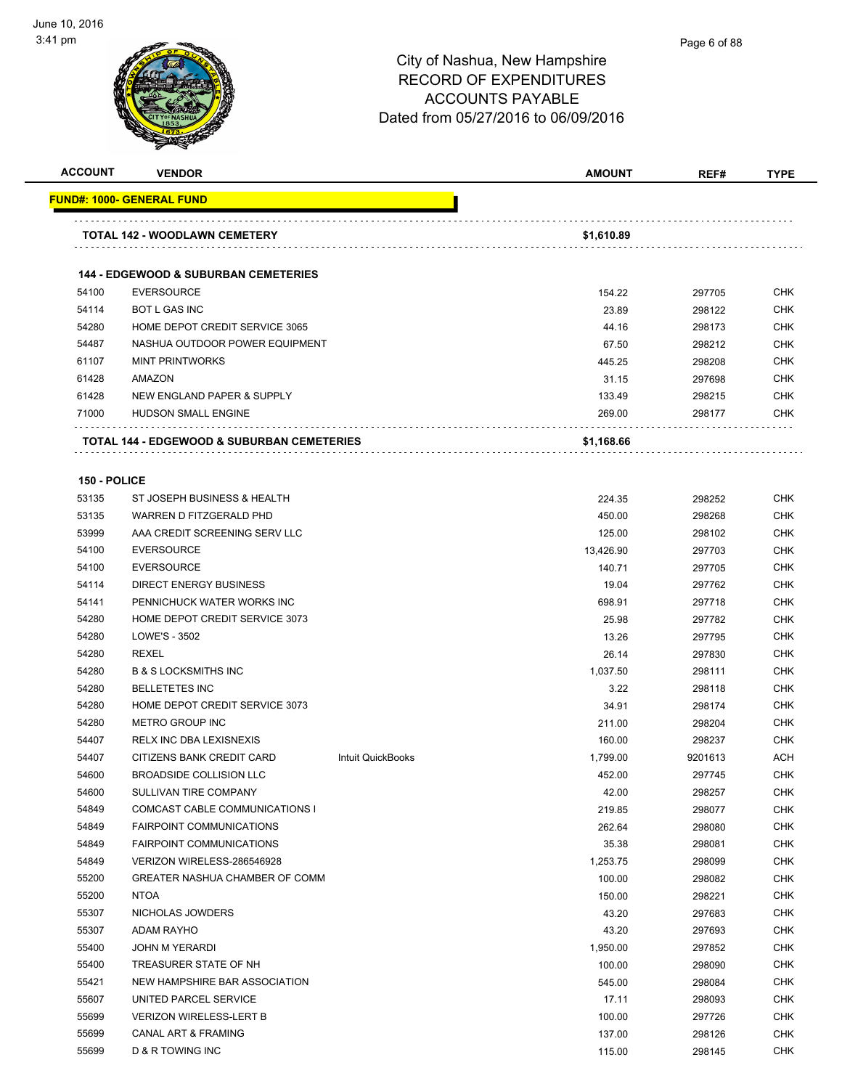

**FUND#: 1000- GENERAL FUND**

|              | AUUUUNIO FAIADLE<br>Dated from 05/27/2016 to 06/09/2016 |  |               |        |             |  |
|--------------|---------------------------------------------------------|--|---------------|--------|-------------|--|
| ACCOUNT      | <b>VENDOR</b>                                           |  | <b>AMOUNT</b> | REF#   | <b>TYPE</b> |  |
|              | <b>IND#: 1000- GENERAL FUND</b>                         |  |               |        |             |  |
|              | <b>TOTAL 142 - WOODLAWN CEMETERY</b>                    |  | \$1,610.89    |        |             |  |
|              | <b>144 - EDGEWOOD &amp; SUBURBAN CEMETERIES</b>         |  |               |        |             |  |
| 54100        | <b>EVERSOURCE</b>                                       |  | 154.22        | 297705 | <b>CHK</b>  |  |
| 54114        | <b>BOT L GAS INC</b>                                    |  | 23.89         | 298122 | <b>CHK</b>  |  |
| 54280        | HOME DEPOT CREDIT SERVICE 3065                          |  | 44.16         | 298173 | <b>CHK</b>  |  |
| 54487        | NASHUA OUTDOOR POWER EQUIPMENT                          |  | 67.50         | 298212 | <b>CHK</b>  |  |
| 61107        | <b>MINT PRINTWORKS</b>                                  |  | 445.25        | 298208 | <b>CHK</b>  |  |
| 61428        | <b>AMAZON</b>                                           |  | 31.15         | 297698 | <b>CHK</b>  |  |
| 61428        | NEW ENGLAND PAPER & SUPPLY                              |  | 133.49        | 298215 | <b>CHK</b>  |  |
| 71000        | <b>HUDSON SMALL ENGINE</b>                              |  | 269.00        | 298177 | <b>CHK</b>  |  |
|              | <b>TOTAL 144 - EDGEWOOD &amp; SUBURBAN CEMETERIES</b>   |  | \$1,168.66    |        |             |  |
| 150 - POLICE |                                                         |  |               |        |             |  |
| 53135        | ST JOSEPH BUSINESS & HEALTH                             |  | 224.35        | 298252 | <b>CHK</b>  |  |
| 53135        | WARREN D FITZGERALD PHD                                 |  | 450.00        | 298268 | <b>CHK</b>  |  |
| 53999        | AAA CREDIT SCREENING SERV LLC                           |  | 125.00        | 298102 | <b>CHK</b>  |  |
| 54100        | <b>EVERSOURCE</b>                                       |  | 13,426.90     | 297703 | <b>CHK</b>  |  |
| 54100        | <b>EVERSOURCE</b>                                       |  | 140.71        | 297705 | <b>CHK</b>  |  |
| 54114        | DIRECT ENERGY RUSINESS.                                 |  | 10 $\Omega$   | 207762 | <b>CHK</b>  |  |

| 53135 | WARREN D FITZGERALD PHD         |                   | 450.00    | 298268  | CHK        |
|-------|---------------------------------|-------------------|-----------|---------|------------|
| 53999 | AAA CREDIT SCREENING SERV LLC   |                   | 125.00    | 298102  | <b>CHK</b> |
| 54100 | <b>EVERSOURCE</b>               |                   | 13,426.90 | 297703  | <b>CHK</b> |
| 54100 | <b>EVERSOURCE</b>               |                   | 140.71    | 297705  | <b>CHK</b> |
| 54114 | <b>DIRECT ENERGY BUSINESS</b>   |                   | 19.04     | 297762  | <b>CHK</b> |
| 54141 | PENNICHUCK WATER WORKS INC      |                   | 698.91    | 297718  | <b>CHK</b> |
| 54280 | HOME DEPOT CREDIT SERVICE 3073  |                   | 25.98     | 297782  | CHK        |
| 54280 | LOWE'S - 3502                   |                   | 13.26     | 297795  | <b>CHK</b> |
| 54280 | <b>REXEL</b>                    |                   | 26.14     | 297830  | <b>CHK</b> |
| 54280 | <b>B &amp; S LOCKSMITHS INC</b> |                   | 1,037.50  | 298111  | CHK        |
| 54280 | <b>BELLETETES INC</b>           |                   | 3.22      | 298118  | <b>CHK</b> |
| 54280 | HOME DEPOT CREDIT SERVICE 3073  |                   | 34.91     | 298174  | <b>CHK</b> |
| 54280 | <b>METRO GROUP INC</b>          |                   | 211.00    | 298204  | <b>CHK</b> |
| 54407 | RELX INC DBA LEXISNEXIS         |                   | 160.00    | 298237  | <b>CHK</b> |
| 54407 | CITIZENS BANK CREDIT CARD       | Intuit QuickBooks | 1,799.00  | 9201613 | <b>ACH</b> |
| 54600 | BROADSIDE COLLISION LLC         |                   | 452.00    | 297745  | CHK        |
| 54600 | SULLIVAN TIRE COMPANY           |                   | 42.00     | 298257  | <b>CHK</b> |
| 54849 | COMCAST CABLE COMMUNICATIONS I  |                   | 219.85    | 298077  | <b>CHK</b> |
| 54849 | <b>FAIRPOINT COMMUNICATIONS</b> |                   | 262.64    | 298080  | <b>CHK</b> |
| 54849 | <b>FAIRPOINT COMMUNICATIONS</b> |                   | 35.38     | 298081  | <b>CHK</b> |
| 54849 | VERIZON WIRELESS-286546928      |                   | 1,253.75  | 298099  | <b>CHK</b> |
| 55200 | GREATER NASHUA CHAMBER OF COMM  |                   | 100.00    | 298082  | CHK        |
| 55200 | <b>NTOA</b>                     |                   | 150.00    | 298221  | <b>CHK</b> |
| 55307 | NICHOLAS JOWDERS                |                   | 43.20     | 297683  | <b>CHK</b> |
| 55307 | <b>ADAM RAYHO</b>               |                   | 43.20     | 297693  | CHK        |
| 55400 | <b>JOHN M YERARDI</b>           |                   | 1,950.00  | 297852  | <b>CHK</b> |
| 55400 | TREASURER STATE OF NH           |                   | 100.00    | 298090  | <b>CHK</b> |
| 55421 | NEW HAMPSHIRE BAR ASSOCIATION   |                   | 545.00    | 298084  | <b>CHK</b> |
| 55607 | UNITED PARCEL SERVICE           |                   | 17.11     | 298093  | CHK        |
| 55699 | <b>VERIZON WIRELESS-LERT B</b>  |                   | 100.00    | 297726  | <b>CHK</b> |
| 55699 | <b>CANAL ART &amp; FRAMING</b>  |                   | 137.00    | 298126  | CHK        |
| 55699 | D & R TOWING INC                |                   | 115.00    | 298145  | <b>CHK</b> |
|       |                                 |                   |           |         |            |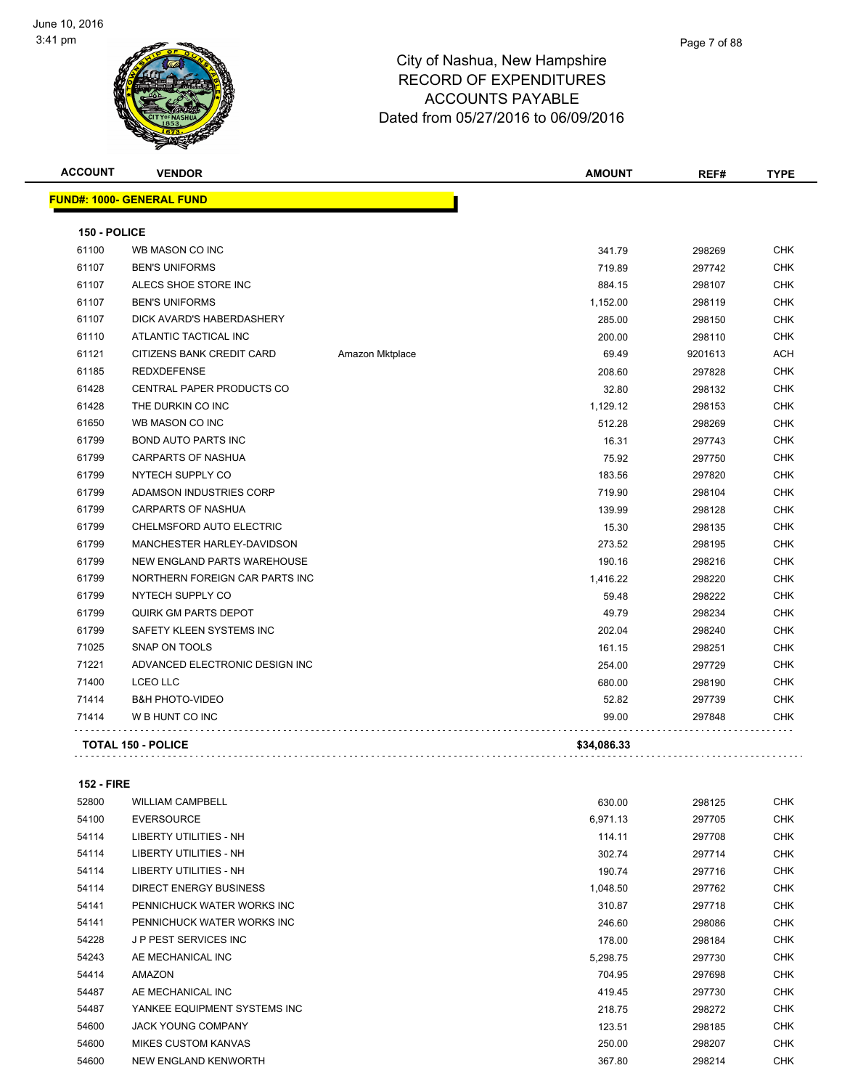

| <b>ACCOUNT</b> | <b>VENDOR</b>                    |                 | <b>AMOUNT</b> | REF#    | <b>TYPE</b> |
|----------------|----------------------------------|-----------------|---------------|---------|-------------|
|                | <b>FUND#: 1000- GENERAL FUND</b> |                 |               |         |             |
| 150 - POLICE   |                                  |                 |               |         |             |
| 61100          | WB MASON CO INC                  |                 | 341.79        | 298269  | <b>CHK</b>  |
| 61107          | <b>BEN'S UNIFORMS</b>            |                 | 719.89        | 297742  | <b>CHK</b>  |
| 61107          | ALECS SHOE STORE INC             |                 | 884.15        | 298107  | <b>CHK</b>  |
| 61107          | <b>BEN'S UNIFORMS</b>            |                 | 1,152.00      | 298119  | <b>CHK</b>  |
| 61107          | DICK AVARD'S HABERDASHERY        |                 | 285.00        | 298150  | <b>CHK</b>  |
| 61110          | ATLANTIC TACTICAL INC            |                 | 200.00        | 298110  | <b>CHK</b>  |
| 61121          | CITIZENS BANK CREDIT CARD        | Amazon Mktplace | 69.49         | 9201613 | ACH         |
| 61185          | <b>REDXDEFENSE</b>               |                 | 208.60        | 297828  | <b>CHK</b>  |
| 61428          | CENTRAL PAPER PRODUCTS CO        |                 | 32.80         | 298132  | <b>CHK</b>  |
| 61428          | THE DURKIN CO INC                |                 | 1,129.12      | 298153  | <b>CHK</b>  |
| 61650          | WB MASON CO INC                  |                 | 512.28        | 298269  | <b>CHK</b>  |
| 61799          | <b>BOND AUTO PARTS INC</b>       |                 | 16.31         | 297743  | <b>CHK</b>  |
| 61799          | <b>CARPARTS OF NASHUA</b>        |                 | 75.92         | 297750  | <b>CHK</b>  |
| 61799          | NYTECH SUPPLY CO                 |                 | 183.56        | 297820  | <b>CHK</b>  |
| 61799          | ADAMSON INDUSTRIES CORP          |                 | 719.90        | 298104  | <b>CHK</b>  |
| 61799          | <b>CARPARTS OF NASHUA</b>        |                 | 139.99        | 298128  | <b>CHK</b>  |
| 61799          | CHELMSFORD AUTO ELECTRIC         |                 | 15.30         | 298135  | <b>CHK</b>  |
| 61799          | MANCHESTER HARLEY-DAVIDSON       |                 | 273.52        | 298195  | <b>CHK</b>  |
| 61799          | NEW ENGLAND PARTS WAREHOUSE      |                 | 190.16        | 298216  | <b>CHK</b>  |
| 61799          | NORTHERN FOREIGN CAR PARTS INC   |                 | 1,416.22      | 298220  | <b>CHK</b>  |
| 61799          | NYTECH SUPPLY CO                 |                 | 59.48         | 298222  | <b>CHK</b>  |
| 61799          | QUIRK GM PARTS DEPOT             |                 | 49.79         | 298234  | <b>CHK</b>  |
| 61799          | SAFETY KLEEN SYSTEMS INC         |                 | 202.04        | 298240  | <b>CHK</b>  |
| 71025          | SNAP ON TOOLS                    |                 | 161.15        | 298251  | <b>CHK</b>  |
| 71221          | ADVANCED ELECTRONIC DESIGN INC   |                 | 254.00        | 297729  | <b>CHK</b>  |
| 71400          | <b>LCEO LLC</b>                  |                 | 680.00        | 298190  | CHK         |
| 71414          | <b>B&amp;H PHOTO-VIDEO</b>       |                 | 52.82         | 297739  | <b>CHK</b>  |
| 71414          | W B HUNT CO INC                  |                 | 99.00         | 297848  | CHK         |
|                | <b>TOTAL 150 - POLICE</b>        |                 | \$34,086.33   |         |             |
|                |                                  |                 |               |         |             |

#### **152 - FIRE**

| 52800 | <b>WILLIAM CAMPBELL</b>      | 630.00   | 298125 | <b>CHK</b> |
|-------|------------------------------|----------|--------|------------|
| 54100 | <b>EVERSOURCE</b>            | 6,971.13 | 297705 | <b>CHK</b> |
| 54114 | LIBERTY UTILITIES - NH       | 114.11   | 297708 | <b>CHK</b> |
| 54114 | LIBERTY UTILITIES - NH       | 302.74   | 297714 | <b>CHK</b> |
| 54114 | LIBERTY UTILITIES - NH       | 190.74   | 297716 | <b>CHK</b> |
| 54114 | DIRECT ENERGY BUSINESS       | 1,048.50 | 297762 | <b>CHK</b> |
| 54141 | PENNICHUCK WATER WORKS INC   | 310.87   | 297718 | <b>CHK</b> |
| 54141 | PENNICHUCK WATER WORKS INC   | 246.60   | 298086 | <b>CHK</b> |
| 54228 | <b>JP PEST SERVICES INC</b>  | 178.00   | 298184 | <b>CHK</b> |
| 54243 | AE MECHANICAL INC            | 5,298.75 | 297730 | <b>CHK</b> |
| 54414 | AMAZON                       | 704.95   | 297698 | <b>CHK</b> |
| 54487 | AE MECHANICAL INC            | 419.45   | 297730 | <b>CHK</b> |
| 54487 | YANKEE EQUIPMENT SYSTEMS INC | 218.75   | 298272 | <b>CHK</b> |
| 54600 | <b>JACK YOUNG COMPANY</b>    | 123.51   | 298185 | <b>CHK</b> |
| 54600 | <b>MIKES CUSTOM KANVAS</b>   | 250.00   | 298207 | <b>CHK</b> |
| 54600 | NEW ENGLAND KENWORTH         | 367.80   | 298214 | <b>CHK</b> |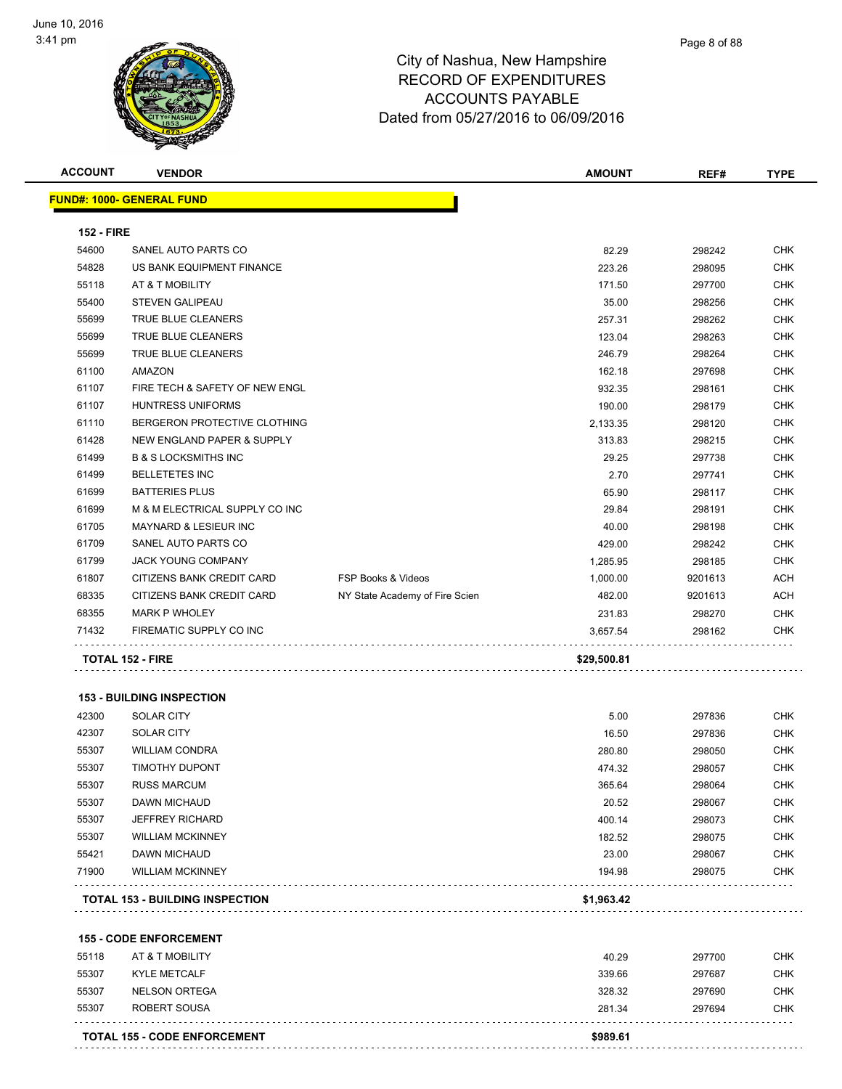

| <b>ACCOUNT</b>    | <b>VENDOR</b>                          |                                | <b>AMOUNT</b> | REF#    | <b>TYPE</b> |
|-------------------|----------------------------------------|--------------------------------|---------------|---------|-------------|
|                   | <b>FUND#: 1000- GENERAL FUND</b>       |                                |               |         |             |
| <b>152 - FIRE</b> |                                        |                                |               |         |             |
| 54600             | SANEL AUTO PARTS CO                    |                                | 82.29         | 298242  | <b>CHK</b>  |
| 54828             | US BANK EQUIPMENT FINANCE              |                                | 223.26        | 298095  | <b>CHK</b>  |
| 55118             | AT & T MOBILITY                        |                                | 171.50        | 297700  | <b>CHK</b>  |
| 55400             | <b>STEVEN GALIPEAU</b>                 |                                | 35.00         | 298256  | <b>CHK</b>  |
| 55699             | TRUE BLUE CLEANERS                     |                                | 257.31        | 298262  | <b>CHK</b>  |
| 55699             | TRUE BLUE CLEANERS                     |                                | 123.04        | 298263  | <b>CHK</b>  |
| 55699             | TRUE BLUE CLEANERS                     |                                | 246.79        | 298264  | <b>CHK</b>  |
| 61100             | <b>AMAZON</b>                          |                                | 162.18        | 297698  | <b>CHK</b>  |
| 61107             | FIRE TECH & SAFETY OF NEW ENGL         |                                | 932.35        | 298161  | CHK         |
| 61107             | <b>HUNTRESS UNIFORMS</b>               |                                | 190.00        | 298179  | <b>CHK</b>  |
| 61110             | BERGERON PROTECTIVE CLOTHING           |                                | 2,133.35      | 298120  | <b>CHK</b>  |
| 61428             | NEW ENGLAND PAPER & SUPPLY             |                                | 313.83        | 298215  | <b>CHK</b>  |
| 61499             | <b>B &amp; S LOCKSMITHS INC</b>        |                                | 29.25         | 297738  | <b>CHK</b>  |
| 61499             | <b>BELLETETES INC</b>                  |                                | 2.70          | 297741  | <b>CHK</b>  |
| 61699             | <b>BATTERIES PLUS</b>                  |                                | 65.90         | 298117  | <b>CHK</b>  |
|                   |                                        |                                | 29.84         |         |             |
| 61699             | M & M ELECTRICAL SUPPLY CO INC         |                                |               | 298191  | <b>CHK</b>  |
| 61705             | <b>MAYNARD &amp; LESIEUR INC</b>       |                                | 40.00         | 298198  | <b>CHK</b>  |
| 61709             | SANEL AUTO PARTS CO                    |                                | 429.00        | 298242  | <b>CHK</b>  |
| 61799             | <b>JACK YOUNG COMPANY</b>              |                                | 1,285.95      | 298185  | <b>CHK</b>  |
| 61807             | CITIZENS BANK CREDIT CARD              | <b>FSP Books &amp; Videos</b>  | 1,000.00      | 9201613 | <b>ACH</b>  |
| 68335             | CITIZENS BANK CREDIT CARD              | NY State Academy of Fire Scien | 482.00        | 9201613 | <b>ACH</b>  |
| 68355             | <b>MARK P WHOLEY</b>                   |                                | 231.83        | 298270  | CHK         |
| 71432             | FIREMATIC SUPPLY CO INC                |                                | 3,657.54      | 298162  | CHK         |
|                   | <b>TOTAL 152 - FIRE</b>                |                                | \$29,500.81   |         |             |
|                   | <b>153 - BUILDING INSPECTION</b>       |                                |               |         |             |
| 42300             | <b>SOLAR CITY</b>                      |                                | 5.00          | 297836  | <b>CHK</b>  |
| 42307             | <b>SOLAR CITY</b>                      |                                | 16.50         | 297836  | <b>CHK</b>  |
| 55307             | <b>WILLIAM CONDRA</b>                  |                                | 280.80        | 298050  | <b>CHK</b>  |
| 55307             | <b>TIMOTHY DUPONT</b>                  |                                | 474.32        | 298057  | <b>CHK</b>  |
| 55307             | RUSS MARCUM                            |                                | 365.64        | 298064  | CHK         |
| 55307             | DAWN MICHAUD                           |                                | 20.52         | 298067  | CHK         |
| 55307             | <b>JEFFREY RICHARD</b>                 |                                | 400.14        | 298073  | <b>CHK</b>  |
| 55307             | <b>WILLIAM MCKINNEY</b>                |                                | 182.52        | 298075  | <b>CHK</b>  |
| 55421             | <b>DAWN MICHAUD</b>                    |                                | 23.00         | 298067  | <b>CHK</b>  |
| 71900             | <b>WILLIAM MCKINNEY</b>                |                                | 194.98        | 298075  | <b>CHK</b>  |
|                   | <b>TOTAL 153 - BUILDING INSPECTION</b> |                                | \$1,963.42    |         |             |
|                   |                                        |                                |               |         |             |
|                   | <b>155 - CODE ENFORCEMENT</b>          |                                |               |         |             |
| 55118             | AT & T MOBILITY                        |                                | 40.29         | 297700  | <b>CHK</b>  |
| 55307             | <b>KYLE METCALF</b>                    |                                | 339.66        | 297687  | <b>CHK</b>  |
| 55307             | <b>NELSON ORTEGA</b>                   |                                | 328.32        | 297690  | CHK         |
| 55307             | ROBERT SOUSA                           |                                | 281.34        | 297694  | CHK         |
|                   | <b>TOTAL 155 - CODE ENFORCEMENT</b>    |                                | \$989.61      |         |             |
|                   |                                        |                                |               |         |             |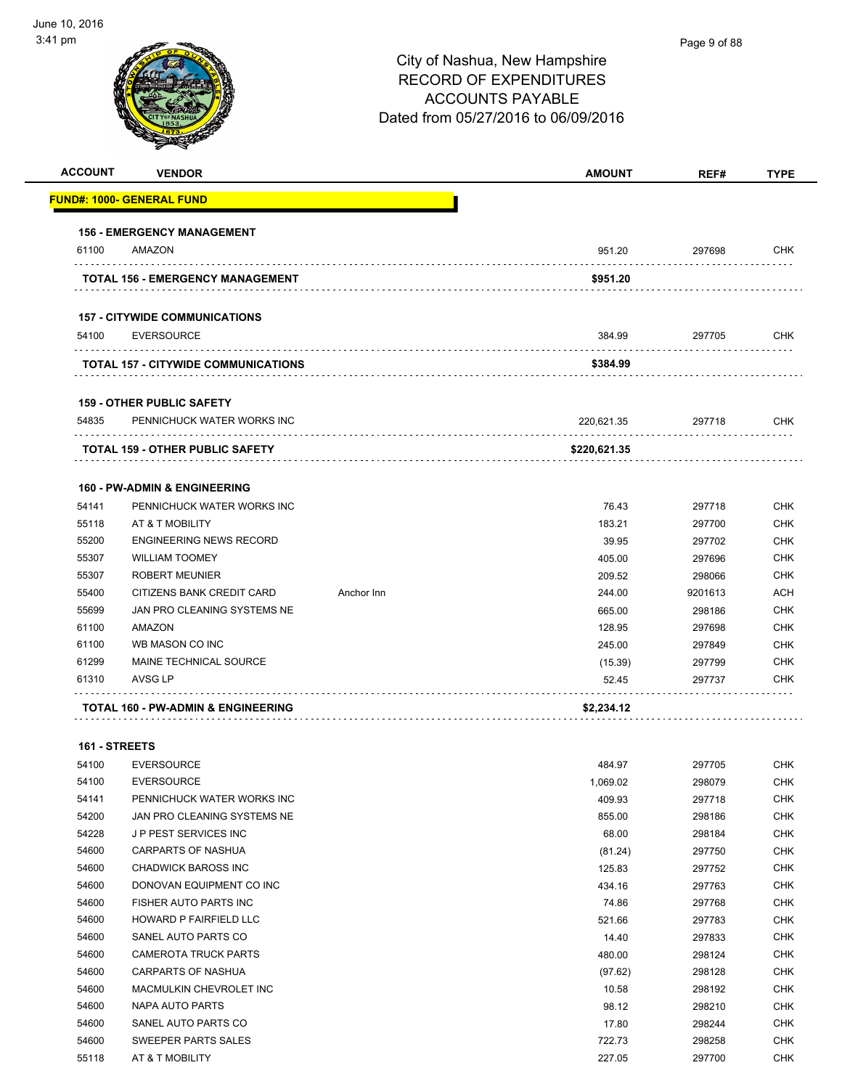| <b>ACCOUNT</b> | <b>VENDOR</b>                              |            | <b>AMOUNT</b> | REF#    | <b>TYPE</b> |
|----------------|--------------------------------------------|------------|---------------|---------|-------------|
|                | <u> FUND#: 1000- GENERAL FUND</u>          |            |               |         |             |
|                | <b>156 - EMERGENCY MANAGEMENT</b>          |            |               |         |             |
| 61100          | AMAZON                                     |            | 951.20        | 297698  | <b>CHK</b>  |
|                | TOTAL 156 - EMERGENCY MANAGEMENT           |            | \$951.20      |         |             |
|                | <b>157 - CITYWIDE COMMUNICATIONS</b>       |            |               |         |             |
| 54100          | <b>EVERSOURCE</b>                          |            | 384.99        | 297705  | <b>CHK</b>  |
|                | <b>TOTAL 157 - CITYWIDE COMMUNICATIONS</b> |            | \$384.99      |         |             |
|                | <b>159 - OTHER PUBLIC SAFETY</b>           |            |               |         |             |
| 54835          | PENNICHUCK WATER WORKS INC                 |            | 220,621.35    | 297718  | <b>CHK</b>  |
|                | <b>TOTAL 159 - OTHER PUBLIC SAFETY</b>     |            | \$220,621.35  |         |             |
|                | <b>160 - PW-ADMIN &amp; ENGINEERING</b>    |            |               |         |             |
| 54141          | PENNICHUCK WATER WORKS INC                 |            | 76.43         | 297718  | <b>CHK</b>  |
| 55118          | AT & T MOBILITY                            |            | 183.21        | 297700  | <b>CHK</b>  |
| 55200          | <b>ENGINEERING NEWS RECORD</b>             |            | 39.95         | 297702  | <b>CHK</b>  |
| 55307          | <b>WILLIAM TOOMEY</b>                      |            | 405.00        | 297696  | <b>CHK</b>  |
| 55307          | <b>ROBERT MEUNIER</b>                      |            | 209.52        | 298066  | <b>CHK</b>  |
| 55400          | CITIZENS BANK CREDIT CARD                  | Anchor Inn | 244.00        | 9201613 | ACH         |
| 55699          | JAN PRO CLEANING SYSTEMS NE                |            | 665.00        | 298186  | <b>CHK</b>  |
| 61100          | AMAZON                                     |            | 128.95        | 297698  | <b>CHK</b>  |
| 61100          | WB MASON CO INC                            |            | 245.00        | 297849  | <b>CHK</b>  |
| 61299          | MAINE TECHNICAL SOURCE                     |            | (15.39)       | 297799  | <b>CHK</b>  |
| 61310          | AVSG LP                                    |            | 52.45         | 297737  | <b>CHK</b>  |
|                | TOTAL 160 - PW-ADMIN & ENGINEERING         |            | \$2,234.12    |         |             |
| 161 - STREETS  |                                            |            |               |         |             |
| 54100          | <b>EVERSOURCE</b>                          |            | 484.97        | 297705  | <b>CHK</b>  |
| 54100          | <b>EVERSOURCE</b>                          |            | 1,069.02      | 298079  | <b>CHK</b>  |
| 54141          | PENNICHUCK WATER WORKS INC                 |            | 409.93        | 297718  | <b>CHK</b>  |
| 54200          | JAN PRO CLEANING SYSTEMS NE                |            | 855.00        | 298186  | <b>CHK</b>  |
| 54228          | JP PEST SERVICES INC                       |            | 68.00         | 298184  | <b>CHK</b>  |
| 54600          | <b>CARPARTS OF NASHUA</b>                  |            | (81.24)       | 297750  | <b>CHK</b>  |
| 54600          | <b>CHADWICK BAROSS INC</b>                 |            | 125.83        | 297752  | <b>CHK</b>  |
| 54600          | DONOVAN EQUIPMENT CO INC                   |            | 434.16        | 297763  | <b>CHK</b>  |
| 54600          | FISHER AUTO PARTS INC                      |            | 74.86         | 297768  | <b>CHK</b>  |

| 54600 | HOWARD P FAIRFIELD LLC  | 521.66  | 297783 | <b>CHK</b> |
|-------|-------------------------|---------|--------|------------|
| 54600 | SANEL AUTO PARTS CO     | 14.40   | 297833 | <b>CHK</b> |
| 54600 | CAMEROTA TRUCK PARTS    | 480.00  | 298124 | <b>CHK</b> |
| 54600 | CARPARTS OF NASHUA      | (97.62) | 298128 | <b>CHK</b> |
| 54600 | MACMULKIN CHEVROLET INC | 10.58   | 298192 | <b>CHK</b> |
| 54600 | NAPA AUTO PARTS         | 98.12   | 298210 | <b>CHK</b> |
| 54600 | SANEL AUTO PARTS CO     | 17.80   | 298244 | <b>CHK</b> |
| 54600 | SWEEPER PARTS SALES     | 722.73  | 298258 | <b>CHK</b> |
| 55118 | AT & T MOBILITY         | 227.05  | 297700 | <b>CHK</b> |
|       |                         |         |        |            |
|       |                         |         |        |            |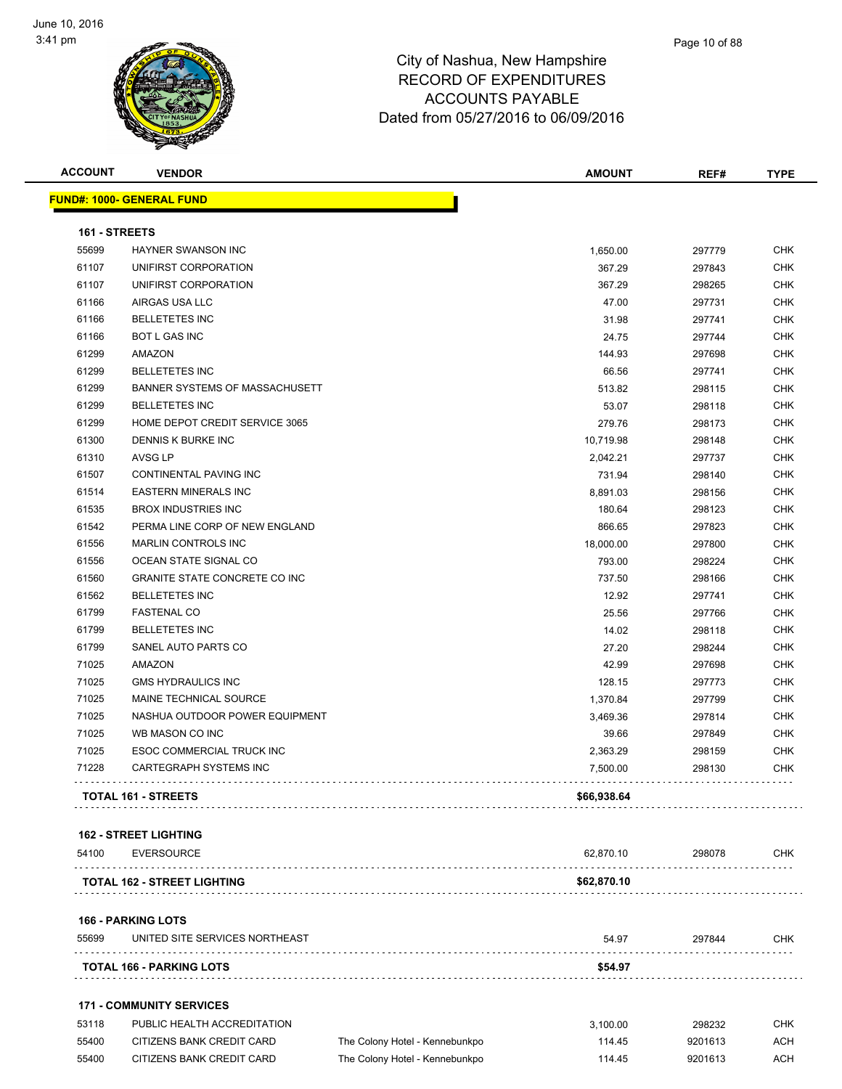

| <b>ACCOUNT</b> | <b>VENDOR</b>                        | <b>AMOUNT</b> | REF#   | <b>TYPE</b> |
|----------------|--------------------------------------|---------------|--------|-------------|
|                | <u>FUND#: 1000- GENERAL FUND</u>     |               |        |             |
| 161 - STREETS  |                                      |               |        |             |
| 55699          | HAYNER SWANSON INC                   | 1,650.00      | 297779 | <b>CHK</b>  |
| 61107          | UNIFIRST CORPORATION                 | 367.29        | 297843 | <b>CHK</b>  |
| 61107          | UNIFIRST CORPORATION                 | 367.29        | 298265 | <b>CHK</b>  |
| 61166          | AIRGAS USA LLC                       | 47.00         | 297731 | <b>CHK</b>  |
| 61166          | <b>BELLETETES INC</b>                | 31.98         | 297741 | <b>CHK</b>  |
| 61166          | <b>BOT L GAS INC</b>                 | 24.75         | 297744 | <b>CHK</b>  |
| 61299          | AMAZON                               | 144.93        | 297698 | <b>CHK</b>  |
| 61299          | <b>BELLETETES INC</b>                | 66.56         | 297741 | <b>CHK</b>  |
| 61299          | BANNER SYSTEMS OF MASSACHUSETT       | 513.82        | 298115 | <b>CHK</b>  |
| 61299          | <b>BELLETETES INC</b>                | 53.07         | 298118 | <b>CHK</b>  |
| 61299          | HOME DEPOT CREDIT SERVICE 3065       | 279.76        | 298173 | <b>CHK</b>  |
| 61300          | DENNIS K BURKE INC                   | 10,719.98     | 298148 | <b>CHK</b>  |
| 61310          | AVSG LP                              | 2,042.21      | 297737 | <b>CHK</b>  |
| 61507          | CONTINENTAL PAVING INC               | 731.94        | 298140 | <b>CHK</b>  |
| 61514          | <b>EASTERN MINERALS INC</b>          | 8,891.03      | 298156 | <b>CHK</b>  |
| 61535          | <b>BROX INDUSTRIES INC</b>           | 180.64        | 298123 | <b>CHK</b>  |
| 61542          | PERMA LINE CORP OF NEW ENGLAND       | 866.65        | 297823 | <b>CHK</b>  |
| 61556          | <b>MARLIN CONTROLS INC</b>           | 18,000.00     | 297800 | <b>CHK</b>  |
| 61556          | OCEAN STATE SIGNAL CO                | 793.00        | 298224 | <b>CHK</b>  |
| 61560          | <b>GRANITE STATE CONCRETE CO INC</b> | 737.50        | 298166 | <b>CHK</b>  |
| 61562          | <b>BELLETETES INC</b>                | 12.92         | 297741 | <b>CHK</b>  |
| 61799          | <b>FASTENAL CO</b>                   | 25.56         | 297766 | <b>CHK</b>  |
| 61799          | <b>BELLETETES INC</b>                | 14.02         | 298118 | <b>CHK</b>  |
| 61799          | SANEL AUTO PARTS CO                  | 27.20         | 298244 | <b>CHK</b>  |
| 71025          | AMAZON                               | 42.99         | 297698 | <b>CHK</b>  |
| 71025          | <b>GMS HYDRAULICS INC</b>            | 128.15        | 297773 | <b>CHK</b>  |
| 71025          | MAINE TECHNICAL SOURCE               | 1,370.84      | 297799 | <b>CHK</b>  |
| 71025          | NASHUA OUTDOOR POWER EQUIPMENT       | 3,469.36      | 297814 | <b>CHK</b>  |
| 71025          | WB MASON CO INC                      | 39.66         | 297849 | <b>CHK</b>  |
| 71025          | ESOC COMMERCIAL TRUCK INC            | 2,363.29      | 298159 | <b>CHK</b>  |
| 71228          | <b>CARTEGRAPH SYSTEMS INC</b>        | 7,500.00      | 298130 | <b>CHK</b>  |
|                | <b>TOTAL 161 - STREETS</b>           | \$66,938.64   |        |             |
|                | <b>162 - STREET LIGHTING</b>         |               |        |             |
| 54100          | <b>EVERSOURCE</b><br>.               | 62,870.10     | 298078 | <b>CHK</b>  |
|                | <b>TOTAL 162 - STREET LIGHTING</b>   | \$62,870.10   |        |             |
|                | <b>166 - PARKING LOTS</b>            |               |        |             |
| 55699          | UNITED SITE SERVICES NORTHEAST       | 54.97         | 297844 | <b>CHK</b>  |
|                | <b>TOTAL 166 - PARKING LOTS</b>      | \$54.97       |        |             |
|                | <b>171 - COMMUNITY SERVICES</b>      |               |        |             |
| 53118          | PUBLIC HEALTH ACCREDITATION          | 3,100.00      | 298232 | <b>CHK</b>  |

55400 CITIZENS BANK CREDIT CARD The Colony Hotel - Kennebunkpo 114.45 9201613 ACH 55400 CITIZENS BANK CREDIT CARD The Colony Hotel - Kennebunkpo 114.45 9201613 ACH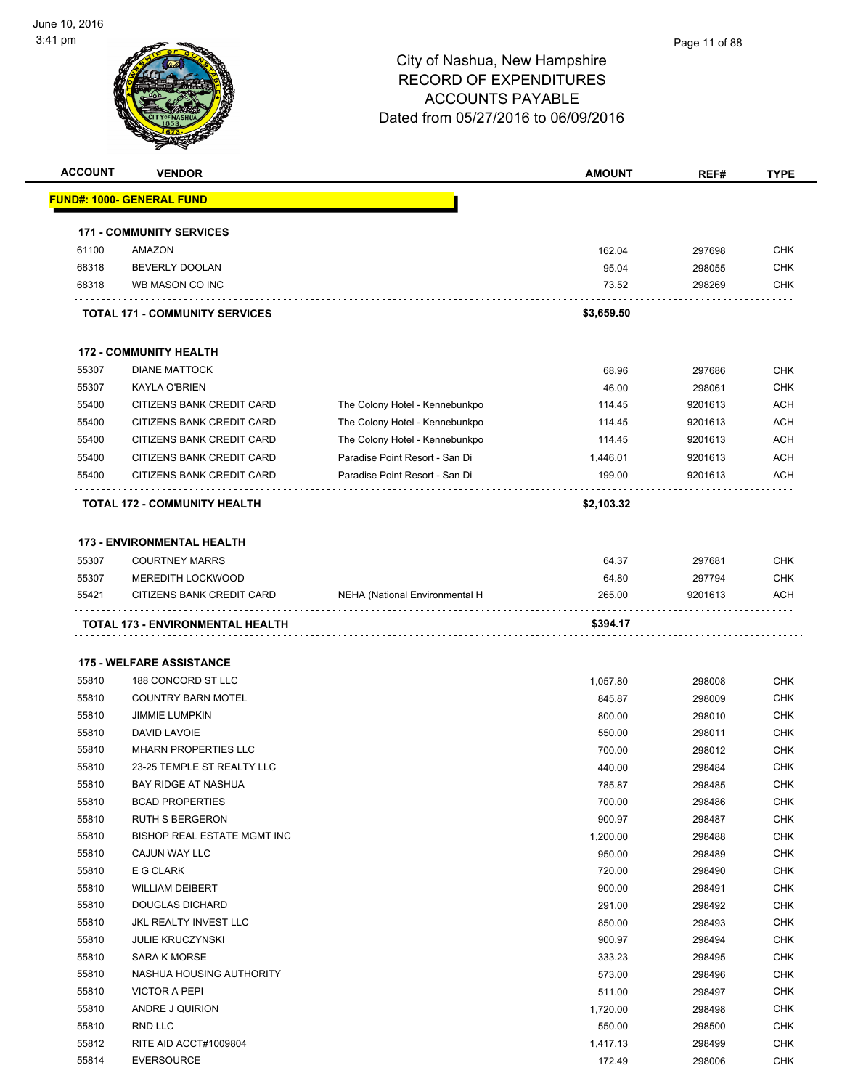

|       | <b>VENDOR</b>                         |                                | <b>AMOUNT</b> | REF#    | <b>TYPE</b>                                          |
|-------|---------------------------------------|--------------------------------|---------------|---------|------------------------------------------------------|
|       | <u> FUND#: 1000- GENERAL FUND</u>     |                                |               |         |                                                      |
|       | <b>171 - COMMUNITY SERVICES</b>       |                                |               |         |                                                      |
| 61100 | <b>AMAZON</b>                         |                                | 162.04        | 297698  | <b>CHK</b>                                           |
| 68318 | BEVERLY DOOLAN                        |                                | 95.04         | 298055  | <b>CHK</b>                                           |
| 68318 | WB MASON CO INC                       |                                | 73.52         | 298269  | CHK                                                  |
|       | <b>TOTAL 171 - COMMUNITY SERVICES</b> |                                | \$3,659.50    |         |                                                      |
|       | <b>172 - COMMUNITY HEALTH</b>         |                                |               |         |                                                      |
| 55307 | <b>DIANE MATTOCK</b>                  |                                | 68.96         | 297686  | <b>CHK</b>                                           |
| 55307 | <b>KAYLA O'BRIEN</b>                  |                                | 46.00         | 298061  | <b>CHK</b>                                           |
| 55400 | CITIZENS BANK CREDIT CARD             | The Colony Hotel - Kennebunkpo | 114.45        | 9201613 | <b>ACH</b>                                           |
| 55400 | CITIZENS BANK CREDIT CARD             | The Colony Hotel - Kennebunkpo | 114.45        | 9201613 | <b>ACH</b>                                           |
| 55400 | CITIZENS BANK CREDIT CARD             | The Colony Hotel - Kennebunkpo | 114.45        | 9201613 | <b>ACH</b>                                           |
| 55400 | CITIZENS BANK CREDIT CARD             | Paradise Point Resort - San Di | 1,446.01      | 9201613 | <b>ACH</b>                                           |
| 55400 | CITIZENS BANK CREDIT CARD             | Paradise Point Resort - San Di | 199.00        | 9201613 | ACH                                                  |
|       | <b>TOTAL 172 - COMMUNITY HEALTH</b>   |                                | \$2,103.32    |         |                                                      |
|       | <b>173 - ENVIRONMENTAL HEALTH</b>     |                                |               |         |                                                      |
| 55307 | <b>COURTNEY MARRS</b>                 |                                | 64.37         | 297681  | <b>CHK</b>                                           |
|       |                                       |                                | 64.80         | 297794  | <b>CHK</b>                                           |
| 55307 | <b>MEREDITH LOCKWOOD</b>              |                                |               |         |                                                      |
| 55421 | CITIZENS BANK CREDIT CARD             | NEHA (National Environmental H | 265.00        | 9201613 | <b>ACH</b>                                           |
|       | .                                     |                                |               |         |                                                      |
|       | TOTAL 173 - ENVIRONMENTAL HEALTH      |                                | \$394.17      |         |                                                      |
|       | <b>175 - WELFARE ASSISTANCE</b>       |                                |               |         |                                                      |
| 55810 | 188 CONCORD ST LLC                    |                                | 1,057.80      | 298008  | CHK                                                  |
| 55810 | <b>COUNTRY BARN MOTEL</b>             |                                | 845.87        | 298009  | CHK                                                  |
| 55810 | <b>JIMMIE LUMPKIN</b>                 |                                | 800.00        | 298010  | CHK                                                  |
| 55810 | DAVID LAVOIE                          |                                | 550.00        | 298011  | CHK                                                  |
| 55810 | <b>MHARN PROPERTIES LLC</b>           |                                | 700.00        | 298012  | <b>CHK</b>                                           |
| 55810 | 23-25 TEMPLE ST REALTY LLC            |                                | 440.00        | 298484  | CHK                                                  |
| 55810 | BAY RIDGE AT NASHUA                   |                                | 785.87        | 298485  |                                                      |
| 55810 | <b>BCAD PROPERTIES</b>                |                                | 700.00        | 298486  |                                                      |
| 55810 | <b>RUTH S BERGERON</b>                |                                | 900.97        | 298487  |                                                      |
| 55810 | <b>BISHOP REAL ESTATE MGMT INC</b>    |                                | 1,200.00      | 298488  | <b>CHK</b>                                           |
| 55810 | CAJUN WAY LLC                         |                                | 950.00        | 298489  | <b>CHK</b><br><b>CHK</b><br><b>CHK</b><br><b>CHK</b> |
| 55810 | E G CLARK                             |                                | 720.00        | 298490  | <b>CHK</b>                                           |
| 55810 | <b>WILLIAM DEIBERT</b>                |                                | 900.00        | 298491  |                                                      |
| 55810 | <b>DOUGLAS DICHARD</b>                |                                | 291.00        | 298492  |                                                      |
| 55810 | JKL REALTY INVEST LLC                 |                                | 850.00        | 298493  |                                                      |
| 55810 | <b>JULIE KRUCZYNSKI</b>               |                                | 900.97        | 298494  | CHK<br><b>CHK</b>                                    |
| 55810 | SARA K MORSE                          |                                | 333.23        | 298495  | <b>CHK</b>                                           |
| 55810 | NASHUA HOUSING AUTHORITY              |                                | 573.00        | 298496  |                                                      |
| 55810 | <b>VICTOR A PEPI</b>                  |                                | 511.00        | 298497  | <b>CHK</b><br><b>CHK</b>                             |
| 55810 | ANDRE J QUIRION                       |                                | 1,720.00      | 298498  | <b>CHK</b><br><b>CHK</b><br>CHK                      |
| 55810 | RND LLC                               |                                | 550.00        | 298500  | <b>CHK</b>                                           |
| 55812 | RITE AID ACCT#1009804                 |                                | 1,417.13      | 298499  | <b>CHK</b>                                           |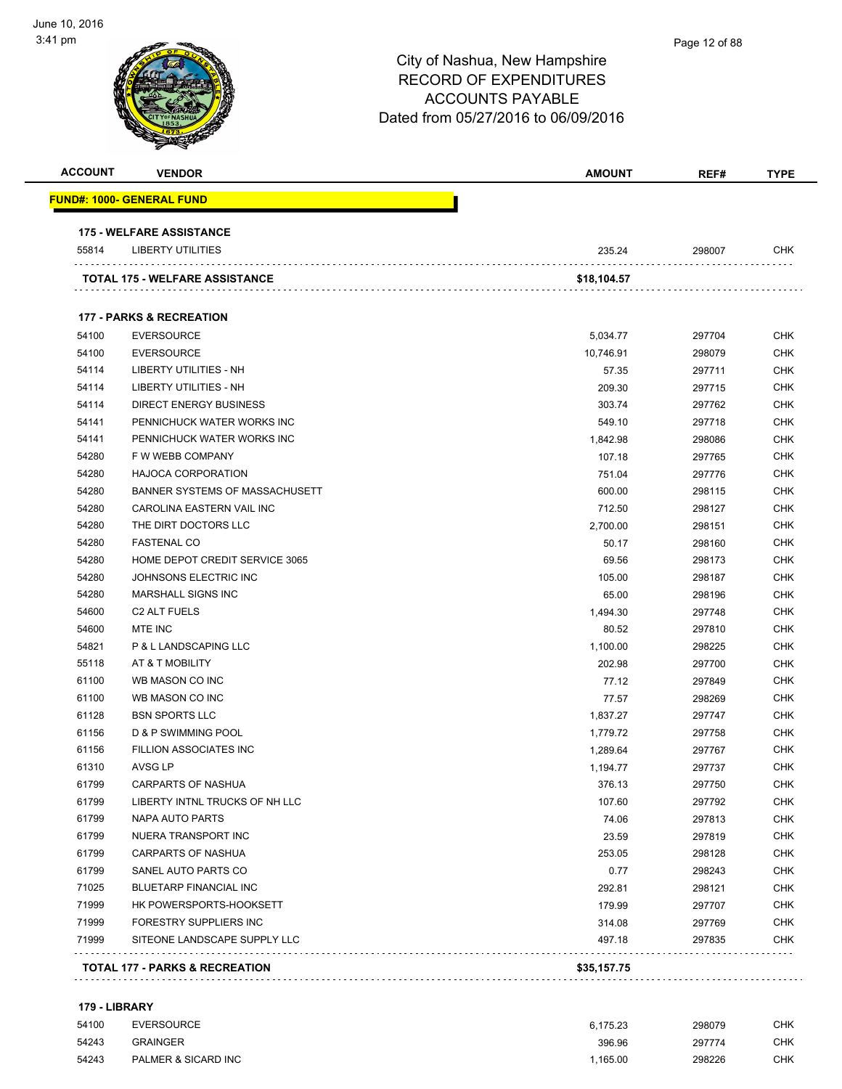# Page 12 of 88City of Nashua, New Hampshire RECORD OF EXPENDITURES ACCOUNTS PAYABLE Dated from 05/27/2016 to 06/09/2016 **ACCOUNT VENDOR AMOUNT REF# TYPE FUND#: 1000- GENERAL FUND 175 - WELFARE ASSISTANCE** LIBERTY UTILITIES 235.24 298007 CHK . . . . . . . . . . . . . . . . . . . . . . . . . . . . . . . . . . . . . . . **TOTAL 175 - WELFARE ASSISTANCE \$18,104.57 177 - PARKS & RECREATION**

|                | <b>TOTAL 177 - PARKS &amp; RECREATION</b>                | \$35,157.75 |        |            |
|----------------|----------------------------------------------------------|-------------|--------|------------|
|                |                                                          | 497.18      | 297835 | <b>CHK</b> |
| 71999<br>71999 | FORESTRY SUPPLIERS INC<br>SITEONE LANDSCAPE SUPPLY LLC   | 314.08      | 297769 | <b>CHK</b> |
|                |                                                          | 179.99      | 297707 | <b>CHK</b> |
| 71025<br>71999 | <b>BLUETARP FINANCIAL INC</b><br>HK POWERSPORTS-HOOKSETT | 292.81      | 298121 | <b>CHK</b> |
| 61799          | SANEL AUTO PARTS CO                                      | 0.77        | 298243 | <b>CHK</b> |
| 61799          | <b>CARPARTS OF NASHUA</b>                                | 253.05      | 298128 | <b>CHK</b> |
| 61799          | NUERA TRANSPORT INC                                      | 23.59       | 297819 | <b>CHK</b> |
| 61799          | NAPA AUTO PARTS                                          | 74.06       | 297813 | <b>CHK</b> |
| 61799          | LIBERTY INTNL TRUCKS OF NH LLC                           | 107.60      | 297792 | <b>CHK</b> |
| 61799          | <b>CARPARTS OF NASHUA</b>                                | 376.13      | 297750 | <b>CHK</b> |
| 61310          | AVSG LP                                                  | 1,194.77    | 297737 | <b>CHK</b> |
| 61156          | FILLION ASSOCIATES INC                                   | 1,289.64    | 297767 | <b>CHK</b> |
| 61156          | <b>D &amp; P SWIMMING POOL</b>                           | 1,779.72    | 297758 | <b>CHK</b> |
| 61128          | <b>BSN SPORTS LLC</b>                                    | 1,837.27    | 297747 | <b>CHK</b> |
| 61100          | WB MASON CO INC                                          | 77.57       | 298269 | <b>CHK</b> |
| 61100          | WB MASON CO INC                                          | 77.12       | 297849 | <b>CHK</b> |
| 55118          | AT & T MOBILITY                                          | 202.98      | 297700 | <b>CHK</b> |
| 54821          | P & L LANDSCAPING LLC                                    | 1,100.00    | 298225 | <b>CHK</b> |
| 54600          | MTE INC                                                  | 80.52       | 297810 | <b>CHK</b> |
| 54600          | C2 ALT FUELS                                             | 1,494.30    | 297748 | <b>CHK</b> |
| 54280          | MARSHALL SIGNS INC                                       | 65.00       | 298196 | <b>CHK</b> |
| 54280          | JOHNSONS ELECTRIC INC                                    | 105.00      | 298187 | <b>CHK</b> |
| 54280          | <b>HOME DEPOT CREDIT SERVICE 3065</b>                    | 69.56       | 298173 | <b>CHK</b> |
| 54280          | <b>FASTENAL CO</b>                                       | 50.17       | 298160 | <b>CHK</b> |
| 54280          | THE DIRT DOCTORS LLC                                     | 2,700.00    | 298151 | <b>CHK</b> |
| 54280          | CAROLINA EASTERN VAIL INC                                | 712.50      | 298127 | <b>CHK</b> |
| 54280          | BANNER SYSTEMS OF MASSACHUSETT                           | 600.00      | 298115 | <b>CHK</b> |
| 54280          | <b>HAJOCA CORPORATION</b>                                | 751.04      | 297776 | <b>CHK</b> |
| 54280          | F W WEBB COMPANY                                         | 107.18      | 297765 | <b>CHK</b> |
| 54141          | PENNICHUCK WATER WORKS INC                               | 1,842.98    | 298086 | <b>CHK</b> |
| 54141          | PENNICHUCK WATER WORKS INC                               | 549.10      | 297718 | <b>CHK</b> |
| 54114          | <b>DIRECT ENERGY BUSINESS</b>                            | 303.74      | 297762 | <b>CHK</b> |
| 54114          | <b>LIBERTY UTILITIES - NH</b>                            | 209.30      | 297715 | <b>CHK</b> |
| 54114          | LIBERTY UTILITIES - NH                                   | 57.35       | 297711 | <b>CHK</b> |
| 54100          | <b>EVERSOURCE</b>                                        | 10,746.91   | 298079 | <b>CHK</b> |
| 54100          | <b>EVERSOURCE</b>                                        | 5,034.77    | 297704 | CHK        |
|                |                                                          |             |        |            |

#### **179 - LIBRARY**

| 54100 | EVERSOURCE          | 6.175.23 | 298079 | снк        |
|-------|---------------------|----------|--------|------------|
| 54243 | <b>GRAINGER</b>     | 396.96   | 297774 | <b>CHK</b> |
| 54243 | PALMER & SICARD INC | 1.165.00 | 298226 | СНК        |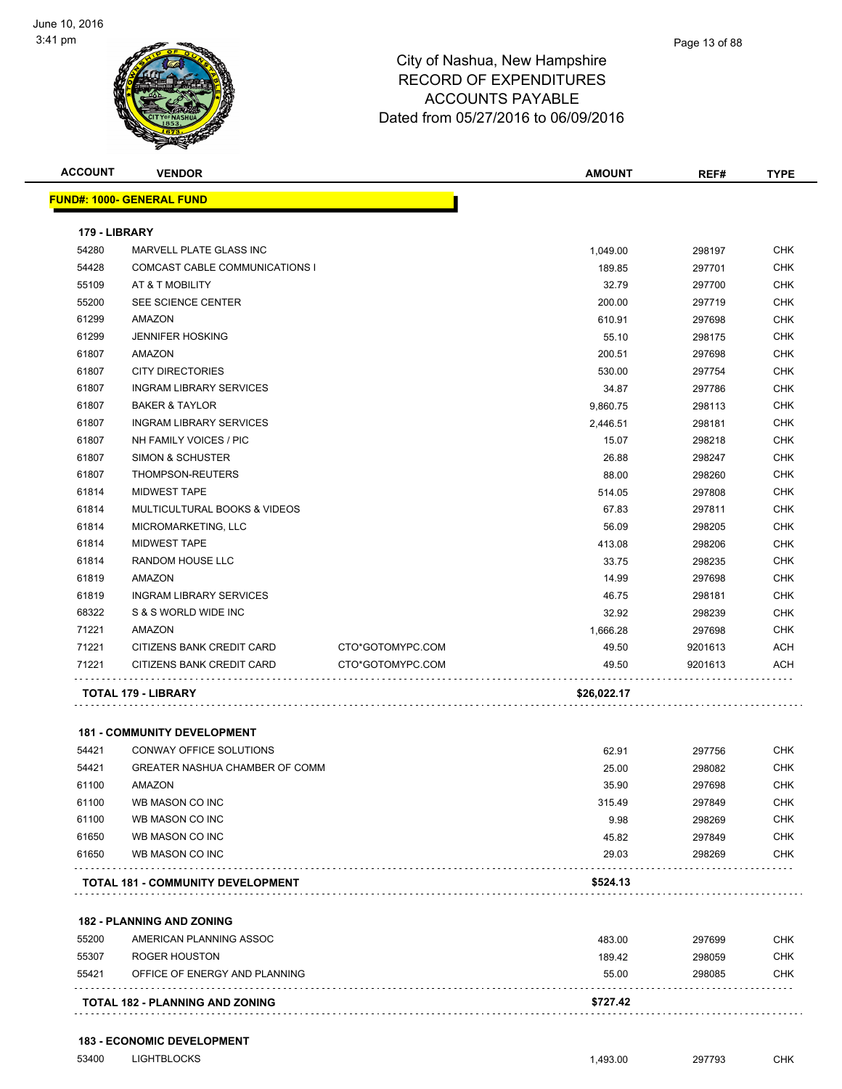

| <b>ACCOUNT</b> | <b>VENDOR</b>                            |                  | <b>AMOUNT</b> | REF#    | <b>TYPE</b> |
|----------------|------------------------------------------|------------------|---------------|---------|-------------|
|                | <b>FUND#: 1000- GENERAL FUND</b>         |                  |               |         |             |
| 179 - LIBRARY  |                                          |                  |               |         |             |
| 54280          | MARVELL PLATE GLASS INC                  |                  | 1,049.00      | 298197  | <b>CHK</b>  |
| 54428          | COMCAST CABLE COMMUNICATIONS I           |                  | 189.85        | 297701  | <b>CHK</b>  |
| 55109          | AT & T MOBILITY                          |                  | 32.79         | 297700  | <b>CHK</b>  |
| 55200          | SEE SCIENCE CENTER                       |                  | 200.00        | 297719  | <b>CHK</b>  |
| 61299          | <b>AMAZON</b>                            |                  | 610.91        | 297698  | <b>CHK</b>  |
| 61299          | <b>JENNIFER HOSKING</b>                  |                  | 55.10         | 298175  | <b>CHK</b>  |
| 61807          | AMAZON                                   |                  | 200.51        | 297698  | <b>CHK</b>  |
| 61807          | <b>CITY DIRECTORIES</b>                  |                  | 530.00        | 297754  | <b>CHK</b>  |
| 61807          | <b>INGRAM LIBRARY SERVICES</b>           |                  | 34.87         | 297786  | <b>CHK</b>  |
| 61807          | <b>BAKER &amp; TAYLOR</b>                |                  | 9,860.75      | 298113  | <b>CHK</b>  |
| 61807          | <b>INGRAM LIBRARY SERVICES</b>           |                  | 2,446.51      | 298181  | <b>CHK</b>  |
| 61807          | NH FAMILY VOICES / PIC                   |                  | 15.07         | 298218  | <b>CHK</b>  |
| 61807          | <b>SIMON &amp; SCHUSTER</b>              |                  | 26.88         | 298247  | <b>CHK</b>  |
| 61807          | THOMPSON-REUTERS                         |                  | 88.00         | 298260  | <b>CHK</b>  |
| 61814          | <b>MIDWEST TAPE</b>                      |                  | 514.05        | 297808  | <b>CHK</b>  |
| 61814          | MULTICULTURAL BOOKS & VIDEOS             |                  | 67.83         | 297811  | <b>CHK</b>  |
| 61814          | MICROMARKETING, LLC                      |                  | 56.09         | 298205  | <b>CHK</b>  |
| 61814          | <b>MIDWEST TAPE</b>                      |                  | 413.08        | 298206  | <b>CHK</b>  |
| 61814          | RANDOM HOUSE LLC                         |                  | 33.75         | 298235  | <b>CHK</b>  |
| 61819          | AMAZON                                   |                  | 14.99         | 297698  | CHK         |
| 61819          | <b>INGRAM LIBRARY SERVICES</b>           |                  | 46.75         | 298181  | <b>CHK</b>  |
| 68322          | S & S WORLD WIDE INC                     |                  | 32.92         | 298239  | <b>CHK</b>  |
| 71221          | AMAZON                                   |                  | 1,666.28      | 297698  | <b>CHK</b>  |
| 71221          | CITIZENS BANK CREDIT CARD                | CTO*GOTOMYPC.COM | 49.50         | 9201613 | <b>ACH</b>  |
| 71221          | CITIZENS BANK CREDIT CARD                | CTO*GOTOMYPC.COM | 49.50         | 9201613 | ACH         |
|                | <b>TOTAL 179 - LIBRARY</b>               |                  | \$26,022.17   |         |             |
|                | <b>181 - COMMUNITY DEVELOPMENT</b>       |                  |               |         |             |
| 54421          | CONWAY OFFICE SOLUTIONS                  |                  | 62.91         | 297756  | <b>CHK</b>  |
| 54421          | <b>GREATER NASHUA CHAMBER OF COMM</b>    |                  | 25.00         | 298082  | <b>CHK</b>  |
| 61100          | AMAZON                                   |                  | 35.90         | 297698  | <b>CHK</b>  |
| 61100          | WB MASON CO INC                          |                  | 315.49        | 297849  | <b>CHK</b>  |
| 61100          | WB MASON CO INC                          |                  | 9.98          | 298269  | <b>CHK</b>  |
| 61650          | WB MASON CO INC                          |                  | 45.82         | 297849  | <b>CHK</b>  |
| 61650          | WB MASON CO INC                          |                  | 29.03         | 298269  | <b>CHK</b>  |
|                | <b>TOTAL 181 - COMMUNITY DEVELOPMENT</b> |                  | \$524.13      |         |             |

**182 - PLANNING AND ZONING**

|       | <b>TOTAL 182 - PLANNING AND ZONING</b> | \$727.42 |        |            |
|-------|----------------------------------------|----------|--------|------------|
| 55421 | OFFICE OF ENERGY AND PLANNING          | 55.00    | 298085 | <b>CHK</b> |
| 55307 | ROGER HOUSTON                          | 189.42   | 298059 | CHK        |
| 55200 | AMERICAN PLANNING ASSOC                | 483.00   | 297699 | <b>CHK</b> |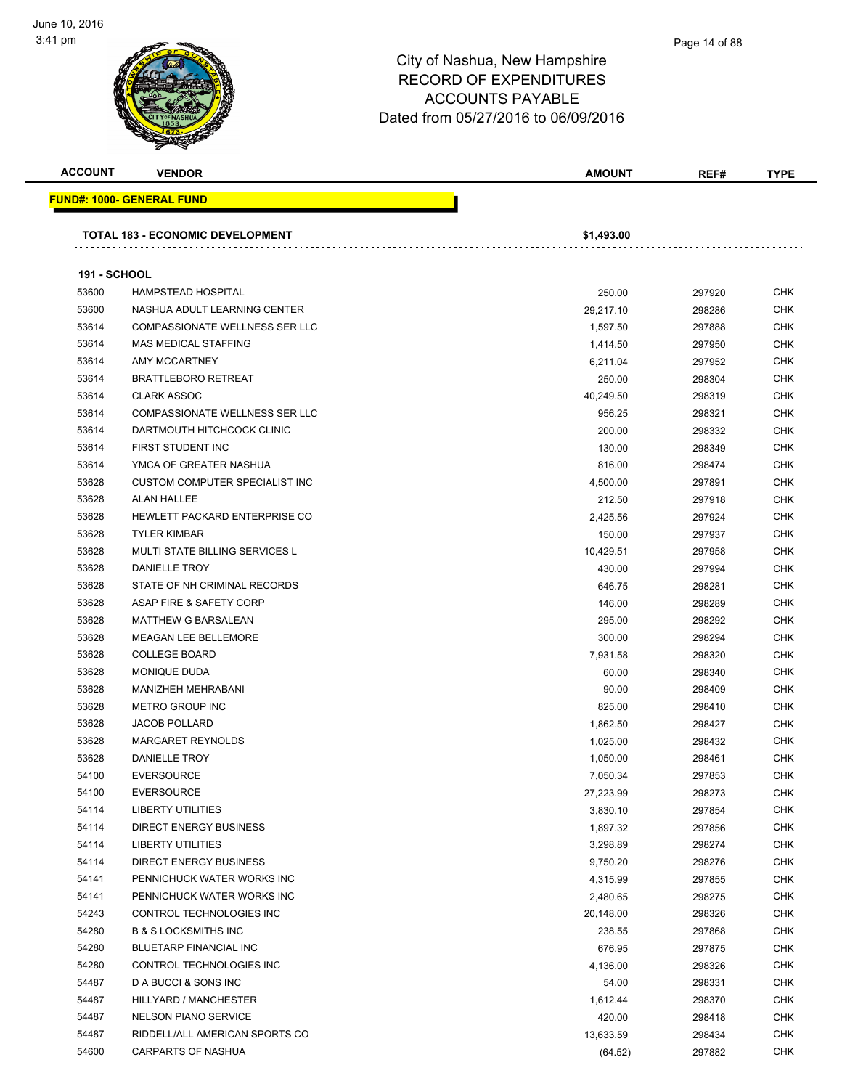

| <b>ACCOUNT</b>      | <b>VENDOR</b>                           | <b>AMOUNT</b> | REF#   | <b>TYPE</b> |
|---------------------|-----------------------------------------|---------------|--------|-------------|
|                     | <b>FUND#: 1000- GENERAL FUND</b>        |               |        |             |
|                     | <b>TOTAL 183 - ECONOMIC DEVELOPMENT</b> | \$1,493.00    |        |             |
|                     |                                         |               |        |             |
| <b>191 - SCHOOL</b> |                                         |               |        |             |
| 53600               | <b>HAMPSTEAD HOSPITAL</b>               | 250.00        | 297920 | CHK         |
| 53600               | NASHUA ADULT LEARNING CENTER            | 29,217.10     | 298286 | <b>CHK</b>  |
| 53614               | COMPASSIONATE WELLNESS SER LLC          | 1,597.50      | 297888 | <b>CHK</b>  |
| 53614               | <b>MAS MEDICAL STAFFING</b>             | 1,414.50      | 297950 | <b>CHK</b>  |
| 53614               | AMY MCCARTNEY                           | 6,211.04      | 297952 | <b>CHK</b>  |
| 53614               | <b>BRATTLEBORO RETREAT</b>              | 250.00        | 298304 | <b>CHK</b>  |
| 53614               | <b>CLARK ASSOC</b>                      | 40,249.50     | 298319 | <b>CHK</b>  |
| 53614               | <b>COMPASSIONATE WELLNESS SER LLC</b>   | 956.25        | 298321 | <b>CHK</b>  |
| 53614               | DARTMOUTH HITCHCOCK CLINIC              | 200.00        | 298332 | <b>CHK</b>  |
| 53614               | FIRST STUDENT INC                       | 130.00        | 298349 | <b>CHK</b>  |
| 53614               | YMCA OF GREATER NASHUA                  | 816.00        | 298474 | <b>CHK</b>  |
| 53628               | CUSTOM COMPUTER SPECIALIST INC          | 4,500.00      | 297891 | <b>CHK</b>  |
| 53628               | <b>ALAN HALLEE</b>                      | 212.50        | 297918 | <b>CHK</b>  |
| 53628               | HEWLETT PACKARD ENTERPRISE CO           | 2,425.56      | 297924 | <b>CHK</b>  |
| 53628               | <b>TYLER KIMBAR</b>                     | 150.00        | 297937 | <b>CHK</b>  |
| 53628               | <b>MULTI STATE BILLING SERVICES L</b>   | 10,429.51     | 297958 | <b>CHK</b>  |
| 53628               | <b>DANIELLE TROY</b>                    | 430.00        | 297994 | <b>CHK</b>  |
| 53628               | STATE OF NH CRIMINAL RECORDS            | 646.75        | 298281 | <b>CHK</b>  |
| 53628               | ASAP FIRE & SAFETY CORP                 | 146.00        | 298289 | <b>CHK</b>  |
| 53628               | <b>MATTHEW G BARSALEAN</b>              | 295.00        | 298292 | <b>CHK</b>  |
| 53628               | <b>MEAGAN LEE BELLEMORE</b>             | 300.00        | 298294 | <b>CHK</b>  |
| 53628               | <b>COLLEGE BOARD</b>                    | 7,931.58      | 298320 | <b>CHK</b>  |
| 53628               | MONIQUE DUDA                            | 60.00         | 298340 | <b>CHK</b>  |
| 53628               | MANIZHEH MEHRABANI                      | 90.00         | 298409 | <b>CHK</b>  |
| 53628               | <b>METRO GROUP INC</b>                  | 825.00        | 298410 | <b>CHK</b>  |
| 53628               | <b>JACOB POLLARD</b>                    | 1,862.50      | 298427 | <b>CHK</b>  |
| 53628               | <b>MARGARET REYNOLDS</b>                | 1,025.00      | 298432 | <b>CHK</b>  |
| 53628               | DANIELLE TROY                           | 1,050.00      | 298461 | <b>CHK</b>  |
| 54100               | <b>EVERSOURCE</b>                       | 7,050.34      | 297853 | CHK         |
| 54100               | <b>EVERSOURCE</b>                       | 27,223.99     | 298273 | <b>CHK</b>  |
| 54114               | <b>LIBERTY UTILITIES</b>                | 3,830.10      | 297854 | <b>CHK</b>  |
| 54114               | <b>DIRECT ENERGY BUSINESS</b>           | 1,897.32      | 297856 | <b>CHK</b>  |
| 54114               | <b>LIBERTY UTILITIES</b>                | 3,298.89      | 298274 | <b>CHK</b>  |
| 54114               | <b>DIRECT ENERGY BUSINESS</b>           | 9,750.20      | 298276 | <b>CHK</b>  |
| 54141               | PENNICHUCK WATER WORKS INC              | 4,315.99      | 297855 | <b>CHK</b>  |
| 54141               | PENNICHUCK WATER WORKS INC              | 2,480.65      | 298275 | <b>CHK</b>  |
| 54243               | CONTROL TECHNOLOGIES INC                | 20,148.00     | 298326 | <b>CHK</b>  |
| 54280               | <b>B &amp; S LOCKSMITHS INC</b>         | 238.55        | 297868 | <b>CHK</b>  |
| 54280               | <b>BLUETARP FINANCIAL INC</b>           | 676.95        | 297875 | <b>CHK</b>  |
| 54280               | CONTROL TECHNOLOGIES INC                | 4,136.00      | 298326 | <b>CHK</b>  |
| 54487               | D A BUCCI & SONS INC                    | 54.00         | 298331 | <b>CHK</b>  |
| 54487               | HILLYARD / MANCHESTER                   | 1,612.44      | 298370 | <b>CHK</b>  |
| 54487               | <b>NELSON PIANO SERVICE</b>             | 420.00        | 298418 | <b>CHK</b>  |
| 54487               | RIDDELL/ALL AMERICAN SPORTS CO          | 13,633.59     | 298434 | <b>CHK</b>  |
| 54600               | <b>CARPARTS OF NASHUA</b>               | (64.52)       | 297882 | <b>CHK</b>  |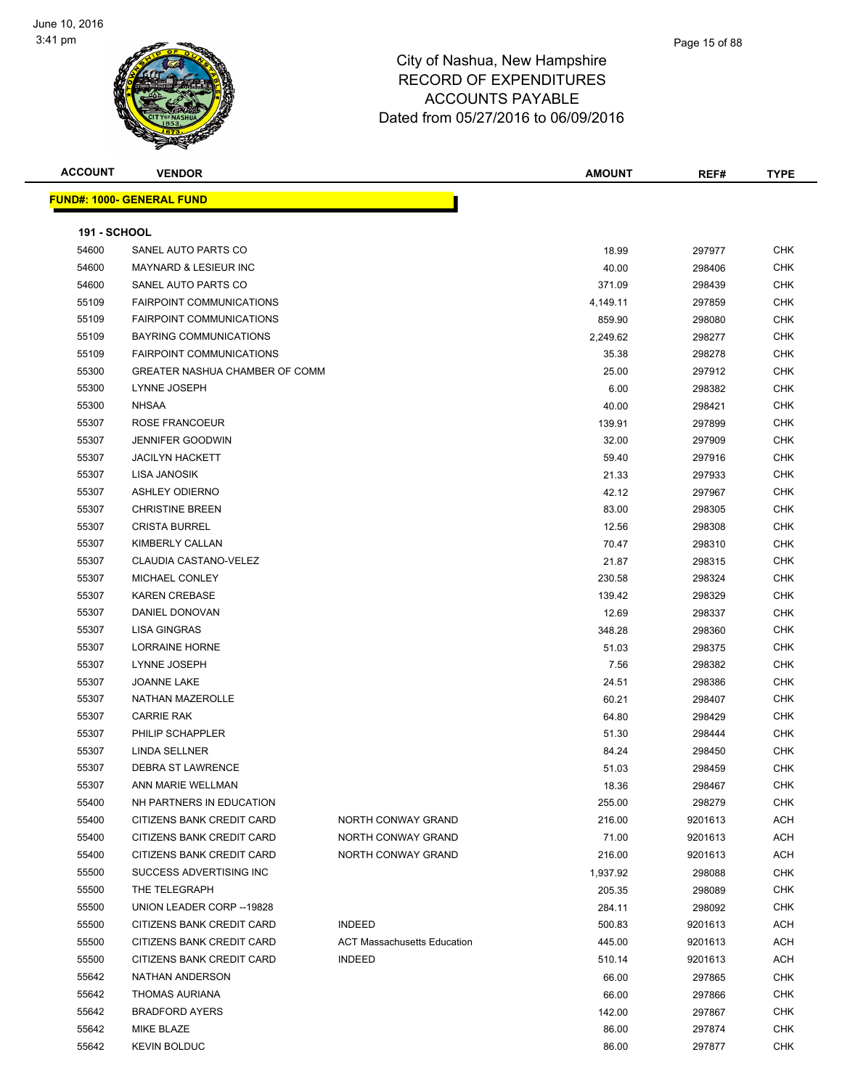

| <b>ACCOUNT</b>      | <b>VENDOR</b>                     |                                    | <b>AMOUNT</b> | REF#    | <b>TYPE</b> |
|---------------------|-----------------------------------|------------------------------------|---------------|---------|-------------|
|                     | <u> FUND#: 1000- GENERAL FUND</u> |                                    |               |         |             |
| <b>191 - SCHOOL</b> |                                   |                                    |               |         |             |
| 54600               | SANEL AUTO PARTS CO               |                                    | 18.99         | 297977  | CHK         |
| 54600               | <b>MAYNARD &amp; LESIEUR INC</b>  |                                    | 40.00         | 298406  | <b>CHK</b>  |
| 54600               | SANEL AUTO PARTS CO               |                                    | 371.09        | 298439  | <b>CHK</b>  |
| 55109               | <b>FAIRPOINT COMMUNICATIONS</b>   |                                    | 4,149.11      | 297859  | <b>CHK</b>  |
| 55109               | <b>FAIRPOINT COMMUNICATIONS</b>   |                                    | 859.90        | 298080  | <b>CHK</b>  |
| 55109               | BAYRING COMMUNICATIONS            |                                    | 2,249.62      | 298277  | <b>CHK</b>  |
| 55109               | <b>FAIRPOINT COMMUNICATIONS</b>   |                                    | 35.38         | 298278  | <b>CHK</b>  |
| 55300               | GREATER NASHUA CHAMBER OF COMM    |                                    | 25.00         | 297912  | <b>CHK</b>  |
| 55300               | LYNNE JOSEPH                      |                                    | 6.00          | 298382  | <b>CHK</b>  |
| 55300               | <b>NHSAA</b>                      |                                    | 40.00         | 298421  | <b>CHK</b>  |
| 55307               | ROSE FRANCOEUR                    |                                    | 139.91        | 297899  | <b>CHK</b>  |
| 55307               | <b>JENNIFER GOODWIN</b>           |                                    | 32.00         | 297909  | <b>CHK</b>  |
| 55307               | <b>JACILYN HACKETT</b>            |                                    | 59.40         | 297916  | <b>CHK</b>  |
| 55307               | LISA JANOSIK                      |                                    | 21.33         | 297933  | <b>CHK</b>  |
| 55307               | <b>ASHLEY ODIERNO</b>             |                                    | 42.12         | 297967  | <b>CHK</b>  |
| 55307               | <b>CHRISTINE BREEN</b>            |                                    | 83.00         | 298305  | <b>CHK</b>  |
| 55307               | <b>CRISTA BURREL</b>              |                                    | 12.56         | 298308  | <b>CHK</b>  |
| 55307               | KIMBERLY CALLAN                   |                                    | 70.47         | 298310  | <b>CHK</b>  |
| 55307               | CLAUDIA CASTANO-VELEZ             |                                    | 21.87         | 298315  | <b>CHK</b>  |
| 55307               | MICHAEL CONLEY                    |                                    | 230.58        | 298324  | <b>CHK</b>  |
| 55307               | <b>KAREN CREBASE</b>              |                                    | 139.42        | 298329  | <b>CHK</b>  |
| 55307               | DANIEL DONOVAN                    |                                    | 12.69         | 298337  | <b>CHK</b>  |
| 55307               | <b>LISA GINGRAS</b>               |                                    | 348.28        | 298360  | <b>CHK</b>  |
| 55307               | LORRAINE HORNE                    |                                    | 51.03         | 298375  | <b>CHK</b>  |
| 55307               | LYNNE JOSEPH                      |                                    | 7.56          | 298382  | <b>CHK</b>  |
| 55307               | <b>JOANNE LAKE</b>                |                                    | 24.51         | 298386  | <b>CHK</b>  |
| 55307               | NATHAN MAZEROLLE                  |                                    | 60.21         | 298407  | <b>CHK</b>  |
| 55307               | <b>CARRIE RAK</b>                 |                                    | 64.80         | 298429  | <b>CHK</b>  |
| 55307               | PHILIP SCHAPPLER                  |                                    | 51.30         | 298444  | <b>CHK</b>  |
| 55307               | LINDA SELLNER                     |                                    | 84.24         | 298450  | <b>CHK</b>  |
| 55307               | <b>DEBRA ST LAWRENCE</b>          |                                    | 51.03         | 298459  | <b>CHK</b>  |
| 55307               | ANN MARIE WELLMAN                 |                                    | 18.36         | 298467  | <b>CHK</b>  |
| 55400               | NH PARTNERS IN EDUCATION          |                                    | 255.00        | 298279  | <b>CHK</b>  |
| 55400               | <b>CITIZENS BANK CREDIT CARD</b>  | NORTH CONWAY GRAND                 | 216.00        | 9201613 | <b>ACH</b>  |
| 55400               | CITIZENS BANK CREDIT CARD         | NORTH CONWAY GRAND                 | 71.00         | 9201613 | ACH         |
| 55400               | CITIZENS BANK CREDIT CARD         | NORTH CONWAY GRAND                 | 216.00        | 9201613 | ACH         |
| 55500               | SUCCESS ADVERTISING INC           |                                    | 1,937.92      | 298088  | <b>CHK</b>  |
| 55500               | THE TELEGRAPH                     |                                    | 205.35        | 298089  | CHK         |
| 55500               | UNION LEADER CORP -- 19828        |                                    | 284.11        | 298092  | <b>CHK</b>  |
| 55500               | CITIZENS BANK CREDIT CARD         | <b>INDEED</b>                      | 500.83        | 9201613 | ACH         |
| 55500               | CITIZENS BANK CREDIT CARD         | <b>ACT Massachusetts Education</b> | 445.00        | 9201613 | ACH         |
| 55500               | CITIZENS BANK CREDIT CARD         | <b>INDEED</b>                      | 510.14        | 9201613 | ACH         |
| 55642               | NATHAN ANDERSON                   |                                    | 66.00         | 297865  | <b>CHK</b>  |
| 55642               | <b>THOMAS AURIANA</b>             |                                    | 66.00         | 297866  | CHK         |
| 55642               | <b>BRADFORD AYERS</b>             |                                    | 142.00        | 297867  | CHK         |
| 55642               | MIKE BLAZE                        |                                    | 86.00         | 297874  | CHK         |
| 55642               | <b>KEVIN BOLDUC</b>               |                                    | 86.00         | 297877  | <b>CHK</b>  |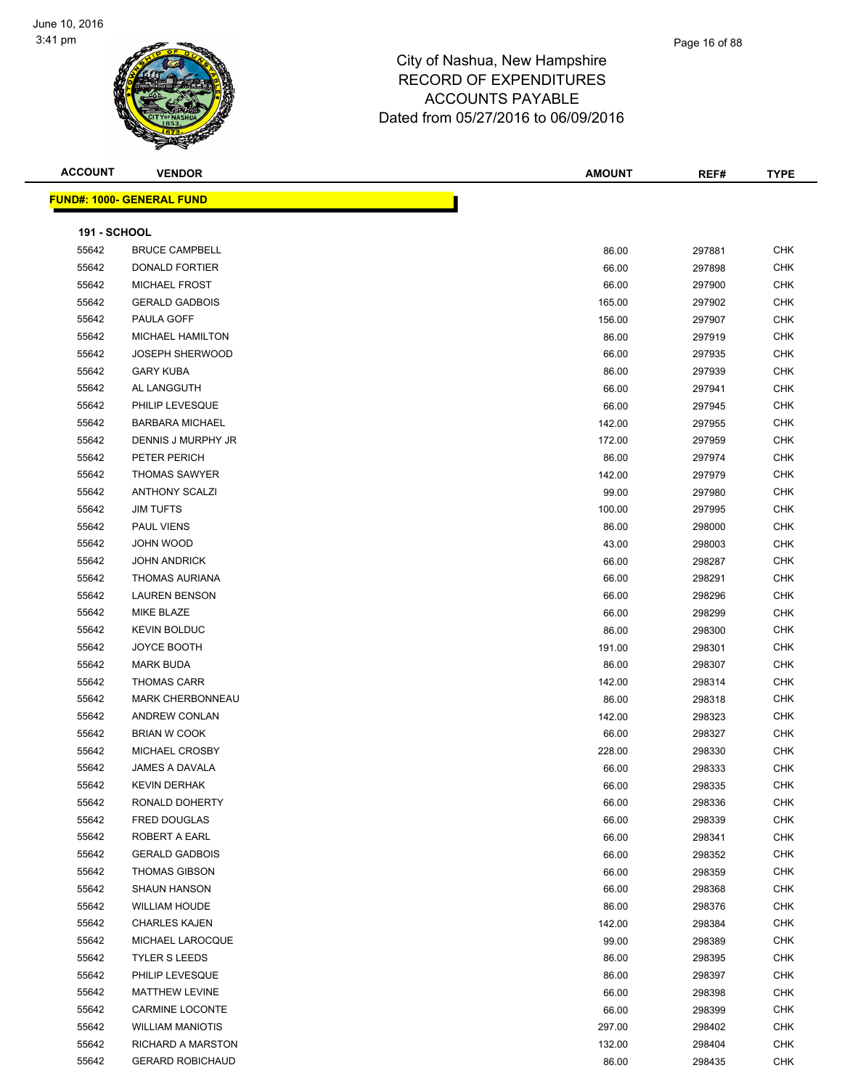

| <b>ACCOUNT</b>      | <b>VENDOR</b>                    | <b>AMOUNT</b> | REF#   | <b>TYPE</b> |
|---------------------|----------------------------------|---------------|--------|-------------|
|                     | <b>FUND#: 1000- GENERAL FUND</b> |               |        |             |
|                     |                                  |               |        |             |
| <b>191 - SCHOOL</b> |                                  |               |        |             |
| 55642               | <b>BRUCE CAMPBELL</b>            | 86.00         | 297881 | <b>CHK</b>  |
| 55642               | DONALD FORTIER                   | 66.00         | 297898 | <b>CHK</b>  |
| 55642               | <b>MICHAEL FROST</b>             | 66.00         | 297900 | <b>CHK</b>  |
| 55642               | <b>GERALD GADBOIS</b>            | 165.00        | 297902 | <b>CHK</b>  |
| 55642               | PAULA GOFF                       | 156.00        | 297907 | <b>CHK</b>  |
| 55642               | <b>MICHAEL HAMILTON</b>          | 86.00         | 297919 | <b>CHK</b>  |
| 55642               | <b>JOSEPH SHERWOOD</b>           | 66.00         | 297935 | CHK         |
| 55642               | <b>GARY KUBA</b>                 | 86.00         | 297939 | CHK         |
| 55642               | AL LANGGUTH                      | 66.00         | 297941 | <b>CHK</b>  |
| 55642               | PHILIP LEVESQUE                  | 66.00         | 297945 | <b>CHK</b>  |
| 55642               | <b>BARBARA MICHAEL</b>           | 142.00        | 297955 | <b>CHK</b>  |
| 55642               | DENNIS J MURPHY JR               | 172.00        | 297959 | <b>CHK</b>  |
| 55642               | PETER PERICH                     | 86.00         | 297974 | <b>CHK</b>  |
| 55642               | <b>THOMAS SAWYER</b>             | 142.00        | 297979 | <b>CHK</b>  |
| 55642               | <b>ANTHONY SCALZI</b>            | 99.00         | 297980 | <b>CHK</b>  |
| 55642               | <b>JIM TUFTS</b>                 | 100.00        | 297995 | <b>CHK</b>  |
| 55642               | PAUL VIENS                       | 86.00         | 298000 | <b>CHK</b>  |
| 55642               | JOHN WOOD                        | 43.00         | 298003 | <b>CHK</b>  |
| 55642               | <b>JOHN ANDRICK</b>              | 66.00         | 298287 | <b>CHK</b>  |
| 55642               | <b>THOMAS AURIANA</b>            | 66.00         | 298291 | <b>CHK</b>  |
| 55642               | <b>LAUREN BENSON</b>             | 66.00         | 298296 | CHK         |
| 55642               | MIKE BLAZE                       | 66.00         | 298299 | <b>CHK</b>  |
| 55642               | <b>KEVIN BOLDUC</b>              | 86.00         | 298300 | <b>CHK</b>  |
| 55642               | JOYCE BOOTH                      | 191.00        | 298301 | <b>CHK</b>  |
| 55642               | <b>MARK BUDA</b>                 | 86.00         | 298307 | <b>CHK</b>  |
| 55642               | <b>THOMAS CARR</b>               | 142.00        | 298314 | <b>CHK</b>  |
| 55642               | <b>MARK CHERBONNEAU</b>          | 86.00         | 298318 | <b>CHK</b>  |
| 55642               | ANDREW CONLAN                    | 142.00        | 298323 | <b>CHK</b>  |
| 55642               | <b>BRIAN W COOK</b>              | 66.00         | 298327 | <b>CHK</b>  |
| 55642               | MICHAEL CROSBY                   | 228.00        | 298330 | <b>CHK</b>  |
| 55642               | <b>JAMES A DAVALA</b>            | 66.00         | 298333 | <b>CHK</b>  |
| 55642               | <b>KEVIN DERHAK</b>              | 66.00         | 298335 | <b>CHK</b>  |
| 55642               | RONALD DOHERTY                   | 66.00         | 298336 | <b>CHK</b>  |
| 55642               | FRED DOUGLAS                     | 66.00         | 298339 | <b>CHK</b>  |
| 55642               | <b>ROBERT A EARL</b>             | 66.00         | 298341 | <b>CHK</b>  |
| 55642               | <b>GERALD GADBOIS</b>            | 66.00         | 298352 | <b>CHK</b>  |
| 55642               | <b>THOMAS GIBSON</b>             | 66.00         | 298359 | <b>CHK</b>  |
|                     | <b>SHAUN HANSON</b>              |               |        |             |
| 55642               |                                  | 66.00         | 298368 | CHK         |
| 55642               | <b>WILLIAM HOUDE</b>             | 86.00         | 298376 | <b>CHK</b>  |
| 55642               | <b>CHARLES KAJEN</b>             | 142.00        | 298384 | CHK         |
| 55642               | MICHAEL LAROCQUE                 | 99.00         | 298389 | CHK         |
| 55642               | <b>TYLER S LEEDS</b>             | 86.00         | 298395 | <b>CHK</b>  |
| 55642               | PHILIP LEVESQUE                  | 86.00         | 298397 | <b>CHK</b>  |
| 55642               | MATTHEW LEVINE                   | 66.00         | 298398 | <b>CHK</b>  |
| 55642               | <b>CARMINE LOCONTE</b>           | 66.00         | 298399 | <b>CHK</b>  |
| 55642               | <b>WILLIAM MANIOTIS</b>          | 297.00        | 298402 | <b>CHK</b>  |
| 55642               | <b>RICHARD A MARSTON</b>         | 132.00        | 298404 | <b>CHK</b>  |
| 55642               | <b>GERARD ROBICHAUD</b>          | 86.00         | 298435 | <b>CHK</b>  |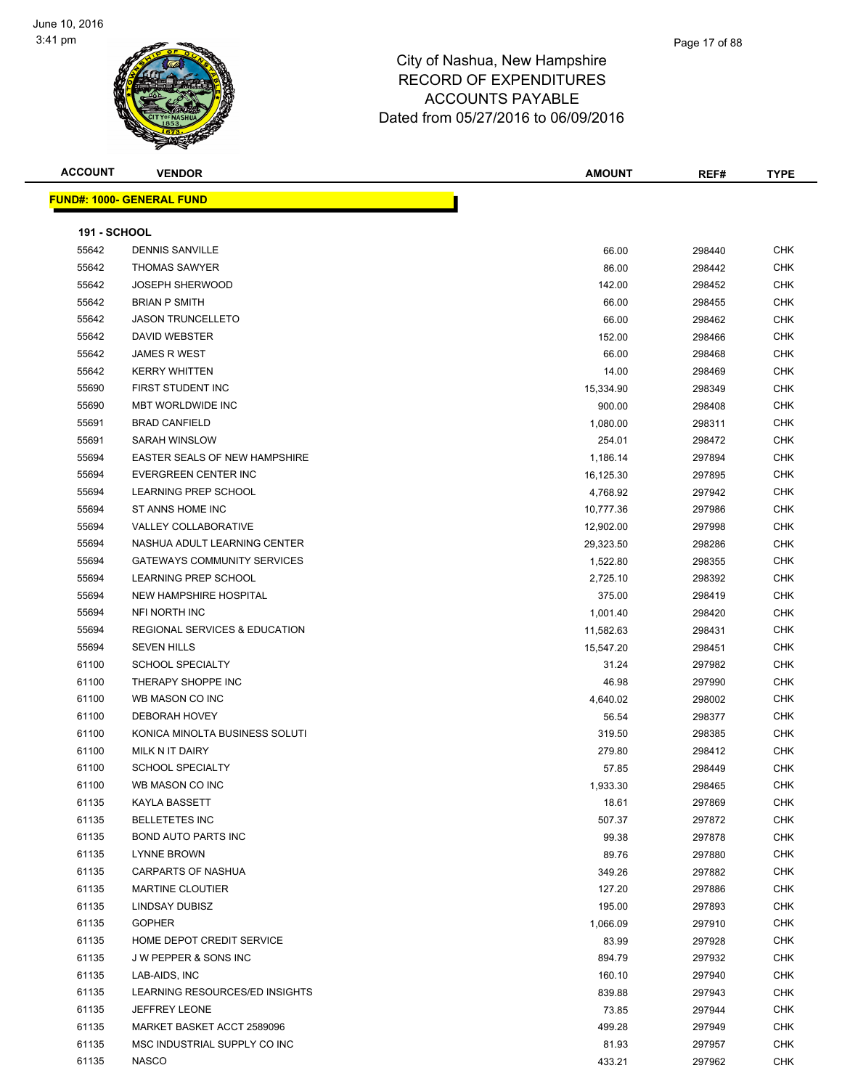

| <b>ACCOUNT</b>      | <b>VENDOR</b>                                       | AMOUNT    | REF#   | <b>TYPE</b>       |
|---------------------|-----------------------------------------------------|-----------|--------|-------------------|
|                     | <u> FUND#: 1000- GENERAL FUND</u>                   |           |        |                   |
| <b>191 - SCHOOL</b> |                                                     |           |        |                   |
| 55642               | <b>DENNIS SANVILLE</b>                              | 66.00     | 298440 | CHK               |
| 55642               | <b>THOMAS SAWYER</b>                                | 86.00     | 298442 | CHK               |
| 55642               | <b>JOSEPH SHERWOOD</b>                              | 142.00    | 298452 | CHK               |
| 55642               | <b>BRIAN P SMITH</b>                                | 66.00     | 298455 | CHK               |
| 55642               | <b>JASON TRUNCELLETO</b>                            | 66.00     | 298462 | CHK               |
| 55642               | DAVID WEBSTER                                       | 152.00    | 298466 | CHK               |
| 55642               | <b>JAMES R WEST</b>                                 | 66.00     | 298468 | <b>CHK</b>        |
| 55642               | <b>KERRY WHITTEN</b>                                | 14.00     | 298469 | CHK               |
| 55690               | FIRST STUDENT INC                                   | 15,334.90 | 298349 | <b>CHK</b>        |
| 55690               | <b>MBT WORLDWIDE INC</b>                            | 900.00    | 298408 | <b>CHK</b>        |
| 55691               | <b>BRAD CANFIELD</b>                                | 1,080.00  | 298311 | CHK               |
| 55691               | <b>SARAH WINSLOW</b>                                | 254.01    | 298472 | <b>CHK</b>        |
| 55694               | <b>EASTER SEALS OF NEW HAMPSHIRE</b>                | 1,186.14  |        | CHK               |
|                     |                                                     | 16,125.30 | 297894 |                   |
| 55694<br>55694      | EVERGREEN CENTER INC<br><b>LEARNING PREP SCHOOL</b> |           | 297895 | CHK<br><b>CHK</b> |
|                     | ST ANNS HOME INC                                    | 4,768.92  | 297942 | CHK               |
| 55694<br>55694      | <b>VALLEY COLLABORATIVE</b>                         | 10,777.36 | 297986 | CHK               |
| 55694               | NASHUA ADULT LEARNING CENTER                        | 12,902.00 | 297998 | <b>CHK</b>        |
|                     | <b>GATEWAYS COMMUNITY SERVICES</b>                  | 29,323.50 | 298286 |                   |
| 55694<br>55694      | LEARNING PREP SCHOOL                                | 1,522.80  | 298355 | <b>CHK</b>        |
|                     |                                                     | 2,725.10  | 298392 | <b>CHK</b>        |
| 55694               | NEW HAMPSHIRE HOSPITAL<br>NFI NORTH INC             | 375.00    | 298419 | <b>CHK</b>        |
| 55694               |                                                     | 1,001.40  | 298420 | CHK               |
| 55694               | <b>REGIONAL SERVICES &amp; EDUCATION</b>            | 11,582.63 | 298431 | CHK               |
| 55694               | <b>SEVEN HILLS</b>                                  | 15,547.20 | 298451 | CHK               |
| 61100               | <b>SCHOOL SPECIALTY</b>                             | 31.24     | 297982 | CHK               |
| 61100               | THERAPY SHOPPE INC                                  | 46.98     | 297990 | <b>CHK</b>        |
| 61100               | WB MASON CO INC                                     | 4,640.02  | 298002 | CHK               |
| 61100               | <b>DEBORAH HOVEY</b>                                | 56.54     | 298377 | CHK               |
| 61100               | KONICA MINOLTA BUSINESS SOLUTI                      | 319.50    | 298385 | <b>CHK</b>        |
| 61100               | MILK N IT DAIRY                                     | 279.80    | 298412 | CHK               |
| 61100               | <b>SCHOOL SPECIALTY</b>                             | 57.85     | 298449 | <b>CHK</b>        |
| 61100               | WB MASON CO INC                                     | 1,933.30  | 298465 | <b>CHK</b>        |
| 61135               | KAYLA BASSETT                                       | 18.61     | 297869 | CHK               |
| 61135               | <b>BELLETETES INC</b>                               | 507.37    | 297872 | <b>CHK</b>        |
| 61135               | <b>BOND AUTO PARTS INC</b>                          | 99.38     | 297878 | <b>CHK</b>        |
| 61135               | LYNNE BROWN                                         | 89.76     | 297880 | CHK               |
| 61135               | <b>CARPARTS OF NASHUA</b>                           | 349.26    | 297882 | <b>CHK</b>        |
| 61135               | <b>MARTINE CLOUTIER</b>                             | 127.20    | 297886 | CHK               |
| 61135               | LINDSAY DUBISZ                                      | 195.00    | 297893 | <b>CHK</b>        |
| 61135               | <b>GOPHER</b>                                       | 1,066.09  | 297910 | <b>CHK</b>        |
| 61135               | HOME DEPOT CREDIT SERVICE                           | 83.99     | 297928 | <b>CHK</b>        |
| 61135               | J W PEPPER & SONS INC                               | 894.79    | 297932 | <b>CHK</b>        |
| 61135               | LAB-AIDS, INC                                       | 160.10    | 297940 | <b>CHK</b>        |
| 61135               | LEARNING RESOURCES/ED INSIGHTS                      | 839.88    | 297943 | CHK               |
| 61135               | <b>JEFFREY LEONE</b>                                | 73.85     | 297944 | CHK               |
| 61135<br>61135      | MARKET BASKET ACCT 2589096                          | 499.28    | 297949 | <b>CHK</b>        |
| 61135               | MSC INDUSTRIAL SUPPLY CO INC<br><b>NASCO</b>        | 81.93     | 297957 | CHK               |
|                     |                                                     | 433.21    | 297962 | <b>CHK</b>        |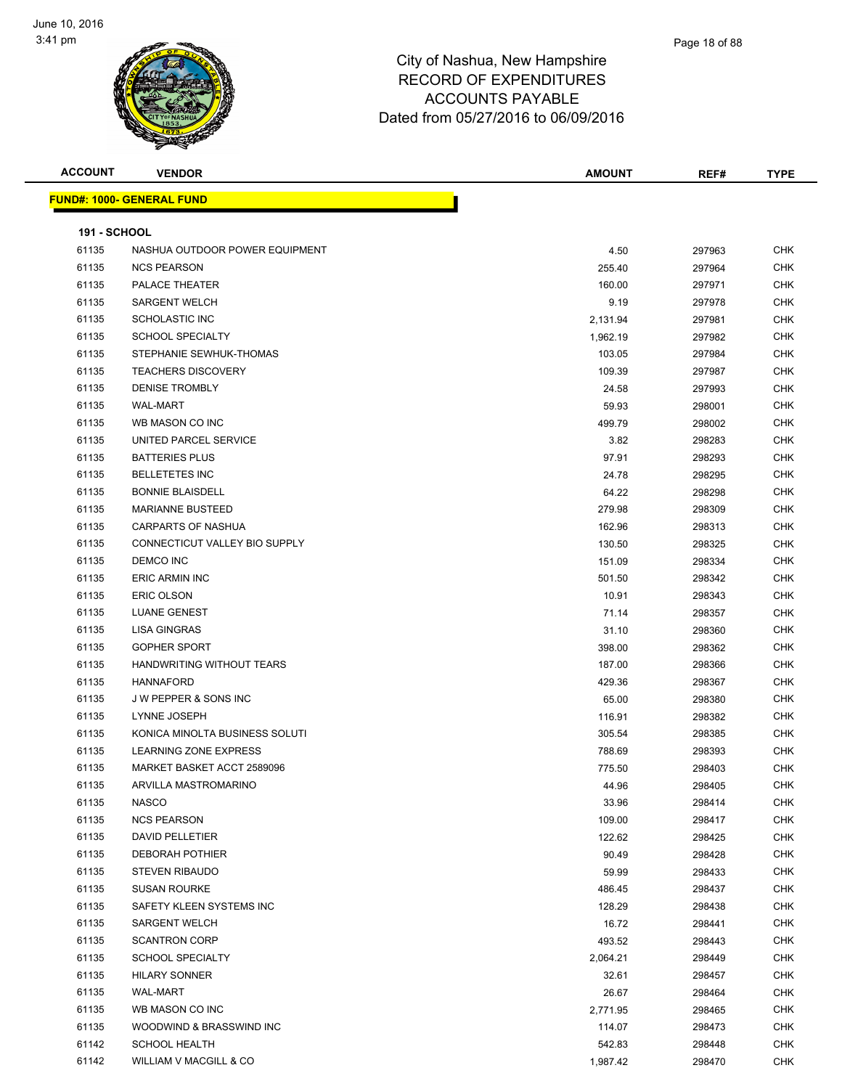

| <b>ACCOUNT</b>      | <b>VENDOR</b>                     | <b>AMOUNT</b> | REF#   | <b>TYPE</b> |
|---------------------|-----------------------------------|---------------|--------|-------------|
|                     | <u> FUND#: 1000- GENERAL FUND</u> |               |        |             |
|                     |                                   |               |        |             |
| <b>191 - SCHOOL</b> |                                   |               |        |             |
| 61135               | NASHUA OUTDOOR POWER EQUIPMENT    | 4.50          | 297963 | <b>CHK</b>  |
| 61135               | <b>NCS PEARSON</b>                | 255.40        | 297964 | CHK         |
| 61135               | PALACE THEATER                    | 160.00        | 297971 | <b>CHK</b>  |
| 61135               | <b>SARGENT WELCH</b>              | 9.19          | 297978 | CHK         |
| 61135               | SCHOLASTIC INC                    | 2,131.94      | 297981 | <b>CHK</b>  |
| 61135               | <b>SCHOOL SPECIALTY</b>           | 1,962.19      | 297982 | <b>CHK</b>  |
| 61135               | STEPHANIE SEWHUK-THOMAS           | 103.05        | 297984 | CHK         |
| 61135               | <b>TEACHERS DISCOVERY</b>         | 109.39        | 297987 | CHK         |
| 61135               | <b>DENISE TROMBLY</b>             | 24.58         | 297993 | CHK         |
| 61135               | <b>WAL-MART</b>                   | 59.93         | 298001 | CHK         |
| 61135               | WB MASON CO INC                   | 499.79        | 298002 | CHK         |
| 61135               | UNITED PARCEL SERVICE             | 3.82          | 298283 | CHK         |
| 61135               | <b>BATTERIES PLUS</b>             | 97.91         | 298293 | CHK         |
| 61135               | <b>BELLETETES INC</b>             | 24.78         | 298295 | <b>CHK</b>  |
| 61135               | <b>BONNIE BLAISDELL</b>           | 64.22         | 298298 | CHK         |
| 61135               | <b>MARIANNE BUSTEED</b>           | 279.98        | 298309 | <b>CHK</b>  |
| 61135               | CARPARTS OF NASHUA                | 162.96        | 298313 | CHK         |
| 61135               | CONNECTICUT VALLEY BIO SUPPLY     | 130.50        | 298325 | CHK         |
| 61135               | DEMCO INC                         | 151.09        | 298334 | CHK         |
| 61135               | <b>ERIC ARMIN INC</b>             | 501.50        | 298342 | CHK         |
| 61135               | <b>ERIC OLSON</b>                 | 10.91         | 298343 | CHK         |
| 61135               | LUANE GENEST                      | 71.14         | 298357 | <b>CHK</b>  |
| 61135               | <b>LISA GINGRAS</b>               | 31.10         | 298360 | <b>CHK</b>  |
| 61135               | <b>GOPHER SPORT</b>               | 398.00        | 298362 | <b>CHK</b>  |
| 61135               | HANDWRITING WITHOUT TEARS         | 187.00        | 298366 | <b>CHK</b>  |
| 61135               | <b>HANNAFORD</b>                  | 429.36        | 298367 | <b>CHK</b>  |
| 61135               | <b>JW PEPPER &amp; SONS INC</b>   | 65.00         | 298380 | <b>CHK</b>  |
| 61135               | LYNNE JOSEPH                      | 116.91        | 298382 | <b>CHK</b>  |
| 61135               | KONICA MINOLTA BUSINESS SOLUTI    | 305.54        | 298385 | CHK         |
| 61135               | LEARNING ZONE EXPRESS             | 788.69        | 298393 | CHK         |
| 61135               | MARKET BASKET ACCT 2589096        | 775.50        | 298403 | <b>CHK</b>  |
| 61135               | ARVILLA MASTROMARINO              | 44.96         | 298405 | СНК         |
| 61135               | <b>NASCO</b>                      | 33.96         | 298414 | <b>CHK</b>  |
| 61135               | <b>NCS PEARSON</b>                | 109.00        | 298417 | <b>CHK</b>  |
| 61135               | DAVID PELLETIER                   | 122.62        | 298425 | <b>CHK</b>  |
| 61135               | <b>DEBORAH POTHIER</b>            | 90.49         | 298428 | <b>CHK</b>  |
| 61135               | <b>STEVEN RIBAUDO</b>             | 59.99         | 298433 | CHK         |
| 61135               | <b>SUSAN ROURKE</b>               | 486.45        | 298437 | <b>CHK</b>  |
| 61135               | SAFETY KLEEN SYSTEMS INC          | 128.29        | 298438 | CHK         |
| 61135               | <b>SARGENT WELCH</b>              | 16.72         | 298441 | CHK         |
| 61135               | <b>SCANTRON CORP</b>              | 493.52        | 298443 | CHK         |
| 61135               | <b>SCHOOL SPECIALTY</b>           | 2,064.21      | 298449 | CHK         |
| 61135               | <b>HILARY SONNER</b>              | 32.61         | 298457 | CHK         |
| 61135               | <b>WAL-MART</b>                   | 26.67         | 298464 | <b>CHK</b>  |
| 61135               | WB MASON CO INC                   | 2,771.95      | 298465 | CHK         |
| 61135               | WOODWIND & BRASSWIND INC          | 114.07        | 298473 | CHK         |
| 61142               | <b>SCHOOL HEALTH</b>              | 542.83        | 298448 | CHK         |
| 61142               | WILLIAM V MACGILL & CO            | 1,987.42      | 298470 | CHK         |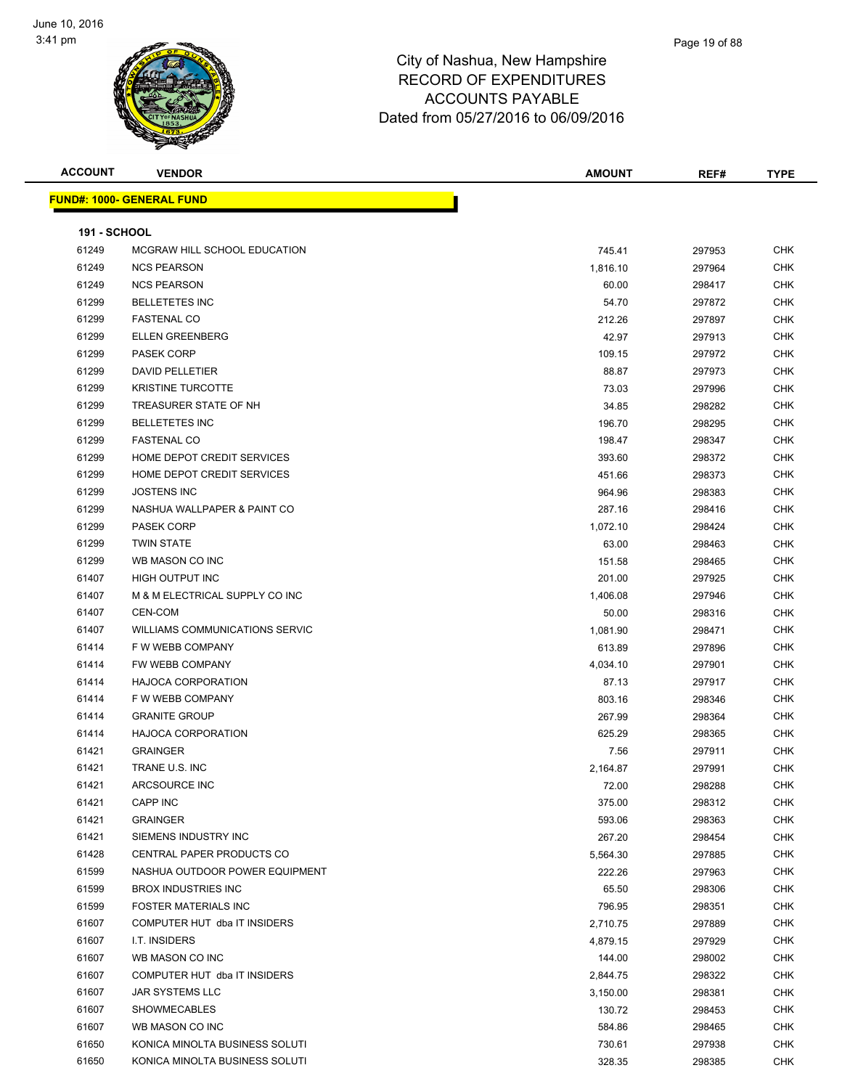

| <b>ACCOUNT</b> | <b>VENDOR</b>                         | <b>AMOUNT</b> | REF#   | <b>TYPE</b> |
|----------------|---------------------------------------|---------------|--------|-------------|
|                | <u> FUND#: 1000- GENERAL FUND</u>     |               |        |             |
|                |                                       |               |        |             |
| 191 - SCHOOL   |                                       |               |        |             |
| 61249          | MCGRAW HILL SCHOOL EDUCATION          | 745.41        | 297953 | <b>CHK</b>  |
| 61249          | <b>NCS PEARSON</b>                    | 1,816.10      | 297964 | <b>CHK</b>  |
| 61249          | <b>NCS PEARSON</b>                    | 60.00         | 298417 | <b>CHK</b>  |
| 61299          | <b>BELLETETES INC</b>                 | 54.70         | 297872 | <b>CHK</b>  |
| 61299          | <b>FASTENAL CO</b>                    | 212.26        | 297897 | <b>CHK</b>  |
| 61299          | <b>ELLEN GREENBERG</b>                | 42.97         | 297913 | CHK         |
| 61299          | PASEK CORP                            | 109.15        | 297972 | CHK         |
| 61299          | DAVID PELLETIER                       | 88.87         | 297973 | <b>CHK</b>  |
| 61299          | <b>KRISTINE TURCOTTE</b>              | 73.03         | 297996 | <b>CHK</b>  |
| 61299          | TREASURER STATE OF NH                 | 34.85         | 298282 | <b>CHK</b>  |
| 61299          | <b>BELLETETES INC</b>                 | 196.70        | 298295 | <b>CHK</b>  |
| 61299          | <b>FASTENAL CO</b>                    | 198.47        | 298347 | CHK         |
| 61299          | HOME DEPOT CREDIT SERVICES            | 393.60        | 298372 | CHK         |
| 61299          | HOME DEPOT CREDIT SERVICES            | 451.66        | 298373 | CHK         |
| 61299          | <b>JOSTENS INC</b>                    | 964.96        | 298383 | CHK         |
| 61299          | NASHUA WALLPAPER & PAINT CO           | 287.16        | 298416 | <b>CHK</b>  |
| 61299          | PASEK CORP                            | 1,072.10      | 298424 | <b>CHK</b>  |
| 61299          | <b>TWIN STATE</b>                     | 63.00         | 298463 | CHK         |
| 61299          | WB MASON CO INC                       | 151.58        | 298465 | <b>CHK</b>  |
| 61407          | HIGH OUTPUT INC                       | 201.00        | 297925 | <b>CHK</b>  |
| 61407          | M & M ELECTRICAL SUPPLY CO INC        | 1,406.08      | 297946 | <b>CHK</b>  |
| 61407          | <b>CEN-COM</b>                        | 50.00         | 298316 | CHK         |
| 61407          | <b>WILLIAMS COMMUNICATIONS SERVIC</b> | 1,081.90      | 298471 | <b>CHK</b>  |
| 61414          | F W WEBB COMPANY                      | 613.89        | 297896 | <b>CHK</b>  |
| 61414          | FW WEBB COMPANY                       | 4,034.10      | 297901 | CHK         |
| 61414          | <b>HAJOCA CORPORATION</b>             | 87.13         | 297917 | <b>CHK</b>  |
| 61414          | F W WEBB COMPANY                      | 803.16        | 298346 | <b>CHK</b>  |
| 61414          | <b>GRANITE GROUP</b>                  | 267.99        | 298364 | <b>CHK</b>  |
| 61414          | <b>HAJOCA CORPORATION</b>             | 625.29        | 298365 | CHK         |
| 61421          | <b>GRAINGER</b>                       | 7.56          | 297911 | <b>CHK</b>  |
| 61421          | TRANE U.S. INC                        | 2,164.87      | 297991 | <b>CHK</b>  |
| 61421          | ARCSOURCE INC                         | 72.00         | 298288 | <b>CHK</b>  |
| 61421          | CAPP INC                              | 375.00        | 298312 | CHK         |
| 61421          | <b>GRAINGER</b>                       | 593.06        | 298363 | <b>CHK</b>  |
| 61421          | SIEMENS INDUSTRY INC                  | 267.20        | 298454 | <b>CHK</b>  |
| 61428          | <b>CENTRAL PAPER PRODUCTS CO</b>      | 5,564.30      | 297885 | CHK         |
| 61599          | NASHUA OUTDOOR POWER EQUIPMENT        | 222.26        | 297963 | <b>CHK</b>  |
| 61599          | <b>BROX INDUSTRIES INC</b>            | 65.50         | 298306 | <b>CHK</b>  |
| 61599          | <b>FOSTER MATERIALS INC</b>           | 796.95        | 298351 | <b>CHK</b>  |
| 61607          | COMPUTER HUT dba IT INSIDERS          | 2,710.75      | 297889 | <b>CHK</b>  |
| 61607          | I.T. INSIDERS                         | 4,879.15      | 297929 | <b>CHK</b>  |
| 61607          | WB MASON CO INC                       | 144.00        | 298002 | <b>CHK</b>  |
| 61607          | COMPUTER HUT dba IT INSIDERS          |               |        | <b>CHK</b>  |
| 61607          | JAR SYSTEMS LLC                       | 2,844.75      | 298322 |             |
|                |                                       | 3,150.00      | 298381 | CHK<br>CHK  |
| 61607          | <b>SHOWMECABLES</b>                   | 130.72        | 298453 |             |
| 61607          | WB MASON CO INC                       | 584.86        | 298465 | CHK         |
| 61650          | KONICA MINOLTA BUSINESS SOLUTI        | 730.61        | 297938 | CHK         |
| 61650          | KONICA MINOLTA BUSINESS SOLUTI        | 328.35        | 298385 | <b>CHK</b>  |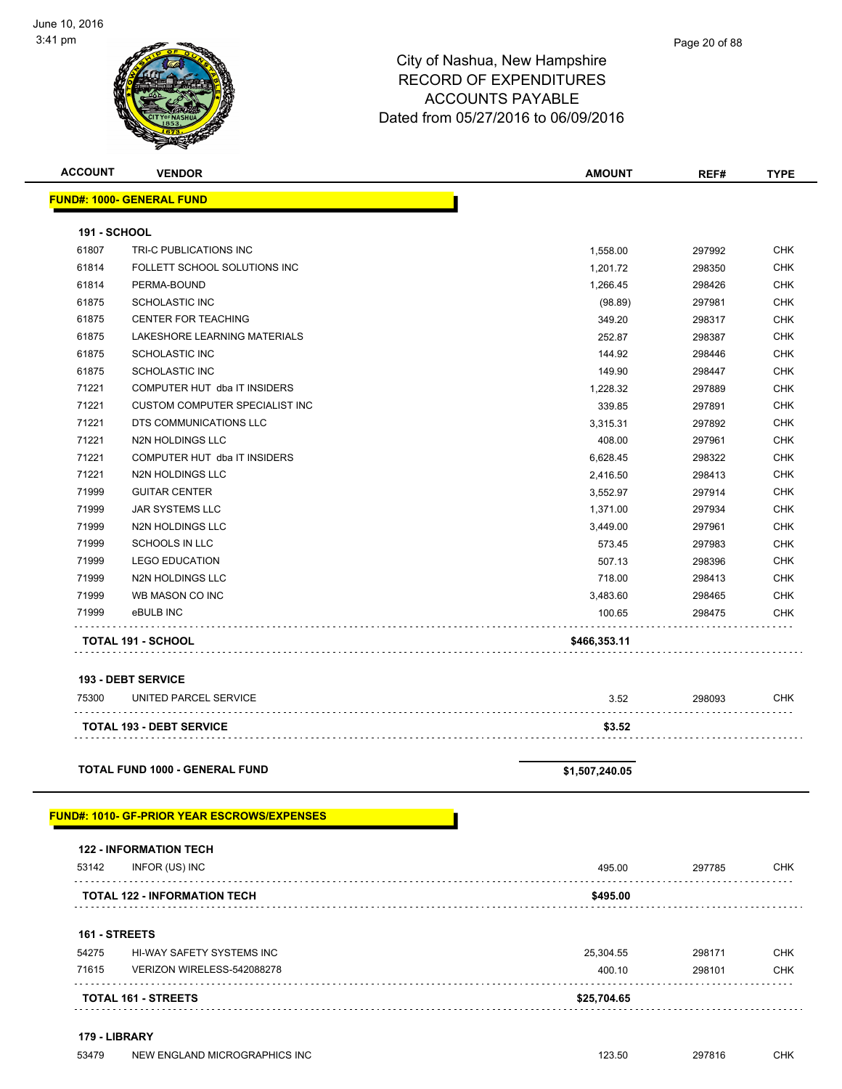

| <b>ACCOUNT</b>      | <b>VENDOR</b>                                       | <b>AMOUNT</b>      | REF#             | <b>TYPE</b>              |
|---------------------|-----------------------------------------------------|--------------------|------------------|--------------------------|
|                     | <b>FUND#: 1000- GENERAL FUND</b>                    |                    |                  |                          |
|                     |                                                     |                    |                  |                          |
| <b>191 - SCHOOL</b> |                                                     |                    |                  |                          |
| 61807               | TRI-C PUBLICATIONS INC                              | 1,558.00           | 297992           | <b>CHK</b>               |
| 61814               | FOLLETT SCHOOL SOLUTIONS INC                        | 1,201.72           | 298350           | <b>CHK</b>               |
| 61814               | PERMA-BOUND                                         | 1,266.45           | 298426           | <b>CHK</b>               |
| 61875               | <b>SCHOLASTIC INC</b>                               | (98.89)            | 297981           | <b>CHK</b>               |
| 61875               | <b>CENTER FOR TEACHING</b>                          | 349.20             | 298317           | <b>CHK</b>               |
| 61875               | LAKESHORE LEARNING MATERIALS                        | 252.87             | 298387           | <b>CHK</b>               |
| 61875               | <b>SCHOLASTIC INC</b>                               | 144.92             | 298446           | <b>CHK</b>               |
| 61875               | <b>SCHOLASTIC INC</b>                               | 149.90             | 298447           | <b>CHK</b>               |
| 71221               | COMPUTER HUT dba IT INSIDERS                        | 1,228.32           | 297889           | <b>CHK</b>               |
| 71221               | <b>CUSTOM COMPUTER SPECIALIST INC</b>               | 339.85             | 297891           | <b>CHK</b>               |
| 71221               | DTS COMMUNICATIONS LLC                              | 3,315.31           | 297892           | <b>CHK</b>               |
| 71221               | <b>N2N HOLDINGS LLC</b>                             | 408.00             | 297961           | <b>CHK</b>               |
| 71221               | COMPUTER HUT dba IT INSIDERS                        | 6,628.45           | 298322           | <b>CHK</b>               |
| 71221<br>71999      | N2N HOLDINGS LLC<br><b>GUITAR CENTER</b>            | 2,416.50           | 298413           | <b>CHK</b><br><b>CHK</b> |
|                     |                                                     | 3,552.97           | 297914           |                          |
| 71999<br>71999      | <b>JAR SYSTEMS LLC</b><br><b>N2N HOLDINGS LLC</b>   | 1,371.00           | 297934           | <b>CHK</b><br><b>CHK</b> |
| 71999               | <b>SCHOOLS IN LLC</b>                               | 3,449.00<br>573.45 | 297961<br>297983 | <b>CHK</b>               |
| 71999               | <b>LEGO EDUCATION</b>                               |                    |                  | <b>CHK</b>               |
| 71999               | N2N HOLDINGS LLC                                    | 507.13<br>718.00   | 298396<br>298413 | <b>CHK</b>               |
| 71999               | WB MASON CO INC                                     | 3,483.60           | 298465           | <b>CHK</b>               |
| 71999               | eBULB INC                                           | 100.65             | 298475           | <b>CHK</b>               |
|                     |                                                     |                    |                  |                          |
|                     | <b>TOTAL 191 - SCHOOL</b>                           | \$466,353.11       |                  |                          |
|                     |                                                     |                    |                  |                          |
|                     | <b>193 - DEBT SERVICE</b>                           |                    |                  |                          |
| 75300               | UNITED PARCEL SERVICE                               | 3.52               | 298093           | <b>CHK</b>               |
|                     | <b>TOTAL 193 - DEBT SERVICE</b>                     | \$3.52             |                  |                          |
|                     |                                                     |                    |                  |                          |
|                     | <b>TOTAL FUND 1000 - GENERAL FUND</b>               | \$1,507,240.05     |                  |                          |
|                     |                                                     |                    |                  |                          |
|                     | <u> FUND#: 1010- GF-PRIOR YEAR ESCROWS/EXPENSES</u> |                    |                  |                          |
|                     | <b>122 - INFORMATION TECH</b>                       |                    |                  |                          |
| 53142               | INFOR (US) INC                                      | 495.00             | 297785           | <b>CHK</b>               |
|                     | <b>TOTAL 122 - INFORMATION TECH</b>                 | \$495.00           |                  |                          |
|                     |                                                     |                    |                  |                          |
|                     | 161 - STREETS                                       |                    |                  |                          |
| 54275               | <b>HI-WAY SAFETY SYSTEMS INC</b>                    | 25,304.55          | 298171           | <b>CHK</b>               |
| 71615               | VERIZON WIRELESS-542088278                          | 400.10             | 298101           | <b>CHK</b>               |
|                     | <b>TOTAL 161 - STREETS</b>                          | \$25,704.65        |                  |                          |
|                     | 179 - LIBRARY                                       |                    |                  |                          |
|                     |                                                     |                    |                  |                          |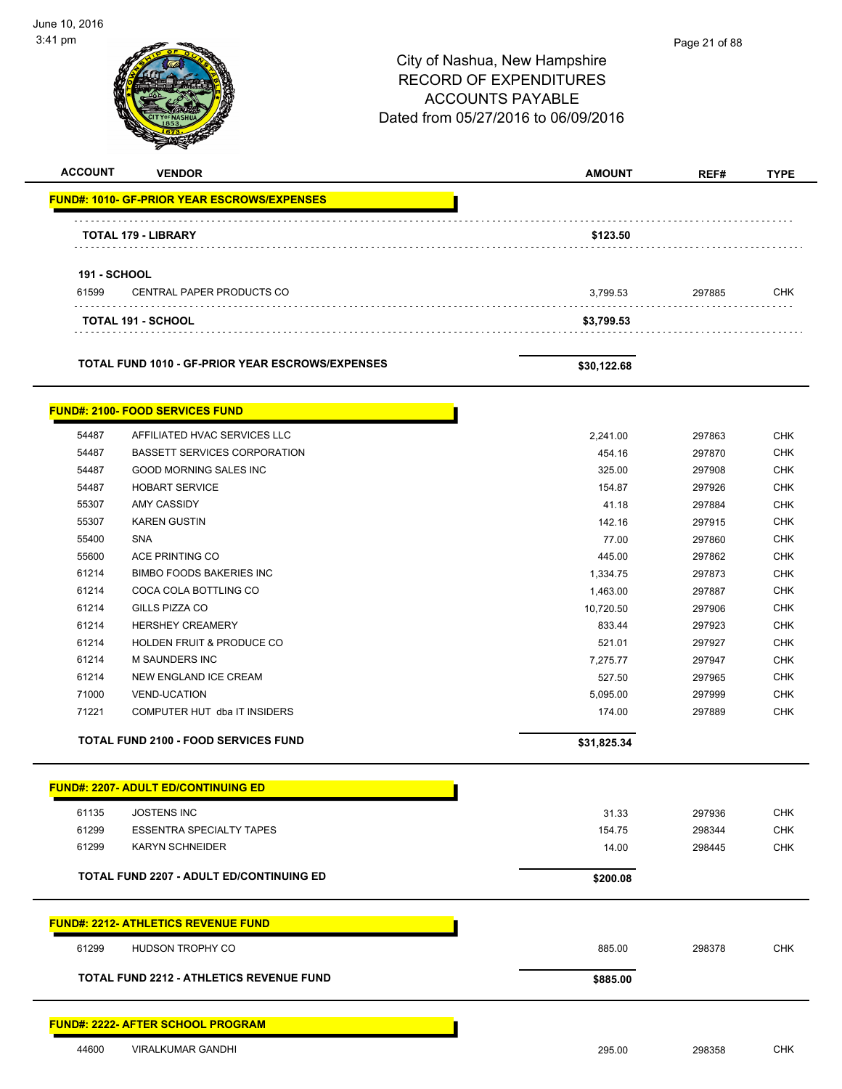| 3:41 pm             |                                                      | City of Nashua, New Hampshire<br><b>RECORD OF EXPENDITURES</b><br><b>ACCOUNTS PAYABLE</b><br>Dated from 05/27/2016 to 06/09/2016 | Page 21 of 88    |                   |
|---------------------|------------------------------------------------------|----------------------------------------------------------------------------------------------------------------------------------|------------------|-------------------|
| <b>ACCOUNT</b>      | <b>VENDOR</b>                                        | <b>AMOUNT</b>                                                                                                                    | REF#             | <b>TYPE</b>       |
|                     | <b>FUND#: 1010- GF-PRIOR YEAR ESCROWS/EXPENSES</b>   |                                                                                                                                  |                  |                   |
|                     | <b>TOTAL 179 - LIBRARY</b>                           | \$123.50                                                                                                                         |                  |                   |
| <b>191 - SCHOOL</b> |                                                      |                                                                                                                                  |                  |                   |
| 61599               | CENTRAL PAPER PRODUCTS CO                            | 3,799.53                                                                                                                         | 297885           | <b>CHK</b>        |
|                     | <b>TOTAL 191 - SCHOOL</b>                            | \$3,799.53                                                                                                                       |                  |                   |
|                     | TOTAL FUND 1010 - GF-PRIOR YEAR ESCROWS/EXPENSES     | \$30,122.68                                                                                                                      |                  |                   |
|                     | <b>FUND#: 2100- FOOD SERVICES FUND</b>               |                                                                                                                                  |                  |                   |
| 54487               | AFFILIATED HVAC SERVICES LLC                         | 2,241.00                                                                                                                         | 297863           | CHK               |
| 54487               | <b>BASSETT SERVICES CORPORATION</b>                  | 454.16                                                                                                                           | 297870           | <b>CHK</b>        |
| 54487               | <b>GOOD MORNING SALES INC</b>                        | 325.00                                                                                                                           | 297908           | <b>CHK</b>        |
| 54487               | <b>HOBART SERVICE</b>                                | 154.87                                                                                                                           | 297926           | <b>CHK</b>        |
| 55307               | <b>AMY CASSIDY</b>                                   | 41.18                                                                                                                            | 297884           | <b>CHK</b>        |
| 55307               | <b>KAREN GUSTIN</b>                                  | 142.16                                                                                                                           | 297915           | <b>CHK</b>        |
| 55400               | SNA                                                  | 77.00                                                                                                                            | 297860           | <b>CHK</b>        |
| 55600               | ACE PRINTING CO                                      | 445.00                                                                                                                           | 297862           | <b>CHK</b>        |
| 61214               | BIMBO FOODS BAKERIES INC                             | 1,334.75                                                                                                                         | 297873           | <b>CHK</b>        |
| 61214<br>61214      | COCA COLA BOTTLING CO<br>GILLS PIZZA CO              | 1,463.00                                                                                                                         | 297887           | CHK               |
|                     |                                                      | 10,720.50                                                                                                                        | 297906           | <b>CHK</b>        |
| 61214<br>61214      | <b>HERSHEY CREAMERY</b><br>HOLDEN FRUIT & PRODUCE CO | 833.44                                                                                                                           | 297923<br>297927 | CHK<br><b>CHK</b> |
| 61214               | <b>M SAUNDERS INC</b>                                | 521.01<br>7,275.77                                                                                                               | 297947           | <b>CHK</b>        |
| 61214               | NEW ENGLAND ICE CREAM                                | 527.50                                                                                                                           | 297965           | <b>CHK</b>        |
| 71000               | <b>VEND-UCATION</b>                                  | 5,095.00                                                                                                                         | 297999           | <b>CHK</b>        |
| 71221               | COMPUTER HUT dba IT INSIDERS                         | 174.00                                                                                                                           | 297889           | <b>CHK</b>        |
|                     | <b>TOTAL FUND 2100 - FOOD SERVICES FUND</b>          | \$31,825.34                                                                                                                      |                  |                   |
|                     | <b>FUND#: 2207- ADULT ED/CONTINUING ED</b>           |                                                                                                                                  |                  |                   |
| 61135               | <b>JOSTENS INC</b>                                   | 31.33                                                                                                                            | 297936           | <b>CHK</b>        |
| 61299               | <b>ESSENTRA SPECIALTY TAPES</b>                      | 154.75                                                                                                                           | 298344           | <b>CHK</b>        |
| 61299               | KARYN SCHNEIDER                                      | 14.00                                                                                                                            | 298445           | <b>CHK</b>        |
|                     | <b>TOTAL FUND 2207 - ADULT ED/CONTINUING ED</b>      | \$200.08                                                                                                                         |                  |                   |
|                     | <b>FUND#: 2212- ATHLETICS REVENUE FUND</b>           |                                                                                                                                  |                  |                   |
| 61299               | HUDSON TROPHY CO                                     | 885.00                                                                                                                           | 298378           | <b>CHK</b>        |
|                     | <b>TOTAL FUND 2212 - ATHLETICS REVENUE FUND</b>      | \$885.00                                                                                                                         |                  |                   |
|                     |                                                      |                                                                                                                                  |                  |                   |
|                     | <b>FUND#: 2222- AFTER SCHOOL PROGRAM</b>             |                                                                                                                                  |                  |                   |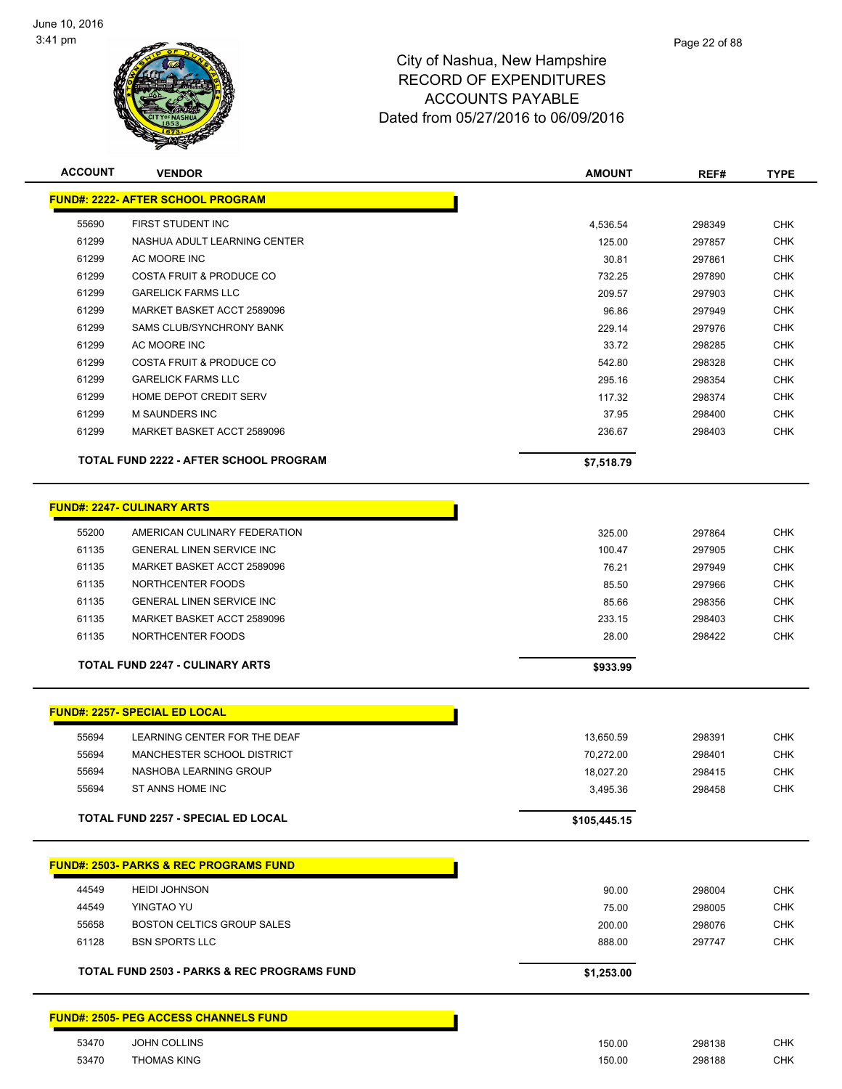

| <b>ACCOUNT</b> | <b>VENDOR</b>                                     | <b>AMOUNT</b> | REF#   | <b>TYPE</b> |
|----------------|---------------------------------------------------|---------------|--------|-------------|
|                | <b>FUND#: 2222- AFTER SCHOOL PROGRAM</b>          |               |        |             |
| 55690          | FIRST STUDENT INC                                 | 4,536.54      | 298349 | <b>CHK</b>  |
| 61299          | NASHUA ADULT LEARNING CENTER                      | 125.00        | 297857 | <b>CHK</b>  |
| 61299          | AC MOORE INC                                      | 30.81         | 297861 | <b>CHK</b>  |
| 61299          | COSTA FRUIT & PRODUCE CO                          | 732.25        | 297890 | <b>CHK</b>  |
| 61299          | <b>GARELICK FARMS LLC</b>                         | 209.57        | 297903 | <b>CHK</b>  |
| 61299          | MARKET BASKET ACCT 2589096                        | 96.86         | 297949 | <b>CHK</b>  |
| 61299          | <b>SAMS CLUB/SYNCHRONY BANK</b>                   | 229.14        | 297976 | <b>CHK</b>  |
| 61299          | AC MOORE INC                                      | 33.72         | 298285 | <b>CHK</b>  |
| 61299          | COSTA FRUIT & PRODUCE CO                          | 542.80        | 298328 | <b>CHK</b>  |
| 61299          | <b>GARELICK FARMS LLC</b>                         | 295.16        | 298354 | <b>CHK</b>  |
| 61299          | HOME DEPOT CREDIT SERV                            | 117.32        | 298374 | <b>CHK</b>  |
| 61299          | M SAUNDERS INC                                    | 37.95         | 298400 | <b>CHK</b>  |
| 61299          | MARKET BASKET ACCT 2589096                        | 236.67        | 298403 | <b>CHK</b>  |
|                |                                                   |               |        |             |
|                | <b>TOTAL FUND 2222 - AFTER SCHOOL PROGRAM</b>     | \$7,518.79    |        |             |
|                | <b>FUND#: 2247- CULINARY ARTS</b>                 |               |        |             |
|                |                                                   |               |        |             |
| 55200          | AMERICAN CULINARY FEDERATION                      | 325.00        | 297864 | <b>CHK</b>  |
| 61135          | <b>GENERAL LINEN SERVICE INC</b>                  | 100.47        | 297905 | <b>CHK</b>  |
| 61135          | MARKET BASKET ACCT 2589096                        | 76.21         | 297949 | <b>CHK</b>  |
| 61135          | NORTHCENTER FOODS                                 | 85.50         | 297966 | <b>CHK</b>  |
| 61135          | <b>GENERAL LINEN SERVICE INC</b>                  | 85.66         | 298356 | <b>CHK</b>  |
| 61135          | MARKET BASKET ACCT 2589096                        | 233.15        | 298403 | <b>CHK</b>  |
| 61135          | NORTHCENTER FOODS                                 | 28.00         | 298422 | <b>CHK</b>  |
|                | <b>TOTAL FUND 2247 - CULINARY ARTS</b>            | \$933.99      |        |             |
|                |                                                   |               |        |             |
|                | <b>FUND#: 2257- SPECIAL ED LOCAL</b>              |               |        |             |
| 55694          | LEARNING CENTER FOR THE DEAF                      | 13,650.59     | 298391 | <b>CHK</b>  |
| 55694          | MANCHESTER SCHOOL DISTRICT                        | 70,272.00     | 298401 | <b>CHK</b>  |
| 55694          | NASHOBA LEARNING GROUP                            | 18,027.20     | 298415 | <b>CHK</b>  |
| 55694          | ST ANNS HOME INC                                  | 3,495.36      | 298458 | <b>CHK</b>  |
|                |                                                   |               |        |             |
|                | <b>TOTAL FUND 2257 - SPECIAL ED LOCAL</b>         | \$105,445.15  |        |             |
|                | <b>FUND#: 2503- PARKS &amp; REC PROGRAMS FUND</b> |               |        |             |
|                |                                                   |               |        |             |
| 44549          | <b>HEIDI JOHNSON</b>                              | 90.00         | 298004 | <b>CHK</b>  |
| 44549          | YINGTAO YU                                        | 75.00         | 298005 | <b>CHK</b>  |
| 55658          | BOSTON CELTICS GROUP SALES                        | 200.00        | 298076 | <b>CHK</b>  |
| 61128          | <b>BSN SPORTS LLC</b>                             | 888.00        | 297747 | <b>CHK</b>  |
|                | TOTAL FUND 2503 - PARKS & REC PROGRAMS FUND       | \$1,253.00    |        |             |
|                | <b>FUND#: 2505- PEG ACCESS CHANNELS FUND</b>      |               |        |             |
|                |                                                   |               |        |             |
| 53470          | <b>JOHN COLLINS</b>                               | 150.00        | 298138 | <b>CHK</b>  |
| 53470          | <b>THOMAS KING</b>                                | 150.00        | 298188 | <b>CHK</b>  |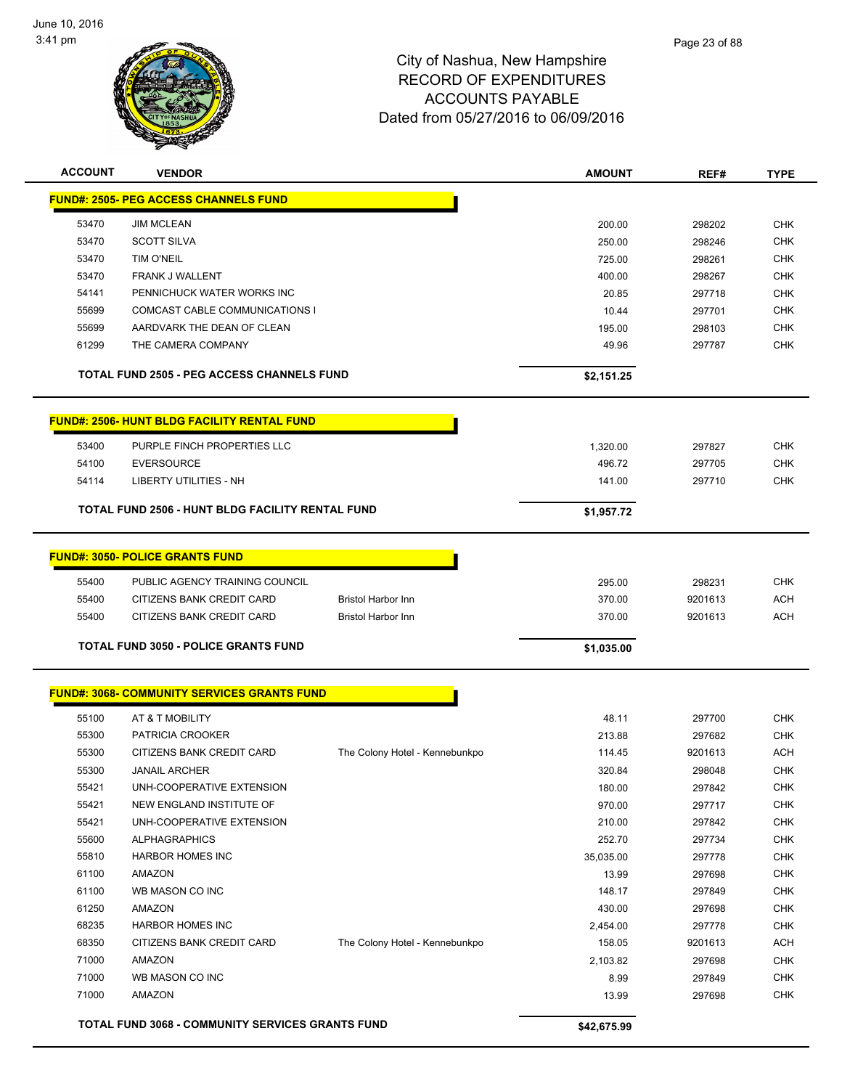

| <b>ACCOUNT</b> | <b>VENDOR</b>                                           |                                | <b>AMOUNT</b> | REF#    | <b>TYPE</b> |
|----------------|---------------------------------------------------------|--------------------------------|---------------|---------|-------------|
|                | <b>FUND#: 2505- PEG ACCESS CHANNELS FUND</b>            |                                |               |         |             |
| 53470          | <b>JIM MCLEAN</b>                                       |                                | 200.00        | 298202  | <b>CHK</b>  |
| 53470          | <b>SCOTT SILVA</b>                                      |                                | 250.00        | 298246  | <b>CHK</b>  |
| 53470          | <b>TIM O'NEIL</b>                                       |                                | 725.00        | 298261  | <b>CHK</b>  |
| 53470          | FRANK J WALLENT                                         |                                | 400.00        | 298267  | <b>CHK</b>  |
| 54141          | PENNICHUCK WATER WORKS INC                              |                                | 20.85         | 297718  | <b>CHK</b>  |
| 55699          | <b>COMCAST CABLE COMMUNICATIONS I</b>                   |                                | 10.44         | 297701  | <b>CHK</b>  |
| 55699          | AARDVARK THE DEAN OF CLEAN                              |                                | 195.00        | 298103  | <b>CHK</b>  |
| 61299          | THE CAMERA COMPANY                                      |                                | 49.96         | 297787  | <b>CHK</b>  |
|                | <b>TOTAL FUND 2505 - PEG ACCESS CHANNELS FUND</b>       |                                | \$2,151.25    |         |             |
|                | <b>FUND#: 2506- HUNT BLDG FACILITY RENTAL FUND</b>      |                                |               |         |             |
| 53400          | PURPLE FINCH PROPERTIES LLC                             |                                | 1,320.00      | 297827  | <b>CHK</b>  |
| 54100          | <b>EVERSOURCE</b>                                       |                                | 496.72        | 297705  | <b>CHK</b>  |
| 54114          | <b>LIBERTY UTILITIES - NH</b>                           |                                | 141.00        | 297710  | <b>CHK</b>  |
|                | <b>TOTAL FUND 2506 - HUNT BLDG FACILITY RENTAL FUND</b> |                                | \$1,957.72    |         |             |
|                | <b>FUND#: 3050- POLICE GRANTS FUND</b>                  |                                |               |         |             |
| 55400          | PUBLIC AGENCY TRAINING COUNCIL                          |                                | 295.00        | 298231  | <b>CHK</b>  |
| 55400          | CITIZENS BANK CREDIT CARD                               | <b>Bristol Harbor Inn</b>      | 370.00        | 9201613 | <b>ACH</b>  |
| 55400          | CITIZENS BANK CREDIT CARD                               | <b>Bristol Harbor Inn</b>      | 370.00        | 9201613 | <b>ACH</b>  |
|                | <b>TOTAL FUND 3050 - POLICE GRANTS FUND</b>             |                                | \$1,035.00    |         |             |
|                |                                                         |                                |               |         |             |
|                | <b>FUND#: 3068- COMMUNITY SERVICES GRANTS FUND</b>      |                                |               |         |             |
| 55100          | AT & T MOBILITY                                         |                                | 48.11         | 297700  | <b>CHK</b>  |
| 55300          | PATRICIA CROOKER                                        |                                | 213.88        | 297682  | <b>CHK</b>  |
| 55300          | CITIZENS BANK CREDIT CARD                               | The Colony Hotel - Kennebunkpo | 114.45        | 9201613 | <b>ACH</b>  |
| 55300          | <b>JANAIL ARCHER</b>                                    |                                | 320.84        | 298048  | <b>CHK</b>  |
| 55421          | UNH-COOPERATIVE EXTENSION                               |                                | 180.00        | 297842  | <b>CHK</b>  |
| 55421          | NEW ENGLAND INSTITUTE OF                                |                                | 970.00        | 297717  | <b>CHK</b>  |
| 55421          | UNH-COOPERATIVE EXTENSION                               |                                | 210.00        | 297842  | <b>CHK</b>  |
| 55600          | <b>ALPHAGRAPHICS</b>                                    |                                | 252.70        | 297734  | <b>CHK</b>  |
| 55810          | HARBOR HOMES INC                                        |                                | 35,035.00     | 297778  | <b>CHK</b>  |
| 61100          | <b>AMAZON</b>                                           |                                | 13.99         | 297698  | <b>CHK</b>  |
| 61100          | WB MASON CO INC                                         |                                | 148.17        | 297849  | <b>CHK</b>  |
| 61250          | AMAZON                                                  |                                | 430.00        | 297698  | <b>CHK</b>  |
| 68235          | <b>HARBOR HOMES INC</b>                                 |                                | 2,454.00      | 297778  | <b>CHK</b>  |
| 68350          | CITIZENS BANK CREDIT CARD                               | The Colony Hotel - Kennebunkpo | 158.05        | 9201613 | <b>ACH</b>  |
| 71000          | AMAZON                                                  |                                | 2,103.82      | 297698  | <b>CHK</b>  |
| 71000          | WB MASON CO INC                                         |                                | 8.99          | 297849  | <b>CHK</b>  |
| 71000          | AMAZON                                                  |                                | 13.99         | 297698  | <b>CHK</b>  |
|                | <b>TOTAL FUND 3068 - COMMUNITY SERVICES GRANTS FUND</b> |                                | \$42,675.99   |         |             |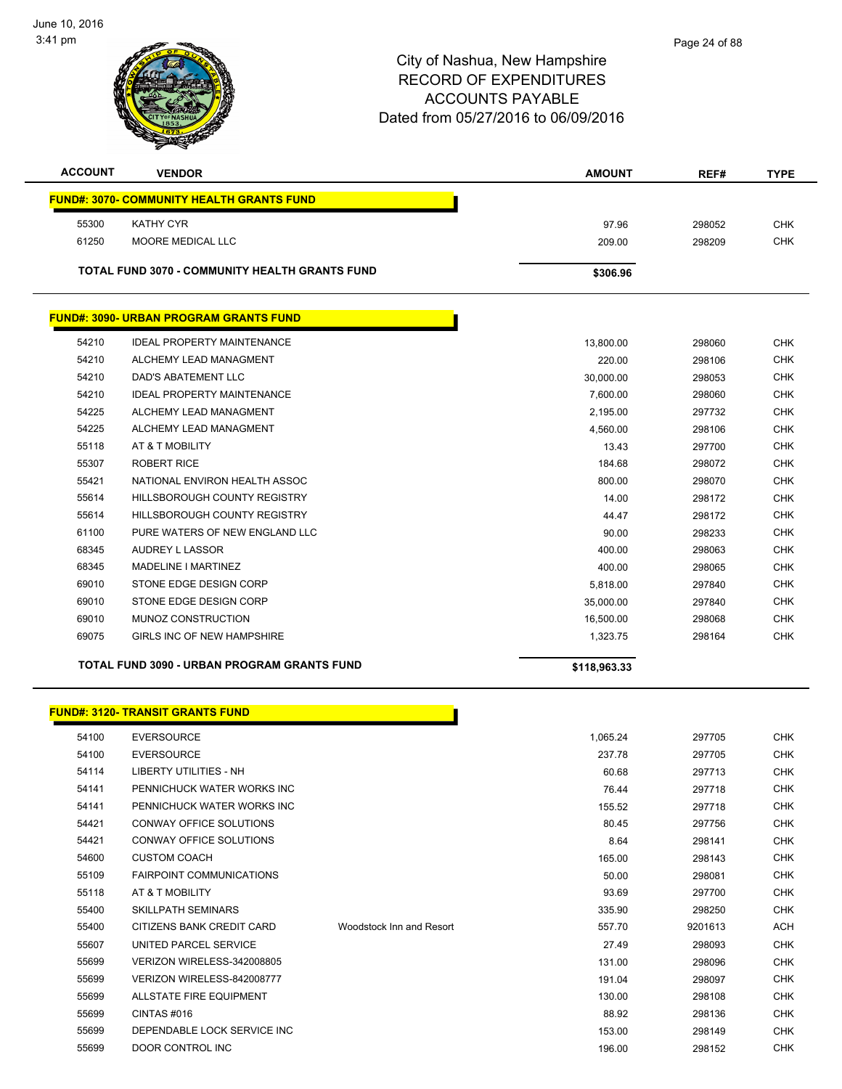

| <b>ACCOUNT</b> | <b>VENDOR</b>                                         | <b>AMOUNT</b> | REF#   | <b>TYPE</b> |
|----------------|-------------------------------------------------------|---------------|--------|-------------|
|                | <b>FUND#: 3070- COMMUNITY HEALTH GRANTS FUND</b>      |               |        |             |
| 55300          | <b>KATHY CYR</b>                                      | 97.96         | 298052 | <b>CHK</b>  |
| 61250          | <b>MOORE MEDICAL LLC</b>                              | 209.00        | 298209 | <b>CHK</b>  |
|                | <b>TOTAL FUND 3070 - COMMUNITY HEALTH GRANTS FUND</b> | \$306.96      |        |             |
|                | <b>FUND#: 3090- URBAN PROGRAM GRANTS FUND</b>         |               |        |             |
| 54210          | <b>IDEAL PROPERTY MAINTENANCE</b>                     | 13,800.00     | 298060 | <b>CHK</b>  |
| 54210          | ALCHEMY LEAD MANAGMENT                                | 220.00        | 298106 | <b>CHK</b>  |
| 54210          | DAD'S ABATEMENT LLC                                   | 30,000.00     | 298053 | <b>CHK</b>  |
| 54210          | <b>IDEAL PROPERTY MAINTENANCE</b>                     | 7,600.00      | 298060 | <b>CHK</b>  |
| 54225          | ALCHEMY LEAD MANAGMENT                                | 2,195.00      | 297732 | <b>CHK</b>  |
| 54225          | ALCHEMY LEAD MANAGMENT                                | 4,560.00      | 298106 | <b>CHK</b>  |
| 55118          | AT & T MOBILITY                                       | 13.43         | 297700 | <b>CHK</b>  |
| 55307          | <b>ROBERT RICE</b>                                    | 184.68        | 298072 | <b>CHK</b>  |
| 55421          | NATIONAL ENVIRON HEALTH ASSOC                         | 800.00        | 298070 | <b>CHK</b>  |

 HILLSBOROUGH COUNTY REGISTRY 14.00 298172 CHK HILLSBOROUGH COUNTY REGISTRY 44.47 298172 CHK PURE WATERS OF NEW ENGLAND LLC 90.00 298233 CHK AUDREY L LASSOR 400.00 298063 CHK MADELINE I MARTINEZ 400.00 298065 CHK STONE EDGE DESIGN CORP 5,818.00 297840 CHK STONE EDGE DESIGN CORP 35,000.00 297840 CHK MUNOZ CONSTRUCTION 16,500.00 298068 CHK er and the set of the set of the set of the set of the set of the set of the set of the set of the set of the c<br>The set of the set of the set of the set of the set of the set of the set of the set of the set of the set of

**TOTAL FUND 3090 - URBAN PROGRAM GRANTS FUND \$118,963.33** 

#### **FUND#: 3120- TRANSIT GRANTS FUND**

| 54100 | <b>EVERSOURCE</b>               |                          | 1,065.24 | 297705  | <b>CHK</b> |
|-------|---------------------------------|--------------------------|----------|---------|------------|
| 54100 | <b>EVERSOURCE</b>               |                          | 237.78   | 297705  | <b>CHK</b> |
| 54114 | LIBERTY UTILITIES - NH          |                          | 60.68    | 297713  | <b>CHK</b> |
| 54141 | PENNICHUCK WATER WORKS INC      |                          | 76.44    | 297718  | <b>CHK</b> |
| 54141 | PENNICHUCK WATER WORKS INC      |                          | 155.52   | 297718  | <b>CHK</b> |
| 54421 | CONWAY OFFICE SOLUTIONS         |                          | 80.45    | 297756  | <b>CHK</b> |
| 54421 | CONWAY OFFICE SOLUTIONS         |                          | 8.64     | 298141  | <b>CHK</b> |
| 54600 | <b>CUSTOM COACH</b>             |                          | 165.00   | 298143  | <b>CHK</b> |
| 55109 | <b>FAIRPOINT COMMUNICATIONS</b> |                          | 50.00    | 298081  | <b>CHK</b> |
| 55118 | AT & T MOBILITY                 |                          | 93.69    | 297700  | <b>CHK</b> |
| 55400 | <b>SKILLPATH SEMINARS</b>       |                          | 335.90   | 298250  | <b>CHK</b> |
| 55400 | CITIZENS BANK CREDIT CARD       | Woodstock Inn and Resort | 557.70   | 9201613 | <b>ACH</b> |
| 55607 | UNITED PARCEL SERVICE           |                          | 27.49    | 298093  | <b>CHK</b> |
| 55699 | VERIZON WIRELESS-342008805      |                          | 131.00   | 298096  | <b>CHK</b> |
| 55699 | VERIZON WIRELESS-842008777      |                          | 191.04   | 298097  | <b>CHK</b> |
| 55699 | <b>ALLSTATE FIRE EQUIPMENT</b>  |                          | 130.00   | 298108  | <b>CHK</b> |
| 55699 | CINTAS#016                      |                          | 88.92    | 298136  | <b>CHK</b> |
| 55699 | DEPENDABLE LOCK SERVICE INC     |                          | 153.00   | 298149  | <b>CHK</b> |
| 55699 | DOOR CONTROL INC                |                          | 196.00   | 298152  | <b>CHK</b> |
|       |                                 |                          |          |         |            |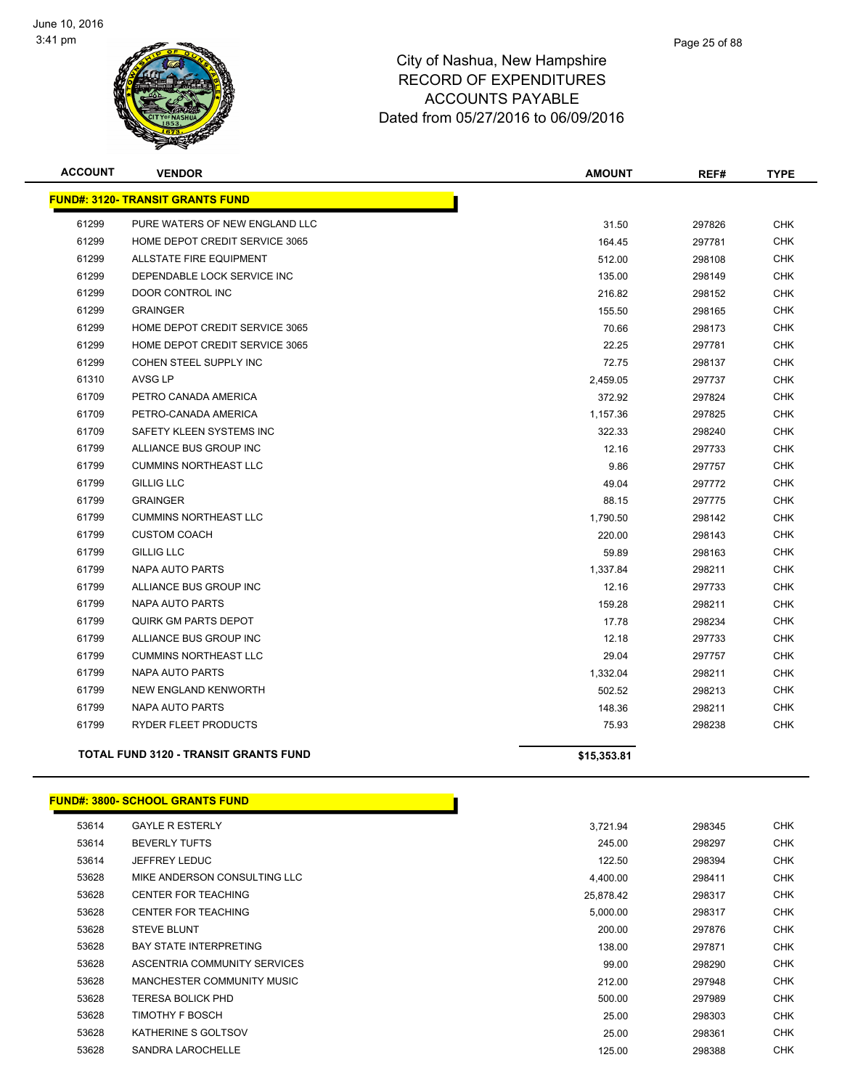

| <b>ACCOUNT</b> | <b>VENDOR</b>                                | <b>AMOUNT</b> | REF#   | <b>TYPE</b> |
|----------------|----------------------------------------------|---------------|--------|-------------|
|                | <b>FUND#: 3120- TRANSIT GRANTS FUND</b>      |               |        |             |
| 61299          | PURE WATERS OF NEW ENGLAND LLC               | 31.50         | 297826 | <b>CHK</b>  |
| 61299          | HOME DEPOT CREDIT SERVICE 3065               | 164.45        | 297781 | <b>CHK</b>  |
| 61299          | ALLSTATE FIRE EQUIPMENT                      | 512.00        | 298108 | <b>CHK</b>  |
| 61299          | DEPENDABLE LOCK SERVICE INC                  | 135.00        | 298149 | <b>CHK</b>  |
| 61299          | DOOR CONTROL INC                             | 216.82        | 298152 | <b>CHK</b>  |
| 61299          | <b>GRAINGER</b>                              | 155.50        | 298165 | <b>CHK</b>  |
| 61299          | HOME DEPOT CREDIT SERVICE 3065               | 70.66         | 298173 | <b>CHK</b>  |
| 61299          | HOME DEPOT CREDIT SERVICE 3065               | 22.25         | 297781 | <b>CHK</b>  |
| 61299          | COHEN STEEL SUPPLY INC                       | 72.75         | 298137 | <b>CHK</b>  |
| 61310          | AVSG LP                                      | 2,459.05      | 297737 | <b>CHK</b>  |
| 61709          | PETRO CANADA AMERICA                         | 372.92        | 297824 | <b>CHK</b>  |
| 61709          | PETRO-CANADA AMERICA                         | 1,157.36      | 297825 | <b>CHK</b>  |
| 61709          | SAFETY KLEEN SYSTEMS INC                     | 322.33        | 298240 | <b>CHK</b>  |
| 61799          | ALLIANCE BUS GROUP INC                       | 12.16         | 297733 | <b>CHK</b>  |
| 61799          | <b>CUMMINS NORTHEAST LLC</b>                 | 9.86          | 297757 | <b>CHK</b>  |
| 61799          | <b>GILLIG LLC</b>                            | 49.04         | 297772 | <b>CHK</b>  |
| 61799          | <b>GRAINGER</b>                              | 88.15         | 297775 | <b>CHK</b>  |
| 61799          | <b>CUMMINS NORTHEAST LLC</b>                 | 1,790.50      | 298142 | <b>CHK</b>  |
| 61799          | <b>CUSTOM COACH</b>                          | 220.00        | 298143 | <b>CHK</b>  |
| 61799          | <b>GILLIG LLC</b>                            | 59.89         | 298163 | <b>CHK</b>  |
| 61799          | NAPA AUTO PARTS                              | 1,337.84      | 298211 | <b>CHK</b>  |
| 61799          | ALLIANCE BUS GROUP INC                       | 12.16         | 297733 | <b>CHK</b>  |
| 61799          | NAPA AUTO PARTS                              | 159.28        | 298211 | <b>CHK</b>  |
| 61799          | QUIRK GM PARTS DEPOT                         | 17.78         | 298234 | <b>CHK</b>  |
| 61799          | ALLIANCE BUS GROUP INC                       | 12.18         | 297733 | <b>CHK</b>  |
| 61799          | <b>CUMMINS NORTHEAST LLC</b>                 | 29.04         | 297757 | <b>CHK</b>  |
| 61799          | NAPA AUTO PARTS                              | 1,332.04      | 298211 | <b>CHK</b>  |
| 61799          | NEW ENGLAND KENWORTH                         | 502.52        | 298213 | <b>CHK</b>  |
| 61799          | NAPA AUTO PARTS                              | 148.36        | 298211 | <b>CHK</b>  |
| 61799          | RYDER FLEET PRODUCTS                         | 75.93         | 298238 | <b>CHK</b>  |
|                | <b>TOTAL FUND 3120 - TRANSIT GRANTS FUND</b> | \$15,353.81   |        |             |

#### **FUND#: 3800- SCHOOL GRANTS FUND**

| 53614 | <b>GAYLE R ESTERLY</b>        | 3,721.94  | 298345 | <b>CHK</b> |
|-------|-------------------------------|-----------|--------|------------|
| 53614 | <b>BEVERLY TUFTS</b>          | 245.00    | 298297 | <b>CHK</b> |
| 53614 | <b>JEFFREY LEDUC</b>          | 122.50    | 298394 | <b>CHK</b> |
| 53628 | MIKE ANDERSON CONSULTING LLC  | 4,400.00  | 298411 | <b>CHK</b> |
| 53628 | <b>CENTER FOR TEACHING</b>    | 25,878.42 | 298317 | <b>CHK</b> |
| 53628 | <b>CENTER FOR TEACHING</b>    | 5,000.00  | 298317 | <b>CHK</b> |
| 53628 | <b>STEVE BLUNT</b>            | 200.00    | 297876 | <b>CHK</b> |
| 53628 | <b>BAY STATE INTERPRETING</b> | 138.00    | 297871 | <b>CHK</b> |
| 53628 | ASCENTRIA COMMUNITY SERVICES  | 99.00     | 298290 | <b>CHK</b> |
| 53628 | MANCHESTER COMMUNITY MUSIC    | 212.00    | 297948 | <b>CHK</b> |
| 53628 | <b>TERESA BOLICK PHD</b>      | 500.00    | 297989 | <b>CHK</b> |
| 53628 | TIMOTHY F BOSCH               | 25.00     | 298303 | <b>CHK</b> |
| 53628 | KATHERINE S GOLTSOV           | 25.00     | 298361 | <b>CHK</b> |
| 53628 | SANDRA LAROCHELLE             | 125.00    | 298388 | <b>CHK</b> |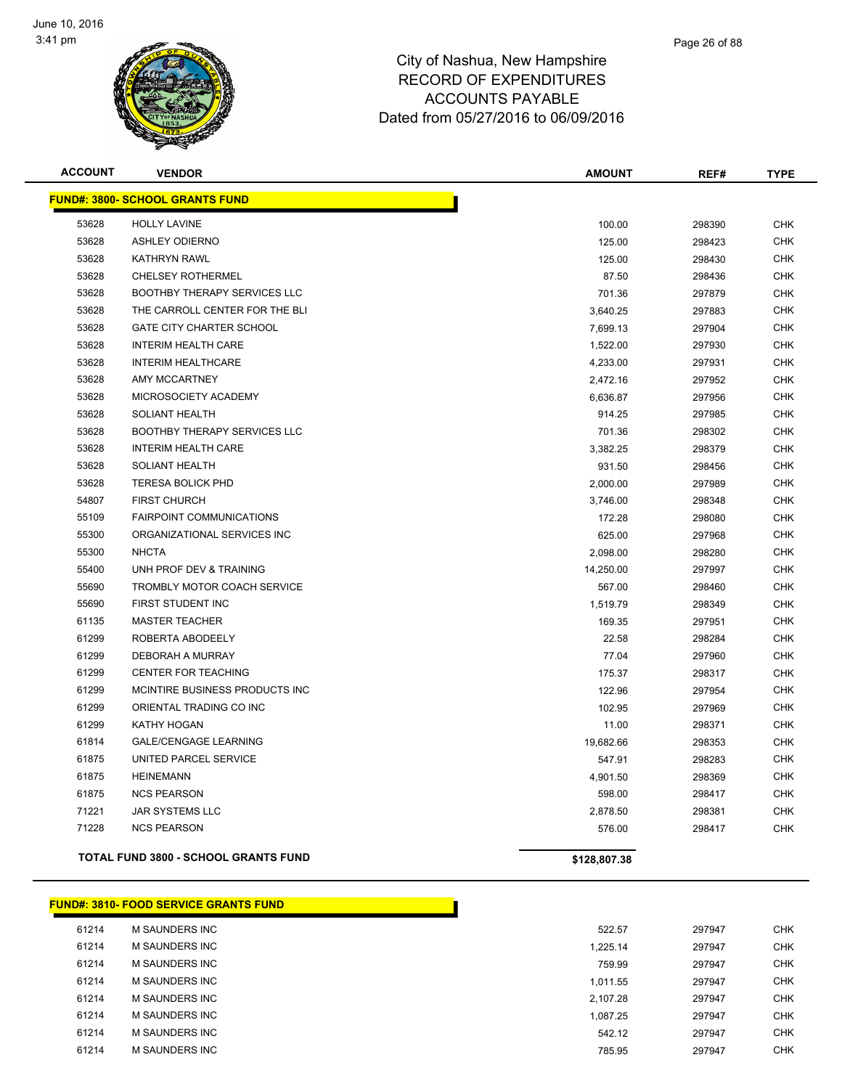

| <b>ACCOUNT</b> | <b>VENDOR</b>                               | <b>AMOUNT</b> | REF#   | <b>TYPE</b> |
|----------------|---------------------------------------------|---------------|--------|-------------|
|                | <b>FUND#: 3800- SCHOOL GRANTS FUND</b>      |               |        |             |
| 53628          | <b>HOLLY LAVINE</b>                         | 100.00        | 298390 | <b>CHK</b>  |
| 53628          | <b>ASHLEY ODIERNO</b>                       | 125.00        | 298423 | <b>CHK</b>  |
| 53628          | <b>KATHRYN RAWL</b>                         | 125.00        | 298430 | <b>CHK</b>  |
| 53628          | <b>CHELSEY ROTHERMEL</b>                    | 87.50         | 298436 | <b>CHK</b>  |
| 53628          | BOOTHBY THERAPY SERVICES LLC                | 701.36        | 297879 | <b>CHK</b>  |
| 53628          | THE CARROLL CENTER FOR THE BLI              | 3,640.25      | 297883 | <b>CHK</b>  |
| 53628          | <b>GATE CITY CHARTER SCHOOL</b>             | 7,699.13      | 297904 | <b>CHK</b>  |
| 53628          | <b>INTERIM HEALTH CARE</b>                  | 1,522.00      | 297930 | <b>CHK</b>  |
| 53628          | <b>INTERIM HEALTHCARE</b>                   | 4,233.00      | 297931 | <b>CHK</b>  |
| 53628          | <b>AMY MCCARTNEY</b>                        | 2,472.16      | 297952 | <b>CHK</b>  |
| 53628          | MICROSOCIETY ACADEMY                        | 6,636.87      | 297956 | <b>CHK</b>  |
| 53628          | <b>SOLIANT HEALTH</b>                       | 914.25        | 297985 | <b>CHK</b>  |
| 53628          | <b>BOOTHBY THERAPY SERVICES LLC</b>         | 701.36        | 298302 | <b>CHK</b>  |
| 53628          | <b>INTERIM HEALTH CARE</b>                  | 3,382.25      | 298379 | <b>CHK</b>  |
| 53628          | <b>SOLIANT HEALTH</b>                       | 931.50        | 298456 | <b>CHK</b>  |
| 53628          | <b>TERESA BOLICK PHD</b>                    | 2,000.00      | 297989 | <b>CHK</b>  |
| 54807          | <b>FIRST CHURCH</b>                         | 3,746.00      | 298348 | <b>CHK</b>  |
| 55109          | <b>FAIRPOINT COMMUNICATIONS</b>             | 172.28        | 298080 | <b>CHK</b>  |
| 55300          | ORGANIZATIONAL SERVICES INC                 | 625.00        | 297968 | <b>CHK</b>  |
| 55300          | <b>NHCTA</b>                                | 2,098.00      | 298280 | <b>CHK</b>  |
| 55400          | UNH PROF DEV & TRAINING                     | 14,250.00     | 297997 | <b>CHK</b>  |
| 55690          | <b>TROMBLY MOTOR COACH SERVICE</b>          | 567.00        | 298460 | <b>CHK</b>  |
| 55690          | FIRST STUDENT INC                           | 1,519.79      | 298349 | <b>CHK</b>  |
| 61135          | <b>MASTER TEACHER</b>                       | 169.35        | 297951 | <b>CHK</b>  |
| 61299          | ROBERTA ABODEELY                            | 22.58         | 298284 | <b>CHK</b>  |
| 61299          | DEBORAH A MURRAY                            | 77.04         | 297960 | <b>CHK</b>  |
| 61299          | <b>CENTER FOR TEACHING</b>                  | 175.37        | 298317 | <b>CHK</b>  |
| 61299          | MCINTIRE BUSINESS PRODUCTS INC              | 122.96        | 297954 | <b>CHK</b>  |
| 61299          | ORIENTAL TRADING CO INC                     | 102.95        | 297969 | <b>CHK</b>  |
| 61299          | KATHY HOGAN                                 | 11.00         | 298371 | <b>CHK</b>  |
| 61814          | <b>GALE/CENGAGE LEARNING</b>                | 19,682.66     | 298353 | <b>CHK</b>  |
| 61875          | UNITED PARCEL SERVICE                       | 547.91        | 298283 | <b>CHK</b>  |
| 61875          | <b>HEINEMANN</b>                            | 4,901.50      | 298369 | <b>CHK</b>  |
| 61875          | <b>NCS PEARSON</b>                          | 598.00        | 298417 | <b>CHK</b>  |
| 71221          | <b>JAR SYSTEMS LLC</b>                      | 2,878.50      | 298381 | <b>CHK</b>  |
| 71228          | <b>NCS PEARSON</b>                          | 576.00        | 298417 | <b>CHK</b>  |
|                | <b>TOTAL FUND 3800 - SCHOOL GRANTS FUND</b> | \$128,807.38  |        |             |

#### **FUND#: 3810- FOOD SERVICE GRANTS FUND**

| 61214 | <b>M SAUNDERS INC</b> | 522.57   | 297947 | <b>CHK</b> |
|-------|-----------------------|----------|--------|------------|
| 61214 | <b>M SAUNDERS INC</b> | 1.225.14 | 297947 | <b>CHK</b> |
| 61214 | <b>M SAUNDERS INC</b> | 759.99   | 297947 | <b>CHK</b> |
| 61214 | <b>M SAUNDERS INC</b> | 1.011.55 | 297947 | <b>CHK</b> |
| 61214 | M SAUNDERS INC        | 2.107.28 | 297947 | <b>CHK</b> |
| 61214 | M SAUNDERS INC        | 1.087.25 | 297947 | <b>CHK</b> |
| 61214 | M SAUNDERS INC        | 542.12   | 297947 | <b>CHK</b> |
| 61214 | <b>M SAUNDERS INC</b> | 785.95   | 297947 | <b>CHK</b> |
|       |                       |          |        |            |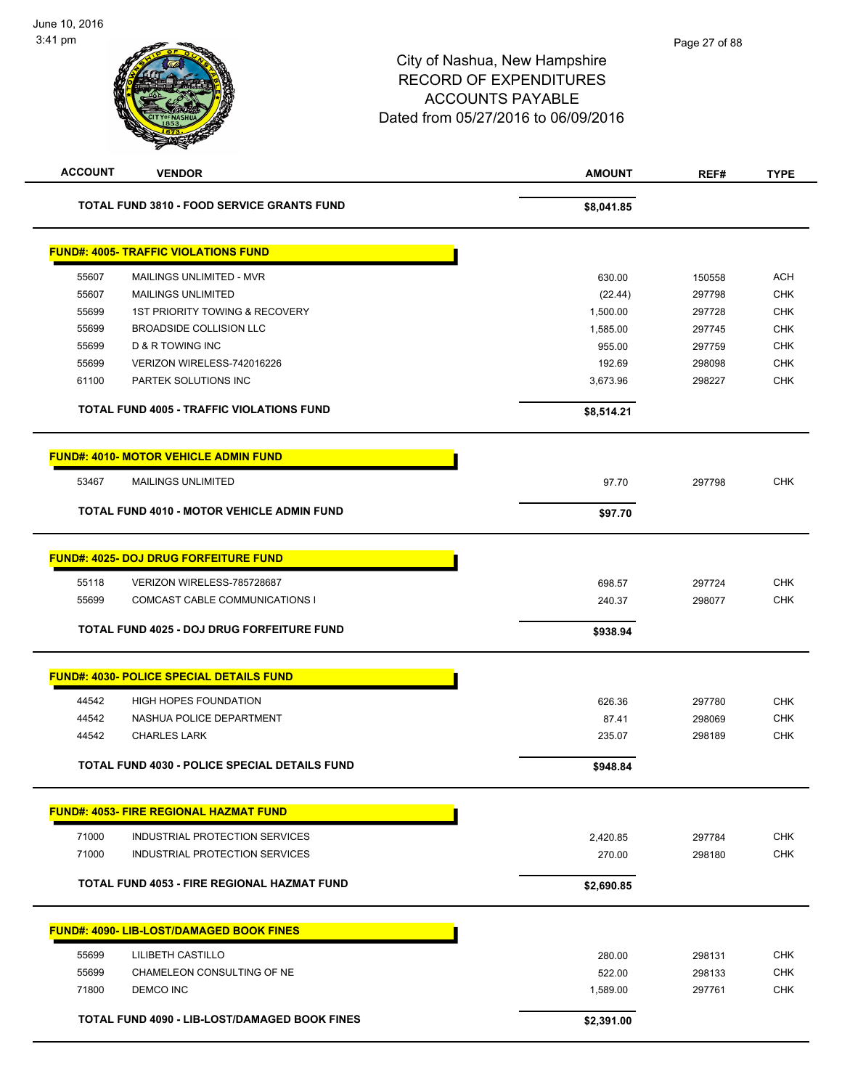| <b>ACCOUNT</b> | <b>VENDOR</b>                                        | <b>AMOUNT</b> | REF#   | <b>TYPE</b> |
|----------------|------------------------------------------------------|---------------|--------|-------------|
|                | <b>TOTAL FUND 3810 - FOOD SERVICE GRANTS FUND</b>    | \$8,041.85    |        |             |
|                | <b>FUND#: 4005- TRAFFIC VIOLATIONS FUND</b>          |               |        |             |
| 55607          | MAILINGS UNLIMITED - MVR                             | 630.00        | 150558 | <b>ACH</b>  |
| 55607          | <b>MAILINGS UNLIMITED</b>                            | (22.44)       | 297798 | <b>CHK</b>  |
| 55699          | 1ST PRIORITY TOWING & RECOVERY                       | 1,500.00      | 297728 | <b>CHK</b>  |
| 55699          | <b>BROADSIDE COLLISION LLC</b>                       | 1,585.00      | 297745 | <b>CHK</b>  |
| 55699          | D & R TOWING INC                                     | 955.00        | 297759 | <b>CHK</b>  |
| 55699          | VERIZON WIRELESS-742016226                           | 192.69        | 298098 | <b>CHK</b>  |
| 61100          | PARTEK SOLUTIONS INC                                 | 3,673.96      | 298227 | <b>CHK</b>  |
|                | <b>TOTAL FUND 4005 - TRAFFIC VIOLATIONS FUND</b>     | \$8,514.21    |        |             |
|                | <b>FUND#: 4010- MOTOR VEHICLE ADMIN FUND</b>         |               |        |             |
| 53467          | <b>MAILINGS UNLIMITED</b>                            | 97.70         | 297798 | <b>CHK</b>  |
|                | <b>TOTAL FUND 4010 - MOTOR VEHICLE ADMIN FUND</b>    | \$97.70       |        |             |
|                |                                                      |               |        |             |
|                | <b>FUND#: 4025- DOJ DRUG FORFEITURE FUND</b>         |               |        |             |
| 55118          | VERIZON WIRELESS-785728687                           | 698.57        | 297724 | <b>CHK</b>  |
| 55699          | COMCAST CABLE COMMUNICATIONS I                       | 240.37        | 298077 | <b>CHK</b>  |
|                | TOTAL FUND 4025 - DOJ DRUG FORFEITURE FUND           | \$938.94      |        |             |
|                | <b>FUND#: 4030- POLICE SPECIAL DETAILS FUND</b>      |               |        |             |
| 44542          | <b>HIGH HOPES FOUNDATION</b>                         | 626.36        | 297780 | <b>CHK</b>  |
| 44542          | NASHUA POLICE DEPARTMENT                             | 87.41         | 298069 | <b>CHK</b>  |
| 44542          | <b>CHARLES LARK</b>                                  | 235.07        | 298189 | <b>CHK</b>  |
|                | <b>TOTAL FUND 4030 - POLICE SPECIAL DETAILS FUND</b> | \$948.84      |        |             |
|                | <b>FUND#: 4053- FIRE REGIONAL HAZMAT FUND</b>        |               |        |             |
|                |                                                      |               |        |             |
| 71000          | INDUSTRIAL PROTECTION SERVICES                       | 2,420.85      | 297784 | <b>CHK</b>  |
| 71000          | INDUSTRIAL PROTECTION SERVICES                       | 270.00        | 298180 | <b>CHK</b>  |
|                | TOTAL FUND 4053 - FIRE REGIONAL HAZMAT FUND          | \$2,690.85    |        |             |
|                | <b>FUND#: 4090- LIB-LOST/DAMAGED BOOK FINES</b>      |               |        |             |
| 55699          | LILIBETH CASTILLO                                    | 280.00        | 298131 | <b>CHK</b>  |
| 55699          | CHAMELEON CONSULTING OF NE                           | 522.00        | 298133 | <b>CHK</b>  |
| 71800          | <b>DEMCO INC</b>                                     | 1,589.00      | 297761 | <b>CHK</b>  |
|                | <b>TOTAL FUND 4090 - LIB-LOST/DAMAGED BOOK FINES</b> | \$2,391.00    |        |             |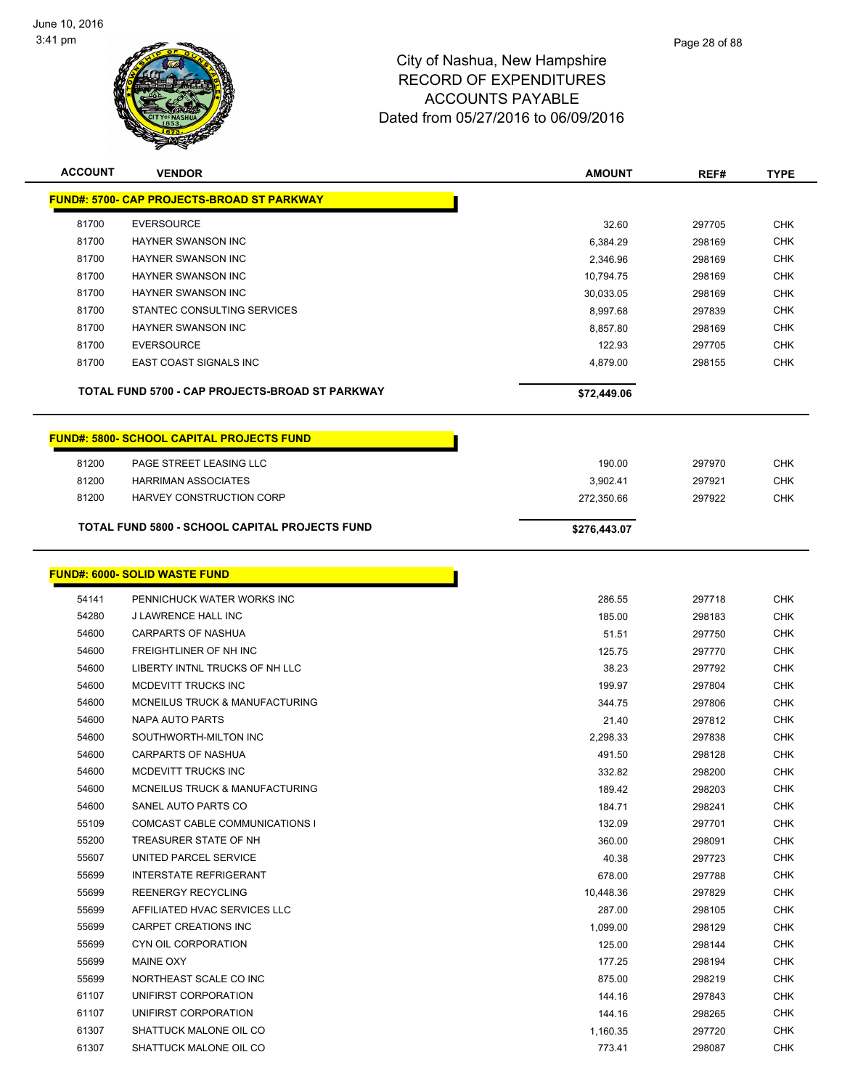

| <b>ACCOUNT</b> | <b>VENDOR</b>                                         | <b>AMOUNT</b>      | REF#             | <b>TYPE</b>              |
|----------------|-------------------------------------------------------|--------------------|------------------|--------------------------|
|                | <b>FUND#: 5700- CAP PROJECTS-BROAD ST PARKWAY</b>     |                    |                  |                          |
|                |                                                       |                    |                  |                          |
| 81700          | <b>EVERSOURCE</b>                                     | 32.60              | 297705           | <b>CHK</b>               |
| 81700          | <b>HAYNER SWANSON INC</b>                             | 6,384.29           | 298169           | <b>CHK</b>               |
| 81700          | HAYNER SWANSON INC                                    | 2,346.96           | 298169           | <b>CHK</b>               |
| 81700          | HAYNER SWANSON INC                                    | 10,794.75          | 298169           | <b>CHK</b>               |
| 81700          | HAYNER SWANSON INC                                    | 30,033.05          | 298169           | <b>CHK</b>               |
| 81700          | STANTEC CONSULTING SERVICES                           | 8,997.68           | 297839           | <b>CHK</b>               |
| 81700          | <b>HAYNER SWANSON INC</b>                             | 8.857.80           | 298169           | <b>CHK</b>               |
| 81700          | <b>EVERSOURCE</b>                                     | 122.93             | 297705           | <b>CHK</b>               |
| 81700          | EAST COAST SIGNALS INC                                | 4,879.00           | 298155           | <b>CHK</b>               |
|                | TOTAL FUND 5700 - CAP PROJECTS-BROAD ST PARKWAY       | \$72,449.06        |                  |                          |
|                | <b>FUND#: 5800- SCHOOL CAPITAL PROJECTS FUND</b>      |                    |                  |                          |
| 81200          | PAGE STREET LEASING LLC                               |                    | 297970           | <b>CHK</b>               |
| 81200          | <b>HARRIMAN ASSOCIATES</b>                            | 190.00<br>3,902.41 | 297921           | <b>CHK</b>               |
| 81200          | HARVEY CONSTRUCTION CORP                              | 272,350.66         | 297922           | <b>CHK</b>               |
|                |                                                       |                    |                  |                          |
|                | <b>TOTAL FUND 5800 - SCHOOL CAPITAL PROJECTS FUND</b> | \$276,443.07       |                  |                          |
|                | <b>FUND#: 6000- SOLID WASTE FUND</b>                  |                    |                  |                          |
|                |                                                       |                    |                  |                          |
| 54141<br>54280 | PENNICHUCK WATER WORKS INC<br>J LAWRENCE HALL INC     | 286.55             | 297718           | <b>CHK</b>               |
| 54600          | <b>CARPARTS OF NASHUA</b>                             | 185.00<br>51.51    | 298183<br>297750 | <b>CHK</b><br><b>CHK</b> |
| 54600          | FREIGHTLINER OF NH INC                                | 125.75             | 297770           | <b>CHK</b>               |
| 54600          | LIBERTY INTNL TRUCKS OF NH LLC                        | 38.23              | 297792           | <b>CHK</b>               |
| 54600          | MCDEVITT TRUCKS INC                                   | 199.97             | 297804           | <b>CHK</b>               |
| 54600          | MCNEILUS TRUCK & MANUFACTURING                        | 344.75             | 297806           | CHK                      |
| 54600          | NAPA AUTO PARTS                                       | 21.40              | 297812           | <b>CHK</b>               |
| 54600          | SOUTHWORTH-MILTON INC                                 | 2,298.33           | 297838           | <b>CHK</b>               |
| 54600          | <b>CARPARTS OF NASHUA</b>                             | 491.50             | 298128           | <b>CHK</b>               |
| 54600          | MCDEVITT TRUCKS INC                                   | 332.82             | 298200           | <b>CHK</b>               |
| 54600          | MCNEILUS TRUCK & MANUFACTURING                        | 189.42             | 298203           | <b>CHK</b>               |
| 54600          | SANEL AUTO PARTS CO                                   | 184.71             | 298241           | <b>CHK</b>               |
| 55109          | COMCAST CABLE COMMUNICATIONS I                        | 132.09             | 297701           | <b>CHK</b>               |
| 55200          | TREASURER STATE OF NH                                 | 360.00             | 298091           | <b>CHK</b>               |
| 55607          | UNITED PARCEL SERVICE                                 | 40.38              | 297723           | <b>CHK</b>               |
| 55699          | <b>INTERSTATE REFRIGERANT</b>                         | 678.00             | 297788           | <b>CHK</b>               |
| 55699          | REENERGY RECYCLING                                    | 10,448.36          | 297829           | <b>CHK</b>               |
| 55699          | AFFILIATED HVAC SERVICES LLC                          | 287.00             | 298105           | <b>CHK</b>               |
| 55699          | CARPET CREATIONS INC                                  | 1,099.00           | 298129           | <b>CHK</b>               |
| 55699          | CYN OIL CORPORATION                                   | 125.00             | 298144           | <b>CHK</b>               |
| 55699          | <b>MAINE OXY</b>                                      | 177.25             | 298194           | <b>CHK</b>               |
| 55699          | NORTHEAST SCALE CO INC                                | 875.00             | 298219           | <b>CHK</b>               |
| 61107          | UNIFIRST CORPORATION                                  | 144.16             | 297843           | <b>CHK</b>               |
| 61107          | UNIFIRST CORPORATION                                  | 144.16             | 298265           | <b>CHK</b>               |
| 61307          | SHATTUCK MALONE OIL CO                                | 1,160.35           | 297720           | <b>CHK</b>               |
| 61307          | SHATTUCK MALONE OIL CO                                | 773.41             | 298087           | <b>CHK</b>               |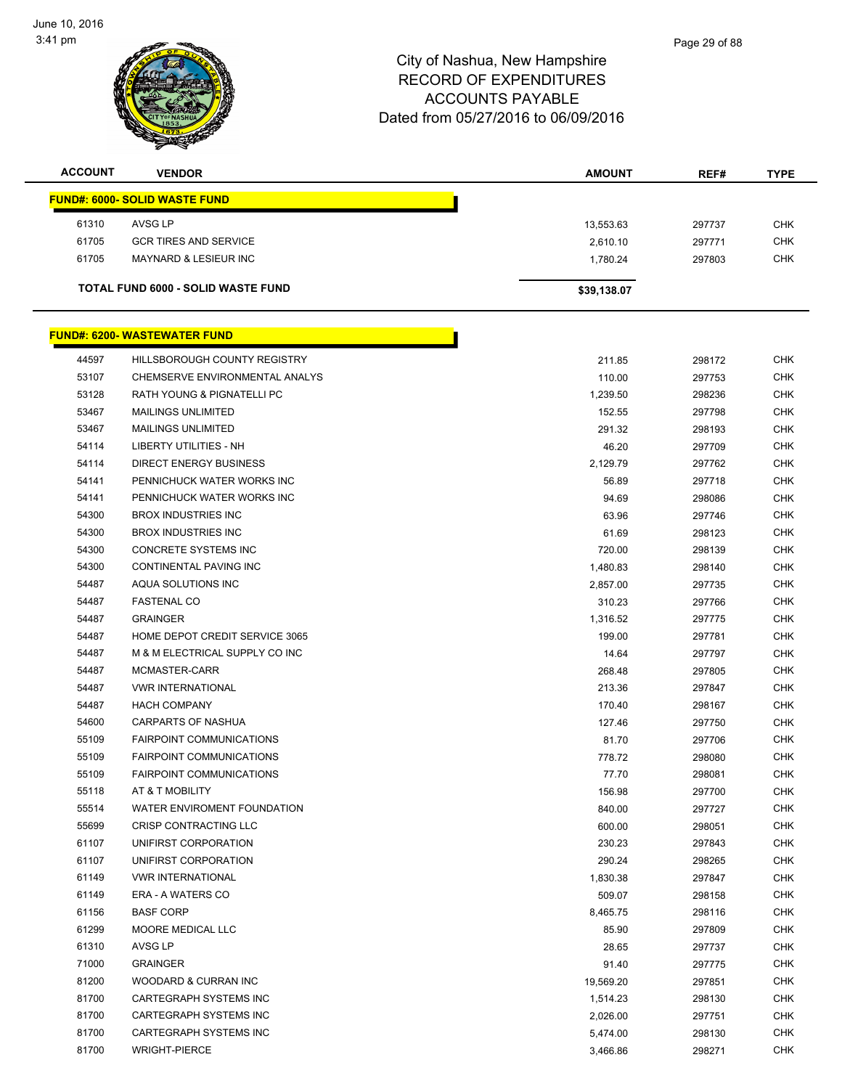

| CORD OF EXPENDITURES |  |
|----------------------|--|
| ACCOUNTS DAVARLE     |  |

|                | $\overline{\mathscr{D}}$                  |               |        |             |
|----------------|-------------------------------------------|---------------|--------|-------------|
| <b>ACCOUNT</b> | <b>VENDOR</b>                             | <b>AMOUNT</b> | REF#   | <b>TYPE</b> |
|                | FUND#: 6000- SOLID WASTE FUND             |               |        |             |
| 61310          | AVSG LP                                   | 13,553.63     | 297737 | <b>CHK</b>  |
| 61705          | <b>GCR TIRES AND SERVICE</b>              | 2,610.10      | 297771 | <b>CHK</b>  |
| 61705          | <b>MAYNARD &amp; LESIEUR INC</b>          | 1,780.24      | 297803 | <b>CHK</b>  |
|                | <b>TOTAL FUND 6000 - SOLID WASTE FUND</b> | \$39,138.07   |        |             |

|       | <u> FUND#: 6200- WASTEWATER FUND</u> |           |
|-------|--------------------------------------|-----------|
| 44597 | HILLSBOROUGH COUNTY REGISTRY         | 211.85    |
| 53107 | CHEMSERVE ENVIRONMENTAL ANALYS       | 110.00    |
| 53128 | RATH YOUNG & PIGNATELLI PC           | 1,239.50  |
| 53467 | <b>MAILINGS UNLIMITED</b>            | 152.55    |
| 53467 | <b>MAILINGS UNLIMITED</b>            | 291.32    |
| 54114 | LIBERTY UTILITIES - NH               | 46.20     |
| 54114 | <b>DIRECT ENERGY BUSINESS</b>        | 2,129.79  |
| 54141 | PENNICHUCK WATER WORKS INC           | 56.89     |
| 54141 | PENNICHUCK WATER WORKS INC           | 94.69     |
| 54300 | <b>BROX INDUSTRIES INC</b>           | 63.96     |
| 54300 | <b>BROX INDUSTRIES INC</b>           | 61.69     |
| 54300 | CONCRETE SYSTEMS INC                 | 720.00    |
| 54300 | CONTINENTAL PAVING INC               | 1,480.83  |
| 54487 | AQUA SOLUTIONS INC                   | 2,857.00  |
| 54487 | <b>FASTENAL CO</b>                   | 310.23    |
| 54487 | <b>GRAINGER</b>                      | 1,316.52  |
| 54487 | HOME DEPOT CREDIT SERVICE 3065       | 199.00    |
| 54487 | M & M ELECTRICAL SUPPLY CO INC       | 14.64     |
| 54487 | MCMASTER-CARR                        | 268.48    |
| 54487 | <b>VWR INTERNATIONAL</b>             | 213.36    |
| 54487 | <b>HACH COMPANY</b>                  | 170.40    |
| 54600 | CARPARTS OF NASHUA                   | 127.46    |
| 55109 | <b>FAIRPOINT COMMUNICATIONS</b>      | 81.70     |
| 55109 | FAIRPOINT COMMUNICATIONS             | 778.72    |
| 55109 | FAIRPOINT COMMUNICATIONS             | 77.70     |
| 55118 | AT & T MOBILITY                      | 156.98    |
| 55514 | WATER ENVIROMENT FOUNDATION          | 840.00    |
| 55699 | CRISP CONTRACTING LLC                | 600.00    |
| 61107 | UNIFIRST CORPORATION                 | 230.23    |
| 61107 | UNIFIRST CORPORATION                 | 290.24    |
| 61149 | <b>VWR INTERNATIONAL</b>             | 1,830.38  |
| 61149 | ERA - A WATERS CO                    | 509.07    |
| 61156 | BASF CORP                            | 8,465.75  |
| 61299 | MOORE MEDICAL LLC                    | 85.90     |
| 61310 | AVSG LP                              | 28.65     |
| 71000 | <b>GRAINGER</b>                      | 91.40     |
| 81200 | WOODARD & CURRAN INC                 | 19,569.20 |
| 81700 | CARTEGRAPH SYSTEMS INC               | 1,514.23  |
| 81700 | CARTEGRAPH SYSTEMS INC               | 2,026.00  |
| 81700 | CARTEGRAPH SYSTEMS INC               | 5,474.00  |
| 81700 | <b>WRIGHT-PIERCE</b>                 | 3,466.86  |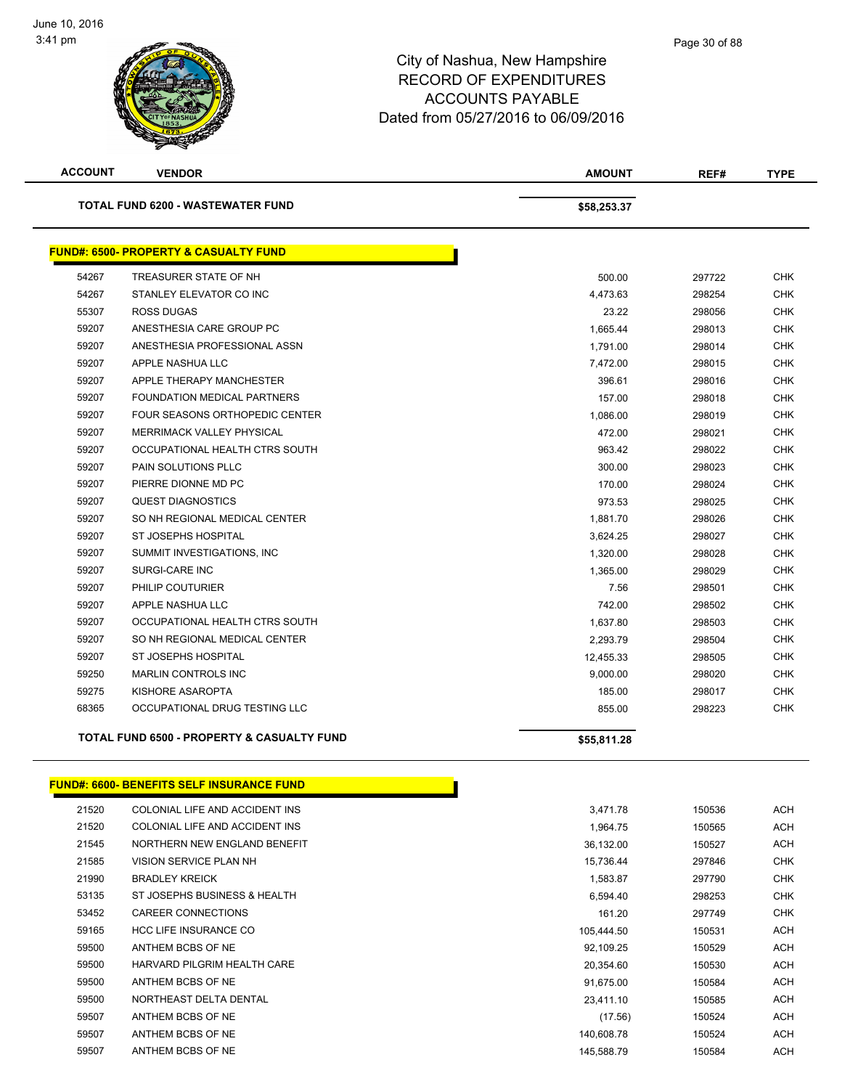

| <b>ACCOUNT</b>                           | <b>VENDOR</b>                                    | <b>AMOUNT</b> | REF#   | <b>TYPE</b> |
|------------------------------------------|--------------------------------------------------|---------------|--------|-------------|
| <b>TOTAL FUND 6200 - WASTEWATER FUND</b> |                                                  | \$58,253.37   |        |             |
|                                          | <b>FUND#: 6500- PROPERTY &amp; CASUALTY FUND</b> |               |        |             |
| 54267                                    | TREASURER STATE OF NH                            | 500.00        | 297722 | <b>CHK</b>  |
| 54267                                    | STANLEY ELEVATOR CO INC                          | 4,473.63      | 298254 | <b>CHK</b>  |
| 55307                                    | <b>ROSS DUGAS</b>                                | 23.22         | 298056 | <b>CHK</b>  |
| 59207                                    | ANESTHESIA CARE GROUP PC                         | 1,665.44      | 298013 | <b>CHK</b>  |
| 59207                                    | ANESTHESIA PROFESSIONAL ASSN                     | 1,791.00      | 298014 | <b>CHK</b>  |
| 59207                                    | APPLE NASHUA LLC                                 | 7,472.00      | 298015 | <b>CHK</b>  |
| 59207                                    | APPLE THERAPY MANCHESTER                         | 396.61        | 298016 | <b>CHK</b>  |
| 59207                                    | <b>FOUNDATION MEDICAL PARTNERS</b>               | 157.00        | 298018 | <b>CHK</b>  |
| 59207                                    | <b>FOUR SEASONS ORTHOPEDIC CENTER</b>            | 1,086.00      | 298019 | <b>CHK</b>  |
| 59207                                    | <b>MERRIMACK VALLEY PHYSICAL</b>                 | 472.00        | 298021 | <b>CHK</b>  |
| 59207                                    | OCCUPATIONAL HEALTH CTRS SOUTH                   | 963.42        | 298022 | <b>CHK</b>  |
| 59207                                    | <b>PAIN SOLUTIONS PLLC</b>                       | 300.00        | 298023 | <b>CHK</b>  |
| 59207                                    | PIERRE DIONNE MD PC                              | 170.00        | 298024 | <b>CHK</b>  |
| 59207                                    | <b>QUEST DIAGNOSTICS</b>                         | 973.53        | 298025 | <b>CHK</b>  |
| 59207                                    | SO NH REGIONAL MEDICAL CENTER                    | 1,881.70      | 298026 | <b>CHK</b>  |
| 59207                                    | ST JOSEPHS HOSPITAL                              | 3,624.25      | 298027 | <b>CHK</b>  |
| 59207                                    | SUMMIT INVESTIGATIONS, INC                       | 1,320.00      | 298028 | <b>CHK</b>  |
| 59207                                    | SURGI-CARE INC                                   | 1,365.00      | 298029 | <b>CHK</b>  |
| 59207                                    | PHILIP COUTURIER                                 | 7.56          | 298501 | <b>CHK</b>  |
| 59207                                    | APPLE NASHUA LLC                                 | 742.00        | 298502 | <b>CHK</b>  |
| 59207                                    | OCCUPATIONAL HEALTH CTRS SOUTH                   | 1,637.80      | 298503 | <b>CHK</b>  |
| 59207                                    | SO NH REGIONAL MEDICAL CENTER                    | 2,293.79      | 298504 | <b>CHK</b>  |
| 59207                                    | <b>ST JOSEPHS HOSPITAL</b>                       | 12,455.33     | 298505 | <b>CHK</b>  |
| 59250                                    | <b>MARLIN CONTROLS INC</b>                       | 9,000.00      | 298020 | <b>CHK</b>  |
| 59275                                    | KISHORE ASAROPTA                                 | 185.00        | 298017 | <b>CHK</b>  |
| 68365                                    | OCCUPATIONAL DRUG TESTING LLC                    | 855.00        | 298223 | <b>CHK</b>  |

#### TOTAL FUND 6500 - PROPERTY & CASUALTY FUND<br>
\$55,811.28

| \$55,811.28 |  |  |
|-------------|--|--|
|-------------|--|--|

#### **FUND#: 6600- BENEFITS SELF INSURANCE FUND**

| 21520 | COLONIAL LIFE AND ACCIDENT INS | 3,471.78   | 150536 | <b>ACH</b> |
|-------|--------------------------------|------------|--------|------------|
| 21520 | COLONIAL LIFE AND ACCIDENT INS | 1,964.75   | 150565 | <b>ACH</b> |
| 21545 | NORTHERN NEW ENGLAND BENEFIT   | 36,132.00  | 150527 | <b>ACH</b> |
| 21585 | VISION SERVICE PLAN NH         | 15,736.44  | 297846 | <b>CHK</b> |
| 21990 | <b>BRADLEY KREICK</b>          | 1,583.87   | 297790 | <b>CHK</b> |
| 53135 | ST JOSEPHS BUSINESS & HEALTH   | 6,594.40   | 298253 | <b>CHK</b> |
| 53452 | CAREER CONNECTIONS             | 161.20     | 297749 | <b>CHK</b> |
| 59165 | <b>HCC LIFE INSURANCE CO</b>   | 105,444.50 | 150531 | <b>ACH</b> |
| 59500 | ANTHEM BCBS OF NE              | 92,109.25  | 150529 | <b>ACH</b> |
| 59500 | HARVARD PILGRIM HEALTH CARE    | 20,354.60  | 150530 | <b>ACH</b> |
| 59500 | ANTHEM BCBS OF NE              | 91,675.00  | 150584 | <b>ACH</b> |
| 59500 | NORTHEAST DELTA DENTAL         | 23,411.10  | 150585 | <b>ACH</b> |
| 59507 | ANTHEM BCBS OF NE              | (17.56)    | 150524 | <b>ACH</b> |
| 59507 | ANTHEM BCBS OF NE              | 140,608.78 | 150524 | ACH        |
| 59507 | ANTHEM BCBS OF NE              | 145,588.79 | 150584 | <b>ACH</b> |
|       |                                |            |        |            |

Γ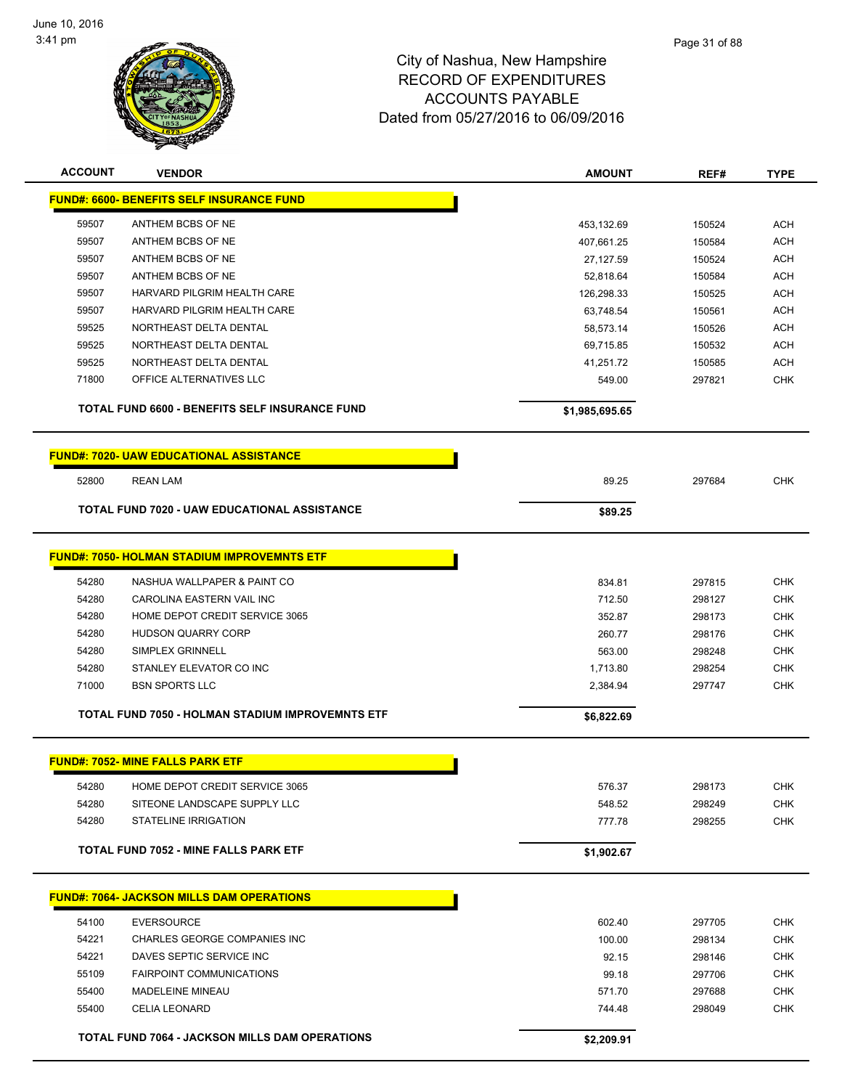

| <b>ACCOUNT</b> | <b>VENDOR</b>                                           | <b>AMOUNT</b>  | REF#   | <b>TYPE</b> |
|----------------|---------------------------------------------------------|----------------|--------|-------------|
|                | <b>FUND#: 6600- BENEFITS SELF INSURANCE FUND</b>        |                |        |             |
| 59507          | ANTHEM BCBS OF NE                                       | 453,132.69     | 150524 | <b>ACH</b>  |
| 59507          | ANTHEM BCBS OF NE                                       | 407,661.25     | 150584 | <b>ACH</b>  |
| 59507          | ANTHEM BCBS OF NE                                       | 27,127.59      | 150524 | <b>ACH</b>  |
| 59507          | ANTHEM BCBS OF NE                                       | 52,818.64      | 150584 | <b>ACH</b>  |
| 59507          | HARVARD PILGRIM HEALTH CARE                             | 126,298.33     | 150525 | <b>ACH</b>  |
| 59507          | HARVARD PILGRIM HEALTH CARE                             | 63,748.54      | 150561 | <b>ACH</b>  |
| 59525          | NORTHEAST DELTA DENTAL                                  | 58,573.14      | 150526 | <b>ACH</b>  |
| 59525          | NORTHEAST DELTA DENTAL                                  | 69,715.85      | 150532 | <b>ACH</b>  |
| 59525          | NORTHEAST DELTA DENTAL                                  | 41,251.72      | 150585 | <b>ACH</b>  |
| 71800          | OFFICE ALTERNATIVES LLC                                 | 549.00         | 297821 | <b>CHK</b>  |
|                |                                                         |                |        |             |
|                | TOTAL FUND 6600 - BENEFITS SELF INSURANCE FUND          | \$1,985,695.65 |        |             |
|                | <b>FUND#: 7020- UAW EDUCATIONAL ASSISTANCE</b>          |                |        |             |
| 52800          | <b>REAN LAM</b>                                         | 89.25          | 297684 | <b>CHK</b>  |
|                | TOTAL FUND 7020 - UAW EDUCATIONAL ASSISTANCE            | \$89.25        |        |             |
|                |                                                         |                |        |             |
|                | <b>FUND#: 7050- HOLMAN STADIUM IMPROVEMNTS ETF</b>      |                |        |             |
| 54280          | NASHUA WALLPAPER & PAINT CO                             | 834.81         | 297815 | <b>CHK</b>  |
| 54280          | CAROLINA EASTERN VAIL INC                               | 712.50         | 298127 | <b>CHK</b>  |
| 54280          | HOME DEPOT CREDIT SERVICE 3065                          | 352.87         | 298173 | <b>CHK</b>  |
| 54280          | <b>HUDSON QUARRY CORP</b>                               | 260.77         | 298176 | <b>CHK</b>  |
| 54280          | <b>SIMPLEX GRINNELL</b>                                 | 563.00         | 298248 | <b>CHK</b>  |
| 54280          | STANLEY ELEVATOR CO INC                                 | 1,713.80       | 298254 | <b>CHK</b>  |
| 71000          | <b>BSN SPORTS LLC</b>                                   | 2,384.94       | 297747 | <b>CHK</b>  |
|                | <b>TOTAL FUND 7050 - HOLMAN STADIUM IMPROVEMNTS ETF</b> | \$6,822.69     |        |             |
|                |                                                         |                |        |             |
|                | <b>FUND#: 7052- MINE FALLS PARK ETF</b>                 |                |        |             |
| 54280          | HOME DEPOT CREDIT SERVICE 3065                          | 576.37         | 298173 | <b>CHK</b>  |
| 54280          | SITEONE LANDSCAPE SUPPLY LLC                            | 548.52         | 298249 | <b>CHK</b>  |
| 54280          | <b>STATELINE IRRIGATION</b>                             | 777.78         | 298255 | <b>CHK</b>  |
|                | <b>TOTAL FUND 7052 - MINE FALLS PARK ETF</b>            | \$1,902.67     |        |             |
|                |                                                         |                |        |             |
|                | <b>FUND#: 7064- JACKSON MILLS DAM OPERATIONS</b>        |                |        |             |
| 54100          | <b>EVERSOURCE</b>                                       | 602.40         | 297705 | <b>CHK</b>  |
| 54221          | CHARLES GEORGE COMPANIES INC                            | 100.00         | 298134 | <b>CHK</b>  |
| 54221          | DAVES SEPTIC SERVICE INC                                | 92.15          | 298146 | <b>CHK</b>  |
| 55109          | <b>FAIRPOINT COMMUNICATIONS</b>                         | 99.18          | 297706 | <b>CHK</b>  |
| 55400          | MADELEINE MINEAU                                        | 571.70         | 297688 | <b>CHK</b>  |
| 55400          | <b>CELIA LEONARD</b>                                    | 744.48         | 298049 | <b>CHK</b>  |
|                | TOTAL FUND 7064 - JACKSON MILLS DAM OPERATIONS          | \$2,209.91     |        |             |
|                |                                                         |                |        |             |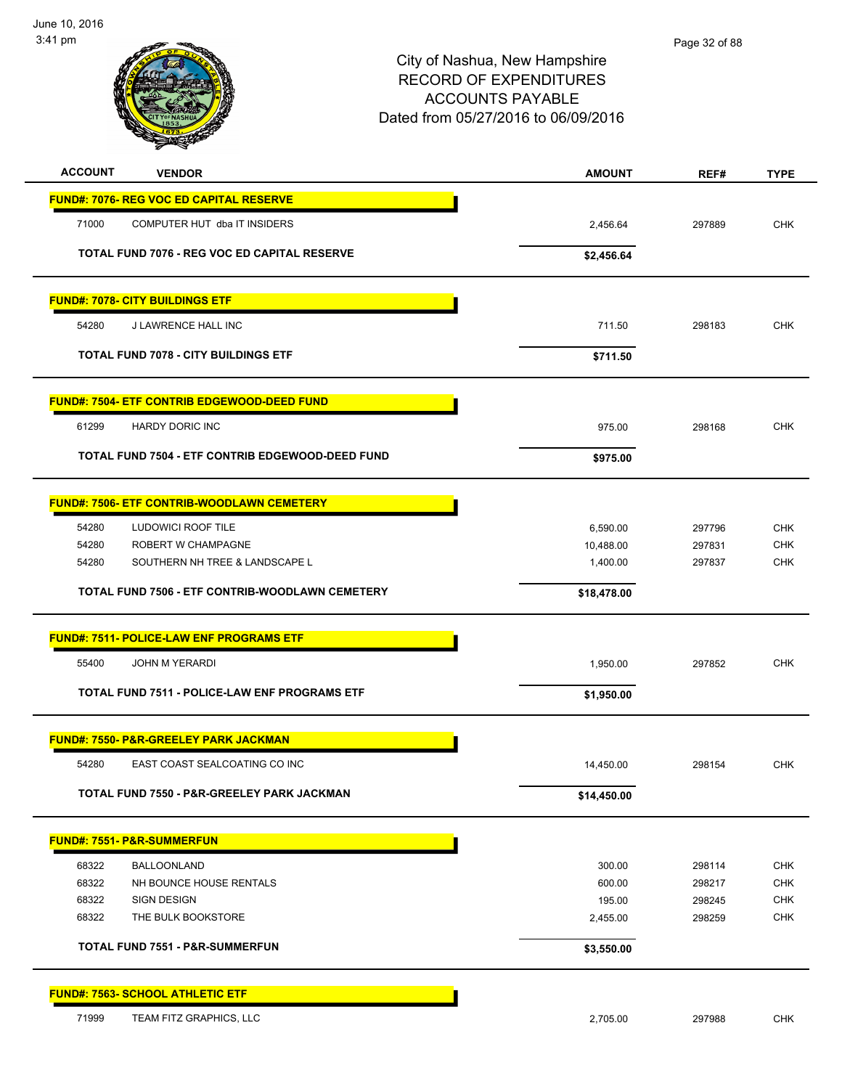

| <b>ACCOUNT</b><br><b>VENDOR</b>                    | <b>AMOUNT</b> | REF#   | <b>TYPE</b> |
|----------------------------------------------------|---------------|--------|-------------|
| <b>FUND#: 7076- REG VOC ED CAPITAL RESERVE</b>     |               |        |             |
| 71000<br>COMPUTER HUT dba IT INSIDERS              | 2,456.64      | 297889 | <b>CHK</b>  |
| TOTAL FUND 7076 - REG VOC ED CAPITAL RESERVE       | \$2,456.64    |        |             |
|                                                    |               |        |             |
| <b>FUND#: 7078- CITY BUILDINGS ETF</b>             |               |        |             |
| 54280<br>J LAWRENCE HALL INC                       | 711.50        | 298183 | <b>CHK</b>  |
| <b>TOTAL FUND 7078 - CITY BUILDINGS ETF</b>        | \$711.50      |        |             |
| <b>FUND#: 7504- ETF CONTRIB EDGEWOOD-DEED FUND</b> |               |        |             |
| 61299<br><b>HARDY DORIC INC</b>                    | 975.00        | 298168 | <b>CHK</b>  |
| TOTAL FUND 7504 - ETF CONTRIB EDGEWOOD-DEED FUND   | \$975.00      |        |             |
| <b>FUND#: 7506- ETF CONTRIB-WOODLAWN CEMETERY</b>  |               |        |             |
| 54280<br><b>LUDOWICI ROOF TILE</b>                 | 6,590.00      | 297796 | <b>CHK</b>  |
| 54280<br>ROBERT W CHAMPAGNE                        | 10,488.00     | 297831 | <b>CHK</b>  |
| SOUTHERN NH TREE & LANDSCAPE L<br>54280            | 1,400.00      | 297837 | <b>CHK</b>  |
| TOTAL FUND 7506 - ETF CONTRIB-WOODLAWN CEMETERY    | \$18,478.00   |        |             |
| <b>FUND#: 7511- POLICE-LAW ENF PROGRAMS ETF</b>    |               |        |             |
| 55400<br><b>JOHN M YERARDI</b>                     | 1,950.00      | 297852 | <b>CHK</b>  |
| TOTAL FUND 7511 - POLICE-LAW ENF PROGRAMS ETF      | \$1,950.00    |        |             |
|                                                    |               |        |             |
| <b>FUND#: 7550- P&amp;R-GREELEY PARK JACKMAN</b>   |               |        |             |
| 54280<br>EAST COAST SEALCOATING CO INC             | 14,450.00     | 298154 | <b>CHK</b>  |
| TOTAL FUND 7550 - P&R-GREELEY PARK JACKMAN         | \$14,450.00   |        |             |
| <b>FUND#: 7551- P&amp;R-SUMMERFUN</b>              |               |        |             |
| 68322<br><b>BALLOONLAND</b>                        | 300.00        | 298114 | <b>CHK</b>  |
| 68322<br>NH BOUNCE HOUSE RENTALS                   | 600.00        | 298217 | <b>CHK</b>  |
| 68322<br>SIGN DESIGN                               | 195.00        | 298245 | <b>CHK</b>  |
| 68322<br>THE BULK BOOKSTORE                        | 2,455.00      | 298259 | <b>CHK</b>  |
| <b>TOTAL FUND 7551 - P&amp;R-SUMMERFUN</b>         | \$3,550.00    |        |             |
| FUND#: 7563- SCHOOL ATHLETIC ETF                   |               |        |             |
| 71999<br>TEAM FITZ GRAPHICS, LLC                   | 2,705.00      | 297988 | <b>CHK</b>  |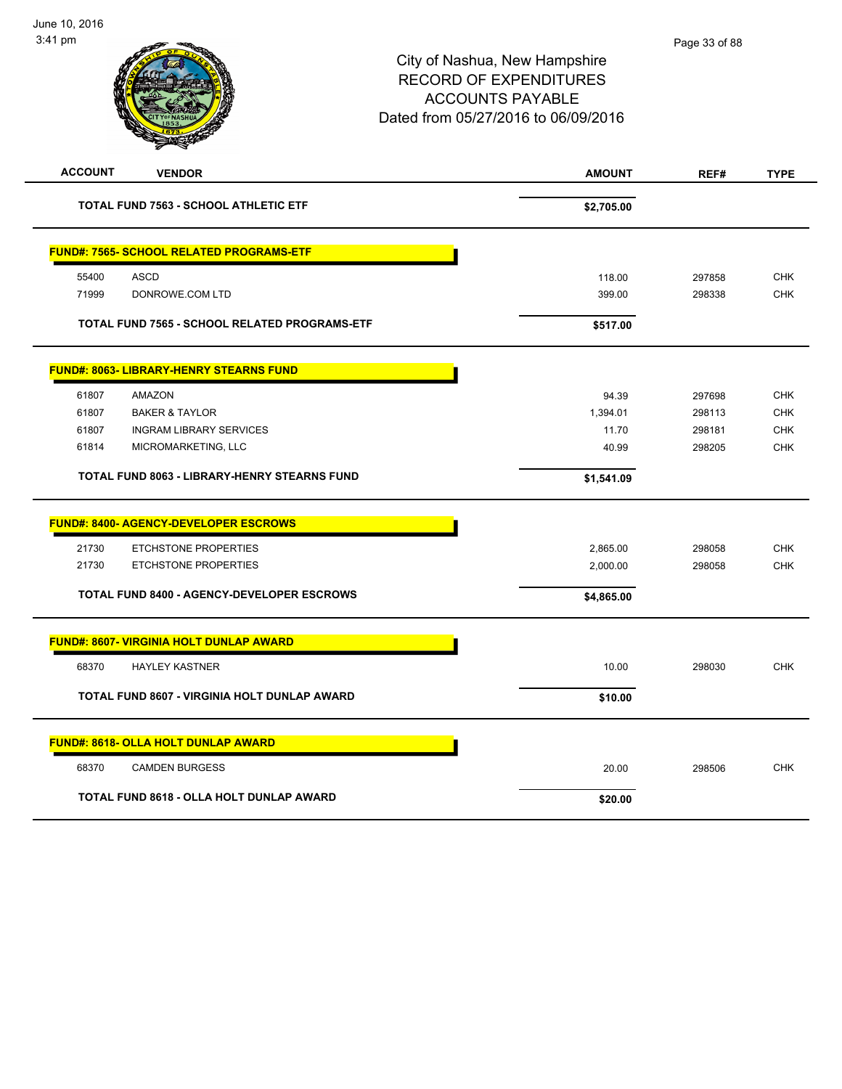| <b>ACCOUNT</b><br><b>VENDOR</b>                 |                                                     | <b>AMOUNT</b> | REF#   | <b>TYPE</b> |
|-------------------------------------------------|-----------------------------------------------------|---------------|--------|-------------|
|                                                 | <b>TOTAL FUND 7563 - SCHOOL ATHLETIC ETF</b>        | \$2,705.00    |        |             |
| <b>FUND#: 7565- SCHOOL RELATED PROGRAMS-ETF</b> |                                                     |               |        |             |
| 55400<br><b>ASCD</b>                            |                                                     | 118.00        | 297858 | <b>CHK</b>  |
| 71999<br>DONROWE.COM LTD                        |                                                     | 399.00        | 298338 | <b>CHK</b>  |
|                                                 | TOTAL FUND 7565 - SCHOOL RELATED PROGRAMS-ETF       | \$517.00      |        |             |
| <b>FUND#: 8063- LIBRARY-HENRY STEARNS FUND</b>  |                                                     |               |        |             |
| 61807<br><b>AMAZON</b>                          |                                                     | 94.39         | 297698 | <b>CHK</b>  |
| 61807<br><b>BAKER &amp; TAYLOR</b>              |                                                     | 1,394.01      | 298113 | <b>CHK</b>  |
| 61807                                           | <b>INGRAM LIBRARY SERVICES</b>                      | 11.70         | 298181 | <b>CHK</b>  |
| 61814                                           | MICROMARKETING, LLC                                 | 40.99         | 298205 | <b>CHK</b>  |
|                                                 | <b>TOTAL FUND 8063 - LIBRARY-HENRY STEARNS FUND</b> | \$1,541.09    |        |             |
| <b>FUND#: 8400- AGENCY-DEVELOPER ESCROWS</b>    |                                                     |               |        |             |
| 21730                                           | <b>ETCHSTONE PROPERTIES</b>                         | 2,865.00      | 298058 | <b>CHK</b>  |
| 21730                                           | <b>ETCHSTONE PROPERTIES</b>                         | 2,000.00      | 298058 | <b>CHK</b>  |
|                                                 | <b>TOTAL FUND 8400 - AGENCY-DEVELOPER ESCROWS</b>   | \$4,865.00    |        |             |
| <b>FUND#: 8607- VIRGINIA HOLT DUNLAP AWARD</b>  |                                                     |               |        |             |
| 68370<br><b>HAYLEY KASTNER</b>                  |                                                     | 10.00         | 298030 | <b>CHK</b>  |
|                                                 | TOTAL FUND 8607 - VIRGINIA HOLT DUNLAP AWARD        | \$10.00       |        |             |
| <b>FUND#: 8618- OLLA HOLT DUNLAP AWARD</b>      |                                                     |               |        |             |
| 68370<br><b>CAMDEN BURGESS</b>                  |                                                     | 20.00         | 298506 | <b>CHK</b>  |
|                                                 | TOTAL FUND 8618 - OLLA HOLT DUNLAP AWARD            | \$20.00       |        |             |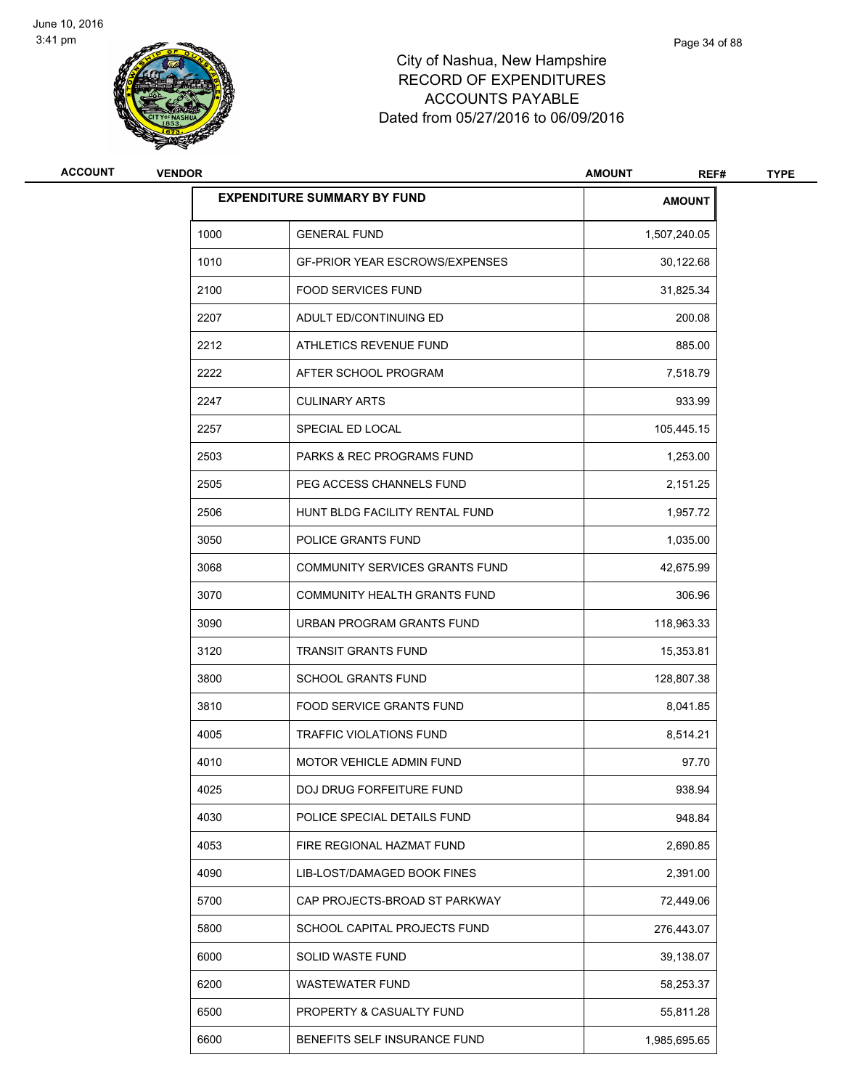

| ACCOUNT | <b>VENDOR</b> |                                       | <b>AMOUNT</b><br>REF# | <b>TYPE</b> |
|---------|---------------|---------------------------------------|-----------------------|-------------|
|         |               | <b>EXPENDITURE SUMMARY BY FUND</b>    | <b>AMOUNT</b>         |             |
|         | 1000          | <b>GENERAL FUND</b>                   | 1,507,240.05          |             |
|         | 1010          | <b>GF-PRIOR YEAR ESCROWS/EXPENSES</b> | 30,122.68             |             |
|         | 2100          | <b>FOOD SERVICES FUND</b>             | 31,825.34             |             |
|         | 2207          | ADULT ED/CONTINUING ED                | 200.08                |             |
|         | 2212          | ATHLETICS REVENUE FUND                | 885.00                |             |
|         | 2222          | AFTER SCHOOL PROGRAM                  | 7,518.79              |             |
|         | 2247          | <b>CULINARY ARTS</b>                  | 933.99                |             |
|         | 2257          | SPECIAL ED LOCAL                      | 105,445.15            |             |
|         | 2503          | <b>PARKS &amp; REC PROGRAMS FUND</b>  | 1,253.00              |             |
|         | 2505          | PEG ACCESS CHANNELS FUND              | 2,151.25              |             |
|         | 2506          | HUNT BLDG FACILITY RENTAL FUND        | 1,957.72              |             |
|         | 3050          | POLICE GRANTS FUND                    | 1,035.00              |             |
|         | 3068          | COMMUNITY SERVICES GRANTS FUND        | 42,675.99             |             |
|         | 3070          | COMMUNITY HEALTH GRANTS FUND          | 306.96                |             |
|         | 3090          | URBAN PROGRAM GRANTS FUND             | 118,963.33            |             |
|         | 3120          | <b>TRANSIT GRANTS FUND</b>            | 15,353.81             |             |
|         | 3800          | <b>SCHOOL GRANTS FUND</b>             | 128,807.38            |             |
|         | 3810          | <b>FOOD SERVICE GRANTS FUND</b>       | 8,041.85              |             |
|         | 4005          | TRAFFIC VIOLATIONS FUND               | 8,514.21              |             |
|         | 4010          | <b>MOTOR VEHICLE ADMIN FUND</b>       | 97.70                 |             |
|         | 4025          | DOJ DRUG FORFEITURE FUND              | 938.94                |             |
|         | 4030          | POLICE SPECIAL DETAILS FUND           | 948.84                |             |
|         | 4053          | FIRE REGIONAL HAZMAT FUND             | 2,690.85              |             |
|         | 4090          | LIB-LOST/DAMAGED BOOK FINES           | 2,391.00              |             |
|         | 5700          | CAP PROJECTS-BROAD ST PARKWAY         | 72,449.06             |             |
|         | 5800          | SCHOOL CAPITAL PROJECTS FUND          | 276,443.07            |             |
|         | 6000          | SOLID WASTE FUND                      | 39,138.07             |             |
|         | 6200          | <b>WASTEWATER FUND</b>                | 58,253.37             |             |
|         | 6500          | PROPERTY & CASUALTY FUND              | 55,811.28             |             |
|         | 6600          | BENEFITS SELF INSURANCE FUND          | 1,985,695.65          |             |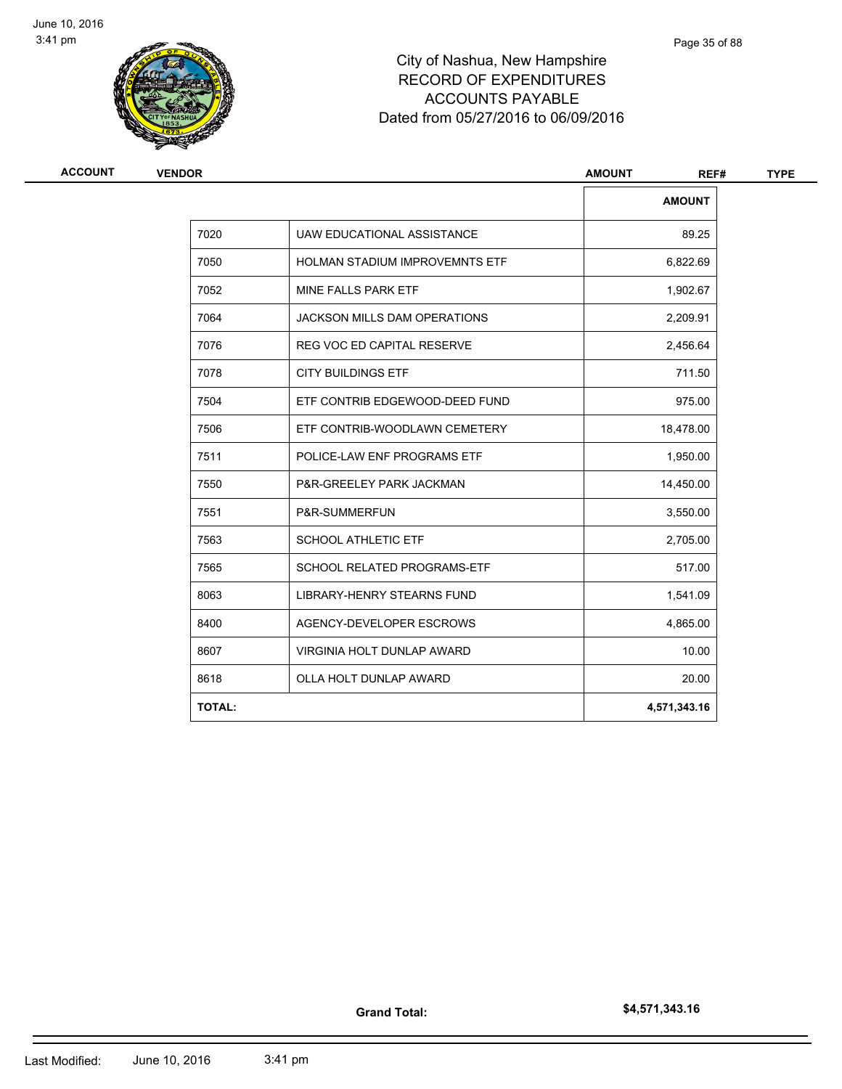

| <b>VENDOR</b> |                                       | <b>AMOUNT</b><br>REF# |  |
|---------------|---------------------------------------|-----------------------|--|
|               |                                       | <b>AMOUNT</b>         |  |
| 7020          | UAW EDUCATIONAL ASSISTANCE            | 89.25                 |  |
| 7050          | <b>HOLMAN STADIUM IMPROVEMNTS ETF</b> | 6,822.69              |  |
| 7052          | MINE FALLS PARK ETF                   | 1,902.67              |  |
| 7064          | <b>JACKSON MILLS DAM OPERATIONS</b>   | 2,209.91              |  |
| 7076          | <b>REG VOC ED CAPITAL RESERVE</b>     | 2,456.64              |  |
| 7078          | <b>CITY BUILDINGS ETF</b>             | 711.50                |  |
| 7504          | ETF CONTRIB EDGEWOOD-DEED FUND        | 975.00                |  |
| 7506          | ETF CONTRIB-WOODLAWN CEMETERY         | 18,478.00             |  |
| 7511          | POLICE-LAW ENF PROGRAMS ETF           | 1,950.00              |  |
| 7550          | P&R-GREELEY PARK JACKMAN              | 14,450.00             |  |
| 7551          | P&R-SUMMERFUN                         | 3,550.00              |  |
| 7563          | <b>SCHOOL ATHLETIC ETF</b>            | 2,705.00              |  |
| 7565          | SCHOOL RELATED PROGRAMS-ETF           | 517.00                |  |
| 8063          | <b>LIBRARY-HENRY STEARNS FUND</b>     | 1,541.09              |  |
| 8400          | AGENCY-DEVELOPER ESCROWS              | 4,865.00              |  |
| 8607          | <b>VIRGINIA HOLT DUNLAP AWARD</b>     | 10.00                 |  |
| 8618          | OLLA HOLT DUNLAP AWARD                | 20.00                 |  |
| <b>TOTAL:</b> |                                       | 4,571,343.16          |  |
|               |                                       |                       |  |

**Grand Total:**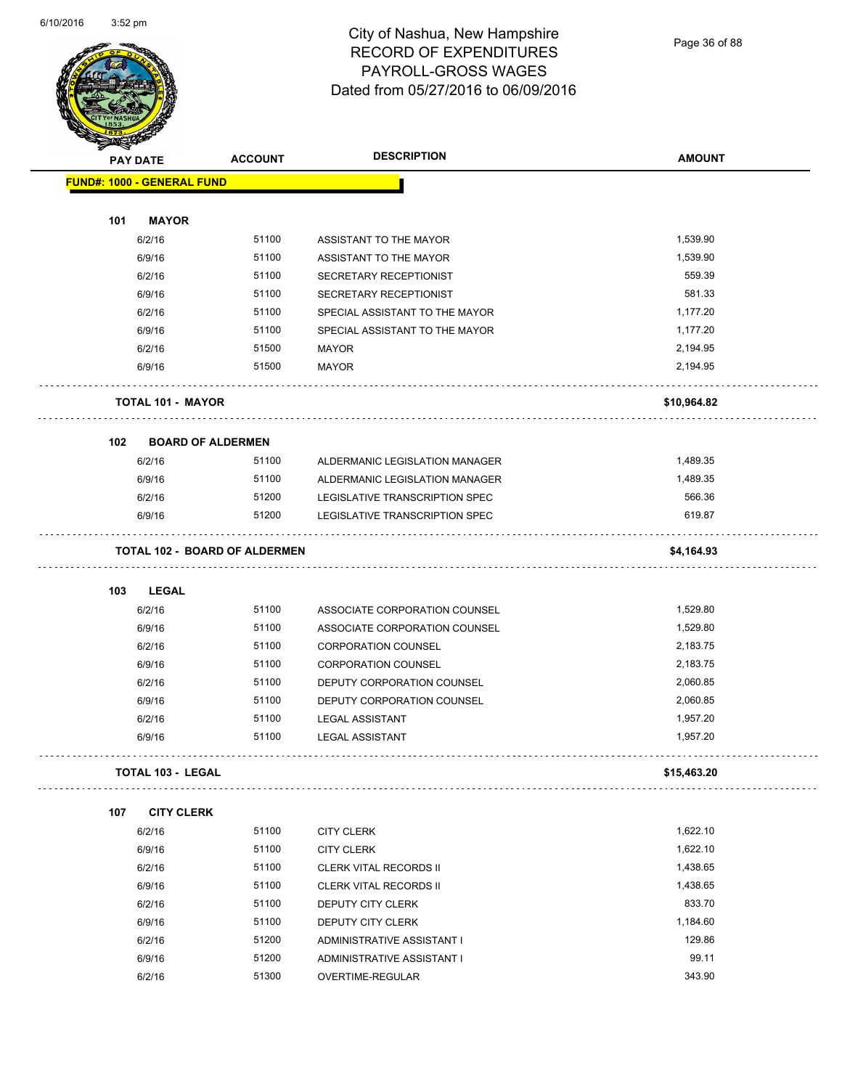

# City of Nashua, New Hampshire RECORD OF EXPENDITURES PAYROLL-GROSS WAGES Dated from 05/27/2016 to 06/09/2016

Page 36 of 88

| <b>SANGAL</b>                     |                          |                                      | <b>DESCRIPTION</b>             |                      |
|-----------------------------------|--------------------------|--------------------------------------|--------------------------------|----------------------|
| <b>PAY DATE</b>                   |                          | <b>ACCOUNT</b>                       |                                | <b>AMOUNT</b>        |
| <b>FUND#: 1000 - GENERAL FUND</b> |                          |                                      |                                |                      |
| 101                               | <b>MAYOR</b>             |                                      |                                |                      |
|                                   |                          | 51100                                |                                | 1,539.90             |
|                                   | 6/2/16                   | 51100                                | ASSISTANT TO THE MAYOR         | 1,539.90             |
|                                   | 6/9/16                   |                                      | ASSISTANT TO THE MAYOR         | 559.39               |
|                                   | 6/2/16                   | 51100                                | SECRETARY RECEPTIONIST         |                      |
|                                   | 6/9/16                   | 51100                                | SECRETARY RECEPTIONIST         | 581.33               |
|                                   | 6/2/16                   | 51100                                | SPECIAL ASSISTANT TO THE MAYOR | 1,177.20             |
|                                   | 6/9/16                   | 51100                                | SPECIAL ASSISTANT TO THE MAYOR | 1,177.20             |
|                                   | 6/2/16<br>6/9/16         | 51500<br>51500                       | <b>MAYOR</b><br><b>MAYOR</b>   | 2,194.95<br>2,194.95 |
|                                   |                          |                                      |                                |                      |
|                                   | TOTAL 101 - MAYOR        |                                      |                                | \$10,964.82          |
| 102                               | <b>BOARD OF ALDERMEN</b> |                                      |                                |                      |
|                                   | 6/2/16                   | 51100                                | ALDERMANIC LEGISLATION MANAGER | 1,489.35             |
|                                   | 6/9/16                   | 51100                                | ALDERMANIC LEGISLATION MANAGER | 1,489.35             |
|                                   | 6/2/16                   | 51200                                | LEGISLATIVE TRANSCRIPTION SPEC | 566.36               |
|                                   | 6/9/16                   | 51200                                | LEGISLATIVE TRANSCRIPTION SPEC | 619.87               |
|                                   |                          | <b>TOTAL 102 - BOARD OF ALDERMEN</b> |                                | \$4,164.93           |
| 103                               | LEGAL                    |                                      |                                |                      |
|                                   | 6/2/16                   | 51100                                | ASSOCIATE CORPORATION COUNSEL  | 1,529.80             |
|                                   | 6/9/16                   | 51100                                | ASSOCIATE CORPORATION COUNSEL  | 1,529.80             |
|                                   | 6/2/16                   | 51100                                | <b>CORPORATION COUNSEL</b>     | 2,183.75             |
|                                   | 6/9/16                   | 51100                                | <b>CORPORATION COUNSEL</b>     | 2,183.75             |
|                                   | 6/2/16                   | 51100                                | DEPUTY CORPORATION COUNSEL     | 2,060.85             |
|                                   | 6/9/16                   | 51100                                | DEPUTY CORPORATION COUNSEL     | 2,060.85             |
|                                   | 6/2/16                   | 51100                                | LEGAL ASSISTANT                | 1,957.20             |
|                                   | 6/9/16                   | 51100                                | <b>LEGAL ASSISTANT</b>         | 1,957.20             |
|                                   | <b>TOTAL 103 - LEGAL</b> |                                      |                                | \$15,463.20          |
| 107                               | <b>CITY CLERK</b>        |                                      |                                |                      |
|                                   | 6/2/16                   | 51100                                | <b>CITY CLERK</b>              | 1,622.10             |
|                                   | 6/9/16                   | 51100                                | <b>CITY CLERK</b>              | 1,622.10             |
|                                   | 6/2/16                   | 51100                                | <b>CLERK VITAL RECORDS II</b>  | 1,438.65             |
|                                   | 6/9/16                   | 51100                                | <b>CLERK VITAL RECORDS II</b>  | 1,438.65             |
|                                   | 6/2/16                   | 51100                                | DEPUTY CITY CLERK              | 833.70               |
|                                   | 6/9/16                   | 51100                                | DEPUTY CITY CLERK              | 1,184.60             |
|                                   | 6/2/16                   | 51200                                | ADMINISTRATIVE ASSISTANT I     | 129.86               |
|                                   | 6/9/16                   | 51200                                | ADMINISTRATIVE ASSISTANT I     | 99.11                |
|                                   | 6/2/16                   | 51300                                | OVERTIME-REGULAR               | 343.90               |
|                                   |                          |                                      |                                |                      |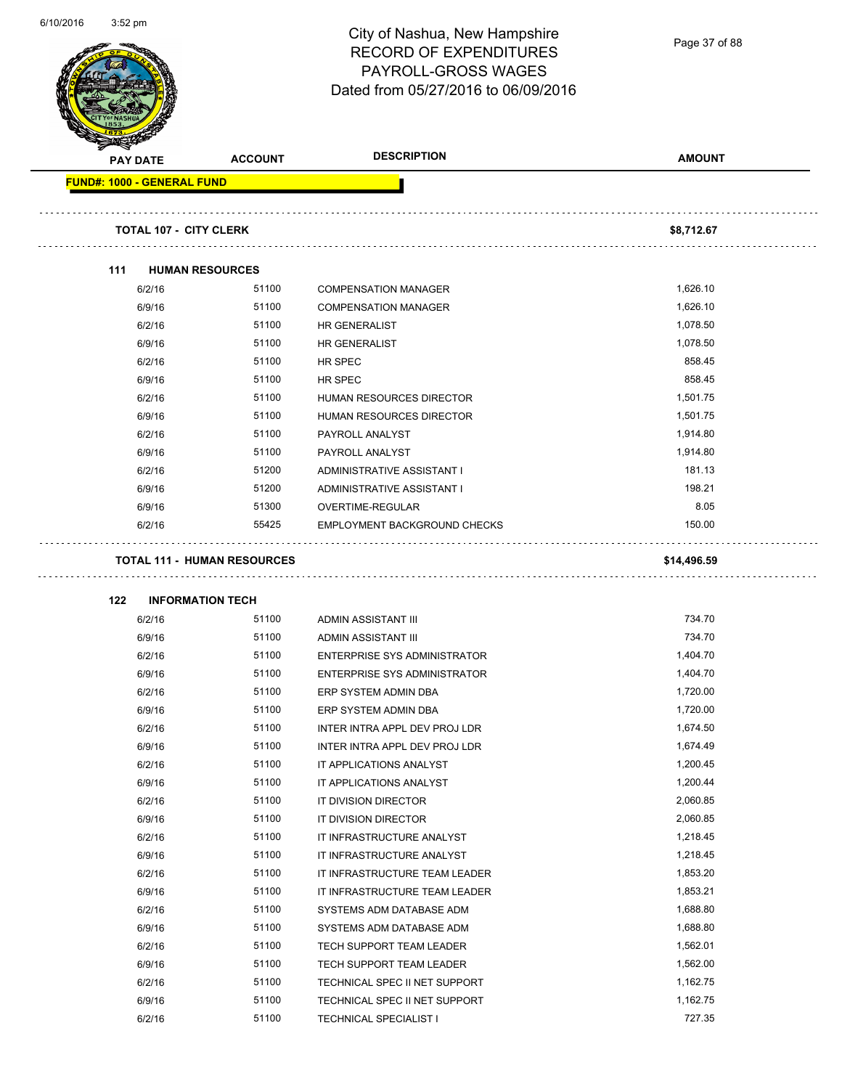|                                   |                                    | City of Nashua, New Hampshire       | Page 37 of 88 |
|-----------------------------------|------------------------------------|-------------------------------------|---------------|
|                                   |                                    | <b>RECORD OF EXPENDITURES</b>       |               |
|                                   |                                    | PAYROLL-GROSS WAGES                 |               |
|                                   |                                    | Dated from 05/27/2016 to 06/09/2016 |               |
|                                   |                                    |                                     |               |
|                                   |                                    |                                     |               |
| <b>PAY DATE</b>                   | <b>ACCOUNT</b>                     | <b>DESCRIPTION</b>                  | <b>AMOUNT</b> |
| <b>FUND#: 1000 - GENERAL FUND</b> |                                    |                                     |               |
|                                   | <b>TOTAL 107 - CITY CLERK</b>      |                                     | \$8,712.67    |
| 111                               | <b>HUMAN RESOURCES</b>             |                                     |               |
| 6/2/16                            | 51100                              | <b>COMPENSATION MANAGER</b>         | 1,626.10      |
| 6/9/16                            | 51100                              | <b>COMPENSATION MANAGER</b>         | 1,626.10      |
| 6/2/16                            | 51100                              | <b>HR GENERALIST</b>                | 1,078.50      |
| 6/9/16                            | 51100                              | <b>HR GENERALIST</b>                | 1,078.50      |
| 6/2/16                            | 51100                              | HR SPEC                             | 858.45        |
| 6/9/16                            | 51100                              | HR SPEC                             | 858.45        |
| 6/2/16                            | 51100                              | <b>HUMAN RESOURCES DIRECTOR</b>     | 1,501.75      |
| 6/9/16                            | 51100                              | HUMAN RESOURCES DIRECTOR            | 1,501.75      |
| 6/2/16                            | 51100                              | PAYROLL ANALYST                     | 1,914.80      |
| 6/9/16                            | 51100                              | PAYROLL ANALYST                     | 1,914.80      |
| 6/2/16                            | 51200                              | ADMINISTRATIVE ASSISTANT I          | 181.13        |
| 6/9/16                            | 51200                              | ADMINISTRATIVE ASSISTANT I          | 198.21        |
| 6/9/16                            | 51300                              | OVERTIME-REGULAR                    | 8.05          |
| 6/2/16                            | 55425                              | EMPLOYMENT BACKGROUND CHECKS        | 150.00        |
|                                   | <b>TOTAL 111 - HUMAN RESOURCES</b> |                                     | \$14,496.59   |
| 122                               | <b>INFORMATION TECH</b>            |                                     |               |
| 6/2/16                            | 51100                              | ADMIN ASSISTANT III                 | 734.70        |
| 6/9/16                            | 51100                              | ADMIN ASSISTANT III                 | 734.70        |
| 6/2/16                            | 51100                              | <b>ENTERPRISE SYS ADMINISTRATOR</b> | 1,404.70      |
| 6/9/16                            | 51100                              | ENTERPRISE SYS ADMINISTRATOR        | 1,404.70      |
| 6/2/16                            | 51100                              | ERP SYSTEM ADMIN DBA                | 1,720.00      |
| 6/9/16                            | 51100                              | ERP SYSTEM ADMIN DBA                | 1,720.00      |
| 6/2/16                            | 51100                              | INTER INTRA APPL DEV PROJ LDR       | 1,674.50      |
| 6/9/16                            | 51100                              | INTER INTRA APPL DEV PROJ LDR       | 1,674.49      |
| 6/2/16                            | 51100                              | IT APPLICATIONS ANALYST             | 1,200.45      |
| 6/9/16                            | 51100                              | IT APPLICATIONS ANALYST             | 1,200.44      |
| 6/2/16                            | 51100                              | IT DIVISION DIRECTOR                | 2,060.85      |
| 6/9/16                            | 51100                              | IT DIVISION DIRECTOR                | 2,060.85      |
| 6/2/16                            | 51100                              | IT INFRASTRUCTURE ANALYST           | 1,218.45      |
| 6/9/16                            | 51100                              | IT INFRASTRUCTURE ANALYST           | 1,218.45      |
| 6/2/16                            | 51100                              | IT INFRASTRUCTURE TEAM LEADER       | 1,853.20      |
| 6/9/16                            | 51100                              | IT INFRASTRUCTURE TEAM LEADER       | 1,853.21      |
| 6/2/16                            | 51100                              | SYSTEMS ADM DATABASE ADM            | 1,688.80      |
| 6/9/16                            | 51100                              | SYSTEMS ADM DATABASE ADM            | 1,688.80      |
| 6/2/16                            | 51100                              | TECH SUPPORT TEAM LEADER            | 1,562.01      |
| 6/9/16                            | 51100                              | TECH SUPPORT TEAM LEADER            | 1,562.00      |
| 6/2/16                            | 51100                              | TECHNICAL SPEC II NET SUPPORT       | 1,162.75      |

6/9/16 51100 TECHNICAL SPEC II NET SUPPORT 6/2/16 51100 TECHNICAL SPECIALIST I 50/2/16

6/10/2016 3:52 pm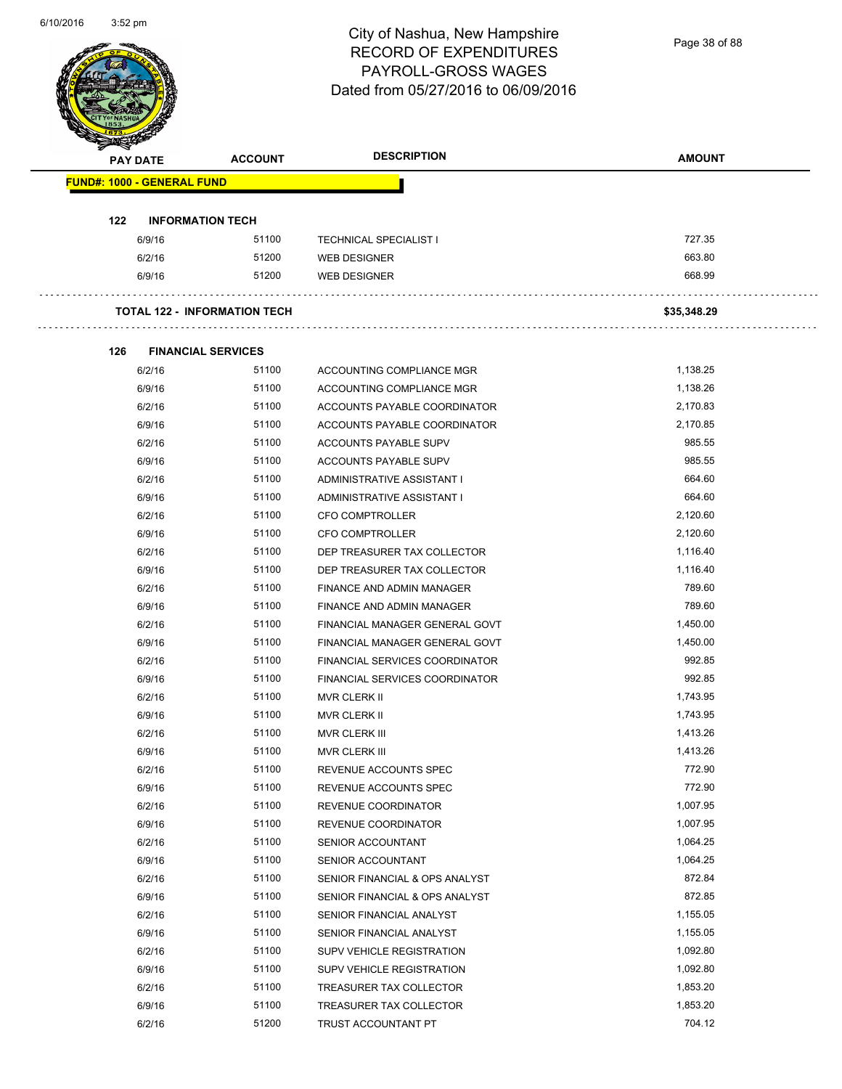Page 38 of 88

| <b>PAY DATE</b>                   | <b>ACCOUNT</b>                      | <b>DESCRIPTION</b>             | <b>AMOUNT</b> |
|-----------------------------------|-------------------------------------|--------------------------------|---------------|
| <b>FUND#: 1000 - GENERAL FUND</b> |                                     |                                |               |
|                                   |                                     |                                |               |
| 122                               | <b>INFORMATION TECH</b>             |                                |               |
| 6/9/16                            | 51100                               | <b>TECHNICAL SPECIALIST I</b>  | 727.35        |
| 6/2/16                            | 51200                               | WEB DESIGNER                   | 663.80        |
| 6/9/16                            | 51200                               | <b>WEB DESIGNER</b>            | 668.99        |
|                                   | <b>TOTAL 122 - INFORMATION TECH</b> |                                | \$35,348.29   |
| 126                               | <b>FINANCIAL SERVICES</b>           |                                |               |
| 6/2/16                            | 51100                               | ACCOUNTING COMPLIANCE MGR      | 1,138.25      |
| 6/9/16                            | 51100                               | ACCOUNTING COMPLIANCE MGR      | 1,138.26      |
| 6/2/16                            | 51100                               | ACCOUNTS PAYABLE COORDINATOR   | 2,170.83      |
| 6/9/16                            | 51100                               | ACCOUNTS PAYABLE COORDINATOR   | 2,170.85      |
| 6/2/16                            | 51100                               | ACCOUNTS PAYABLE SUPV          | 985.55        |
| 6/9/16                            | 51100                               | ACCOUNTS PAYABLE SUPV          | 985.55        |
| 6/2/16                            | 51100                               | ADMINISTRATIVE ASSISTANT I     | 664.60        |
| 6/9/16                            | 51100                               | ADMINISTRATIVE ASSISTANT I     | 664.60        |
| 6/2/16                            | 51100                               | <b>CFO COMPTROLLER</b>         | 2,120.60      |
| 6/9/16                            | 51100                               | <b>CFO COMPTROLLER</b>         | 2,120.60      |
| 6/2/16                            | 51100                               | DEP TREASURER TAX COLLECTOR    | 1,116.40      |
| 6/9/16                            | 51100                               | DEP TREASURER TAX COLLECTOR    | 1,116.40      |
| 6/2/16                            | 51100                               | FINANCE AND ADMIN MANAGER      | 789.60        |
| 6/9/16                            | 51100                               | FINANCE AND ADMIN MANAGER      | 789.60        |
| 6/2/16                            | 51100                               | FINANCIAL MANAGER GENERAL GOVT | 1,450.00      |
| 6/9/16                            | 51100                               | FINANCIAL MANAGER GENERAL GOVT | 1,450.00      |
| 6/2/16                            | 51100                               | FINANCIAL SERVICES COORDINATOR | 992.85        |
| 6/9/16                            | 51100                               | FINANCIAL SERVICES COORDINATOR | 992.85        |
| 6/2/16                            | 51100                               | MVR CLERK II                   | 1,743.95      |
| 6/9/16                            | 51100                               | <b>MVR CLERK II</b>            | 1,743.95      |
| 6/2/16                            | 51100                               | MVR CLERK III                  | 1,413.26      |
| 6/9/16                            | 51100                               | MVR CLERK III                  | 1,413.26      |
| 6/2/16                            | 51100                               | REVENUE ACCOUNTS SPEC          | 772.90        |
| 6/9/16                            | 51100                               | REVENUE ACCOUNTS SPEC          | 772.90        |
| 6/2/16                            | 51100                               | REVENUE COORDINATOR            | 1,007.95      |
| 6/9/16                            | 51100                               | REVENUE COORDINATOR            | 1,007.95      |
| 6/2/16                            | 51100                               | SENIOR ACCOUNTANT              | 1,064.25      |
| 6/9/16                            | 51100                               | SENIOR ACCOUNTANT              | 1,064.25      |
| 6/2/16                            | 51100                               | SENIOR FINANCIAL & OPS ANALYST | 872.84        |
| 6/9/16                            | 51100                               | SENIOR FINANCIAL & OPS ANALYST | 872.85        |
| 6/2/16                            | 51100                               | SENIOR FINANCIAL ANALYST       | 1,155.05      |
| 6/9/16                            | 51100                               | SENIOR FINANCIAL ANALYST       | 1,155.05      |
| 6/2/16                            | 51100                               | SUPV VEHICLE REGISTRATION      | 1,092.80      |
| 6/9/16                            | 51100                               | SUPV VEHICLE REGISTRATION      | 1,092.80      |
| 6/2/16                            | 51100                               | TREASURER TAX COLLECTOR        | 1,853.20      |
| 6/9/16                            | 51100                               | TREASURER TAX COLLECTOR        | 1,853.20      |
|                                   |                                     |                                | 704.12        |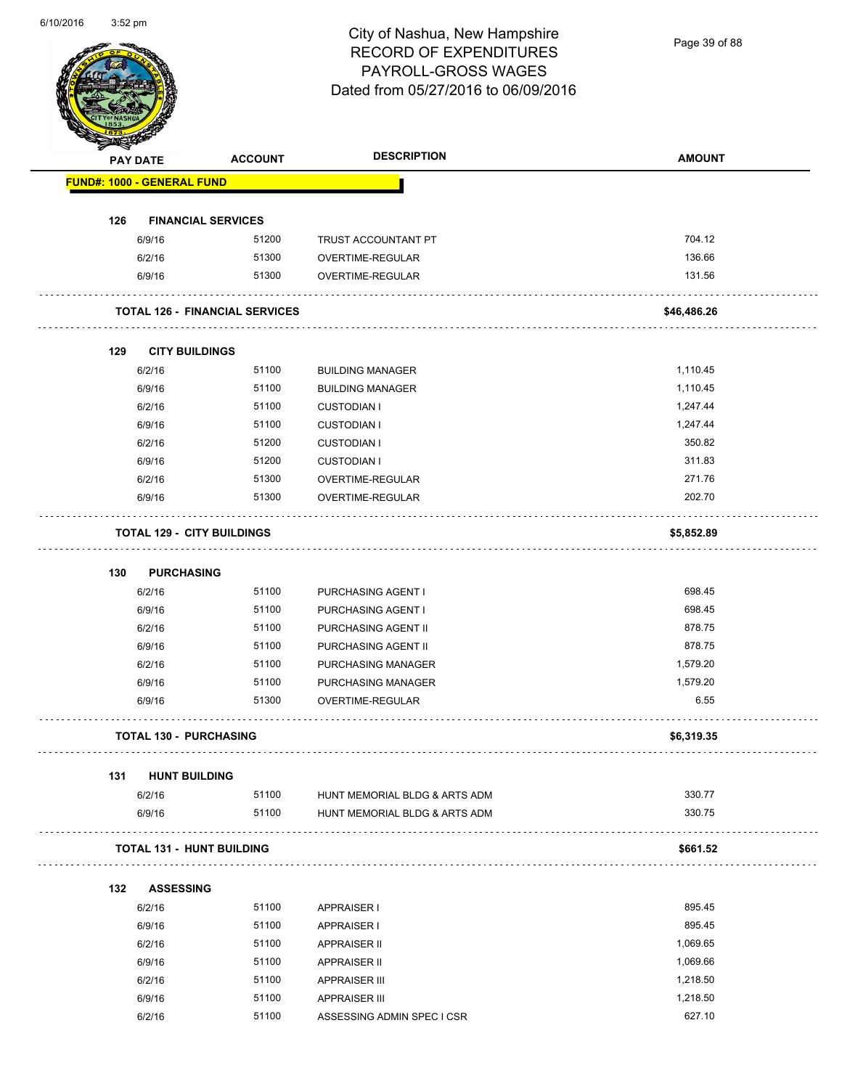Page 39 of 88

|     | <b>PAY DATE</b>                   | <b>ACCOUNT</b>                        | <b>DESCRIPTION</b>            | <b>AMOUNT</b> |
|-----|-----------------------------------|---------------------------------------|-------------------------------|---------------|
|     | FUND#: 1000 - GENERAL FUND        |                                       |                               |               |
| 126 |                                   | <b>FINANCIAL SERVICES</b>             |                               |               |
|     | 6/9/16                            | 51200                                 | TRUST ACCOUNTANT PT           | 704.12        |
|     | 6/2/16                            | 51300                                 | OVERTIME-REGULAR              | 136.66        |
|     | 6/9/16                            | 51300                                 | <b>OVERTIME-REGULAR</b>       | 131.56        |
|     |                                   | <b>TOTAL 126 - FINANCIAL SERVICES</b> |                               | \$46,486.26   |
| 129 | <b>CITY BUILDINGS</b>             |                                       |                               |               |
|     | 6/2/16                            | 51100                                 | <b>BUILDING MANAGER</b>       | 1,110.45      |
|     | 6/9/16                            | 51100                                 | <b>BUILDING MANAGER</b>       | 1,110.45      |
|     | 6/2/16                            | 51100                                 | <b>CUSTODIAN I</b>            | 1,247.44      |
|     | 6/9/16                            | 51100                                 | <b>CUSTODIAN I</b>            | 1,247.44      |
|     | 6/2/16                            | 51200                                 | <b>CUSTODIAN I</b>            | 350.82        |
|     | 6/9/16                            | 51200                                 | <b>CUSTODIAN I</b>            | 311.83        |
|     | 6/2/16                            | 51300                                 | OVERTIME-REGULAR              | 271.76        |
|     | 6/9/16                            | 51300                                 | OVERTIME-REGULAR              | 202.70        |
|     | <b>TOTAL 129 - CITY BUILDINGS</b> |                                       |                               | \$5,852.89    |
|     |                                   |                                       |                               |               |
| 130 | <b>PURCHASING</b>                 |                                       |                               |               |
|     | 6/2/16                            | 51100                                 | PURCHASING AGENT I            | 698.45        |
|     | 6/9/16                            | 51100                                 | PURCHASING AGENT I            | 698.45        |
|     | 6/2/16                            | 51100                                 | PURCHASING AGENT II           | 878.75        |
|     | 6/9/16                            | 51100                                 | PURCHASING AGENT II           | 878.75        |
|     | 6/2/16                            | 51100                                 | PURCHASING MANAGER            | 1,579.20      |
|     | 6/9/16                            | 51100                                 | PURCHASING MANAGER            | 1,579.20      |
|     | 6/9/16                            | 51300                                 | <b>OVERTIME-REGULAR</b>       | 6.55          |
|     | TOTAL 130 - PURCHASING            |                                       |                               | \$6,319.35    |
| 131 | <b>HUNT BUILDING</b>              |                                       |                               |               |
|     | 6/2/16                            | 51100                                 | HUNT MEMORIAL BLDG & ARTS ADM | 330.77        |
|     | 6/9/16                            | 51100                                 | HUNT MEMORIAL BLDG & ARTS ADM | 330.75        |
|     | <b>TOTAL 131 - HUNT BUILDING</b>  |                                       |                               | \$661.52      |
| 132 | <b>ASSESSING</b>                  |                                       |                               |               |
|     | 6/2/16                            | 51100                                 | <b>APPRAISER I</b>            | 895.45        |
|     | 6/9/16                            | 51100                                 | <b>APPRAISER I</b>            | 895.45        |
|     | 6/2/16                            | 51100                                 | <b>APPRAISER II</b>           | 1,069.65      |
|     | 6/9/16                            | 51100                                 | <b>APPRAISER II</b>           | 1,069.66      |
|     | 6/2/16                            | 51100                                 | <b>APPRAISER III</b>          | 1,218.50      |
|     | 6/9/16                            | 51100                                 | <b>APPRAISER III</b>          | 1,218.50      |
|     | 6/2/16                            | 51100                                 | ASSESSING ADMIN SPEC I CSR    | 627.10        |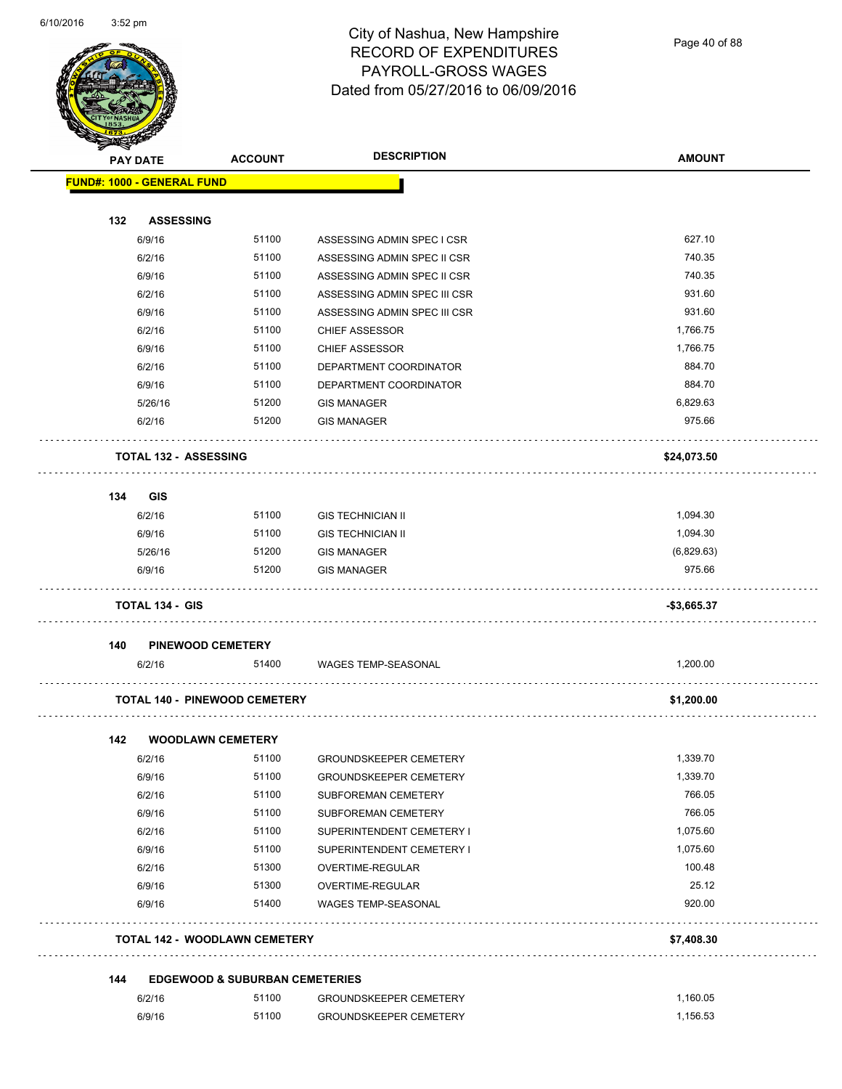

| $\tilde{\phantom{a}}$ | PAY DATE                          | <b>ACCOUNT</b>                            | <b>DESCRIPTION</b>                                    | <b>AMOUNT</b>        |
|-----------------------|-----------------------------------|-------------------------------------------|-------------------------------------------------------|----------------------|
|                       | <b>FUND#: 1000 - GENERAL FUND</b> |                                           |                                                       |                      |
|                       |                                   |                                           |                                                       |                      |
| 132                   | <b>ASSESSING</b>                  |                                           |                                                       |                      |
|                       | 6/9/16                            | 51100                                     | ASSESSING ADMIN SPEC I CSR                            | 627.10               |
|                       | 6/2/16                            | 51100                                     | ASSESSING ADMIN SPEC II CSR                           | 740.35               |
|                       | 6/9/16                            | 51100<br>51100                            | ASSESSING ADMIN SPEC II CSR                           | 740.35<br>931.60     |
|                       | 6/2/16                            | 51100                                     | ASSESSING ADMIN SPEC III CSR                          | 931.60               |
|                       | 6/9/16<br>6/2/16                  | 51100                                     | ASSESSING ADMIN SPEC III CSR<br><b>CHIEF ASSESSOR</b> | 1,766.75             |
|                       | 6/9/16                            | 51100                                     | <b>CHIEF ASSESSOR</b>                                 | 1,766.75             |
|                       | 6/2/16                            | 51100                                     | DEPARTMENT COORDINATOR                                | 884.70               |
|                       | 6/9/16                            | 51100                                     | DEPARTMENT COORDINATOR                                | 884.70               |
|                       | 5/26/16                           | 51200                                     | <b>GIS MANAGER</b>                                    | 6,829.63             |
|                       | 6/2/16                            | 51200                                     | <b>GIS MANAGER</b>                                    | 975.66               |
|                       |                                   |                                           |                                                       |                      |
|                       | <b>TOTAL 132 - ASSESSING</b>      |                                           |                                                       | \$24,073.50          |
|                       |                                   |                                           |                                                       |                      |
| 134                   | <b>GIS</b>                        |                                           |                                                       |                      |
|                       | 6/2/16                            | 51100                                     | <b>GIS TECHNICIAN II</b>                              | 1,094.30             |
|                       | 6/9/16                            | 51100                                     | <b>GIS TECHNICIAN II</b>                              | 1,094.30             |
|                       | 5/26/16                           | 51200                                     | <b>GIS MANAGER</b>                                    | (6,829.63)           |
|                       | 6/9/16                            | 51200                                     | <b>GIS MANAGER</b>                                    | 975.66               |
|                       | <b>TOTAL 134 - GIS</b>            |                                           |                                                       | $-$3,665.37$         |
| 140                   |                                   | <b>PINEWOOD CEMETERY</b>                  |                                                       |                      |
|                       | 6/2/16                            | 51400                                     | WAGES TEMP-SEASONAL                                   | 1,200.00             |
|                       |                                   | <b>TOTAL 140 - PINEWOOD CEMETERY</b>      |                                                       | \$1,200.00           |
|                       |                                   |                                           |                                                       |                      |
| 142                   |                                   | <b>WOODLAWN CEMETERY</b>                  |                                                       |                      |
|                       | 6/2/16                            | 51100                                     | <b>GROUNDSKEEPER CEMETERY</b>                         | 1,339.70             |
|                       | 6/9/16                            | 51100                                     | <b>GROUNDSKEEPER CEMETERY</b>                         | 1,339.70             |
|                       | 6/2/16                            | 51100                                     | SUBFOREMAN CEMETERY                                   | 766.05               |
|                       | 6/9/16                            | 51100                                     | SUBFOREMAN CEMETERY                                   | 766.05               |
|                       | 6/2/16                            | 51100                                     | SUPERINTENDENT CEMETERY I                             | 1,075.60<br>1,075.60 |
|                       | 6/9/16                            | 51100<br>51300                            | SUPERINTENDENT CEMETERY I                             | 100.48               |
|                       | 6/2/16<br>6/9/16                  | 51300                                     | OVERTIME-REGULAR<br>OVERTIME-REGULAR                  | 25.12                |
|                       | 6/9/16                            | 51400                                     | WAGES TEMP-SEASONAL                                   | 920.00               |
|                       |                                   |                                           |                                                       |                      |
|                       |                                   | <b>TOTAL 142 - WOODLAWN CEMETERY</b>      |                                                       | \$7,408.30           |
| 144                   |                                   | <b>EDGEWOOD &amp; SUBURBAN CEMETERIES</b> |                                                       |                      |
|                       | 6/2/16                            | 51100                                     | <b>GROUNDSKEEPER CEMETERY</b>                         | 1,160.05             |
|                       | 6/9/16                            | 51100                                     | <b>GROUNDSKEEPER CEMETERY</b>                         | 1,156.53             |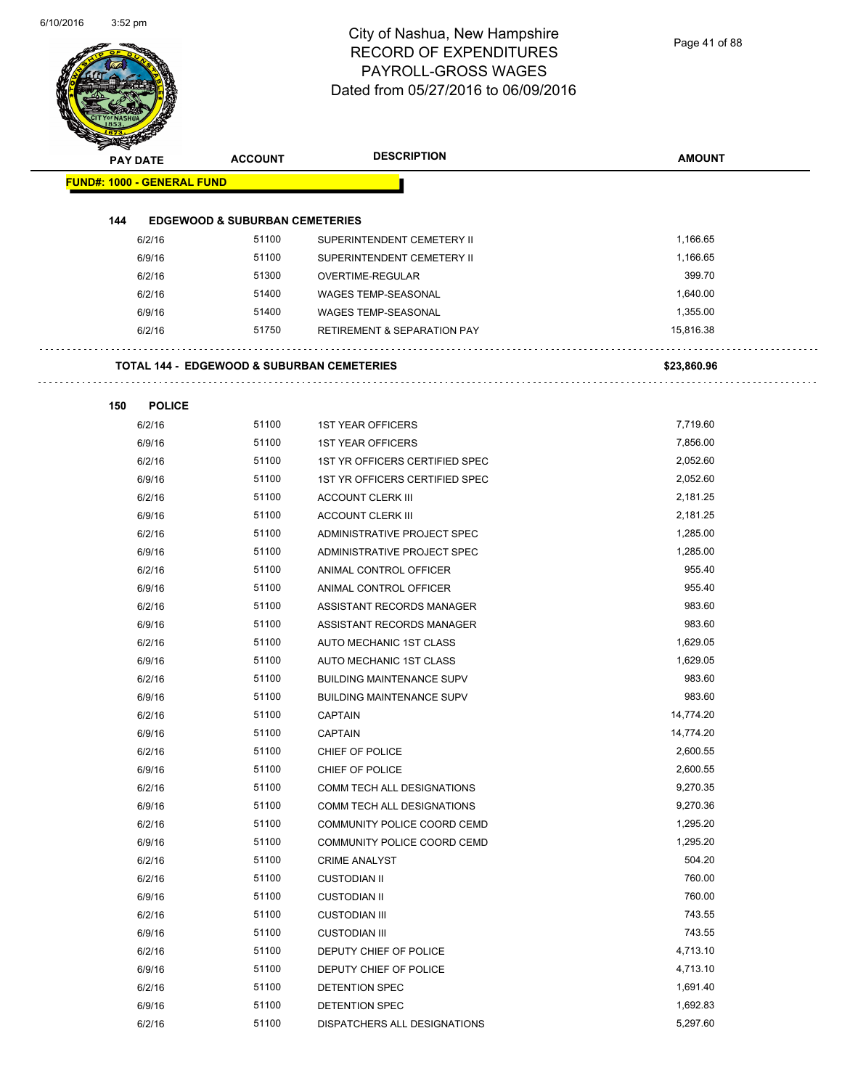| <b>PAY DATE</b>                   |               | <b>ACCOUNT</b>                            | <b>DESCRIPTION</b>                                    | <b>AMOUNT</b> |
|-----------------------------------|---------------|-------------------------------------------|-------------------------------------------------------|---------------|
| <b>FUND#: 1000 - GENERAL FUND</b> |               |                                           |                                                       |               |
|                                   |               |                                           |                                                       |               |
| 144                               |               | <b>EDGEWOOD &amp; SUBURBAN CEMETERIES</b> |                                                       |               |
|                                   | 6/2/16        | 51100                                     | SUPERINTENDENT CEMETERY II                            | 1,166.65      |
|                                   | 6/9/16        | 51100                                     | SUPERINTENDENT CEMETERY II                            | 1,166.65      |
|                                   | 6/2/16        | 51300                                     | OVERTIME-REGULAR                                      | 399.70        |
|                                   | 6/2/16        | 51400                                     | <b>WAGES TEMP-SEASONAL</b>                            | 1,640.00      |
|                                   | 6/9/16        | 51400                                     | <b>WAGES TEMP-SEASONAL</b>                            | 1,355.00      |
|                                   | 6/2/16        | 51750                                     | <b>RETIREMENT &amp; SEPARATION PAY</b>                | 15,816.38     |
|                                   |               |                                           | <b>TOTAL 144 - EDGEWOOD &amp; SUBURBAN CEMETERIES</b> | \$23,860.96   |
|                                   |               |                                           |                                                       |               |
| 150                               | <b>POLICE</b> |                                           |                                                       |               |
|                                   | 6/2/16        | 51100                                     | <b>1ST YEAR OFFICERS</b>                              | 7,719.60      |
|                                   | 6/9/16        | 51100                                     | <b>1ST YEAR OFFICERS</b>                              | 7,856.00      |
|                                   | 6/2/16        | 51100                                     | 1ST YR OFFICERS CERTIFIED SPEC                        | 2,052.60      |
|                                   | 6/9/16        | 51100                                     | 1ST YR OFFICERS CERTIFIED SPEC                        | 2,052.60      |
|                                   | 6/2/16        | 51100                                     | <b>ACCOUNT CLERK III</b>                              | 2,181.25      |
|                                   | 6/9/16        | 51100                                     | <b>ACCOUNT CLERK III</b>                              | 2,181.25      |
|                                   | 6/2/16        | 51100                                     | ADMINISTRATIVE PROJECT SPEC                           | 1,285.00      |
|                                   | 6/9/16        | 51100                                     | ADMINISTRATIVE PROJECT SPEC                           | 1,285.00      |
|                                   | 6/2/16        | 51100                                     | ANIMAL CONTROL OFFICER                                | 955.40        |
|                                   | 6/9/16        | 51100                                     | ANIMAL CONTROL OFFICER                                | 955.40        |
|                                   | 6/2/16        | 51100                                     | ASSISTANT RECORDS MANAGER                             | 983.60        |
|                                   | 6/9/16        | 51100                                     | ASSISTANT RECORDS MANAGER                             | 983.60        |
|                                   | 6/2/16        | 51100                                     | AUTO MECHANIC 1ST CLASS                               | 1,629.05      |
|                                   | 6/9/16        | 51100                                     | AUTO MECHANIC 1ST CLASS                               | 1,629.05      |
|                                   | 6/2/16        | 51100                                     | <b>BUILDING MAINTENANCE SUPV</b>                      | 983.60        |
|                                   | 6/9/16        | 51100                                     | <b>BUILDING MAINTENANCE SUPV</b>                      | 983.60        |
|                                   | 6/2/16        | 51100                                     | <b>CAPTAIN</b>                                        | 14,774.20     |
|                                   | 6/9/16        | 51100                                     | CAPTAIN                                               | 14,774.20     |
|                                   | 6/2/16        | 51100                                     | CHIEF OF POLICE                                       | 2,600.55      |
|                                   | 6/9/16        | 51100                                     | CHIEF OF POLICE                                       | 2,600.55      |
|                                   | 6/2/16        | 51100                                     | COMM TECH ALL DESIGNATIONS                            | 9,270.35      |
|                                   | 6/9/16        | 51100                                     | COMM TECH ALL DESIGNATIONS                            | 9,270.36      |
|                                   | 6/2/16        | 51100                                     | COMMUNITY POLICE COORD CEMD                           | 1,295.20      |
|                                   | 6/9/16        | 51100                                     | COMMUNITY POLICE COORD CEMD                           | 1,295.20      |
|                                   | 6/2/16        | 51100                                     | <b>CRIME ANALYST</b>                                  | 504.20        |
|                                   | 6/2/16        | 51100                                     | <b>CUSTODIAN II</b>                                   | 760.00        |
|                                   | 6/9/16        | 51100                                     | <b>CUSTODIAN II</b>                                   | 760.00        |
|                                   | 6/2/16        | 51100                                     | <b>CUSTODIAN III</b>                                  | 743.55        |
|                                   | 6/9/16        | 51100                                     | <b>CUSTODIAN III</b>                                  | 743.55        |
|                                   | 6/2/16        | 51100                                     | DEPUTY CHIEF OF POLICE                                | 4,713.10      |
|                                   | 6/9/16        | 51100                                     | DEPUTY CHIEF OF POLICE                                | 4,713.10      |
|                                   | 6/2/16        | 51100                                     | DETENTION SPEC                                        | 1,691.40      |
|                                   | 6/9/16        | 51100                                     | DETENTION SPEC                                        | 1,692.83      |
|                                   | 6/2/16        | 51100                                     | DISPATCHERS ALL DESIGNATIONS                          | 5,297.60      |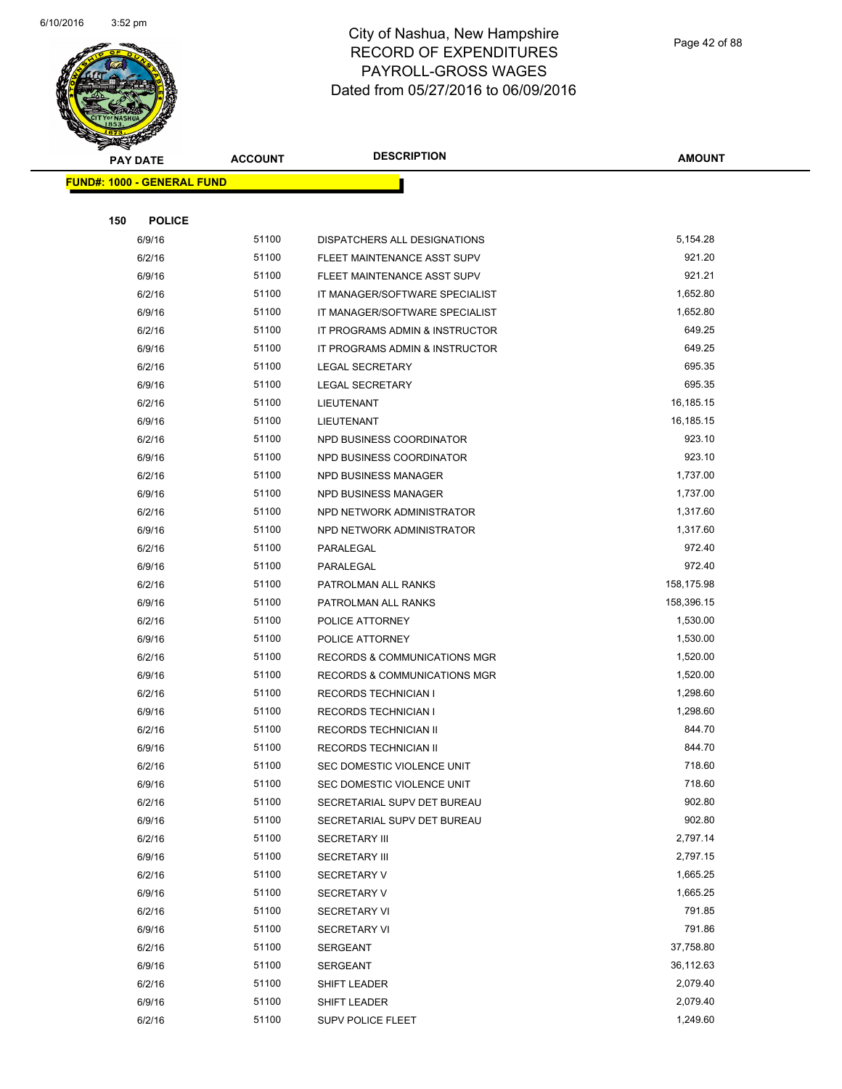

Page 42 of 88

|     | <b>PAY DATE</b>                   | <b>ACCOUNT</b> | <b>DESCRIPTION</b>                       | <b>AMOUNT</b>        |
|-----|-----------------------------------|----------------|------------------------------------------|----------------------|
|     | <b>FUND#: 1000 - GENERAL FUND</b> |                |                                          |                      |
|     |                                   |                |                                          |                      |
| 150 | <b>POLICE</b>                     |                |                                          |                      |
|     | 6/9/16                            | 51100          | DISPATCHERS ALL DESIGNATIONS             | 5,154.28             |
|     | 6/2/16                            | 51100          | FLEET MAINTENANCE ASST SUPV              | 921.20               |
|     | 6/9/16                            | 51100          | FLEET MAINTENANCE ASST SUPV              | 921.21               |
|     | 6/2/16                            | 51100          | IT MANAGER/SOFTWARE SPECIALIST           | 1,652.80             |
|     | 6/9/16                            | 51100          | IT MANAGER/SOFTWARE SPECIALIST           | 1,652.80             |
|     | 6/2/16                            | 51100          | IT PROGRAMS ADMIN & INSTRUCTOR           | 649.25               |
|     | 6/9/16                            | 51100          | IT PROGRAMS ADMIN & INSTRUCTOR           | 649.25               |
|     | 6/2/16                            | 51100          | LEGAL SECRETARY                          | 695.35               |
|     | 6/9/16                            | 51100          | <b>LEGAL SECRETARY</b>                   | 695.35               |
|     | 6/2/16                            | 51100          | LIEUTENANT                               | 16,185.15            |
|     | 6/9/16                            | 51100          | LIEUTENANT                               | 16,185.15            |
|     | 6/2/16                            | 51100          | NPD BUSINESS COORDINATOR                 | 923.10               |
|     | 6/9/16                            | 51100          | NPD BUSINESS COORDINATOR                 | 923.10               |
|     | 6/2/16                            | 51100          | NPD BUSINESS MANAGER                     | 1,737.00             |
|     | 6/9/16                            | 51100          | NPD BUSINESS MANAGER                     | 1,737.00             |
|     | 6/2/16                            | 51100          | NPD NETWORK ADMINISTRATOR                | 1,317.60             |
|     | 6/9/16                            | 51100          | NPD NETWORK ADMINISTRATOR                | 1,317.60             |
|     | 6/2/16                            | 51100          | PARALEGAL                                | 972.40               |
|     | 6/9/16                            | 51100          | PARALEGAL                                | 972.40               |
|     | 6/2/16                            | 51100          | PATROLMAN ALL RANKS                      | 158,175.98           |
|     | 6/9/16                            | 51100          | PATROLMAN ALL RANKS                      | 158,396.15           |
|     | 6/2/16                            | 51100          | POLICE ATTORNEY                          | 1,530.00             |
|     | 6/9/16                            | 51100          | POLICE ATTORNEY                          | 1,530.00             |
|     | 6/2/16                            | 51100          | RECORDS & COMMUNICATIONS MGR             | 1,520.00             |
|     | 6/9/16                            | 51100          | <b>RECORDS &amp; COMMUNICATIONS MGR</b>  | 1,520.00             |
|     | 6/2/16                            | 51100          | <b>RECORDS TECHNICIAN I</b>              | 1,298.60             |
|     | 6/9/16                            | 51100          | RECORDS TECHNICIAN I                     | 1,298.60             |
|     | 6/2/16                            | 51100          | <b>RECORDS TECHNICIAN II</b>             | 844.70               |
|     | 6/9/16                            | 51100          | <b>RECORDS TECHNICIAN II</b>             | 844.70               |
|     | 6/2/16                            | 51100          | SEC DOMESTIC VIOLENCE UNIT               | 718.60               |
|     | 6/9/16                            | 51100          | SEC DOMESTIC VIOLENCE UNIT               | 718.60               |
|     | 6/2/16                            | 51100          | SECRETARIAL SUPV DET BUREAU              | 902.80               |
|     | 6/9/16                            | 51100          | SECRETARIAL SUPV DET BUREAU              | 902.80               |
|     | 6/2/16                            | 51100          | <b>SECRETARY III</b>                     | 2,797.14             |
|     | 6/9/16                            | 51100<br>51100 | <b>SECRETARY III</b>                     | 2,797.15<br>1,665.25 |
|     | 6/2/16<br>6/9/16                  | 51100          | <b>SECRETARY V</b><br><b>SECRETARY V</b> | 1,665.25             |
|     | 6/2/16                            | 51100          | <b>SECRETARY VI</b>                      | 791.85               |
|     | 6/9/16                            | 51100          | <b>SECRETARY VI</b>                      | 791.86               |
|     | 6/2/16                            | 51100          | <b>SERGEANT</b>                          | 37,758.80            |
|     | 6/9/16                            | 51100          | <b>SERGEANT</b>                          | 36,112.63            |
|     | 6/2/16                            | 51100          | SHIFT LEADER                             | 2,079.40             |
|     | 6/9/16                            | 51100          | SHIFT LEADER                             | 2,079.40             |
|     | 6/2/16                            | 51100          | <b>SUPV POLICE FLEET</b>                 | 1,249.60             |
|     |                                   |                |                                          |                      |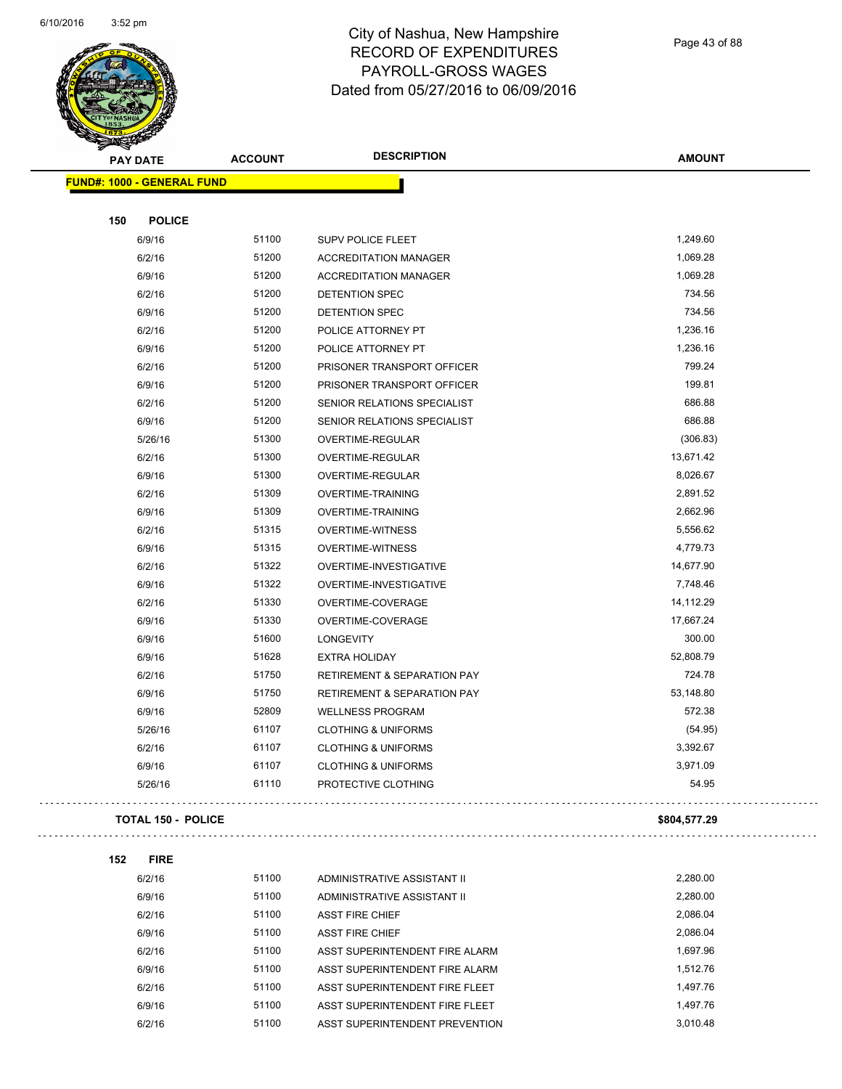

Page 43 of 88

|     | <b>PAY DATE</b>                   | <b>ACCOUNT</b> | <b>DESCRIPTION</b>                     | <b>AMOUNT</b> |
|-----|-----------------------------------|----------------|----------------------------------------|---------------|
|     | <b>FUND#: 1000 - GENERAL FUND</b> |                |                                        |               |
|     |                                   |                |                                        |               |
| 150 | <b>POLICE</b>                     |                |                                        |               |
|     | 6/9/16                            | 51100          | <b>SUPV POLICE FLEET</b>               | 1,249.60      |
|     | 6/2/16                            | 51200          | <b>ACCREDITATION MANAGER</b>           | 1,069.28      |
|     | 6/9/16                            | 51200          | <b>ACCREDITATION MANAGER</b>           | 1,069.28      |
|     | 6/2/16                            | 51200          | DETENTION SPEC                         | 734.56        |
|     | 6/9/16                            | 51200          | DETENTION SPEC                         | 734.56        |
|     | 6/2/16                            | 51200          | POLICE ATTORNEY PT                     | 1,236.16      |
|     | 6/9/16                            | 51200          | POLICE ATTORNEY PT                     | 1,236.16      |
|     | 6/2/16                            | 51200          | PRISONER TRANSPORT OFFICER             | 799.24        |
|     | 6/9/16                            | 51200          | PRISONER TRANSPORT OFFICER             | 199.81        |
|     | 6/2/16                            | 51200          | SENIOR RELATIONS SPECIALIST            | 686.88        |
|     | 6/9/16                            | 51200          | SENIOR RELATIONS SPECIALIST            | 686.88        |
|     | 5/26/16                           | 51300          | OVERTIME-REGULAR                       | (306.83)      |
|     | 6/2/16                            | 51300          | OVERTIME-REGULAR                       | 13,671.42     |
|     | 6/9/16                            | 51300          | OVERTIME-REGULAR                       | 8,026.67      |
|     | 6/2/16                            | 51309          | OVERTIME-TRAINING                      | 2,891.52      |
|     | 6/9/16                            | 51309          | <b>OVERTIME-TRAINING</b>               | 2,662.96      |
|     | 6/2/16                            | 51315          | <b>OVERTIME-WITNESS</b>                | 5,556.62      |
|     | 6/9/16                            | 51315          | <b>OVERTIME-WITNESS</b>                | 4,779.73      |
|     | 6/2/16                            | 51322          | OVERTIME-INVESTIGATIVE                 | 14,677.90     |
|     | 6/9/16                            | 51322          | OVERTIME-INVESTIGATIVE                 | 7,748.46      |
|     | 6/2/16                            | 51330          | OVERTIME-COVERAGE                      | 14,112.29     |
|     | 6/9/16                            | 51330          | OVERTIME-COVERAGE                      | 17,667.24     |
|     | 6/9/16                            | 51600          | LONGEVITY                              | 300.00        |
|     | 6/9/16                            | 51628          | <b>EXTRA HOLIDAY</b>                   | 52,808.79     |
|     | 6/2/16                            | 51750          | <b>RETIREMENT &amp; SEPARATION PAY</b> | 724.78        |
|     | 6/9/16                            | 51750          | <b>RETIREMENT &amp; SEPARATION PAY</b> | 53,148.80     |
|     | 6/9/16                            | 52809          | <b>WELLNESS PROGRAM</b>                | 572.38        |
|     | 5/26/16                           | 61107          | <b>CLOTHING &amp; UNIFORMS</b>         | (54.95)       |
|     | 6/2/16                            | 61107          | <b>CLOTHING &amp; UNIFORMS</b>         | 3,392.67      |
|     | 6/9/16                            | 61107          | <b>CLOTHING &amp; UNIFORMS</b>         | 3,971.09      |
|     | 5/26/16                           | 61110          | PROTECTIVE CLOTHING                    | 54.95         |
|     |                                   |                |                                        |               |
|     | <b>TOTAL 150 - POLICE</b>         |                |                                        | \$804,577.29  |
| 152 | <b>FIRE</b>                       |                |                                        |               |
|     | 6/2/16                            | 51100          | ADMINISTRATIVE ASSISTANT II            | 2,280.00      |
|     | 6/9/16                            | 51100          | ADMINISTRATIVE ASSISTANT II            | 2,280.00      |
|     | 6/2/16                            | 51100          | <b>ASST FIRE CHIEF</b>                 | 2,086.04      |
|     | 6/9/16                            | 51100          | <b>ASST FIRE CHIEF</b>                 | 2,086.04      |
|     | 6/2/16                            | 51100          | ASST SUPERINTENDENT FIRE ALARM         | 1,697.96      |
|     | 6/9/16                            | 51100          | ASST SUPERINTENDENT FIRE ALARM         | 1,512.76      |
|     | 6/2/16                            | 51100          | ASST SUPERINTENDENT FIRE FLEET         | 1,497.76      |
|     | 6/9/16                            | 51100          | ASST SUPERINTENDENT FIRE FLEET         | 1,497.76      |
|     | 6/2/16                            | 51100          | ASST SUPERINTENDENT PREVENTION         | 3,010.48      |
|     |                                   |                |                                        |               |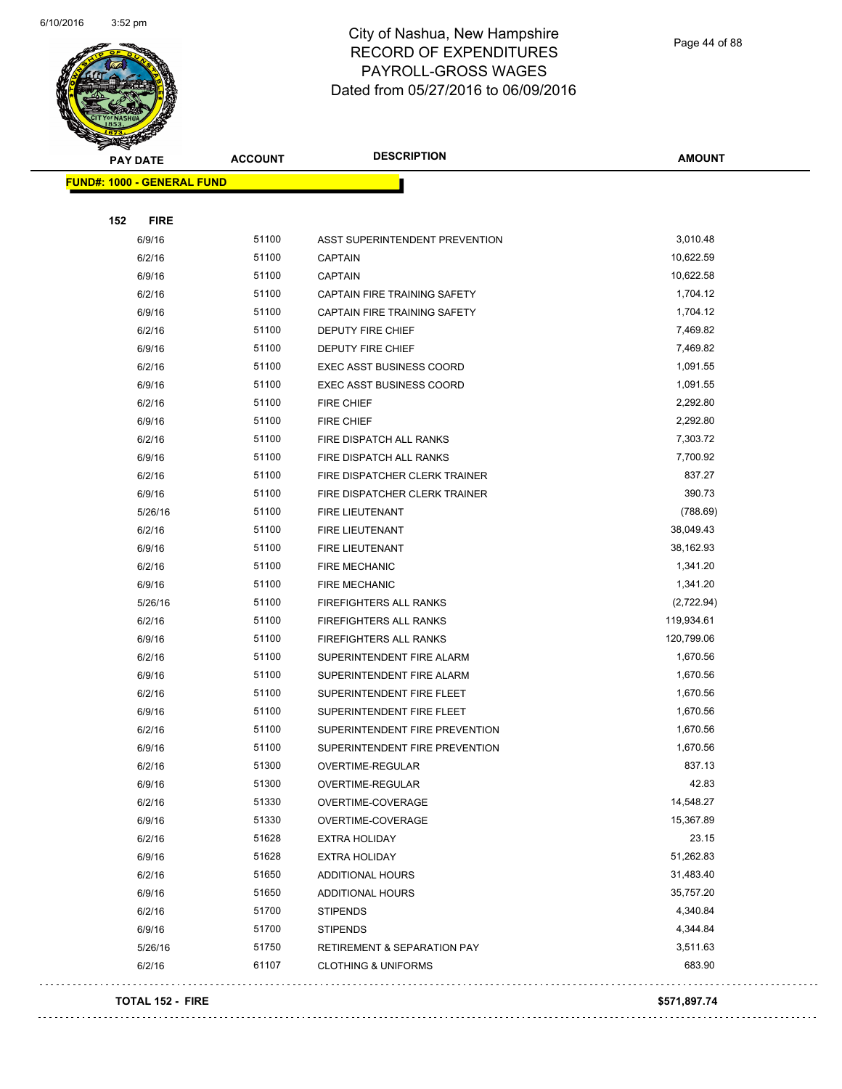

Page 44 of 88

| $\tilde{\phantom{a}}$<br><b>PAY DATE</b> | <b>ACCOUNT</b> | <b>DESCRIPTION</b>                     | <b>AMOUNT</b> |
|------------------------------------------|----------------|----------------------------------------|---------------|
| <b>FUND#: 1000 - GENERAL FUND</b>        |                |                                        |               |
|                                          |                |                                        |               |
| 152<br><b>FIRE</b>                       |                |                                        |               |
| 6/9/16                                   | 51100          | ASST SUPERINTENDENT PREVENTION         | 3,010.48      |
| 6/2/16                                   | 51100          | <b>CAPTAIN</b>                         | 10,622.59     |
| 6/9/16                                   | 51100          | <b>CAPTAIN</b>                         | 10,622.58     |
| 6/2/16                                   | 51100          | CAPTAIN FIRE TRAINING SAFETY           | 1,704.12      |
| 6/9/16                                   | 51100          | CAPTAIN FIRE TRAINING SAFETY           | 1,704.12      |
| 6/2/16                                   | 51100          | DEPUTY FIRE CHIEF                      | 7,469.82      |
| 6/9/16                                   | 51100          | DEPUTY FIRE CHIEF                      | 7,469.82      |
| 6/2/16                                   | 51100          | EXEC ASST BUSINESS COORD               | 1,091.55      |
| 6/9/16                                   | 51100          | <b>EXEC ASST BUSINESS COORD</b>        | 1,091.55      |
| 6/2/16                                   | 51100          | <b>FIRE CHIEF</b>                      | 2,292.80      |
| 6/9/16                                   | 51100          | <b>FIRE CHIEF</b>                      | 2,292.80      |
| 6/2/16                                   | 51100          | FIRE DISPATCH ALL RANKS                | 7,303.72      |
| 6/9/16                                   | 51100          | FIRE DISPATCH ALL RANKS                | 7,700.92      |
| 6/2/16                                   | 51100          | FIRE DISPATCHER CLERK TRAINER          | 837.27        |
| 6/9/16                                   | 51100          | FIRE DISPATCHER CLERK TRAINER          | 390.73        |
| 5/26/16                                  | 51100          | FIRE LIEUTENANT                        | (788.69)      |
| 6/2/16                                   | 51100          | <b>FIRE LIEUTENANT</b>                 | 38,049.43     |
| 6/9/16                                   | 51100          | FIRE LIEUTENANT                        | 38,162.93     |
| 6/2/16                                   | 51100          | <b>FIRE MECHANIC</b>                   | 1,341.20      |
| 6/9/16                                   | 51100          | <b>FIRE MECHANIC</b>                   | 1,341.20      |
| 5/26/16                                  | 51100          | FIREFIGHTERS ALL RANKS                 | (2,722.94)    |
| 6/2/16                                   | 51100          | <b>FIREFIGHTERS ALL RANKS</b>          | 119,934.61    |
| 6/9/16                                   | 51100          | FIREFIGHTERS ALL RANKS                 | 120,799.06    |
| 6/2/16                                   | 51100          | SUPERINTENDENT FIRE ALARM              | 1,670.56      |
| 6/9/16                                   | 51100          | SUPERINTENDENT FIRE ALARM              | 1,670.56      |
| 6/2/16                                   | 51100          | SUPERINTENDENT FIRE FLEET              | 1,670.56      |
| 6/9/16                                   | 51100          | SUPERINTENDENT FIRE FLEET              | 1,670.56      |
| 6/2/16                                   | 51100          | SUPERINTENDENT FIRE PREVENTION         | 1,670.56      |
| 6/9/16                                   | 51100          | SUPERINTENDENT FIRE PREVENTION         | 1,670.56      |
| 6/2/16                                   | 51300          | OVERTIME-REGULAR                       | 837.13        |
| 6/9/16                                   | 51300          | OVERTIME-REGULAR                       | 42.83         |
| 6/2/16                                   | 51330          | OVERTIME-COVERAGE                      | 14,548.27     |
| 6/9/16                                   | 51330          | OVERTIME-COVERAGE                      | 15,367.89     |
| 6/2/16                                   | 51628          | <b>EXTRA HOLIDAY</b>                   | 23.15         |
| 6/9/16                                   | 51628          | <b>EXTRA HOLIDAY</b>                   | 51,262.83     |
| 6/2/16                                   | 51650          | ADDITIONAL HOURS                       | 31,483.40     |
| 6/9/16                                   | 51650          | ADDITIONAL HOURS                       | 35,757.20     |
| 6/2/16                                   | 51700          | <b>STIPENDS</b>                        | 4,340.84      |
| 6/9/16                                   | 51700          | <b>STIPENDS</b>                        | 4,344.84      |
| 5/26/16                                  | 51750          | <b>RETIREMENT &amp; SEPARATION PAY</b> | 3,511.63      |
| 6/2/16                                   | 61107          | <b>CLOTHING &amp; UNIFORMS</b>         | 683.90        |
|                                          |                |                                        |               |

#### **TOTAL 152 - FIRE \$571,897.74**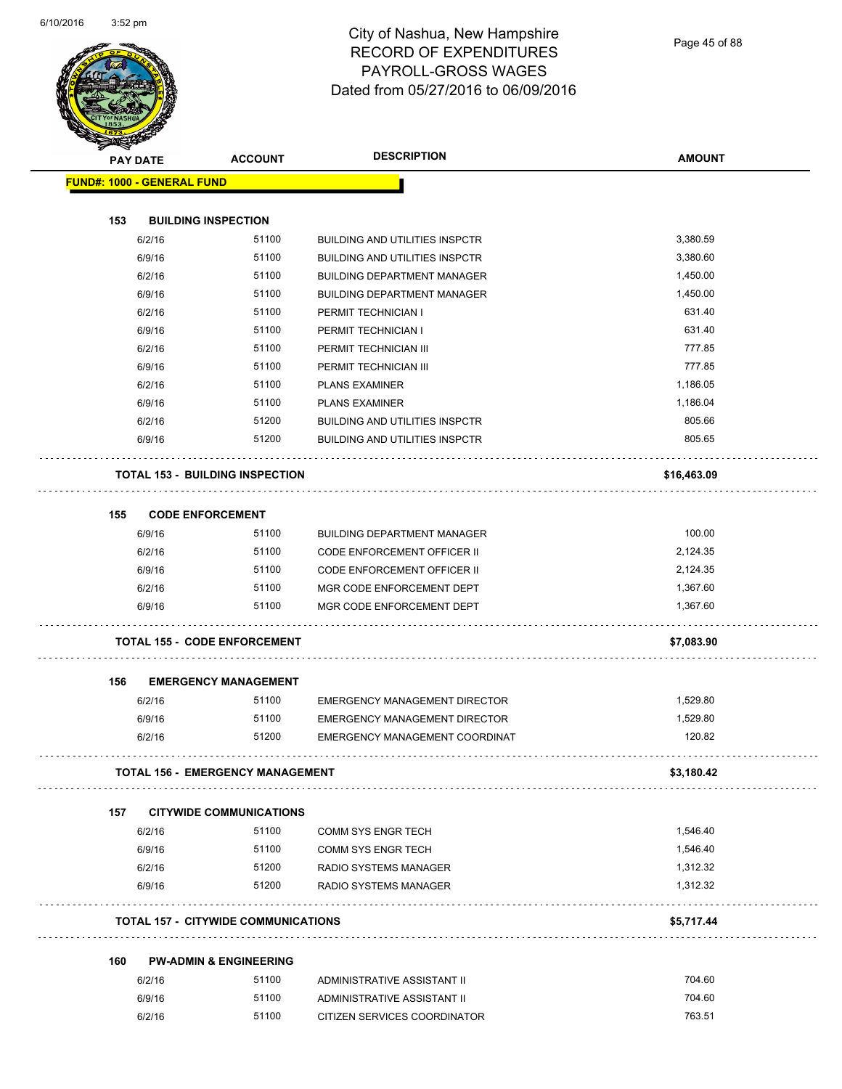Page 45 of 88

|     |                                                      |                                            | <b>DESCRIPTION</b>                    | <b>AMOUNT</b> |
|-----|------------------------------------------------------|--------------------------------------------|---------------------------------------|---------------|
|     | <b>PAY DATE</b><br><b>FUND#: 1000 - GENERAL FUND</b> | <b>ACCOUNT</b>                             |                                       |               |
|     |                                                      |                                            |                                       |               |
| 153 |                                                      | <b>BUILDING INSPECTION</b>                 |                                       |               |
|     | 6/2/16                                               | 51100                                      | <b>BUILDING AND UTILITIES INSPCTR</b> | 3,380.59      |
|     | 6/9/16                                               | 51100                                      | <b>BUILDING AND UTILITIES INSPCTR</b> | 3,380.60      |
|     | 6/2/16                                               | 51100                                      | <b>BUILDING DEPARTMENT MANAGER</b>    | 1,450.00      |
|     | 6/9/16                                               | 51100                                      | <b>BUILDING DEPARTMENT MANAGER</b>    | 1,450.00      |
|     | 6/2/16                                               | 51100                                      | PERMIT TECHNICIAN I                   | 631.40        |
|     | 6/9/16                                               | 51100                                      | PERMIT TECHNICIAN I                   | 631.40        |
|     | 6/2/16                                               | 51100                                      | PERMIT TECHNICIAN III                 | 777.85        |
|     | 6/9/16                                               | 51100                                      | PERMIT TECHNICIAN III                 | 777.85        |
|     | 6/2/16                                               | 51100                                      | <b>PLANS EXAMINER</b>                 | 1,186.05      |
|     | 6/9/16                                               | 51100                                      | <b>PLANS EXAMINER</b>                 | 1,186.04      |
|     | 6/2/16                                               | 51200                                      | <b>BUILDING AND UTILITIES INSPCTR</b> | 805.66        |
|     | 6/9/16                                               | 51200                                      | <b>BUILDING AND UTILITIES INSPCTR</b> | 805.65        |
|     |                                                      | <b>TOTAL 153 - BUILDING INSPECTION</b>     |                                       | \$16,463.09   |
| 155 |                                                      | <b>CODE ENFORCEMENT</b>                    |                                       |               |
|     | 6/9/16                                               | 51100                                      | <b>BUILDING DEPARTMENT MANAGER</b>    | 100.00        |
|     | 6/2/16                                               | 51100                                      | <b>CODE ENFORCEMENT OFFICER II</b>    | 2,124.35      |
|     | 6/9/16                                               | 51100                                      | <b>CODE ENFORCEMENT OFFICER II</b>    | 2,124.35      |
|     | 6/2/16                                               | 51100                                      | MGR CODE ENFORCEMENT DEPT             | 1,367.60      |
|     | 6/9/16                                               | 51100                                      | MGR CODE ENFORCEMENT DEPT             | 1,367.60      |
|     |                                                      | <b>TOTAL 155 - CODE ENFORCEMENT</b>        |                                       | \$7,083.90    |
| 156 |                                                      | <b>EMERGENCY MANAGEMENT</b>                |                                       |               |
|     | 6/2/16                                               | 51100                                      | <b>EMERGENCY MANAGEMENT DIRECTOR</b>  | 1,529.80      |
|     | 6/9/16                                               | 51100                                      | <b>EMERGENCY MANAGEMENT DIRECTOR</b>  | 1,529.80      |
|     | 6/2/16                                               | 51200                                      | EMERGENCY MANAGEMENT COORDINAT        | 120.82        |
|     |                                                      | <b>TOTAL 156 - EMERGENCY MANAGEMENT</b>    |                                       | \$3,180.42    |
| 157 |                                                      | <b>CITYWIDE COMMUNICATIONS</b>             |                                       |               |
|     | 6/2/16                                               | 51100                                      | <b>COMM SYS ENGR TECH</b>             | 1,546.40      |
|     | 6/9/16                                               | 51100                                      | <b>COMM SYS ENGR TECH</b>             | 1,546.40      |
|     | 6/2/16                                               | 51200                                      | RADIO SYSTEMS MANAGER                 | 1,312.32      |
|     | 6/9/16                                               | 51200                                      | <b>RADIO SYSTEMS MANAGER</b>          | 1,312.32      |
|     |                                                      | <b>TOTAL 157 - CITYWIDE COMMUNICATIONS</b> |                                       | \$5,717.44    |
| 160 |                                                      | <b>PW-ADMIN &amp; ENGINEERING</b>          |                                       |               |
|     | 6/2/16                                               | 51100                                      | ADMINISTRATIVE ASSISTANT II           | 704.60        |
|     | 6/9/16                                               | 51100                                      | ADMINISTRATIVE ASSISTANT II           | 704.60        |
|     | 6/2/16                                               | 51100                                      | CITIZEN SERVICES COORDINATOR          | 763.51        |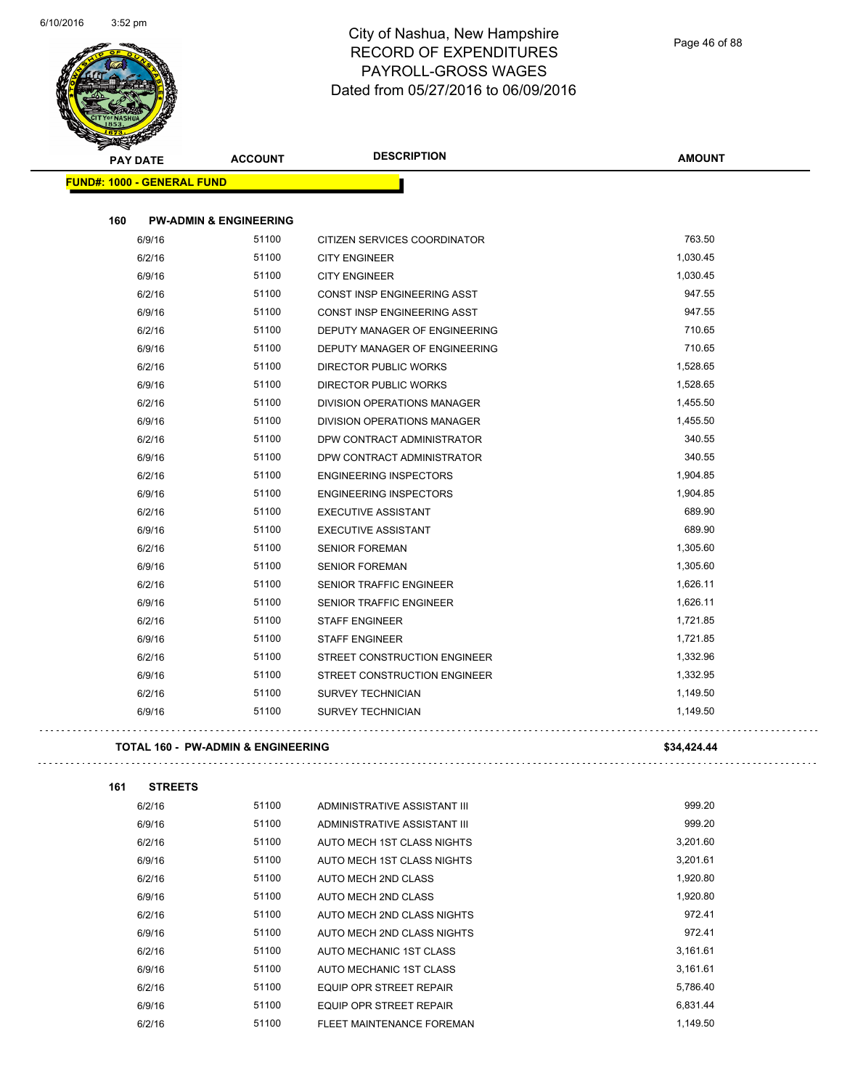

| <b>START CAR</b><br><b>PAY DATE</b> | <b>ACCOUNT</b>                     | <b>DESCRIPTION</b>                 | <b>AMOUNT</b>      |
|-------------------------------------|------------------------------------|------------------------------------|--------------------|
| <b>FUND#: 1000 - GENERAL FUND</b>   |                                    |                                    |                    |
| 160                                 | <b>PW-ADMIN &amp; ENGINEERING</b>  |                                    |                    |
|                                     | 51100                              |                                    | 763.50             |
| 6/9/16                              | 51100                              | CITIZEN SERVICES COORDINATOR       | 1,030.45           |
| 6/2/16                              |                                    | <b>CITY ENGINEER</b>               |                    |
| 6/9/16                              | 51100                              | <b>CITY ENGINEER</b>               | 1,030.45           |
| 6/2/16                              | 51100                              | <b>CONST INSP ENGINEERING ASST</b> | 947.55             |
| 6/9/16                              | 51100<br>51100                     | CONST INSP ENGINEERING ASST        | 947.55<br>710.65   |
| 6/2/16                              |                                    | DEPUTY MANAGER OF ENGINEERING      | 710.65             |
| 6/9/16                              | 51100                              | DEPUTY MANAGER OF ENGINEERING      |                    |
| 6/2/16                              | 51100                              | <b>DIRECTOR PUBLIC WORKS</b>       | 1,528.65           |
| 6/9/16                              | 51100                              | <b>DIRECTOR PUBLIC WORKS</b>       | 1,528.65           |
| 6/2/16                              | 51100                              | <b>DIVISION OPERATIONS MANAGER</b> | 1,455.50           |
| 6/9/16                              | 51100<br>51100                     | DIVISION OPERATIONS MANAGER        | 1,455.50<br>340.55 |
| 6/2/16                              |                                    | DPW CONTRACT ADMINISTRATOR         |                    |
| 6/9/16                              | 51100                              | DPW CONTRACT ADMINISTRATOR         | 340.55             |
| 6/2/16                              | 51100                              | <b>ENGINEERING INSPECTORS</b>      | 1,904.85           |
| 6/9/16                              | 51100                              | <b>ENGINEERING INSPECTORS</b>      | 1,904.85           |
| 6/2/16                              | 51100                              | <b>EXECUTIVE ASSISTANT</b>         | 689.90             |
| 6/9/16                              | 51100                              | <b>EXECUTIVE ASSISTANT</b>         | 689.90             |
| 6/2/16                              | 51100                              | <b>SENIOR FOREMAN</b>              | 1,305.60           |
| 6/9/16                              | 51100                              | <b>SENIOR FOREMAN</b>              | 1,305.60           |
| 6/2/16                              | 51100                              | <b>SENIOR TRAFFIC ENGINEER</b>     | 1,626.11           |
| 6/9/16                              | 51100                              | SENIOR TRAFFIC ENGINEER            | 1,626.11           |
| 6/2/16                              | 51100                              | <b>STAFF ENGINEER</b>              | 1,721.85           |
| 6/9/16                              | 51100                              | <b>STAFF ENGINEER</b>              | 1,721.85           |
| 6/2/16                              | 51100                              | STREET CONSTRUCTION ENGINEER       | 1,332.96           |
| 6/9/16                              | 51100                              | STREET CONSTRUCTION ENGINEER       | 1,332.95           |
| 6/2/16                              | 51100                              | <b>SURVEY TECHNICIAN</b>           | 1,149.50           |
| 6/9/16                              | 51100                              | <b>SURVEY TECHNICIAN</b>           | 1,149.50           |
|                                     | TOTAL 160 - PW-ADMIN & ENGINEERING |                                    | \$34,424.44        |

| <b>TOTAL 160 - PW-ADMIN &amp; ENGINEERING</b> | \$34.424 |
|-----------------------------------------------|----------|
|                                               |          |

. . .

. . . . . . . . . . . . . . . .

| <b>STREETS</b><br>161 |       |                                |          |
|-----------------------|-------|--------------------------------|----------|
| 6/2/16                | 51100 | ADMINISTRATIVE ASSISTANT III   | 999.20   |
| 6/9/16                | 51100 | ADMINISTRATIVE ASSISTANT III   | 999.20   |
| 6/2/16                | 51100 | AUTO MECH 1ST CLASS NIGHTS     | 3,201.60 |
| 6/9/16                | 51100 | AUTO MECH 1ST CLASS NIGHTS     | 3,201.61 |
| 6/2/16                | 51100 | AUTO MECH 2ND CLASS            | 1,920.80 |
| 6/9/16                | 51100 | AUTO MECH 2ND CLASS            | 1,920.80 |
| 6/2/16                | 51100 | AUTO MECH 2ND CLASS NIGHTS     | 972.41   |
| 6/9/16                | 51100 | AUTO MECH 2ND CLASS NIGHTS     | 972.41   |
| 6/2/16                | 51100 | AUTO MECHANIC 1ST CLASS        | 3,161.61 |
| 6/9/16                | 51100 | AUTO MECHANIC 1ST CLASS        | 3,161.61 |
| 6/2/16                | 51100 | <b>EQUIP OPR STREET REPAIR</b> | 5,786.40 |
| 6/9/16                | 51100 | EQUIP OPR STREET REPAIR        | 6.831.44 |

6/2/16 51100 FLEET MAINTENANCE FOREMAN 1,149.50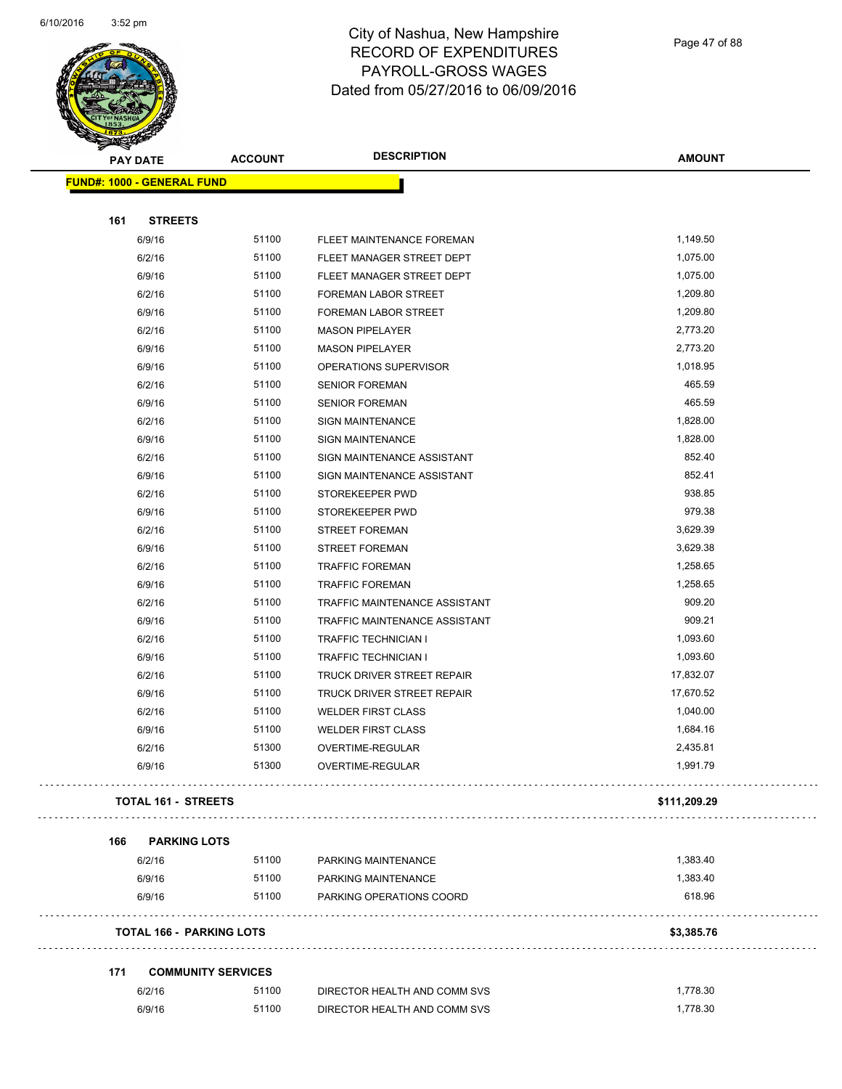

Page 47 of 88

| <b>PAY DATE</b>                   | <b>ACCOUNT</b>                     | <b>DESCRIPTION</b>            | <b>AMOUNT</b> |
|-----------------------------------|------------------------------------|-------------------------------|---------------|
| <b>FUND#: 1000 - GENERAL FUND</b> |                                    |                               |               |
|                                   |                                    |                               |               |
| 161<br><b>STREETS</b>             |                                    |                               |               |
| 6/9/16                            | 51100                              | FLEET MAINTENANCE FOREMAN     | 1,149.50      |
| 6/2/16                            | 51100                              | FLEET MANAGER STREET DEPT     | 1,075.00      |
| 6/9/16                            | 51100                              | FLEET MANAGER STREET DEPT     | 1,075.00      |
| 6/2/16                            | 51100                              | FOREMAN LABOR STREET          | 1,209.80      |
| 6/9/16                            | 51100                              | <b>FOREMAN LABOR STREET</b>   | 1,209.80      |
| 6/2/16                            | 51100                              | <b>MASON PIPELAYER</b>        | 2,773.20      |
| 6/9/16                            | 51100                              | <b>MASON PIPELAYER</b>        | 2,773.20      |
| 6/9/16                            | 51100                              | OPERATIONS SUPERVISOR         | 1,018.95      |
| 6/2/16                            | 51100                              | <b>SENIOR FOREMAN</b>         | 465.59        |
| 6/9/16                            | 51100                              | <b>SENIOR FOREMAN</b>         | 465.59        |
| 6/2/16                            | 51100                              | <b>SIGN MAINTENANCE</b>       | 1,828.00      |
| 6/9/16                            | 51100                              | <b>SIGN MAINTENANCE</b>       | 1,828.00      |
| 6/2/16                            | 51100                              | SIGN MAINTENANCE ASSISTANT    | 852.40        |
| 6/9/16                            | 51100                              | SIGN MAINTENANCE ASSISTANT    | 852.41        |
| 6/2/16                            | 51100                              | STOREKEEPER PWD               | 938.85        |
| 6/9/16                            | 51100                              | STOREKEEPER PWD               | 979.38        |
| 6/2/16                            | 51100                              | <b>STREET FOREMAN</b>         | 3,629.39      |
| 6/9/16                            | 51100                              | <b>STREET FOREMAN</b>         | 3,629.38      |
| 6/2/16                            | 51100                              | <b>TRAFFIC FOREMAN</b>        | 1,258.65      |
| 6/9/16                            | 51100                              | <b>TRAFFIC FOREMAN</b>        | 1,258.65      |
| 6/2/16                            | 51100                              | TRAFFIC MAINTENANCE ASSISTANT | 909.20        |
| 6/9/16                            | 51100                              | TRAFFIC MAINTENANCE ASSISTANT | 909.21        |
| 6/2/16                            | 51100                              | TRAFFIC TECHNICIAN I          | 1,093.60      |
| 6/9/16                            | 51100                              | <b>TRAFFIC TECHNICIAN I</b>   | 1,093.60      |
| 6/2/16                            | 51100                              | TRUCK DRIVER STREET REPAIR    | 17,832.07     |
| 6/9/16                            | 51100                              | TRUCK DRIVER STREET REPAIR    | 17,670.52     |
| 6/2/16                            | 51100                              | <b>WELDER FIRST CLASS</b>     | 1,040.00      |
| 6/9/16                            | 51100                              | <b>WELDER FIRST CLASS</b>     | 1,684.16      |
| 6/2/16                            | 51300                              | OVERTIME-REGULAR              | 2,435.81      |
| 6/9/16                            | 51300                              | OVERTIME-REGULAR              | 1,991.79      |
| <b>TOTAL 161 - STREETS</b>        |                                    |                               | \$111,209.29  |
| 166<br><b>PARKING LOTS</b>        |                                    |                               |               |
| 6/2/16                            | 51100                              | PARKING MAINTENANCE           | 1,383.40      |
| 6/9/16                            | 51100                              | PARKING MAINTENANCE           | 1,383.40      |
| 6/9/16                            | 51100                              | PARKING OPERATIONS COORD      | 618.96        |
| <b>TOTAL 166 - PARKING LOTS</b>   |                                    |                               | \$3,385.76    |
| 171                               |                                    |                               |               |
| 6/2/16                            | <b>COMMUNITY SERVICES</b><br>51100 | DIRECTOR HEALTH AND COMM SVS  | 1,778.30      |
| 6/9/16                            | 51100                              | DIRECTOR HEALTH AND COMM SVS  | 1,778.30      |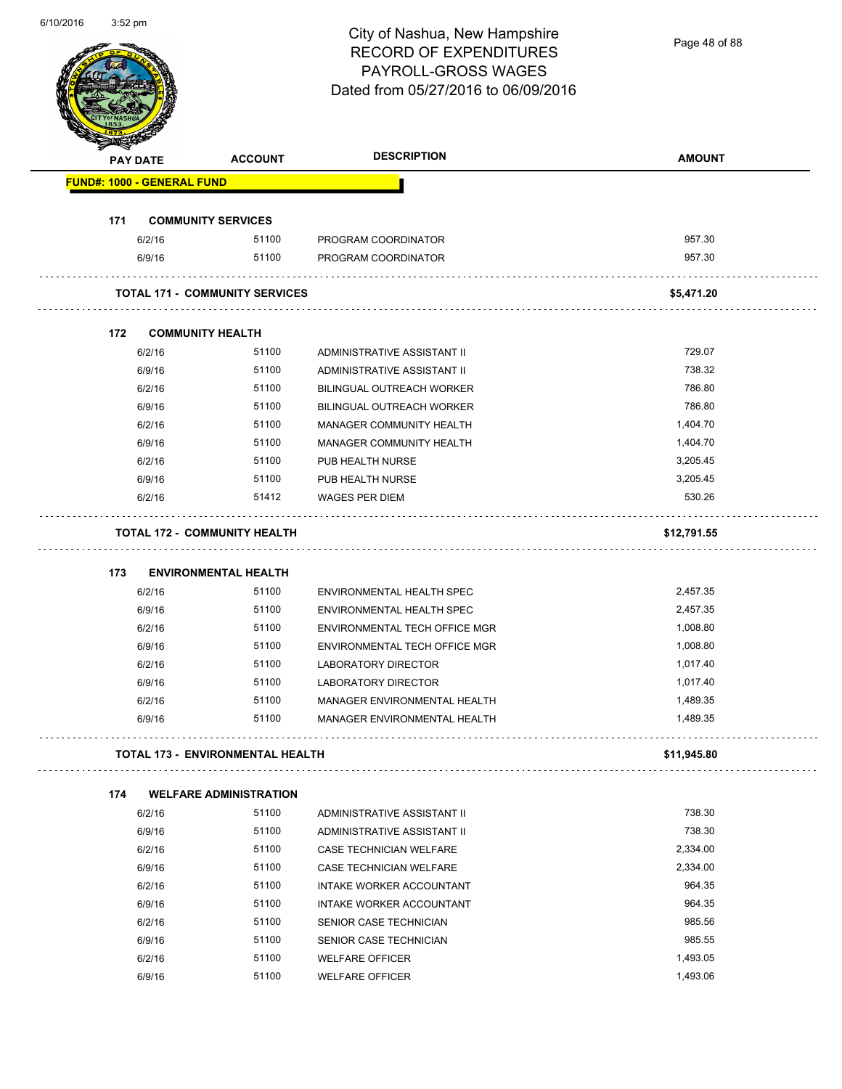| 6/10/2016 | $3:52$ pm |
|-----------|-----------|
|-----------|-----------|

Page 48 of 88

| <b>PAY DATE</b>                   | <b>ACCOUNT</b>                          | <b>DESCRIPTION</b>                  | <b>AMOUNT</b> |
|-----------------------------------|-----------------------------------------|-------------------------------------|---------------|
| <b>FUND#: 1000 - GENERAL FUND</b> |                                         |                                     |               |
| 171                               | <b>COMMUNITY SERVICES</b>               |                                     |               |
| 6/2/16                            | 51100                                   | PROGRAM COORDINATOR                 | 957.30        |
| 6/9/16                            | 51100                                   | PROGRAM COORDINATOR                 | 957.30        |
|                                   | <b>TOTAL 171 - COMMUNITY SERVICES</b>   |                                     | \$5,471.20    |
| 172                               | <b>COMMUNITY HEALTH</b>                 |                                     |               |
| 6/2/16                            | 51100                                   | ADMINISTRATIVE ASSISTANT II         | 729.07        |
| 6/9/16                            | 51100                                   | ADMINISTRATIVE ASSISTANT II         | 738.32        |
| 6/2/16                            | 51100                                   | <b>BILINGUAL OUTREACH WORKER</b>    | 786.80        |
| 6/9/16                            | 51100                                   | <b>BILINGUAL OUTREACH WORKER</b>    | 786.80        |
| 6/2/16                            | 51100                                   | MANAGER COMMUNITY HEALTH            | 1,404.70      |
| 6/9/16                            | 51100                                   | MANAGER COMMUNITY HEALTH            | 1,404.70      |
| 6/2/16                            | 51100                                   | PUB HEALTH NURSE                    | 3,205.45      |
| 6/9/16                            | 51100                                   | PUB HEALTH NURSE                    | 3,205.45      |
| 6/2/16                            | 51412                                   | <b>WAGES PER DIEM</b>               | 530.26        |
|                                   | <b>TOTAL 172 - COMMUNITY HEALTH</b>     |                                     | \$12,791.55   |
| 173                               | <b>ENVIRONMENTAL HEALTH</b>             |                                     |               |
| 6/2/16                            | 51100                                   | ENVIRONMENTAL HEALTH SPEC           | 2,457.35      |
| 6/9/16                            | 51100                                   | ENVIRONMENTAL HEALTH SPEC           | 2,457.35      |
| 6/2/16                            | 51100                                   | ENVIRONMENTAL TECH OFFICE MGR       | 1,008.80      |
| 6/9/16                            | 51100                                   | ENVIRONMENTAL TECH OFFICE MGR       | 1,008.80      |
| 6/2/16                            | 51100                                   | LABORATORY DIRECTOR                 | 1,017.40      |
| 6/9/16                            | 51100                                   | LABORATORY DIRECTOR                 | 1,017.40      |
| 6/2/16                            | 51100                                   | MANAGER ENVIRONMENTAL HEALTH        | 1,489.35      |
| 6/9/16                            | 51100                                   | <b>MANAGER ENVIRONMENTAL HEALTH</b> | 1,489.35      |
|                                   | <b>TOTAL 173 - ENVIRONMENTAL HEALTH</b> |                                     | \$11,945.80   |
| 174                               | <b>WELFARE ADMINISTRATION</b>           |                                     |               |
| 6/2/16                            | 51100                                   | ADMINISTRATIVE ASSISTANT II         | 738.30        |
| 6/9/16                            | 51100                                   | ADMINISTRATIVE ASSISTANT II         | 738.30        |
| 6/2/16                            | 51100                                   | CASE TECHNICIAN WELFARE             | 2,334.00      |
| 6/9/16                            | 51100                                   | CASE TECHNICIAN WELFARE             | 2,334.00      |
| 6/2/16                            | 51100                                   | INTAKE WORKER ACCOUNTANT            | 964.35        |
| 6/9/16                            | 51100                                   | INTAKE WORKER ACCOUNTANT            | 964.35        |
| 6/2/16                            | 51100                                   | SENIOR CASE TECHNICIAN              | 985.56        |
| 6/9/16                            | 51100                                   | SENIOR CASE TECHNICIAN              | 985.55        |
| 6/2/16                            | 51100                                   | <b>WELFARE OFFICER</b>              | 1,493.05      |
| 6/9/16                            | 51100                                   | <b>WELFARE OFFICER</b>              | 1,493.06      |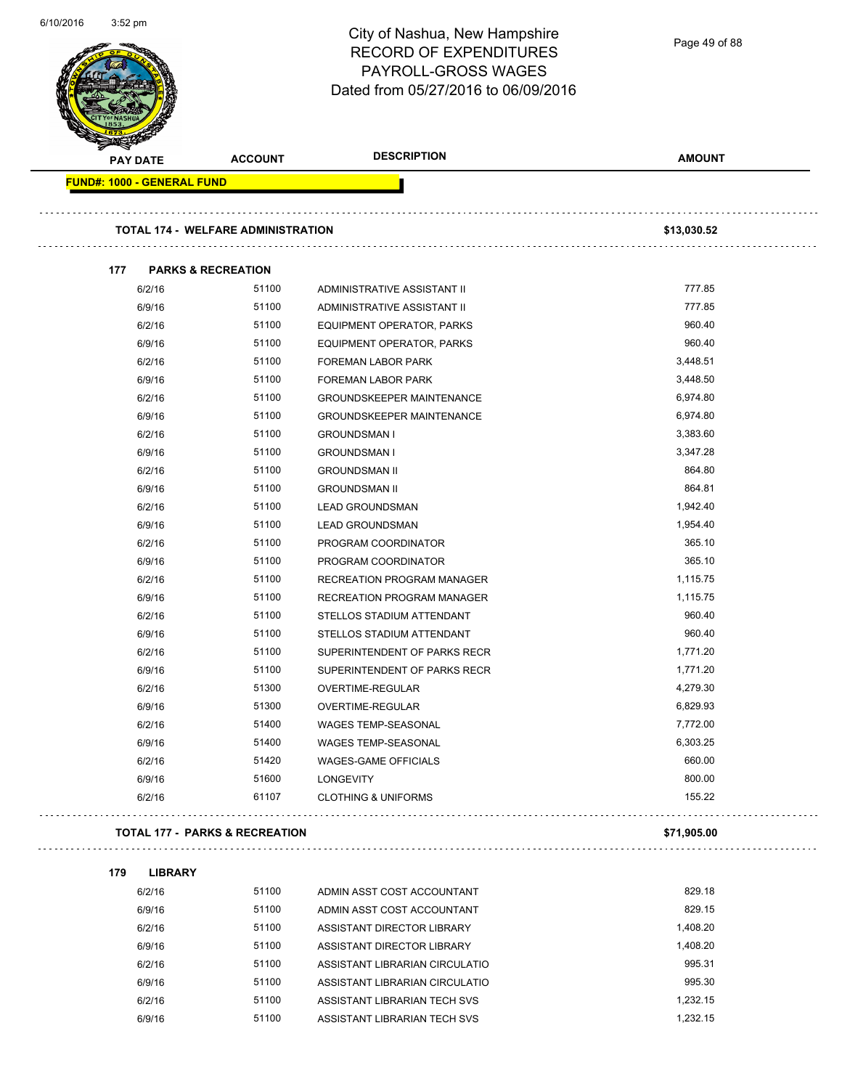|                                   |                                           | City of Nashua, New Hampshire<br><b>RECORD OF EXPENDITURES</b><br>PAYROLL-GROSS WAGES<br>Dated from 05/27/2016 to 06/09/2016 | Page 49 of 88 |
|-----------------------------------|-------------------------------------------|------------------------------------------------------------------------------------------------------------------------------|---------------|
| <b>PAY DATE</b>                   | <b>ACCOUNT</b>                            | <b>DESCRIPTION</b>                                                                                                           | <b>AMOUNT</b> |
| <b>FUND#: 1000 - GENERAL FUND</b> |                                           |                                                                                                                              |               |
|                                   | <b>TOTAL 174 - WELFARE ADMINISTRATION</b> |                                                                                                                              | \$13,030.52   |
| 177                               | <b>PARKS &amp; RECREATION</b>             |                                                                                                                              |               |
| 6/2/16                            | 51100                                     | ADMINISTRATIVE ASSISTANT II                                                                                                  | 777.85        |
| 6/9/16                            | 51100                                     | ADMINISTRATIVE ASSISTANT II                                                                                                  | 777.85        |
| 6/2/16                            | 51100                                     | EQUIPMENT OPERATOR, PARKS                                                                                                    | 960.40        |
| 6/9/16                            | 51100                                     | EQUIPMENT OPERATOR, PARKS                                                                                                    | 960.40        |
| 6/2/16                            | 51100                                     | FOREMAN LABOR PARK                                                                                                           | 3,448.51      |
| 6/9/16                            | 51100                                     | <b>FOREMAN LABOR PARK</b>                                                                                                    | 3,448.50      |
| 6/2/16                            | 51100                                     | GROUNDSKEEPER MAINTENANCE                                                                                                    | 6,974.80      |
| 6/9/16                            | 51100                                     | <b>GROUNDSKEEPER MAINTENANCE</b>                                                                                             | 6,974.80      |
| 6/2/16                            | 51100                                     | <b>GROUNDSMAN I</b>                                                                                                          | 3,383.60      |
| 6/9/16                            | 51100                                     | <b>GROUNDSMAN I</b>                                                                                                          | 3,347.28      |
| 6/2/16                            | 51100                                     | <b>GROUNDSMAN II</b>                                                                                                         | 864.80        |
| 6/9/16                            | 51100                                     | <b>GROUNDSMAN II</b>                                                                                                         | 864.81        |
| 6/2/16                            | 51100                                     | <b>LEAD GROUNDSMAN</b>                                                                                                       | 1,942.40      |
| 6/9/16                            | 51100                                     | <b>LEAD GROUNDSMAN</b>                                                                                                       | 1,954.40      |
| 6/2/16                            | 51100                                     | PROGRAM COORDINATOR                                                                                                          | 365.10        |
| 6/9/16                            | 51100                                     | PROGRAM COORDINATOR                                                                                                          | 365.10        |
| 6/2/16                            | 51100                                     | RECREATION PROGRAM MANAGER                                                                                                   | 1,115.75      |
| 6/9/16                            | 51100                                     | RECREATION PROGRAM MANAGER                                                                                                   | 1,115.75      |
| 6/2/16                            | 51100                                     | STELLOS STADIUM ATTENDANT                                                                                                    | 960.40        |
| 6/9/16                            | 51100                                     | STELLOS STADIUM ATTENDANT                                                                                                    | 960.40        |
| 6/2/16                            | 51100                                     | SUPERINTENDENT OF PARKS RECR                                                                                                 | 1,771.20      |
| 6/9/16                            | 51100                                     | SUPERINTENDENT OF PARKS RECR                                                                                                 | 1,771.20      |
| 6/2/16                            | 51300                                     | <b>OVERTIME-REGULAR</b>                                                                                                      | 4,279.30      |
| 6/9/16                            | 51300                                     | <b>OVERTIME-REGULAR</b>                                                                                                      | 6,829.93      |
| 6/2/16                            | 51400                                     | WAGES TEMP-SEASONAL                                                                                                          | 7,772.00      |
| 6/9/16                            | 51400                                     | WAGES TEMP-SEASONAL                                                                                                          | 6,303.25      |
| 6/2/16                            | 51420                                     | <b>WAGES-GAME OFFICIALS</b>                                                                                                  | 660.00        |
| 6/9/16                            | 51600                                     | <b>LONGEVITY</b>                                                                                                             | 800.00        |
| 6/2/16                            | 61107                                     | <b>CLOTHING &amp; UNIFORMS</b>                                                                                               | 155.22        |
|                                   | <b>TOTAL 177 - PARKS &amp; RECREATION</b> |                                                                                                                              | \$71,905.00   |
| 179<br><b>LIBRARY</b>             |                                           |                                                                                                                              |               |
| 6/2/16                            | 51100                                     | ADMIN ASST COST ACCOUNTANT                                                                                                   | 829.18        |
| 6/9/16                            | 51100                                     | ADMIN ASST COST ACCOUNTANT                                                                                                   | 829.15        |
| 6/2/16                            | 51100                                     | ASSISTANT DIRECTOR LIBRARY                                                                                                   | 1,408.20      |
| 6/9/16                            | 51100                                     | ASSISTANT DIRECTOR LIBRARY                                                                                                   | 1,408.20      |
| 6/2/16                            | 51100                                     | ASSISTANT LIBRARIAN CIRCULATIO                                                                                               | 995.31        |
| 6/9/16                            | 51100                                     | ASSISTANT LIBRARIAN CIRCULATIO                                                                                               | 995.30        |
| 6/2/16                            | 51100                                     | ASSISTANT LIBRARIAN TECH SVS                                                                                                 | 1,232.15      |

6/9/16 51100 ASSISTANT LIBRARIAN TECH SVS 6/9/16 51100

6/10/2016 3:52 pm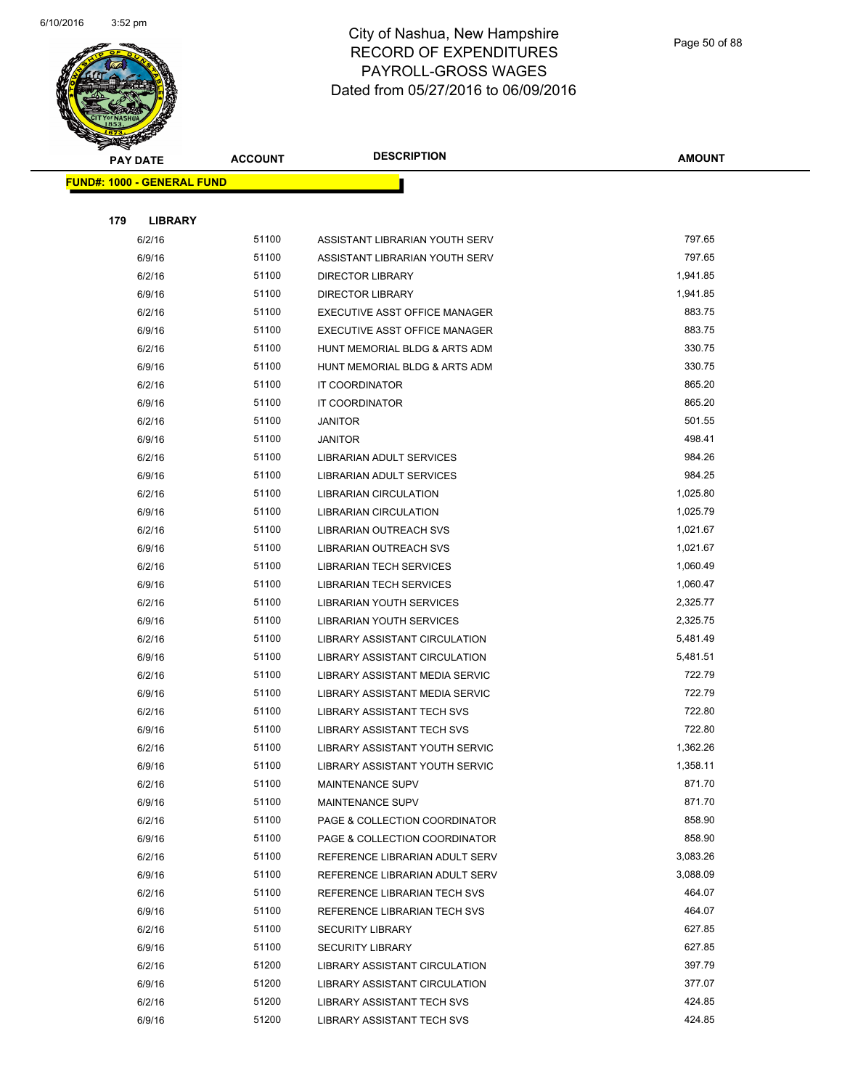

|     | <b>PAY DATE</b>                   | <b>ACCOUNT</b> | <b>DESCRIPTION</b>                                             | <b>AMOUNT</b>    |
|-----|-----------------------------------|----------------|----------------------------------------------------------------|------------------|
|     | <b>FUND#: 1000 - GENERAL FUND</b> |                |                                                                |                  |
|     |                                   |                |                                                                |                  |
| 179 | <b>LIBRARY</b>                    |                |                                                                |                  |
|     | 6/2/16                            | 51100          | ASSISTANT LIBRARIAN YOUTH SERV                                 | 797.65           |
|     | 6/9/16                            | 51100          | ASSISTANT LIBRARIAN YOUTH SERV                                 | 797.65           |
|     | 6/2/16                            | 51100          | <b>DIRECTOR LIBRARY</b>                                        | 1,941.85         |
|     | 6/9/16                            | 51100          | <b>DIRECTOR LIBRARY</b>                                        | 1,941.85         |
|     | 6/2/16                            | 51100          | EXECUTIVE ASST OFFICE MANAGER                                  | 883.75           |
|     | 6/9/16                            | 51100          | EXECUTIVE ASST OFFICE MANAGER                                  | 883.75           |
|     | 6/2/16                            | 51100          | HUNT MEMORIAL BLDG & ARTS ADM                                  | 330.75           |
|     | 6/9/16                            | 51100          | HUNT MEMORIAL BLDG & ARTS ADM                                  | 330.75           |
|     | 6/2/16                            | 51100          | IT COORDINATOR                                                 | 865.20           |
|     | 6/9/16                            | 51100          | IT COORDINATOR                                                 | 865.20           |
|     | 6/2/16                            | 51100          | <b>JANITOR</b>                                                 | 501.55           |
|     | 6/9/16                            | 51100          | <b>JANITOR</b>                                                 | 498.41           |
|     | 6/2/16                            | 51100          | LIBRARIAN ADULT SERVICES                                       | 984.26           |
|     | 6/9/16                            | 51100          | LIBRARIAN ADULT SERVICES                                       | 984.25           |
|     | 6/2/16                            | 51100          | LIBRARIAN CIRCULATION                                          | 1,025.80         |
|     | 6/9/16                            | 51100          | LIBRARIAN CIRCULATION                                          | 1,025.79         |
|     | 6/2/16                            | 51100          | LIBRARIAN OUTREACH SVS                                         | 1,021.67         |
|     | 6/9/16                            | 51100          | LIBRARIAN OUTREACH SVS                                         | 1,021.67         |
|     | 6/2/16                            | 51100          | <b>LIBRARIAN TECH SERVICES</b>                                 | 1,060.49         |
|     | 6/9/16                            | 51100          | <b>LIBRARIAN TECH SERVICES</b>                                 | 1,060.47         |
|     | 6/2/16                            | 51100          | LIBRARIAN YOUTH SERVICES                                       | 2,325.77         |
|     | 6/9/16                            | 51100          | LIBRARIAN YOUTH SERVICES                                       | 2,325.75         |
|     | 6/2/16                            | 51100          | LIBRARY ASSISTANT CIRCULATION                                  | 5,481.49         |
|     | 6/9/16                            | 51100          | LIBRARY ASSISTANT CIRCULATION                                  | 5,481.51         |
|     | 6/2/16                            | 51100          | LIBRARY ASSISTANT MEDIA SERVIC                                 | 722.79           |
|     | 6/9/16                            | 51100          | LIBRARY ASSISTANT MEDIA SERVIC                                 | 722.79           |
|     | 6/2/16                            | 51100          | LIBRARY ASSISTANT TECH SVS                                     | 722.80           |
|     | 6/9/16                            | 51100          | LIBRARY ASSISTANT TECH SVS                                     | 722.80           |
|     | 6/2/16                            | 51100          | LIBRARY ASSISTANT YOUTH SERVIC                                 | 1,362.26         |
|     | 6/9/16                            | 51100          | LIBRARY ASSISTANT YOUTH SERVIC                                 | 1,358.11         |
|     | 6/2/16                            | 51100<br>51100 | MAINTENANCE SUPV                                               | 871.70<br>871.70 |
|     | 6/9/16                            | 51100          | <b>MAINTENANCE SUPV</b>                                        | 858.90           |
|     | 6/2/16<br>6/9/16                  | 51100          | PAGE & COLLECTION COORDINATOR<br>PAGE & COLLECTION COORDINATOR | 858.90           |
|     | 6/2/16                            | 51100          | REFERENCE LIBRARIAN ADULT SERV                                 | 3,083.26         |
|     | 6/9/16                            | 51100          | REFERENCE LIBRARIAN ADULT SERV                                 | 3,088.09         |
|     | 6/2/16                            | 51100          | REFERENCE LIBRARIAN TECH SVS                                   | 464.07           |
|     | 6/9/16                            | 51100          | REFERENCE LIBRARIAN TECH SVS                                   | 464.07           |
|     | 6/2/16                            | 51100          | <b>SECURITY LIBRARY</b>                                        | 627.85           |
|     | 6/9/16                            | 51100          | <b>SECURITY LIBRARY</b>                                        | 627.85           |
|     | 6/2/16                            | 51200          | LIBRARY ASSISTANT CIRCULATION                                  | 397.79           |
|     | 6/9/16                            | 51200          | LIBRARY ASSISTANT CIRCULATION                                  | 377.07           |
|     | 6/2/16                            | 51200          | LIBRARY ASSISTANT TECH SVS                                     | 424.85           |
|     | 6/9/16                            | 51200          | LIBRARY ASSISTANT TECH SVS                                     | 424.85           |
|     |                                   |                |                                                                |                  |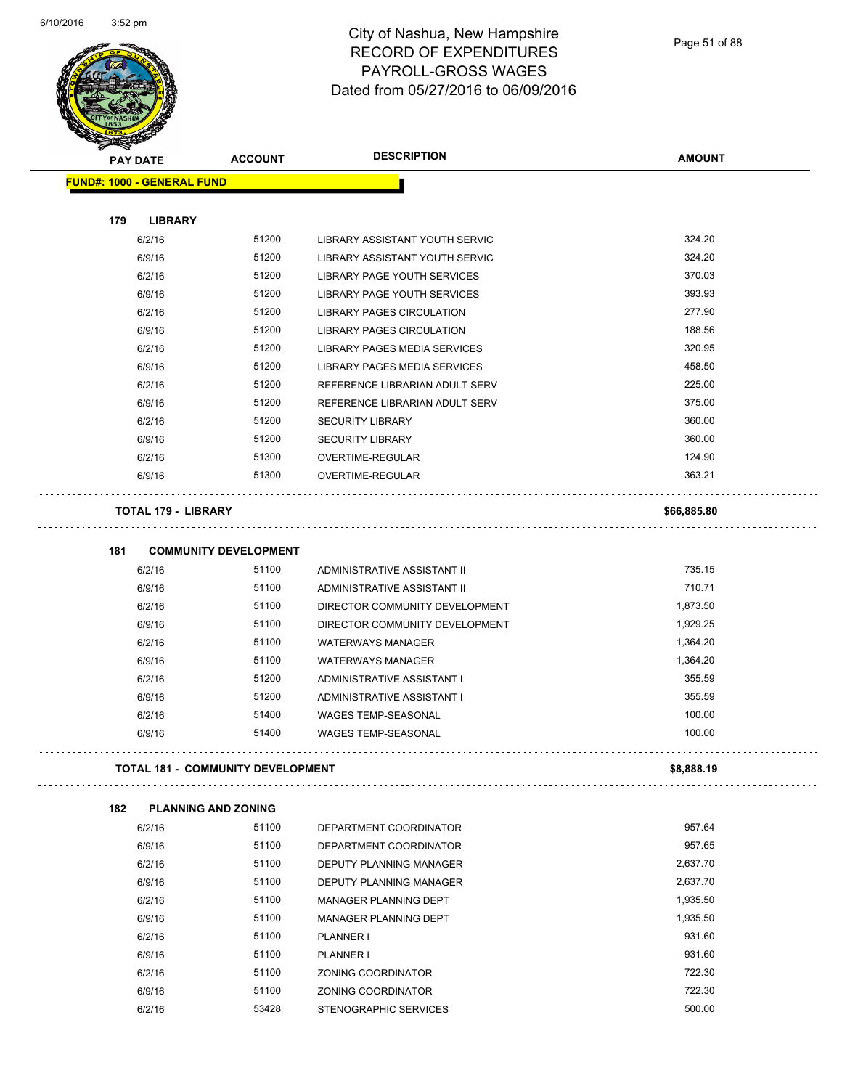$\overline{\phantom{a}}$ 



#### City of Nashua, New Hampshire RECORD OF EXPENDITURES PAYROLL-GROSS WAGES Dated from 05/27/2016 to 06/09/2016

| <b>PAY DATE</b>                   | <b>ACCOUNT</b>                        | <b>DESCRIPTION</b>                                                | <b>AMOUNT</b> |
|-----------------------------------|---------------------------------------|-------------------------------------------------------------------|---------------|
| <b>FUND#: 1000 - GENERAL FUND</b> |                                       |                                                                   |               |
|                                   |                                       |                                                                   |               |
| 179<br><b>LIBRARY</b><br>6/2/16   | 51200                                 | LIBRARY ASSISTANT YOUTH SERVIC                                    | 324.20        |
| 6/9/16                            | 51200                                 | LIBRARY ASSISTANT YOUTH SERVIC                                    | 324.20        |
|                                   | 51200                                 |                                                                   | 370.03        |
| 6/2/16                            | 51200                                 | LIBRARY PAGE YOUTH SERVICES<br><b>LIBRARY PAGE YOUTH SERVICES</b> | 393.93        |
| 6/9/16                            | 51200                                 |                                                                   | 277.90        |
| 6/2/16                            | 51200                                 | <b>LIBRARY PAGES CIRCULATION</b>                                  | 188.56        |
| 6/9/16                            | 51200                                 | LIBRARY PAGES CIRCULATION                                         | 320.95        |
| 6/2/16                            |                                       | LIBRARY PAGES MEDIA SERVICES                                      |               |
| 6/9/16                            | 51200                                 | LIBRARY PAGES MEDIA SERVICES                                      | 458.50        |
| 6/2/16                            | 51200                                 | REFERENCE LIBRARIAN ADULT SERV                                    | 225.00        |
| 6/9/16                            | 51200                                 | REFERENCE LIBRARIAN ADULT SERV                                    | 375.00        |
| 6/2/16                            | 51200                                 | <b>SECURITY LIBRARY</b>                                           | 360.00        |
| 6/9/16                            | 51200                                 | <b>SECURITY LIBRARY</b>                                           | 360.00        |
| 6/2/16                            | 51300                                 | OVERTIME-REGULAR                                                  | 124.90        |
| 6/9/16                            | 51300                                 | OVERTIME-REGULAR                                                  | 363.21        |
|                                   |                                       |                                                                   |               |
| <b>TOTAL 179 - LIBRARY</b>        |                                       |                                                                   | \$66,885.80   |
|                                   |                                       |                                                                   |               |
| 181<br>6/2/16                     | <b>COMMUNITY DEVELOPMENT</b><br>51100 | ADMINISTRATIVE ASSISTANT II                                       | 735.15        |
| 6/9/16                            | 51100                                 |                                                                   | 710.71        |
| 6/2/16                            | 51100                                 | ADMINISTRATIVE ASSISTANT II                                       | 1,873.50      |
|                                   | 51100                                 | DIRECTOR COMMUNITY DEVELOPMENT                                    | 1,929.25      |
| 6/9/16                            |                                       | DIRECTOR COMMUNITY DEVELOPMENT                                    |               |
| 6/2/16                            | 51100                                 | <b>WATERWAYS MANAGER</b>                                          | 1,364.20      |
| 6/9/16                            | 51100                                 | <b>WATERWAYS MANAGER</b>                                          | 1,364.20      |
| 6/2/16                            | 51200                                 | ADMINISTRATIVE ASSISTANT I                                        | 355.59        |
| 6/9/16                            | 51200                                 | ADMINISTRATIVE ASSISTANT I                                        | 355.59        |
| 6/2/16                            | 51400                                 | WAGES TEMP-SEASONAL                                               | 100.00        |
| 6/9/16                            | 51400                                 | <b>WAGES TEMP-SEASONAL</b>                                        | 100.00        |
|                                   | TOTAL 181 - COMMUNITY DEVELOPMENT     |                                                                   | \$8,888.19    |
| 182                               | <b>PLANNING AND ZONING</b>            |                                                                   |               |
| 6/2/16                            | 51100                                 | DEPARTMENT COORDINATOR                                            | 957.64        |
| 6/9/16                            | 51100                                 | DEPARTMENT COORDINATOR                                            | 957.65        |
| 6/2/16                            | 51100                                 | <b>DEPUTY PLANNING MANAGER</b>                                    | 2,637.70      |
| 6/9/16                            | 51100                                 | DEPUTY PLANNING MANAGER                                           | 2,637.70      |
| 6/2/16                            | 51100                                 | MANAGER PLANNING DEPT                                             | 1,935.50      |
| 6/9/16                            | 51100                                 | MANAGER PLANNING DEPT                                             | 1,935.50      |
| 6/2/16                            | 51100                                 | PLANNER I                                                         | 931.60        |
| 6/9/16                            | 51100                                 | PLANNER I                                                         | 931.60        |
| 6/2/16                            | 51100                                 | ZONING COORDINATOR                                                | 722.30        |
| 6/9/16                            | 51100                                 | ZONING COORDINATOR                                                | 722.30        |
| 6/2/16                            | 53428                                 | STENOGRAPHIC SERVICES                                             | 500.00        |
|                                   |                                       |                                                                   |               |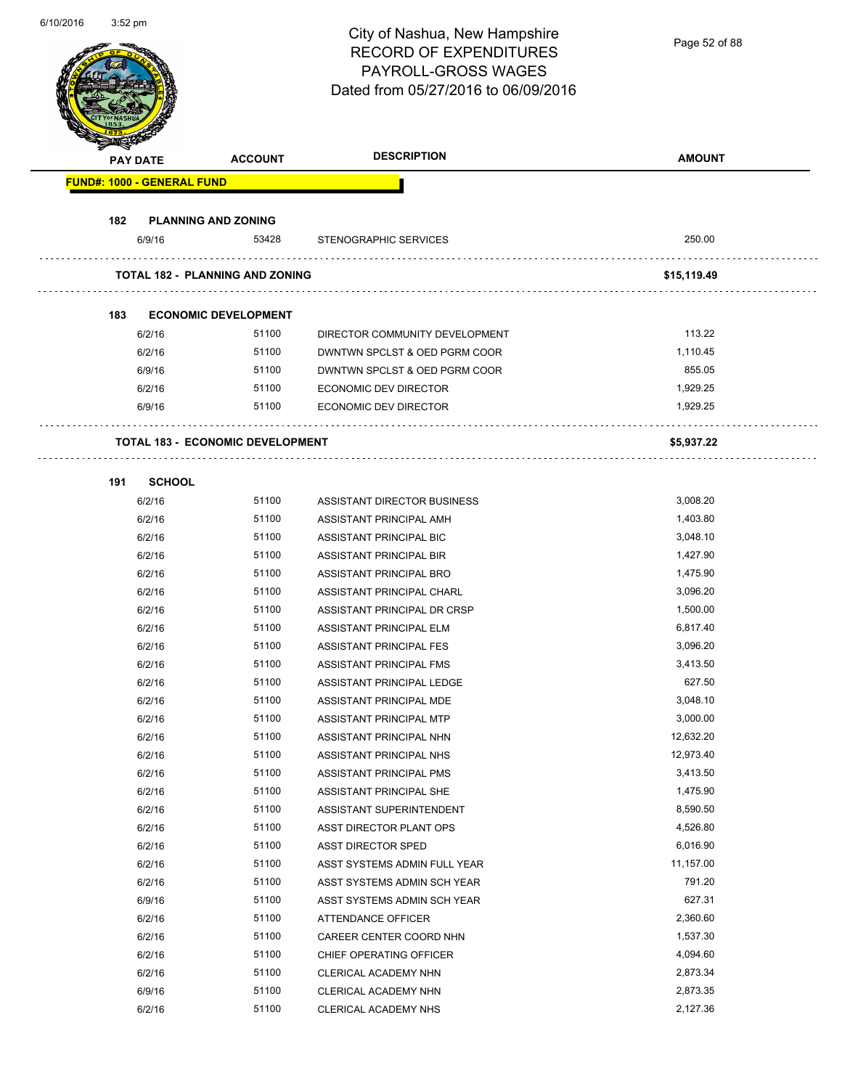| 0/10/2010 | 3:5∠ pm |                                   |                                         | City of Nashua, New Hampshire<br><b>RECORD OF EXPENDITURES</b><br>PAYROLL-GROSS WAGES<br>Dated from 05/27/2016 to 06/09/2016 | Page 52 of 88        |
|-----------|---------|-----------------------------------|-----------------------------------------|------------------------------------------------------------------------------------------------------------------------------|----------------------|
|           |         | <b>PAY DATE</b>                   | <b>ACCOUNT</b>                          | <b>DESCRIPTION</b>                                                                                                           | <b>AMOUNT</b>        |
|           |         | <b>FUND#: 1000 - GENERAL FUND</b> |                                         |                                                                                                                              |                      |
|           |         |                                   |                                         |                                                                                                                              |                      |
|           | 182     | 6/9/16                            | <b>PLANNING AND ZONING</b><br>53428     | STENOGRAPHIC SERVICES                                                                                                        | 250.00               |
|           |         |                                   |                                         |                                                                                                                              |                      |
|           |         |                                   | <b>TOTAL 182 - PLANNING AND ZONING</b>  |                                                                                                                              | \$15,119.49          |
|           | 183     |                                   | <b>ECONOMIC DEVELOPMENT</b>             |                                                                                                                              |                      |
|           |         | 6/2/16                            | 51100                                   | DIRECTOR COMMUNITY DEVELOPMENT                                                                                               | 113.22               |
|           |         | 6/2/16                            | 51100                                   | DWNTWN SPCLST & OED PGRM COOR                                                                                                | 1,110.45             |
|           |         | 6/9/16                            | 51100                                   | DWNTWN SPCLST & OED PGRM COOR                                                                                                | 855.05               |
|           |         | 6/2/16                            | 51100                                   | ECONOMIC DEV DIRECTOR                                                                                                        | 1,929.25             |
|           |         | 6/9/16                            | 51100                                   | <b>ECONOMIC DEV DIRECTOR</b>                                                                                                 | 1,929.25             |
|           |         |                                   | <b>TOTAL 183 - ECONOMIC DEVELOPMENT</b> |                                                                                                                              | \$5,937.22           |
|           |         |                                   |                                         |                                                                                                                              |                      |
|           | 191     | <b>SCHOOL</b>                     |                                         |                                                                                                                              |                      |
|           |         | 6/2/16                            | 51100                                   | ASSISTANT DIRECTOR BUSINESS                                                                                                  | 3,008.20             |
|           |         | 6/2/16                            | 51100                                   | ASSISTANT PRINCIPAL AMH                                                                                                      | 1,403.80             |
|           |         | 6/2/16                            | 51100                                   | ASSISTANT PRINCIPAL BIC                                                                                                      | 3,048.10             |
|           |         | 6/2/16                            | 51100                                   | ASSISTANT PRINCIPAL BIR                                                                                                      | 1,427.90             |
|           |         | 6/2/16                            | 51100                                   | ASSISTANT PRINCIPAL BRO                                                                                                      | 1,475.90             |
|           |         | 6/2/16                            | 51100                                   | ASSISTANT PRINCIPAL CHARL                                                                                                    | 3,096.20             |
|           |         | 6/2/16                            | 51100<br>51100                          | ASSISTANT PRINCIPAL DR CRSP                                                                                                  | 1,500.00<br>6,817.40 |
|           |         | 6/2/16<br>6/2/16                  | 51100                                   | ASSISTANT PRINCIPAL ELM<br>ASSISTANT PRINCIPAL FES                                                                           | 3,096.20             |
|           |         | 6/2/16                            | 51100                                   | ASSISTANT PRINCIPAL FMS                                                                                                      | 3,413.50             |
|           |         | 6/2/16                            | 51100                                   | ASSISTANT PRINCIPAL LEDGE                                                                                                    | 627.50               |
|           |         | 6/2/16                            | 51100                                   | ASSISTANT PRINCIPAL MDE                                                                                                      | 3,048.10             |
|           |         | 6/2/16                            | 51100                                   | ASSISTANT PRINCIPAL MTP                                                                                                      | 3,000.00             |
|           |         | 6/2/16                            | 51100                                   | ASSISTANT PRINCIPAL NHN                                                                                                      | 12,632.20            |
|           |         | 6/2/16                            | 51100                                   | ASSISTANT PRINCIPAL NHS                                                                                                      | 12,973.40            |
|           |         | 6/2/16                            | 51100                                   | ASSISTANT PRINCIPAL PMS                                                                                                      | 3,413.50             |
|           |         | 6/2/16                            | 51100                                   | ASSISTANT PRINCIPAL SHE                                                                                                      | 1,475.90             |
|           |         | 6/2/16                            | 51100                                   | ASSISTANT SUPERINTENDENT                                                                                                     | 8,590.50             |
|           |         | 6/2/16                            | 51100                                   | ASST DIRECTOR PLANT OPS                                                                                                      | 4,526.80             |
|           |         | 6/2/16                            | 51100                                   | <b>ASST DIRECTOR SPED</b>                                                                                                    | 6,016.90             |
|           |         | 6/2/16                            | 51100                                   | ASST SYSTEMS ADMIN FULL YEAR                                                                                                 | 11,157.00            |
|           |         | 6/2/16                            | 51100                                   | ASST SYSTEMS ADMIN SCH YEAR                                                                                                  | 791.20               |
|           |         | 6/9/16                            | 51100                                   | ASST SYSTEMS ADMIN SCH YEAR                                                                                                  | 627.31               |
|           |         | 6/2/16                            | 51100                                   | ATTENDANCE OFFICER                                                                                                           | 2,360.60             |
|           |         | 6/2/16                            | 51100                                   | CAREER CENTER COORD NHN                                                                                                      | 1,537.30             |
|           |         | 6/2/16                            | 51100                                   | CHIEF OPERATING OFFICER                                                                                                      | 4,094.60             |
|           |         | 6/2/16                            | 51100                                   | CLERICAL ACADEMY NHN                                                                                                         | 2,873.34             |
|           |         | 6/9/16                            | 51100                                   | CLERICAL ACADEMY NHN                                                                                                         | 2,873.35             |
|           |         | 6/2/16                            | 51100                                   | CLERICAL ACADEMY NHS                                                                                                         | 2,127.36             |

6/10/2016 3:52 pm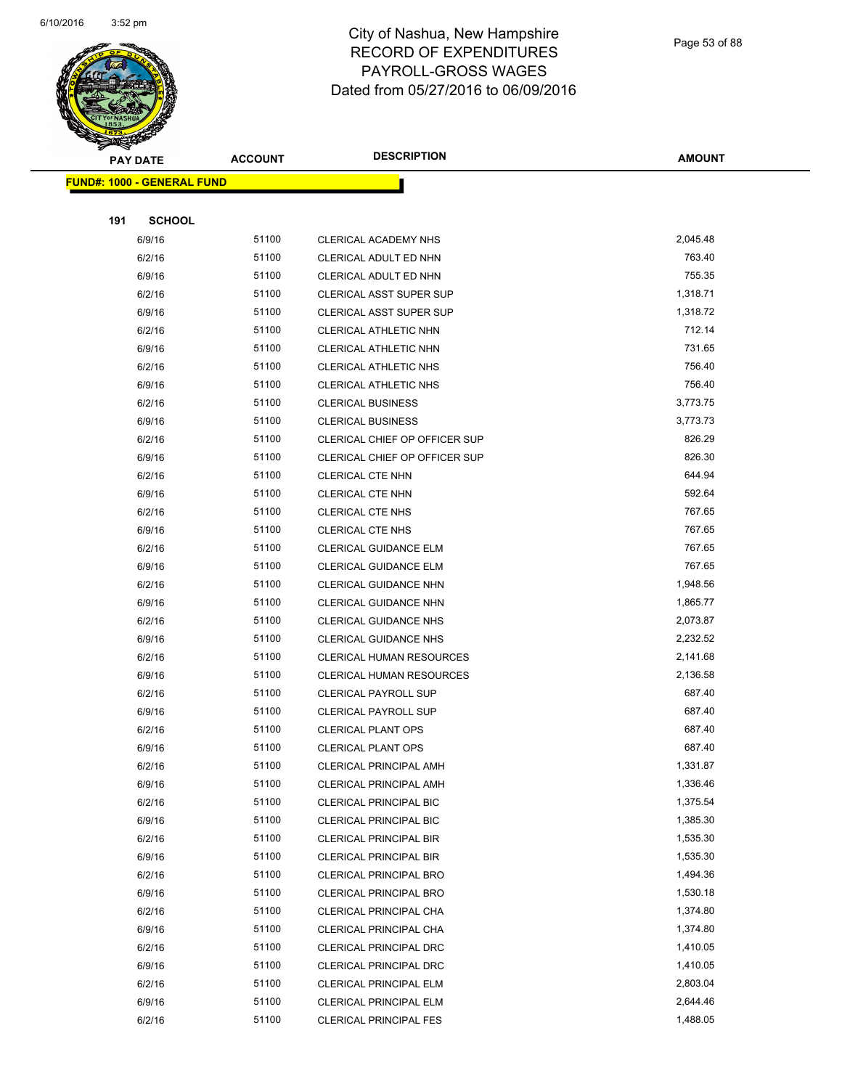

Page 53 of 88

|     | <b>PAY DATE</b>                   | <b>ACCOUNT</b> | <b>DESCRIPTION</b>                                             | <b>AMOUNT</b>      |
|-----|-----------------------------------|----------------|----------------------------------------------------------------|--------------------|
|     | <b>FUND#: 1000 - GENERAL FUND</b> |                |                                                                |                    |
|     |                                   |                |                                                                |                    |
| 191 | <b>SCHOOL</b>                     |                |                                                                |                    |
|     | 6/9/16                            | 51100          | CLERICAL ACADEMY NHS                                           | 2,045.48           |
|     | 6/2/16                            | 51100          | CLERICAL ADULT ED NHN                                          | 763.40             |
|     | 6/9/16                            | 51100          | CLERICAL ADULT ED NHN                                          | 755.35             |
|     | 6/2/16                            | 51100          | <b>CLERICAL ASST SUPER SUP</b>                                 | 1,318.71           |
|     | 6/9/16                            | 51100          | CLERICAL ASST SUPER SUP                                        | 1,318.72           |
|     | 6/2/16                            | 51100          | <b>CLERICAL ATHLETIC NHN</b>                                   | 712.14             |
|     | 6/9/16                            | 51100          | <b>CLERICAL ATHLETIC NHN</b>                                   | 731.65             |
|     | 6/2/16                            | 51100          | CLERICAL ATHLETIC NHS                                          | 756.40             |
|     | 6/9/16                            | 51100          | <b>CLERICAL ATHLETIC NHS</b>                                   | 756.40             |
|     | 6/2/16                            | 51100          | <b>CLERICAL BUSINESS</b>                                       | 3,773.75           |
|     | 6/9/16                            | 51100          | <b>CLERICAL BUSINESS</b>                                       | 3,773.73           |
|     | 6/2/16                            | 51100          | CLERICAL CHIEF OP OFFICER SUP                                  | 826.29             |
|     | 6/9/16                            | 51100          | CLERICAL CHIEF OP OFFICER SUP                                  | 826.30             |
|     | 6/2/16                            | 51100          | <b>CLERICAL CTE NHN</b>                                        | 644.94             |
|     | 6/9/16                            | 51100          | <b>CLERICAL CTE NHN</b>                                        | 592.64             |
|     | 6/2/16                            | 51100          | CLERICAL CTE NHS                                               | 767.65             |
|     | 6/9/16                            | 51100          | CLERICAL CTE NHS                                               | 767.65             |
|     | 6/2/16                            | 51100          | CLERICAL GUIDANCE ELM                                          | 767.65             |
|     | 6/9/16                            | 51100          | <b>CLERICAL GUIDANCE ELM</b>                                   | 767.65             |
|     | 6/2/16                            | 51100          | <b>CLERICAL GUIDANCE NHN</b>                                   | 1,948.56           |
|     | 6/9/16                            | 51100          | <b>CLERICAL GUIDANCE NHN</b>                                   | 1,865.77           |
|     | 6/2/16                            | 51100          | <b>CLERICAL GUIDANCE NHS</b>                                   | 2,073.87           |
|     | 6/9/16                            | 51100          | <b>CLERICAL GUIDANCE NHS</b>                                   | 2,232.52           |
|     | 6/2/16                            | 51100          | <b>CLERICAL HUMAN RESOURCES</b>                                | 2,141.68           |
|     | 6/9/16                            | 51100          | <b>CLERICAL HUMAN RESOURCES</b>                                | 2,136.58           |
|     | 6/2/16                            | 51100          | <b>CLERICAL PAYROLL SUP</b>                                    | 687.40             |
|     | 6/9/16                            | 51100          | <b>CLERICAL PAYROLL SUP</b>                                    | 687.40             |
|     | 6/2/16                            | 51100          | <b>CLERICAL PLANT OPS</b>                                      | 687.40             |
|     | 6/9/16                            | 51100<br>51100 | <b>CLERICAL PLANT OPS</b>                                      | 687.40<br>1,331.87 |
|     | 6/2/16                            |                | CLERICAL PRINCIPAL AMH                                         | 1,336.46           |
|     | 6/9/16<br>6/2/16                  | 51100<br>51100 | <b>CLERICAL PRINCIPAL AMH</b><br><b>CLERICAL PRINCIPAL BIC</b> | 1,375.54           |
|     | 6/9/16                            | 51100          | <b>CLERICAL PRINCIPAL BIC</b>                                  | 1,385.30           |
|     | 6/2/16                            | 51100          | <b>CLERICAL PRINCIPAL BIR</b>                                  | 1,535.30           |
|     | 6/9/16                            | 51100          | <b>CLERICAL PRINCIPAL BIR</b>                                  | 1,535.30           |
|     | 6/2/16                            | 51100          | <b>CLERICAL PRINCIPAL BRO</b>                                  | 1,494.36           |
|     | 6/9/16                            | 51100          | CLERICAL PRINCIPAL BRO                                         | 1,530.18           |
|     | 6/2/16                            | 51100          | CLERICAL PRINCIPAL CHA                                         | 1,374.80           |
|     | 6/9/16                            | 51100          | CLERICAL PRINCIPAL CHA                                         | 1,374.80           |
|     | 6/2/16                            | 51100          | <b>CLERICAL PRINCIPAL DRC</b>                                  | 1,410.05           |
|     | 6/9/16                            | 51100          | <b>CLERICAL PRINCIPAL DRC</b>                                  | 1,410.05           |
|     | 6/2/16                            | 51100          | CLERICAL PRINCIPAL ELM                                         | 2,803.04           |
|     | 6/9/16                            | 51100          | <b>CLERICAL PRINCIPAL ELM</b>                                  | 2,644.46           |
|     | 6/2/16                            | 51100          | <b>CLERICAL PRINCIPAL FES</b>                                  | 1,488.05           |
|     |                                   |                |                                                                |                    |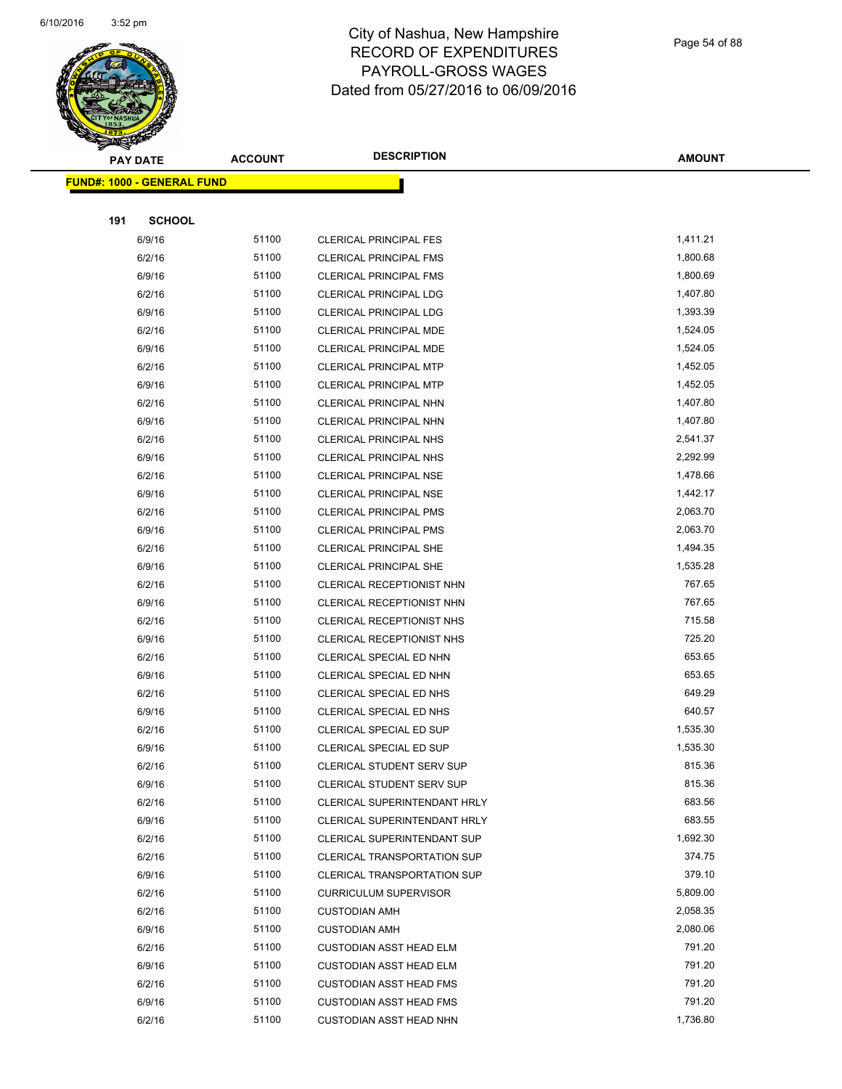

|     | <b>PAY DATE</b>                    | <b>ACCOUNT</b> | <b>DESCRIPTION</b>                                                 | <b>AMOUNT</b>    |
|-----|------------------------------------|----------------|--------------------------------------------------------------------|------------------|
|     | <u> FUND#: 1000 - GENERAL FUND</u> |                |                                                                    |                  |
|     |                                    |                |                                                                    |                  |
| 191 | <b>SCHOOL</b>                      |                |                                                                    |                  |
|     | 6/9/16                             | 51100          | <b>CLERICAL PRINCIPAL FES</b>                                      | 1,411.21         |
|     | 6/2/16                             | 51100          | <b>CLERICAL PRINCIPAL FMS</b>                                      | 1,800.68         |
|     | 6/9/16                             | 51100          | <b>CLERICAL PRINCIPAL FMS</b>                                      | 1,800.69         |
|     | 6/2/16                             | 51100          | CLERICAL PRINCIPAL LDG                                             | 1,407.80         |
|     | 6/9/16                             | 51100          | <b>CLERICAL PRINCIPAL LDG</b>                                      | 1,393.39         |
|     | 6/2/16                             | 51100          | CLERICAL PRINCIPAL MDE                                             | 1,524.05         |
|     | 6/9/16                             | 51100          | CLERICAL PRINCIPAL MDE                                             | 1,524.05         |
|     | 6/2/16                             | 51100          | <b>CLERICAL PRINCIPAL MTP</b>                                      | 1,452.05         |
|     | 6/9/16                             | 51100          | <b>CLERICAL PRINCIPAL MTP</b>                                      | 1,452.05         |
|     | 6/2/16                             | 51100          | <b>CLERICAL PRINCIPAL NHN</b>                                      | 1,407.80         |
|     | 6/9/16                             | 51100          | CLERICAL PRINCIPAL NHN                                             | 1,407.80         |
|     | 6/2/16                             | 51100          | <b>CLERICAL PRINCIPAL NHS</b>                                      | 2,541.37         |
|     | 6/9/16                             | 51100          | <b>CLERICAL PRINCIPAL NHS</b>                                      | 2,292.99         |
|     | 6/2/16                             | 51100          | <b>CLERICAL PRINCIPAL NSE</b>                                      | 1,478.66         |
|     | 6/9/16                             | 51100          | <b>CLERICAL PRINCIPAL NSE</b>                                      | 1,442.17         |
|     | 6/2/16                             | 51100          | <b>CLERICAL PRINCIPAL PMS</b>                                      | 2,063.70         |
|     | 6/9/16                             | 51100          | <b>CLERICAL PRINCIPAL PMS</b>                                      | 2,063.70         |
|     | 6/2/16                             | 51100          | <b>CLERICAL PRINCIPAL SHE</b>                                      | 1,494.35         |
|     | 6/9/16                             | 51100          | CLERICAL PRINCIPAL SHE                                             | 1,535.28         |
|     | 6/2/16                             | 51100          | CLERICAL RECEPTIONIST NHN                                          | 767.65           |
|     | 6/9/16                             | 51100          | CLERICAL RECEPTIONIST NHN                                          | 767.65           |
|     | 6/2/16                             | 51100          | CLERICAL RECEPTIONIST NHS                                          | 715.58           |
|     | 6/9/16                             | 51100          | CLERICAL RECEPTIONIST NHS                                          | 725.20           |
|     | 6/2/16                             | 51100          | CLERICAL SPECIAL ED NHN                                            | 653.65           |
|     | 6/9/16                             | 51100          | CLERICAL SPECIAL ED NHN                                            | 653.65           |
|     | 6/2/16                             | 51100          | CLERICAL SPECIAL ED NHS                                            | 649.29           |
|     | 6/9/16                             | 51100          | CLERICAL SPECIAL ED NHS                                            | 640.57           |
|     | 6/2/16                             | 51100          | CLERICAL SPECIAL ED SUP                                            | 1,535.30         |
|     | 6/9/16                             | 51100          | CLERICAL SPECIAL ED SUP                                            | 1,535.30         |
|     | 6/2/16                             | 51100          | CLERICAL STUDENT SERV SUP                                          | 815.36           |
|     | 6/9/16                             | 51100          | <b>CLERICAL STUDENT SERV SUP</b>                                   | 815.36           |
|     | 6/2/16                             | 51100          | CLERICAL SUPERINTENDANT HRLY                                       | 683.56           |
|     | 6/9/16                             | 51100          | CLERICAL SUPERINTENDANT HRLY                                       | 683.55           |
|     | 6/2/16                             | 51100          | CLERICAL SUPERINTENDANT SUP                                        | 1,692.30         |
|     | 6/2/16                             | 51100<br>51100 | <b>CLERICAL TRANSPORTATION SUP</b>                                 | 374.75<br>379.10 |
|     | 6/9/16<br>6/2/16                   | 51100          | <b>CLERICAL TRANSPORTATION SUP</b><br><b>CURRICULUM SUPERVISOR</b> | 5,809.00         |
|     | 6/2/16                             | 51100          | <b>CUSTODIAN AMH</b>                                               | 2,058.35         |
|     | 6/9/16                             | 51100          | <b>CUSTODIAN AMH</b>                                               | 2,080.06         |
|     | 6/2/16                             | 51100          | <b>CUSTODIAN ASST HEAD ELM</b>                                     | 791.20           |
|     | 6/9/16                             | 51100          | <b>CUSTODIAN ASST HEAD ELM</b>                                     | 791.20           |
|     | 6/2/16                             | 51100          | <b>CUSTODIAN ASST HEAD FMS</b>                                     | 791.20           |
|     | 6/9/16                             | 51100          | <b>CUSTODIAN ASST HEAD FMS</b>                                     | 791.20           |
|     | 6/2/16                             | 51100          | CUSTODIAN ASST HEAD NHN                                            | 1,736.80         |
|     |                                    |                |                                                                    |                  |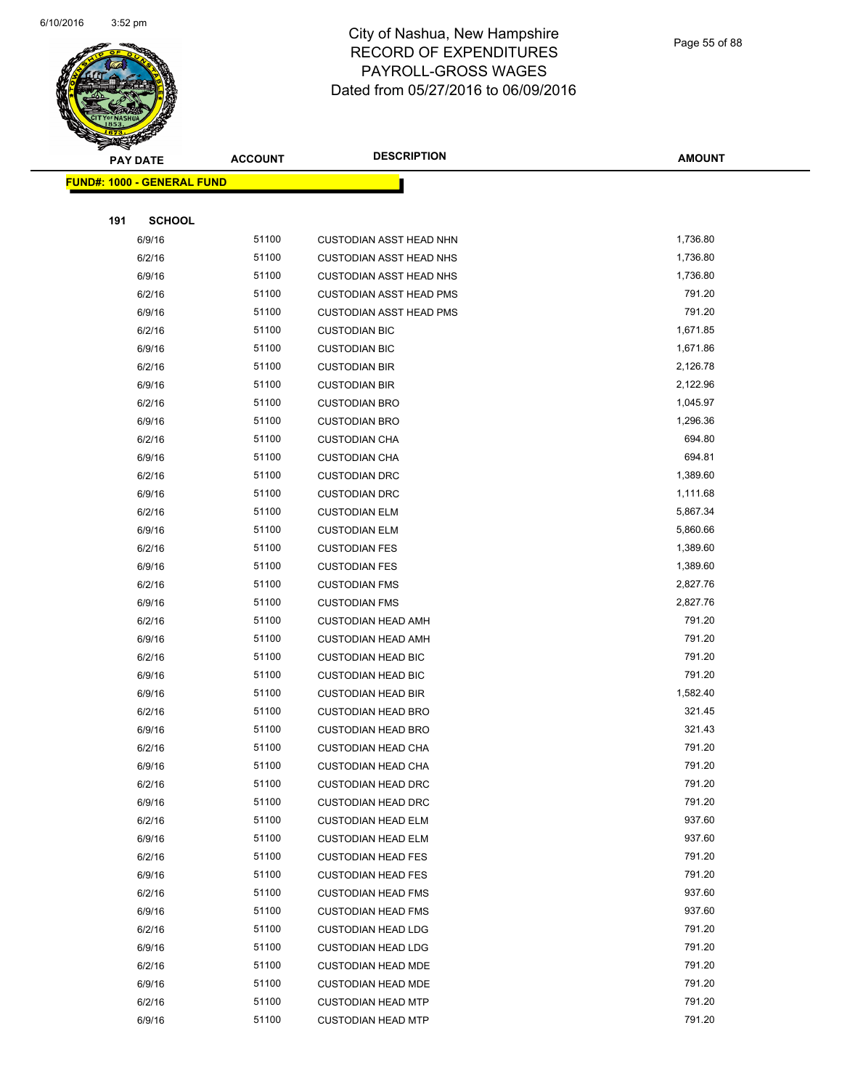

Page 55 of 88

| <b>PAY DATE</b>                   | <b>ACCOUNT</b> | <b>DESCRIPTION</b>             | <b>AMOUNT</b> |
|-----------------------------------|----------------|--------------------------------|---------------|
| <b>FUND#: 1000 - GENERAL FUND</b> |                |                                |               |
|                                   |                |                                |               |
| 191<br><b>SCHOOL</b>              |                |                                |               |
| 6/9/16                            | 51100          | <b>CUSTODIAN ASST HEAD NHN</b> | 1,736.80      |
| 6/2/16                            | 51100          | <b>CUSTODIAN ASST HEAD NHS</b> | 1,736.80      |
| 6/9/16                            | 51100          | <b>CUSTODIAN ASST HEAD NHS</b> | 1,736.80      |
| 6/2/16                            | 51100          | <b>CUSTODIAN ASST HEAD PMS</b> | 791.20        |
| 6/9/16                            | 51100          | <b>CUSTODIAN ASST HEAD PMS</b> | 791.20        |
| 6/2/16                            | 51100          | <b>CUSTODIAN BIC</b>           | 1,671.85      |
| 6/9/16                            | 51100          | <b>CUSTODIAN BIC</b>           | 1,671.86      |
| 6/2/16                            | 51100          | <b>CUSTODIAN BIR</b>           | 2,126.78      |
| 6/9/16                            | 51100          | <b>CUSTODIAN BIR</b>           | 2,122.96      |
| 6/2/16                            | 51100          | <b>CUSTODIAN BRO</b>           | 1,045.97      |
| 6/9/16                            | 51100          | <b>CUSTODIAN BRO</b>           | 1,296.36      |
| 6/2/16                            | 51100          | <b>CUSTODIAN CHA</b>           | 694.80        |
| 6/9/16                            | 51100          | <b>CUSTODIAN CHA</b>           | 694.81        |
| 6/2/16                            | 51100          | <b>CUSTODIAN DRC</b>           | 1,389.60      |
| 6/9/16                            | 51100          | <b>CUSTODIAN DRC</b>           | 1,111.68      |
| 6/2/16                            | 51100          | <b>CUSTODIAN ELM</b>           | 5,867.34      |
| 6/9/16                            | 51100          | <b>CUSTODIAN ELM</b>           | 5,860.66      |
| 6/2/16                            | 51100          | <b>CUSTODIAN FES</b>           | 1,389.60      |
| 6/9/16                            | 51100          | <b>CUSTODIAN FES</b>           | 1,389.60      |
| 6/2/16                            | 51100          | <b>CUSTODIAN FMS</b>           | 2,827.76      |
| 6/9/16                            | 51100          | <b>CUSTODIAN FMS</b>           | 2,827.76      |
| 6/2/16                            | 51100          | <b>CUSTODIAN HEAD AMH</b>      | 791.20        |
| 6/9/16                            | 51100          | <b>CUSTODIAN HEAD AMH</b>      | 791.20        |
| 6/2/16                            | 51100          | <b>CUSTODIAN HEAD BIC</b>      | 791.20        |
| 6/9/16                            | 51100          | <b>CUSTODIAN HEAD BIC</b>      | 791.20        |
| 6/9/16                            | 51100          | <b>CUSTODIAN HEAD BIR</b>      | 1,582.40      |
| 6/2/16                            | 51100          | <b>CUSTODIAN HEAD BRO</b>      | 321.45        |
| 6/9/16                            | 51100          | <b>CUSTODIAN HEAD BRO</b>      | 321.43        |
| 6/2/16                            | 51100          | <b>CUSTODIAN HEAD CHA</b>      | 791.20        |
| 6/9/16                            | 51100          | <b>CUSTODIAN HEAD CHA</b>      | 791.20        |
| 6/2/16                            | 51100          | <b>CUSTODIAN HEAD DRC</b>      | 791.20        |
| 6/9/16                            | 51100          | <b>CUSTODIAN HEAD DRC</b>      | 791.20        |
| 6/2/16                            | 51100          | <b>CUSTODIAN HEAD ELM</b>      | 937.60        |
| 6/9/16                            | 51100          | <b>CUSTODIAN HEAD ELM</b>      | 937.60        |
| 6/2/16                            | 51100          | <b>CUSTODIAN HEAD FES</b>      | 791.20        |
| 6/9/16                            | 51100          | <b>CUSTODIAN HEAD FES</b>      | 791.20        |
| 6/2/16                            | 51100          | <b>CUSTODIAN HEAD FMS</b>      | 937.60        |
| 6/9/16                            | 51100          | <b>CUSTODIAN HEAD FMS</b>      | 937.60        |
| 6/2/16                            | 51100          | <b>CUSTODIAN HEAD LDG</b>      | 791.20        |
| 6/9/16                            | 51100          | <b>CUSTODIAN HEAD LDG</b>      | 791.20        |
| 6/2/16                            | 51100          | <b>CUSTODIAN HEAD MDE</b>      | 791.20        |
| 6/9/16                            | 51100          | <b>CUSTODIAN HEAD MDE</b>      | 791.20        |
| 6/2/16                            | 51100          | <b>CUSTODIAN HEAD MTP</b>      | 791.20        |
| 6/9/16                            | 51100          | <b>CUSTODIAN HEAD MTP</b>      | 791.20        |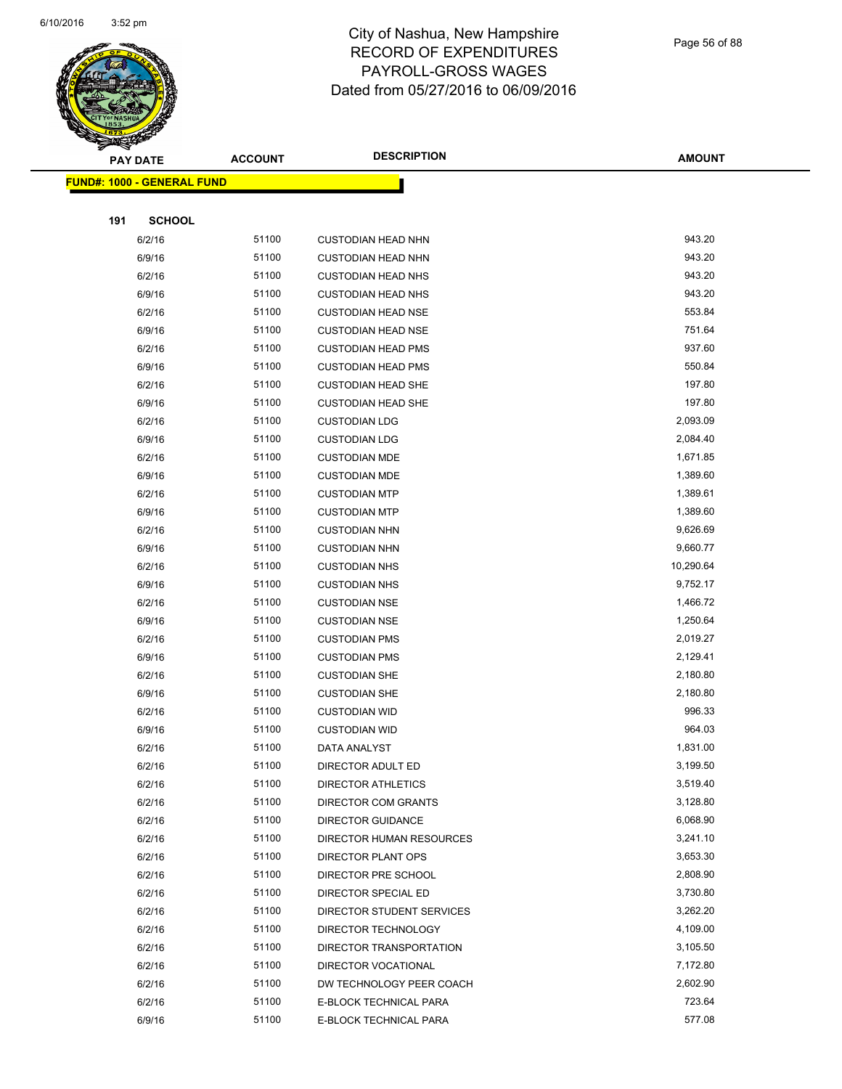

Page 56 of 88

| <b>PAY DATE</b>                   | <b>ACCOUNT</b> | <b>DESCRIPTION</b>                              | <b>AMOUNT</b>        |
|-----------------------------------|----------------|-------------------------------------------------|----------------------|
| <b>FUND#: 1000 - GENERAL FUND</b> |                |                                                 |                      |
|                                   |                |                                                 |                      |
| 191<br><b>SCHOOL</b>              |                |                                                 |                      |
| 6/2/16                            | 51100          | <b>CUSTODIAN HEAD NHN</b>                       | 943.20               |
| 6/9/16                            | 51100          | <b>CUSTODIAN HEAD NHN</b>                       | 943.20               |
| 6/2/16                            | 51100          | <b>CUSTODIAN HEAD NHS</b>                       | 943.20               |
| 6/9/16                            | 51100          | <b>CUSTODIAN HEAD NHS</b>                       | 943.20               |
| 6/2/16                            | 51100          | <b>CUSTODIAN HEAD NSE</b>                       | 553.84               |
| 6/9/16                            | 51100          | <b>CUSTODIAN HEAD NSE</b>                       | 751.64               |
| 6/2/16                            | 51100          | <b>CUSTODIAN HEAD PMS</b>                       | 937.60               |
| 6/9/16                            | 51100          | <b>CUSTODIAN HEAD PMS</b>                       | 550.84               |
| 6/2/16                            | 51100          | <b>CUSTODIAN HEAD SHE</b>                       | 197.80               |
| 6/9/16                            | 51100          | <b>CUSTODIAN HEAD SHE</b>                       | 197.80               |
| 6/2/16                            | 51100          | <b>CUSTODIAN LDG</b>                            | 2,093.09             |
| 6/9/16                            | 51100          | <b>CUSTODIAN LDG</b>                            | 2,084.40             |
| 6/2/16                            | 51100          | <b>CUSTODIAN MDE</b>                            | 1,671.85             |
| 6/9/16                            | 51100          | <b>CUSTODIAN MDE</b>                            | 1,389.60             |
| 6/2/16                            | 51100          | <b>CUSTODIAN MTP</b>                            | 1,389.61             |
| 6/9/16                            | 51100          | <b>CUSTODIAN MTP</b>                            | 1,389.60             |
| 6/2/16                            | 51100          | <b>CUSTODIAN NHN</b>                            | 9,626.69             |
| 6/9/16                            | 51100          | <b>CUSTODIAN NHN</b>                            | 9,660.77             |
| 6/2/16                            | 51100          | <b>CUSTODIAN NHS</b>                            | 10,290.64            |
| 6/9/16                            | 51100          | <b>CUSTODIAN NHS</b>                            | 9,752.17             |
| 6/2/16                            | 51100          | <b>CUSTODIAN NSE</b>                            | 1,466.72             |
| 6/9/16                            | 51100          | <b>CUSTODIAN NSE</b>                            | 1,250.64             |
| 6/2/16                            | 51100          | <b>CUSTODIAN PMS</b>                            | 2,019.27             |
| 6/9/16                            | 51100          | <b>CUSTODIAN PMS</b>                            | 2,129.41             |
| 6/2/16                            | 51100          | <b>CUSTODIAN SHE</b>                            | 2,180.80             |
| 6/9/16                            | 51100          | <b>CUSTODIAN SHE</b>                            | 2,180.80             |
| 6/2/16                            | 51100          | <b>CUSTODIAN WID</b>                            | 996.33               |
| 6/9/16                            | 51100          | <b>CUSTODIAN WID</b>                            | 964.03               |
| 6/2/16                            | 51100          | DATA ANALYST                                    | 1,831.00             |
| 6/2/16                            | 51100          | <b>DIRECTOR ADULT ED</b>                        | 3,199.50             |
| 6/2/16                            | 51100<br>51100 | <b>DIRECTOR ATHLETICS</b>                       | 3,519.40<br>3,128.80 |
| 6/2/16<br>6/2/16                  | 51100          | DIRECTOR COM GRANTS<br><b>DIRECTOR GUIDANCE</b> | 6,068.90             |
| 6/2/16                            | 51100          | DIRECTOR HUMAN RESOURCES                        | 3,241.10             |
| 6/2/16                            | 51100          | DIRECTOR PLANT OPS                              | 3,653.30             |
| 6/2/16                            | 51100          | DIRECTOR PRE SCHOOL                             | 2,808.90             |
| 6/2/16                            | 51100          | DIRECTOR SPECIAL ED                             | 3,730.80             |
| 6/2/16                            | 51100          | DIRECTOR STUDENT SERVICES                       | 3,262.20             |
| 6/2/16                            | 51100          | DIRECTOR TECHNOLOGY                             | 4,109.00             |
| 6/2/16                            | 51100          | DIRECTOR TRANSPORTATION                         | 3,105.50             |
| 6/2/16                            | 51100          | DIRECTOR VOCATIONAL                             | 7,172.80             |
| 6/2/16                            | 51100          | DW TECHNOLOGY PEER COACH                        | 2,602.90             |
| 6/2/16                            | 51100          | E-BLOCK TECHNICAL PARA                          | 723.64               |
| 6/9/16                            | 51100          | E-BLOCK TECHNICAL PARA                          | 577.08               |
|                                   |                |                                                 |                      |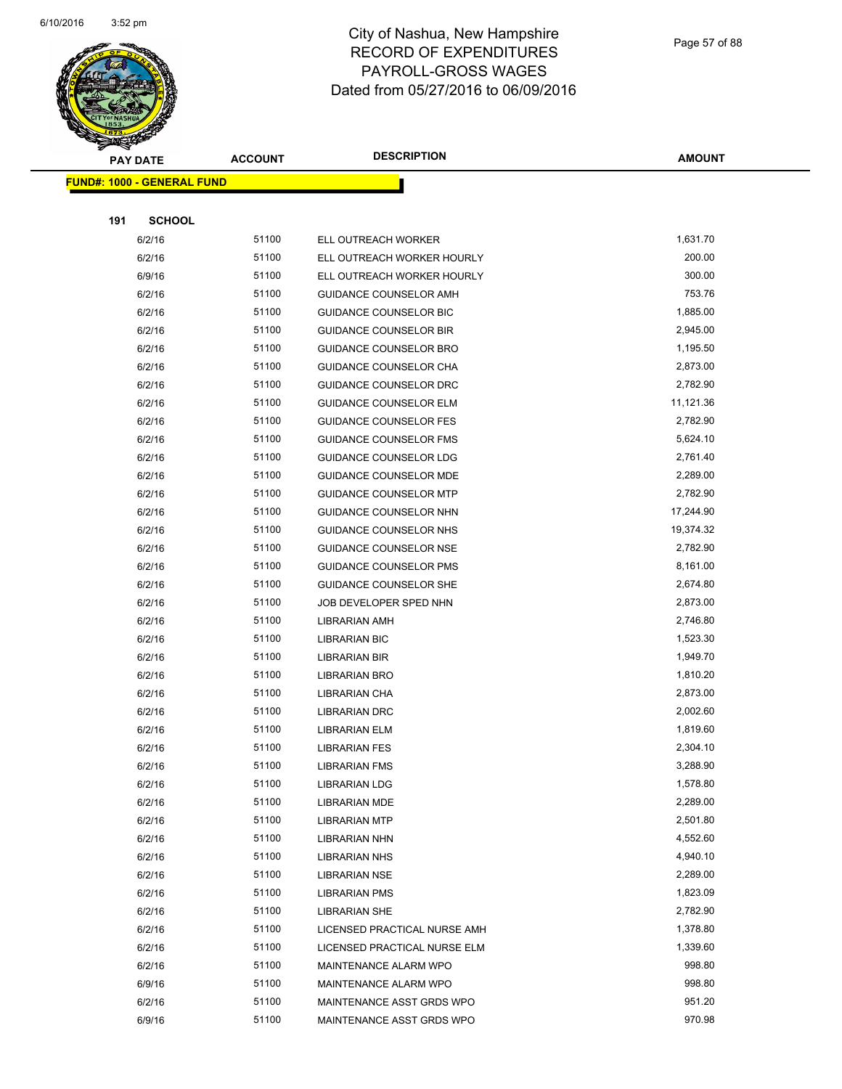

Page 57 of 88

|     | <b>PAY DATE</b>                   | <b>ACCOUNT</b> | <b>DESCRIPTION</b>            | <b>AMOUNT</b> |
|-----|-----------------------------------|----------------|-------------------------------|---------------|
|     | <b>FUND#: 1000 - GENERAL FUND</b> |                |                               |               |
|     |                                   |                |                               |               |
| 191 | <b>SCHOOL</b>                     |                |                               |               |
|     | 6/2/16                            | 51100          | ELL OUTREACH WORKER           | 1,631.70      |
|     | 6/2/16                            | 51100          | ELL OUTREACH WORKER HOURLY    | 200.00        |
|     | 6/9/16                            | 51100          | ELL OUTREACH WORKER HOURLY    | 300.00        |
|     | 6/2/16                            | 51100          | GUIDANCE COUNSELOR AMH        | 753.76        |
|     | 6/2/16                            | 51100          | GUIDANCE COUNSELOR BIC        | 1,885.00      |
|     | 6/2/16                            | 51100          | <b>GUIDANCE COUNSELOR BIR</b> | 2,945.00      |
|     | 6/2/16                            | 51100          | <b>GUIDANCE COUNSELOR BRO</b> | 1,195.50      |
|     | 6/2/16                            | 51100          | GUIDANCE COUNSELOR CHA        | 2,873.00      |
|     | 6/2/16                            | 51100          | GUIDANCE COUNSELOR DRC        | 2,782.90      |
|     | 6/2/16                            | 51100          | <b>GUIDANCE COUNSELOR ELM</b> | 11,121.36     |
|     | 6/2/16                            | 51100          | <b>GUIDANCE COUNSELOR FES</b> | 2,782.90      |
|     | 6/2/16                            | 51100          | <b>GUIDANCE COUNSELOR FMS</b> | 5,624.10      |
|     | 6/2/16                            | 51100          | GUIDANCE COUNSELOR LDG        | 2,761.40      |
|     | 6/2/16                            | 51100          | <b>GUIDANCE COUNSELOR MDE</b> | 2,289.00      |
|     | 6/2/16                            | 51100          | <b>GUIDANCE COUNSELOR MTP</b> | 2,782.90      |
|     | 6/2/16                            | 51100          | GUIDANCE COUNSELOR NHN        | 17,244.90     |
|     | 6/2/16                            | 51100          | GUIDANCE COUNSELOR NHS        | 19,374.32     |
|     | 6/2/16                            | 51100          | GUIDANCE COUNSELOR NSE        | 2,782.90      |
|     | 6/2/16                            | 51100          | GUIDANCE COUNSELOR PMS        | 8,161.00      |
|     | 6/2/16                            | 51100          | GUIDANCE COUNSELOR SHE        | 2,674.80      |
|     | 6/2/16                            | 51100          | JOB DEVELOPER SPED NHN        | 2,873.00      |
|     | 6/2/16                            | 51100          | <b>LIBRARIAN AMH</b>          | 2,746.80      |
|     | 6/2/16                            | 51100          | <b>LIBRARIAN BIC</b>          | 1,523.30      |
|     | 6/2/16                            | 51100          | <b>LIBRARIAN BIR</b>          | 1,949.70      |
|     | 6/2/16                            | 51100          | <b>LIBRARIAN BRO</b>          | 1,810.20      |
|     | 6/2/16                            | 51100          | <b>LIBRARIAN CHA</b>          | 2,873.00      |
|     | 6/2/16                            | 51100          | <b>LIBRARIAN DRC</b>          | 2,002.60      |
|     | 6/2/16                            | 51100          | <b>LIBRARIAN ELM</b>          | 1,819.60      |
|     | 6/2/16                            | 51100          | <b>LIBRARIAN FES</b>          | 2,304.10      |
|     | 6/2/16                            | 51100          | <b>LIBRARIAN FMS</b>          | 3,288.90      |
|     | 6/2/16                            | 51100          | <b>LIBRARIAN LDG</b>          | 1,578.80      |
|     | 6/2/16                            | 51100          | <b>LIBRARIAN MDE</b>          | 2,289.00      |
|     | 6/2/16                            | 51100          | <b>LIBRARIAN MTP</b>          | 2,501.80      |
|     | 6/2/16                            | 51100          | <b>LIBRARIAN NHN</b>          | 4,552.60      |
|     | 6/2/16                            | 51100          | <b>LIBRARIAN NHS</b>          | 4,940.10      |
|     | 6/2/16                            | 51100          | <b>LIBRARIAN NSE</b>          | 2,289.00      |
|     | 6/2/16                            | 51100          | <b>LIBRARIAN PMS</b>          | 1,823.09      |
|     | 6/2/16                            | 51100          | <b>LIBRARIAN SHE</b>          | 2,782.90      |
|     | 6/2/16                            | 51100          | LICENSED PRACTICAL NURSE AMH  | 1,378.80      |
|     | 6/2/16                            | 51100          | LICENSED PRACTICAL NURSE ELM  | 1,339.60      |
|     | 6/2/16                            | 51100          | MAINTENANCE ALARM WPO         | 998.80        |
|     | 6/9/16                            | 51100          | MAINTENANCE ALARM WPO         | 998.80        |
|     | 6/2/16                            | 51100          | MAINTENANCE ASST GRDS WPO     | 951.20        |
|     | 6/9/16                            | 51100          | MAINTENANCE ASST GRDS WPO     | 970.98        |
|     |                                   |                |                               |               |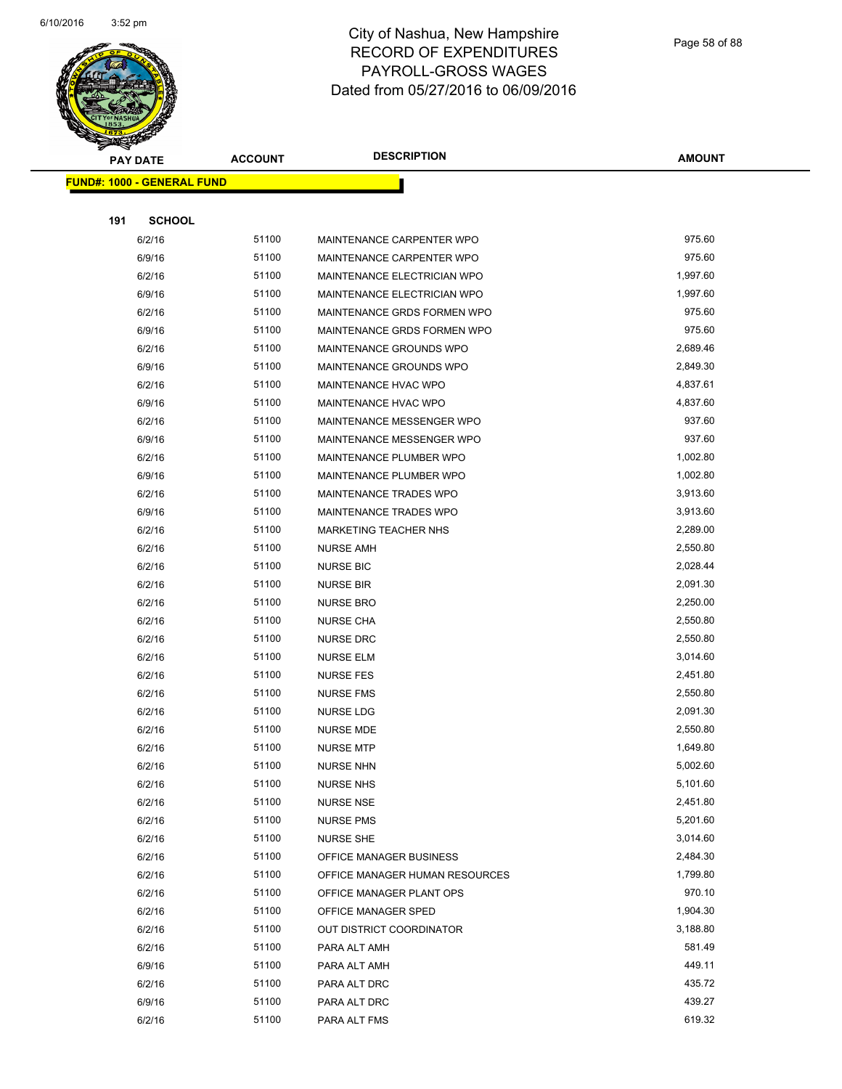

Page 58 of 88

|     | <b>PAY DATE</b>                   | <b>ACCOUNT</b> | <b>DESCRIPTION</b>             | <b>AMOUNT</b> |
|-----|-----------------------------------|----------------|--------------------------------|---------------|
|     | <b>FUND#: 1000 - GENERAL FUND</b> |                |                                |               |
|     |                                   |                |                                |               |
| 191 | <b>SCHOOL</b>                     |                |                                |               |
|     | 6/2/16                            | 51100          | MAINTENANCE CARPENTER WPO      | 975.60        |
|     | 6/9/16                            | 51100          | MAINTENANCE CARPENTER WPO      | 975.60        |
|     | 6/2/16                            | 51100          | MAINTENANCE ELECTRICIAN WPO    | 1,997.60      |
|     | 6/9/16                            | 51100          | MAINTENANCE ELECTRICIAN WPO    | 1,997.60      |
|     | 6/2/16                            | 51100          | MAINTENANCE GRDS FORMEN WPO    | 975.60        |
|     | 6/9/16                            | 51100          | MAINTENANCE GRDS FORMEN WPO    | 975.60        |
|     | 6/2/16                            | 51100          | MAINTENANCE GROUNDS WPO        | 2,689.46      |
|     | 6/9/16                            | 51100          | MAINTENANCE GROUNDS WPO        | 2,849.30      |
|     | 6/2/16                            | 51100          | MAINTENANCE HVAC WPO           | 4,837.61      |
|     | 6/9/16                            | 51100          | MAINTENANCE HVAC WPO           | 4,837.60      |
|     | 6/2/16                            | 51100          | MAINTENANCE MESSENGER WPO      | 937.60        |
|     | 6/9/16                            | 51100          | MAINTENANCE MESSENGER WPO      | 937.60        |
|     | 6/2/16                            | 51100          | MAINTENANCE PLUMBER WPO        | 1,002.80      |
|     | 6/9/16                            | 51100          | MAINTENANCE PLUMBER WPO        | 1,002.80      |
|     | 6/2/16                            | 51100          | <b>MAINTENANCE TRADES WPO</b>  | 3,913.60      |
|     | 6/9/16                            | 51100          | MAINTENANCE TRADES WPO         | 3,913.60      |
|     | 6/2/16                            | 51100          | <b>MARKETING TEACHER NHS</b>   | 2,289.00      |
|     | 6/2/16                            | 51100          | <b>NURSE AMH</b>               | 2,550.80      |
|     | 6/2/16                            | 51100          | <b>NURSE BIC</b>               | 2,028.44      |
|     | 6/2/16                            | 51100          | <b>NURSE BIR</b>               | 2,091.30      |
|     | 6/2/16                            | 51100          | <b>NURSE BRO</b>               | 2,250.00      |
|     | 6/2/16                            | 51100          | <b>NURSE CHA</b>               | 2,550.80      |
|     | 6/2/16                            | 51100          | <b>NURSE DRC</b>               | 2,550.80      |
|     | 6/2/16                            | 51100          | NURSE ELM                      | 3,014.60      |
|     | 6/2/16                            | 51100          | <b>NURSE FES</b>               | 2,451.80      |
|     | 6/2/16                            | 51100          | <b>NURSE FMS</b>               | 2,550.80      |
|     | 6/2/16                            | 51100          | <b>NURSE LDG</b>               | 2,091.30      |
|     | 6/2/16                            | 51100          | <b>NURSE MDE</b>               | 2,550.80      |
|     | 6/2/16                            | 51100          | <b>NURSE MTP</b>               | 1,649.80      |
|     | 6/2/16                            | 51100          | <b>NURSE NHN</b>               | 5,002.60      |
|     | 6/2/16                            | 51100          | <b>NURSE NHS</b>               | 5,101.60      |
|     | 6/2/16                            | 51100          | <b>NURSE NSE</b>               | 2,451.80      |
|     | 6/2/16                            | 51100          | <b>NURSE PMS</b>               | 5,201.60      |
|     | 6/2/16                            | 51100          | <b>NURSE SHE</b>               | 3,014.60      |
|     | 6/2/16                            | 51100          | OFFICE MANAGER BUSINESS        | 2,484.30      |
|     | 6/2/16                            | 51100          | OFFICE MANAGER HUMAN RESOURCES | 1,799.80      |
|     | 6/2/16                            | 51100          | OFFICE MANAGER PLANT OPS       | 970.10        |
|     | 6/2/16                            | 51100          | OFFICE MANAGER SPED            | 1,904.30      |
|     | 6/2/16                            | 51100          | OUT DISTRICT COORDINATOR       | 3,188.80      |
|     | 6/2/16                            | 51100          | PARA ALT AMH                   | 581.49        |
|     | 6/9/16                            | 51100          | PARA ALT AMH                   | 449.11        |
|     | 6/2/16                            | 51100          | PARA ALT DRC                   | 435.72        |
|     | 6/9/16                            | 51100          | PARA ALT DRC                   | 439.27        |
|     | 6/2/16                            | 51100          | PARA ALT FMS                   | 619.32        |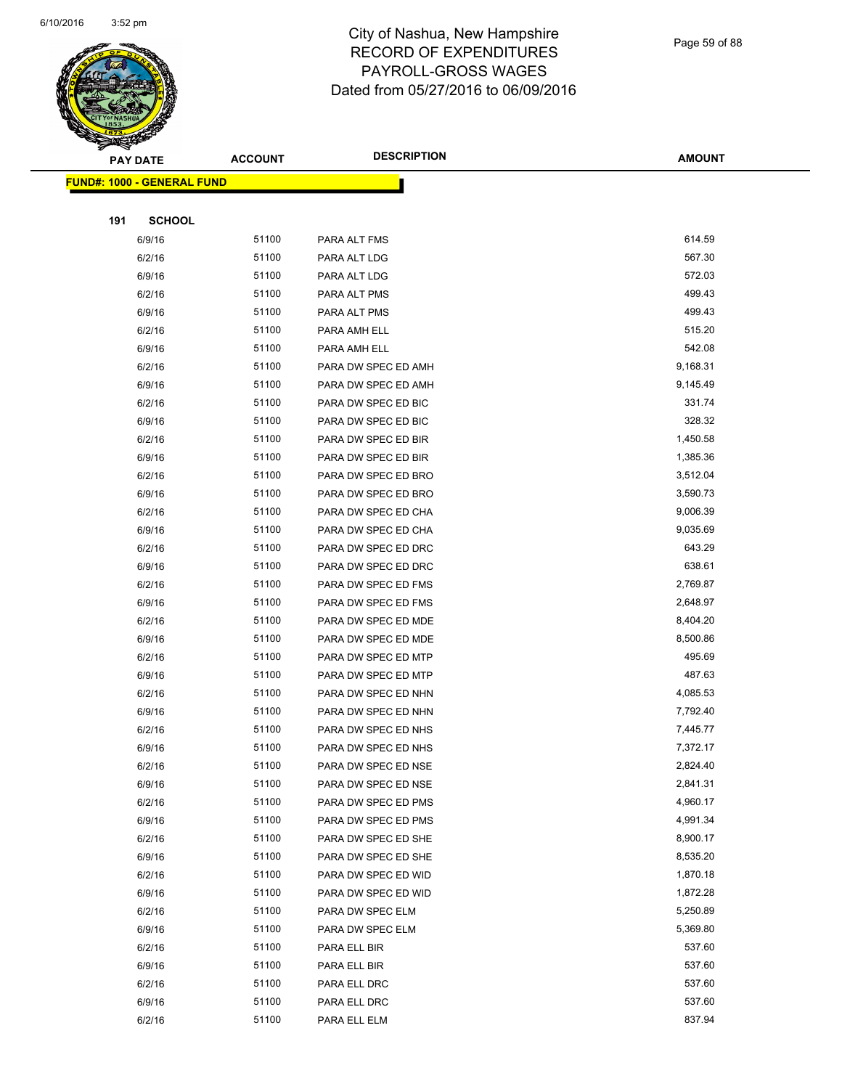

Page 59 of 88

|     | <b>PAY DATE</b>                   | <b>ACCOUNT</b> | <b>DESCRIPTION</b>                         | <b>AMOUNT</b>        |
|-----|-----------------------------------|----------------|--------------------------------------------|----------------------|
|     | <b>FUND#: 1000 - GENERAL FUND</b> |                |                                            |                      |
|     |                                   |                |                                            |                      |
| 191 | <b>SCHOOL</b>                     |                |                                            |                      |
|     | 6/9/16                            | 51100          | PARA ALT FMS                               | 614.59               |
|     | 6/2/16                            | 51100          | PARA ALT LDG                               | 567.30               |
|     | 6/9/16                            | 51100          | PARA ALT LDG                               | 572.03               |
|     | 6/2/16                            | 51100          | PARA ALT PMS                               | 499.43               |
|     | 6/9/16                            | 51100          | PARA ALT PMS                               | 499.43               |
|     | 6/2/16                            | 51100          | PARA AMH ELL                               | 515.20               |
|     | 6/9/16                            | 51100          | PARA AMH ELL                               | 542.08               |
|     | 6/2/16                            | 51100          | PARA DW SPEC ED AMH                        | 9,168.31             |
|     | 6/9/16                            | 51100          | PARA DW SPEC ED AMH                        | 9,145.49             |
|     | 6/2/16                            | 51100          | PARA DW SPEC ED BIC                        | 331.74               |
|     | 6/9/16                            | 51100          | PARA DW SPEC ED BIC                        | 328.32               |
|     | 6/2/16                            | 51100          | PARA DW SPEC ED BIR                        | 1,450.58             |
|     | 6/9/16                            | 51100          | PARA DW SPEC ED BIR                        | 1,385.36             |
|     | 6/2/16                            | 51100          | PARA DW SPEC ED BRO                        | 3,512.04             |
|     | 6/9/16                            | 51100          | PARA DW SPEC ED BRO                        | 3,590.73             |
|     | 6/2/16                            | 51100          | PARA DW SPEC ED CHA                        | 9,006.39             |
|     | 6/9/16                            | 51100          | PARA DW SPEC ED CHA                        | 9,035.69             |
|     | 6/2/16                            | 51100          | PARA DW SPEC ED DRC                        | 643.29               |
|     | 6/9/16                            | 51100          | PARA DW SPEC ED DRC                        | 638.61               |
|     | 6/2/16                            | 51100          | PARA DW SPEC ED FMS                        | 2,769.87             |
|     | 6/9/16                            | 51100          | PARA DW SPEC ED FMS                        | 2,648.97             |
|     | 6/2/16                            | 51100          | PARA DW SPEC ED MDE                        | 8,404.20             |
|     | 6/9/16                            | 51100          | PARA DW SPEC ED MDE                        | 8,500.86             |
|     | 6/2/16                            | 51100          | PARA DW SPEC ED MTP                        | 495.69               |
|     | 6/9/16                            | 51100          | PARA DW SPEC ED MTP                        | 487.63               |
|     | 6/2/16                            | 51100          | PARA DW SPEC ED NHN                        | 4,085.53             |
|     | 6/9/16                            | 51100          | PARA DW SPEC ED NHN<br>PARA DW SPEC ED NHS | 7,792.40             |
|     | 6/2/16<br>6/9/16                  | 51100<br>51100 | PARA DW SPEC ED NHS                        | 7,445.77<br>7,372.17 |
|     | 6/2/16                            | 51100          | PARA DW SPEC ED NSE                        | 2,824.40             |
|     | 6/9/16                            | 51100          | PARA DW SPEC ED NSE                        | 2,841.31             |
|     | 6/2/16                            | 51100          | PARA DW SPEC ED PMS                        | 4,960.17             |
|     | 6/9/16                            | 51100          | PARA DW SPEC ED PMS                        | 4,991.34             |
|     | 6/2/16                            | 51100          | PARA DW SPEC ED SHE                        | 8,900.17             |
|     | 6/9/16                            | 51100          | PARA DW SPEC ED SHE                        | 8,535.20             |
|     | 6/2/16                            | 51100          | PARA DW SPEC ED WID                        | 1,870.18             |
|     | 6/9/16                            | 51100          | PARA DW SPEC ED WID                        | 1,872.28             |
|     | 6/2/16                            | 51100          | PARA DW SPEC ELM                           | 5,250.89             |
|     | 6/9/16                            | 51100          | PARA DW SPEC ELM                           | 5,369.80             |
|     | 6/2/16                            | 51100          | PARA ELL BIR                               | 537.60               |
|     | 6/9/16                            | 51100          | PARA ELL BIR                               | 537.60               |
|     | 6/2/16                            | 51100          | PARA ELL DRC                               | 537.60               |
|     | 6/9/16                            | 51100          | PARA ELL DRC                               | 537.60               |
|     | 6/2/16                            | 51100          | PARA ELL ELM                               | 837.94               |
|     |                                   |                |                                            |                      |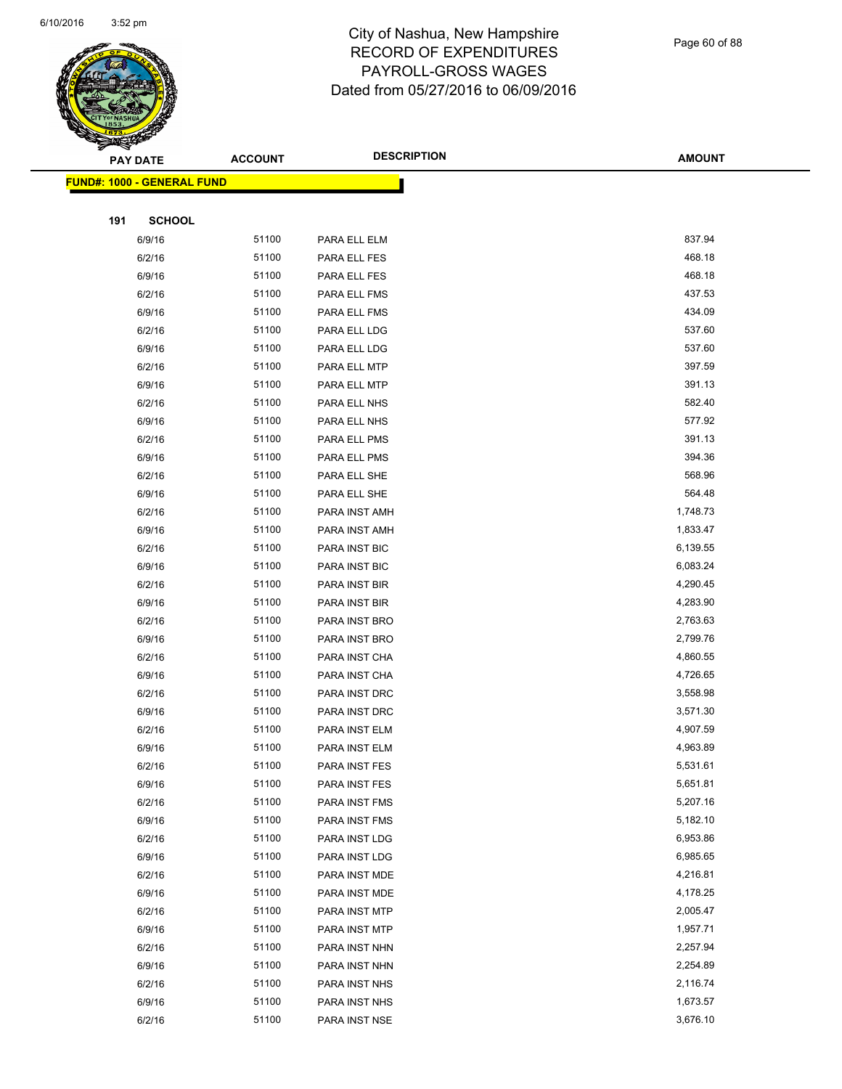

Page 60 of 88

|     | <b>PAY DATE</b>                   | <b>ACCOUNT</b> | <b>DESCRIPTION</b>             | <b>AMOUNT</b>        |
|-----|-----------------------------------|----------------|--------------------------------|----------------------|
|     | <b>FUND#: 1000 - GENERAL FUND</b> |                |                                |                      |
|     |                                   |                |                                |                      |
| 191 | <b>SCHOOL</b>                     |                |                                |                      |
|     | 6/9/16                            | 51100          | PARA ELL ELM                   | 837.94               |
|     | 6/2/16                            | 51100          | PARA ELL FES                   | 468.18               |
|     | 6/9/16                            | 51100          | PARA ELL FES                   | 468.18               |
|     | 6/2/16                            | 51100          | PARA ELL FMS                   | 437.53               |
|     | 6/9/16                            | 51100          | PARA ELL FMS                   | 434.09               |
|     | 6/2/16                            | 51100          | PARA ELL LDG                   | 537.60               |
|     | 6/9/16                            | 51100          | PARA ELL LDG                   | 537.60               |
|     | 6/2/16                            | 51100          | PARA ELL MTP                   | 397.59               |
|     | 6/9/16                            | 51100          | PARA ELL MTP                   | 391.13               |
|     | 6/2/16                            | 51100          | PARA ELL NHS                   | 582.40               |
|     | 6/9/16                            | 51100          | PARA ELL NHS                   | 577.92               |
|     | 6/2/16                            | 51100          | PARA ELL PMS                   | 391.13               |
|     | 6/9/16                            | 51100          | PARA ELL PMS                   | 394.36               |
|     | 6/2/16                            | 51100          | PARA ELL SHE                   | 568.96               |
|     | 6/9/16                            | 51100          | PARA ELL SHE                   | 564.48               |
|     | 6/2/16                            | 51100          | PARA INST AMH                  | 1,748.73             |
|     | 6/9/16                            | 51100          | PARA INST AMH                  | 1,833.47             |
|     | 6/2/16                            | 51100          | PARA INST BIC                  | 6,139.55             |
|     | 6/9/16                            | 51100          | PARA INST BIC                  | 6,083.24             |
|     | 6/2/16                            | 51100          | PARA INST BIR                  | 4,290.45             |
|     | 6/9/16                            | 51100          | PARA INST BIR                  | 4,283.90             |
|     | 6/2/16                            | 51100          | PARA INST BRO                  | 2,763.63             |
|     | 6/9/16                            | 51100          | PARA INST BRO                  | 2,799.76             |
|     | 6/2/16                            | 51100          | PARA INST CHA                  | 4,860.55             |
|     | 6/9/16                            | 51100          | PARA INST CHA                  | 4,726.65             |
|     | 6/2/16                            | 51100          | PARA INST DRC                  | 3,558.98             |
|     | 6/9/16                            | 51100          | PARA INST DRC                  | 3,571.30             |
|     | 6/2/16                            | 51100          | PARA INST ELM                  | 4,907.59             |
|     | 6/9/16                            | 51100          | PARA INST ELM                  | 4,963.89             |
|     | 6/2/16                            | 51100          | PARA INST FES                  | 5,531.61             |
|     | 6/9/16                            | 51100          | PARA INST FES                  | 5,651.81             |
|     | 6/2/16                            | 51100          | PARA INST FMS                  | 5,207.16             |
|     | 6/9/16                            | 51100<br>51100 | PARA INST FMS                  | 5,182.10             |
|     | 6/2/16                            | 51100          | PARA INST LDG                  | 6,953.86<br>6,985.65 |
|     | 6/9/16<br>6/2/16                  | 51100          | PARA INST LDG<br>PARA INST MDE | 4,216.81             |
|     | 6/9/16                            | 51100          | PARA INST MDE                  | 4,178.25             |
|     | 6/2/16                            | 51100          | PARA INST MTP                  | 2,005.47             |
|     | 6/9/16                            | 51100          | PARA INST MTP                  | 1,957.71             |
|     | 6/2/16                            | 51100          | PARA INST NHN                  | 2,257.94             |
|     | 6/9/16                            | 51100          | PARA INST NHN                  | 2,254.89             |
|     | 6/2/16                            | 51100          | PARA INST NHS                  | 2,116.74             |
|     | 6/9/16                            | 51100          | PARA INST NHS                  | 1,673.57             |
|     | 6/2/16                            | 51100          | PARA INST NSE                  | 3,676.10             |
|     |                                   |                |                                |                      |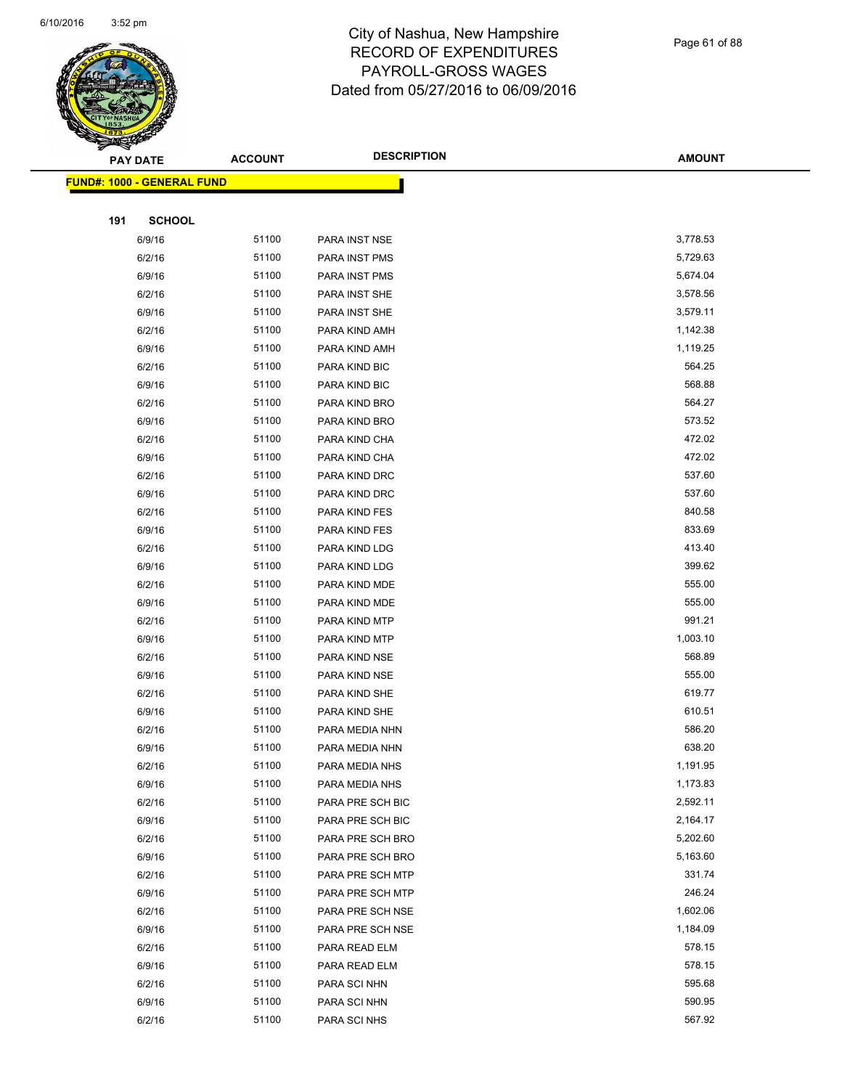

Page 61 of 88

| <b>FUND#: 1000 - GENERAL FUND</b><br>191<br><b>SCHOOL</b><br>3,778.53<br>51100<br>6/9/16<br>PARA INST NSE<br>51100<br>5,729.63<br>6/2/16<br><b>PARA INST PMS</b><br>6/9/16<br>51100<br>5,674.04<br><b>PARA INST PMS</b><br>6/2/16<br>51100<br>3,578.56<br>PARA INST SHE<br>51100<br>3,579.11<br>6/9/16<br>PARA INST SHE<br>51100<br>1,142.38<br>6/2/16<br>PARA KIND AMH<br>51100<br>1,119.25<br>6/9/16<br>PARA KIND AMH<br>6/2/16<br>51100<br>564.25<br>PARA KIND BIC<br>568.88<br>6/9/16<br>51100<br>PARA KIND BIC<br>564.27<br>51100<br>6/2/16<br>PARA KIND BRO<br>51100<br>573.52<br>6/9/16<br>PARA KIND BRO<br>51100<br>472.02<br>6/2/16<br>PARA KIND CHA<br>6/9/16<br>51100<br>472.02<br>PARA KIND CHA<br>537.60<br>6/2/16<br>51100<br>PARA KIND DRC<br>537.60<br>51100<br>6/9/16<br>PARA KIND DRC<br>840.58<br>51100<br>6/2/16<br>PARA KIND FES<br>51100<br>833.69<br>6/9/16<br>PARA KIND FES<br>6/2/16<br>51100<br>413.40<br>PARA KIND LDG<br>399.62<br>6/9/16<br>51100<br>PARA KIND LDG<br>555.00<br>51100<br>6/2/16<br>PARA KIND MDE<br>51100<br>555.00<br>6/9/16<br>PARA KIND MDE<br>51100<br>991.21<br>6/2/16<br>PARA KIND MTP<br>6/9/16<br>51100<br>1,003.10<br>PARA KIND MTP<br>568.89<br>6/2/16<br>51100<br>PARA KIND NSE<br>555.00<br>51100<br>6/9/16<br>PARA KIND NSE<br>619.77<br>51100<br>6/2/16<br>PARA KIND SHE<br>51100<br>610.51<br>6/9/16<br>PARA KIND SHE<br>6/2/16<br>51100<br>586.20<br>PARA MEDIA NHN<br>638.20<br>6/9/16<br>51100<br>PARA MEDIA NHN<br>51100<br>1,191.95<br>6/2/16<br>PARA MEDIA NHS<br>51100<br>1,173.83<br>6/9/16<br>PARA MEDIA NHS<br>51100<br>2,592.11<br>6/2/16<br>PARA PRE SCH BIC<br>6/9/16<br>51100<br>2,164.17<br>PARA PRE SCH BIC<br>6/2/16<br>51100<br>5,202.60<br>PARA PRE SCH BRO<br>51100<br>5,163.60<br>6/9/16<br>PARA PRE SCH BRO<br>51100<br>331.74<br>6/2/16<br>PARA PRE SCH MTP<br>51100<br>246.24<br>6/9/16<br>PARA PRE SCH MTP<br>6/2/16<br>51100<br>PARA PRE SCH NSE<br>1,602.06<br>6/9/16<br>51100<br>1,184.09<br>PARA PRE SCH NSE<br>51100<br>578.15<br>6/2/16<br>PARA READ ELM<br>578.15<br>51100<br>6/9/16<br>PARA READ ELM<br>51100<br>595.68<br>6/2/16<br>PARA SCI NHN<br>6/9/16<br>51100<br>590.95<br>PARA SCI NHN<br>51100<br>567.92<br>6/2/16<br>PARA SCI NHS | <b>PAY DATE</b> | <b>ACCOUNT</b> | <b>DESCRIPTION</b> | <b>AMOUNT</b> |
|------------------------------------------------------------------------------------------------------------------------------------------------------------------------------------------------------------------------------------------------------------------------------------------------------------------------------------------------------------------------------------------------------------------------------------------------------------------------------------------------------------------------------------------------------------------------------------------------------------------------------------------------------------------------------------------------------------------------------------------------------------------------------------------------------------------------------------------------------------------------------------------------------------------------------------------------------------------------------------------------------------------------------------------------------------------------------------------------------------------------------------------------------------------------------------------------------------------------------------------------------------------------------------------------------------------------------------------------------------------------------------------------------------------------------------------------------------------------------------------------------------------------------------------------------------------------------------------------------------------------------------------------------------------------------------------------------------------------------------------------------------------------------------------------------------------------------------------------------------------------------------------------------------------------------------------------------------------------------------------------------------------------------------------------------------------------------------------------------------------------------------------------------------------------------------------------------------------------------------------|-----------------|----------------|--------------------|---------------|
|                                                                                                                                                                                                                                                                                                                                                                                                                                                                                                                                                                                                                                                                                                                                                                                                                                                                                                                                                                                                                                                                                                                                                                                                                                                                                                                                                                                                                                                                                                                                                                                                                                                                                                                                                                                                                                                                                                                                                                                                                                                                                                                                                                                                                                          |                 |                |                    |               |
|                                                                                                                                                                                                                                                                                                                                                                                                                                                                                                                                                                                                                                                                                                                                                                                                                                                                                                                                                                                                                                                                                                                                                                                                                                                                                                                                                                                                                                                                                                                                                                                                                                                                                                                                                                                                                                                                                                                                                                                                                                                                                                                                                                                                                                          |                 |                |                    |               |
|                                                                                                                                                                                                                                                                                                                                                                                                                                                                                                                                                                                                                                                                                                                                                                                                                                                                                                                                                                                                                                                                                                                                                                                                                                                                                                                                                                                                                                                                                                                                                                                                                                                                                                                                                                                                                                                                                                                                                                                                                                                                                                                                                                                                                                          |                 |                |                    |               |
|                                                                                                                                                                                                                                                                                                                                                                                                                                                                                                                                                                                                                                                                                                                                                                                                                                                                                                                                                                                                                                                                                                                                                                                                                                                                                                                                                                                                                                                                                                                                                                                                                                                                                                                                                                                                                                                                                                                                                                                                                                                                                                                                                                                                                                          |                 |                |                    |               |
|                                                                                                                                                                                                                                                                                                                                                                                                                                                                                                                                                                                                                                                                                                                                                                                                                                                                                                                                                                                                                                                                                                                                                                                                                                                                                                                                                                                                                                                                                                                                                                                                                                                                                                                                                                                                                                                                                                                                                                                                                                                                                                                                                                                                                                          |                 |                |                    |               |
|                                                                                                                                                                                                                                                                                                                                                                                                                                                                                                                                                                                                                                                                                                                                                                                                                                                                                                                                                                                                                                                                                                                                                                                                                                                                                                                                                                                                                                                                                                                                                                                                                                                                                                                                                                                                                                                                                                                                                                                                                                                                                                                                                                                                                                          |                 |                |                    |               |
|                                                                                                                                                                                                                                                                                                                                                                                                                                                                                                                                                                                                                                                                                                                                                                                                                                                                                                                                                                                                                                                                                                                                                                                                                                                                                                                                                                                                                                                                                                                                                                                                                                                                                                                                                                                                                                                                                                                                                                                                                                                                                                                                                                                                                                          |                 |                |                    |               |
|                                                                                                                                                                                                                                                                                                                                                                                                                                                                                                                                                                                                                                                                                                                                                                                                                                                                                                                                                                                                                                                                                                                                                                                                                                                                                                                                                                                                                                                                                                                                                                                                                                                                                                                                                                                                                                                                                                                                                                                                                                                                                                                                                                                                                                          |                 |                |                    |               |
|                                                                                                                                                                                                                                                                                                                                                                                                                                                                                                                                                                                                                                                                                                                                                                                                                                                                                                                                                                                                                                                                                                                                                                                                                                                                                                                                                                                                                                                                                                                                                                                                                                                                                                                                                                                                                                                                                                                                                                                                                                                                                                                                                                                                                                          |                 |                |                    |               |
|                                                                                                                                                                                                                                                                                                                                                                                                                                                                                                                                                                                                                                                                                                                                                                                                                                                                                                                                                                                                                                                                                                                                                                                                                                                                                                                                                                                                                                                                                                                                                                                                                                                                                                                                                                                                                                                                                                                                                                                                                                                                                                                                                                                                                                          |                 |                |                    |               |
|                                                                                                                                                                                                                                                                                                                                                                                                                                                                                                                                                                                                                                                                                                                                                                                                                                                                                                                                                                                                                                                                                                                                                                                                                                                                                                                                                                                                                                                                                                                                                                                                                                                                                                                                                                                                                                                                                                                                                                                                                                                                                                                                                                                                                                          |                 |                |                    |               |
|                                                                                                                                                                                                                                                                                                                                                                                                                                                                                                                                                                                                                                                                                                                                                                                                                                                                                                                                                                                                                                                                                                                                                                                                                                                                                                                                                                                                                                                                                                                                                                                                                                                                                                                                                                                                                                                                                                                                                                                                                                                                                                                                                                                                                                          |                 |                |                    |               |
|                                                                                                                                                                                                                                                                                                                                                                                                                                                                                                                                                                                                                                                                                                                                                                                                                                                                                                                                                                                                                                                                                                                                                                                                                                                                                                                                                                                                                                                                                                                                                                                                                                                                                                                                                                                                                                                                                                                                                                                                                                                                                                                                                                                                                                          |                 |                |                    |               |
|                                                                                                                                                                                                                                                                                                                                                                                                                                                                                                                                                                                                                                                                                                                                                                                                                                                                                                                                                                                                                                                                                                                                                                                                                                                                                                                                                                                                                                                                                                                                                                                                                                                                                                                                                                                                                                                                                                                                                                                                                                                                                                                                                                                                                                          |                 |                |                    |               |
|                                                                                                                                                                                                                                                                                                                                                                                                                                                                                                                                                                                                                                                                                                                                                                                                                                                                                                                                                                                                                                                                                                                                                                                                                                                                                                                                                                                                                                                                                                                                                                                                                                                                                                                                                                                                                                                                                                                                                                                                                                                                                                                                                                                                                                          |                 |                |                    |               |
|                                                                                                                                                                                                                                                                                                                                                                                                                                                                                                                                                                                                                                                                                                                                                                                                                                                                                                                                                                                                                                                                                                                                                                                                                                                                                                                                                                                                                                                                                                                                                                                                                                                                                                                                                                                                                                                                                                                                                                                                                                                                                                                                                                                                                                          |                 |                |                    |               |
|                                                                                                                                                                                                                                                                                                                                                                                                                                                                                                                                                                                                                                                                                                                                                                                                                                                                                                                                                                                                                                                                                                                                                                                                                                                                                                                                                                                                                                                                                                                                                                                                                                                                                                                                                                                                                                                                                                                                                                                                                                                                                                                                                                                                                                          |                 |                |                    |               |
|                                                                                                                                                                                                                                                                                                                                                                                                                                                                                                                                                                                                                                                                                                                                                                                                                                                                                                                                                                                                                                                                                                                                                                                                                                                                                                                                                                                                                                                                                                                                                                                                                                                                                                                                                                                                                                                                                                                                                                                                                                                                                                                                                                                                                                          |                 |                |                    |               |
|                                                                                                                                                                                                                                                                                                                                                                                                                                                                                                                                                                                                                                                                                                                                                                                                                                                                                                                                                                                                                                                                                                                                                                                                                                                                                                                                                                                                                                                                                                                                                                                                                                                                                                                                                                                                                                                                                                                                                                                                                                                                                                                                                                                                                                          |                 |                |                    |               |
|                                                                                                                                                                                                                                                                                                                                                                                                                                                                                                                                                                                                                                                                                                                                                                                                                                                                                                                                                                                                                                                                                                                                                                                                                                                                                                                                                                                                                                                                                                                                                                                                                                                                                                                                                                                                                                                                                                                                                                                                                                                                                                                                                                                                                                          |                 |                |                    |               |
|                                                                                                                                                                                                                                                                                                                                                                                                                                                                                                                                                                                                                                                                                                                                                                                                                                                                                                                                                                                                                                                                                                                                                                                                                                                                                                                                                                                                                                                                                                                                                                                                                                                                                                                                                                                                                                                                                                                                                                                                                                                                                                                                                                                                                                          |                 |                |                    |               |
|                                                                                                                                                                                                                                                                                                                                                                                                                                                                                                                                                                                                                                                                                                                                                                                                                                                                                                                                                                                                                                                                                                                                                                                                                                                                                                                                                                                                                                                                                                                                                                                                                                                                                                                                                                                                                                                                                                                                                                                                                                                                                                                                                                                                                                          |                 |                |                    |               |
|                                                                                                                                                                                                                                                                                                                                                                                                                                                                                                                                                                                                                                                                                                                                                                                                                                                                                                                                                                                                                                                                                                                                                                                                                                                                                                                                                                                                                                                                                                                                                                                                                                                                                                                                                                                                                                                                                                                                                                                                                                                                                                                                                                                                                                          |                 |                |                    |               |
|                                                                                                                                                                                                                                                                                                                                                                                                                                                                                                                                                                                                                                                                                                                                                                                                                                                                                                                                                                                                                                                                                                                                                                                                                                                                                                                                                                                                                                                                                                                                                                                                                                                                                                                                                                                                                                                                                                                                                                                                                                                                                                                                                                                                                                          |                 |                |                    |               |
|                                                                                                                                                                                                                                                                                                                                                                                                                                                                                                                                                                                                                                                                                                                                                                                                                                                                                                                                                                                                                                                                                                                                                                                                                                                                                                                                                                                                                                                                                                                                                                                                                                                                                                                                                                                                                                                                                                                                                                                                                                                                                                                                                                                                                                          |                 |                |                    |               |
|                                                                                                                                                                                                                                                                                                                                                                                                                                                                                                                                                                                                                                                                                                                                                                                                                                                                                                                                                                                                                                                                                                                                                                                                                                                                                                                                                                                                                                                                                                                                                                                                                                                                                                                                                                                                                                                                                                                                                                                                                                                                                                                                                                                                                                          |                 |                |                    |               |
|                                                                                                                                                                                                                                                                                                                                                                                                                                                                                                                                                                                                                                                                                                                                                                                                                                                                                                                                                                                                                                                                                                                                                                                                                                                                                                                                                                                                                                                                                                                                                                                                                                                                                                                                                                                                                                                                                                                                                                                                                                                                                                                                                                                                                                          |                 |                |                    |               |
|                                                                                                                                                                                                                                                                                                                                                                                                                                                                                                                                                                                                                                                                                                                                                                                                                                                                                                                                                                                                                                                                                                                                                                                                                                                                                                                                                                                                                                                                                                                                                                                                                                                                                                                                                                                                                                                                                                                                                                                                                                                                                                                                                                                                                                          |                 |                |                    |               |
|                                                                                                                                                                                                                                                                                                                                                                                                                                                                                                                                                                                                                                                                                                                                                                                                                                                                                                                                                                                                                                                                                                                                                                                                                                                                                                                                                                                                                                                                                                                                                                                                                                                                                                                                                                                                                                                                                                                                                                                                                                                                                                                                                                                                                                          |                 |                |                    |               |
|                                                                                                                                                                                                                                                                                                                                                                                                                                                                                                                                                                                                                                                                                                                                                                                                                                                                                                                                                                                                                                                                                                                                                                                                                                                                                                                                                                                                                                                                                                                                                                                                                                                                                                                                                                                                                                                                                                                                                                                                                                                                                                                                                                                                                                          |                 |                |                    |               |
|                                                                                                                                                                                                                                                                                                                                                                                                                                                                                                                                                                                                                                                                                                                                                                                                                                                                                                                                                                                                                                                                                                                                                                                                                                                                                                                                                                                                                                                                                                                                                                                                                                                                                                                                                                                                                                                                                                                                                                                                                                                                                                                                                                                                                                          |                 |                |                    |               |
|                                                                                                                                                                                                                                                                                                                                                                                                                                                                                                                                                                                                                                                                                                                                                                                                                                                                                                                                                                                                                                                                                                                                                                                                                                                                                                                                                                                                                                                                                                                                                                                                                                                                                                                                                                                                                                                                                                                                                                                                                                                                                                                                                                                                                                          |                 |                |                    |               |
|                                                                                                                                                                                                                                                                                                                                                                                                                                                                                                                                                                                                                                                                                                                                                                                                                                                                                                                                                                                                                                                                                                                                                                                                                                                                                                                                                                                                                                                                                                                                                                                                                                                                                                                                                                                                                                                                                                                                                                                                                                                                                                                                                                                                                                          |                 |                |                    |               |
|                                                                                                                                                                                                                                                                                                                                                                                                                                                                                                                                                                                                                                                                                                                                                                                                                                                                                                                                                                                                                                                                                                                                                                                                                                                                                                                                                                                                                                                                                                                                                                                                                                                                                                                                                                                                                                                                                                                                                                                                                                                                                                                                                                                                                                          |                 |                |                    |               |
|                                                                                                                                                                                                                                                                                                                                                                                                                                                                                                                                                                                                                                                                                                                                                                                                                                                                                                                                                                                                                                                                                                                                                                                                                                                                                                                                                                                                                                                                                                                                                                                                                                                                                                                                                                                                                                                                                                                                                                                                                                                                                                                                                                                                                                          |                 |                |                    |               |
|                                                                                                                                                                                                                                                                                                                                                                                                                                                                                                                                                                                                                                                                                                                                                                                                                                                                                                                                                                                                                                                                                                                                                                                                                                                                                                                                                                                                                                                                                                                                                                                                                                                                                                                                                                                                                                                                                                                                                                                                                                                                                                                                                                                                                                          |                 |                |                    |               |
|                                                                                                                                                                                                                                                                                                                                                                                                                                                                                                                                                                                                                                                                                                                                                                                                                                                                                                                                                                                                                                                                                                                                                                                                                                                                                                                                                                                                                                                                                                                                                                                                                                                                                                                                                                                                                                                                                                                                                                                                                                                                                                                                                                                                                                          |                 |                |                    |               |
|                                                                                                                                                                                                                                                                                                                                                                                                                                                                                                                                                                                                                                                                                                                                                                                                                                                                                                                                                                                                                                                                                                                                                                                                                                                                                                                                                                                                                                                                                                                                                                                                                                                                                                                                                                                                                                                                                                                                                                                                                                                                                                                                                                                                                                          |                 |                |                    |               |
|                                                                                                                                                                                                                                                                                                                                                                                                                                                                                                                                                                                                                                                                                                                                                                                                                                                                                                                                                                                                                                                                                                                                                                                                                                                                                                                                                                                                                                                                                                                                                                                                                                                                                                                                                                                                                                                                                                                                                                                                                                                                                                                                                                                                                                          |                 |                |                    |               |
|                                                                                                                                                                                                                                                                                                                                                                                                                                                                                                                                                                                                                                                                                                                                                                                                                                                                                                                                                                                                                                                                                                                                                                                                                                                                                                                                                                                                                                                                                                                                                                                                                                                                                                                                                                                                                                                                                                                                                                                                                                                                                                                                                                                                                                          |                 |                |                    |               |
|                                                                                                                                                                                                                                                                                                                                                                                                                                                                                                                                                                                                                                                                                                                                                                                                                                                                                                                                                                                                                                                                                                                                                                                                                                                                                                                                                                                                                                                                                                                                                                                                                                                                                                                                                                                                                                                                                                                                                                                                                                                                                                                                                                                                                                          |                 |                |                    |               |
|                                                                                                                                                                                                                                                                                                                                                                                                                                                                                                                                                                                                                                                                                                                                                                                                                                                                                                                                                                                                                                                                                                                                                                                                                                                                                                                                                                                                                                                                                                                                                                                                                                                                                                                                                                                                                                                                                                                                                                                                                                                                                                                                                                                                                                          |                 |                |                    |               |
|                                                                                                                                                                                                                                                                                                                                                                                                                                                                                                                                                                                                                                                                                                                                                                                                                                                                                                                                                                                                                                                                                                                                                                                                                                                                                                                                                                                                                                                                                                                                                                                                                                                                                                                                                                                                                                                                                                                                                                                                                                                                                                                                                                                                                                          |                 |                |                    |               |
|                                                                                                                                                                                                                                                                                                                                                                                                                                                                                                                                                                                                                                                                                                                                                                                                                                                                                                                                                                                                                                                                                                                                                                                                                                                                                                                                                                                                                                                                                                                                                                                                                                                                                                                                                                                                                                                                                                                                                                                                                                                                                                                                                                                                                                          |                 |                |                    |               |
|                                                                                                                                                                                                                                                                                                                                                                                                                                                                                                                                                                                                                                                                                                                                                                                                                                                                                                                                                                                                                                                                                                                                                                                                                                                                                                                                                                                                                                                                                                                                                                                                                                                                                                                                                                                                                                                                                                                                                                                                                                                                                                                                                                                                                                          |                 |                |                    |               |
|                                                                                                                                                                                                                                                                                                                                                                                                                                                                                                                                                                                                                                                                                                                                                                                                                                                                                                                                                                                                                                                                                                                                                                                                                                                                                                                                                                                                                                                                                                                                                                                                                                                                                                                                                                                                                                                                                                                                                                                                                                                                                                                                                                                                                                          |                 |                |                    |               |
|                                                                                                                                                                                                                                                                                                                                                                                                                                                                                                                                                                                                                                                                                                                                                                                                                                                                                                                                                                                                                                                                                                                                                                                                                                                                                                                                                                                                                                                                                                                                                                                                                                                                                                                                                                                                                                                                                                                                                                                                                                                                                                                                                                                                                                          |                 |                |                    |               |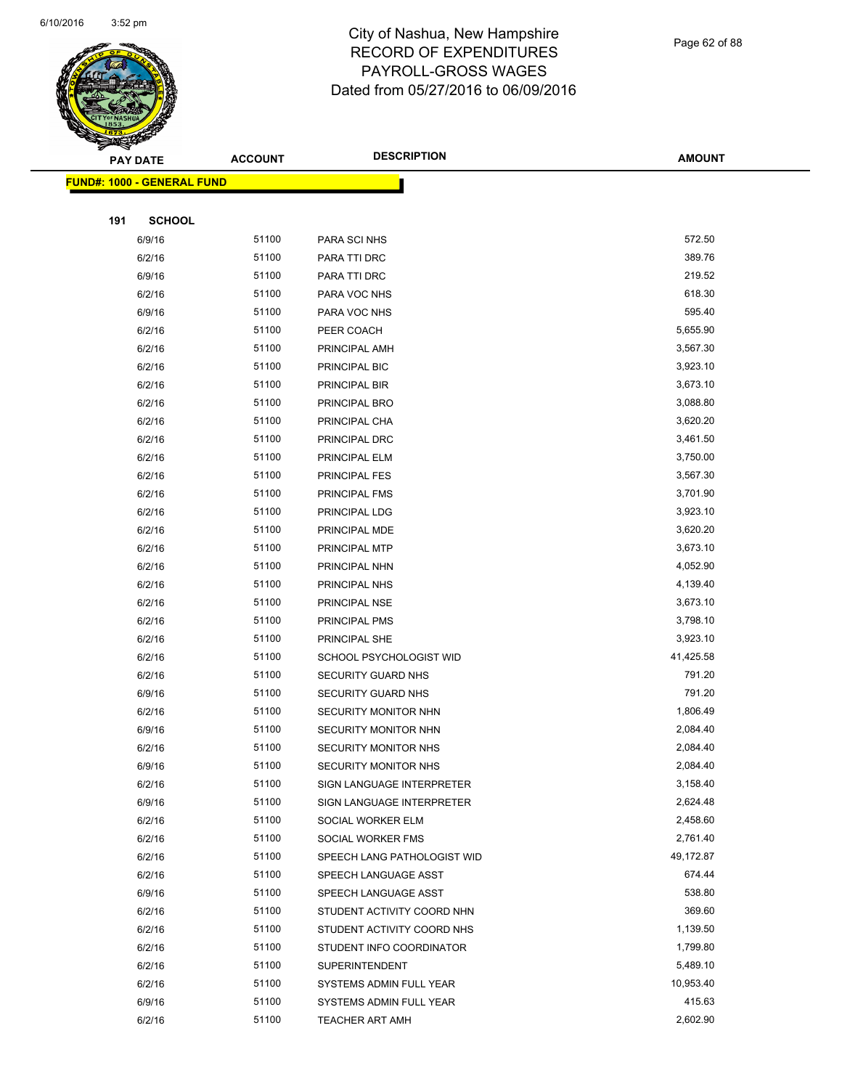

Page 62 of 88

|     | <b>PAY DATE</b>                    | <b>ACCOUNT</b> | <b>DESCRIPTION</b>          | <b>AMOUNT</b> |  |
|-----|------------------------------------|----------------|-----------------------------|---------------|--|
|     | <u> FUND#: 1000 - GENERAL FUND</u> |                |                             |               |  |
|     |                                    |                |                             |               |  |
| 191 | <b>SCHOOL</b>                      |                |                             |               |  |
|     | 6/9/16                             | 51100          | PARA SCI NHS                | 572.50        |  |
|     | 6/2/16                             | 51100          | PARA TTI DRC                | 389.76        |  |
|     | 6/9/16                             | 51100          | PARA TTI DRC                | 219.52        |  |
|     | 6/2/16                             | 51100          | PARA VOC NHS                | 618.30        |  |
|     | 6/9/16                             | 51100          | PARA VOC NHS                | 595.40        |  |
|     | 6/2/16                             | 51100          | PEER COACH                  | 5,655.90      |  |
|     | 6/2/16                             | 51100          | PRINCIPAL AMH               | 3,567.30      |  |
|     | 6/2/16                             | 51100          | PRINCIPAL BIC               | 3,923.10      |  |
|     | 6/2/16                             | 51100          | PRINCIPAL BIR               | 3,673.10      |  |
|     | 6/2/16                             | 51100          | PRINCIPAL BRO               | 3,088.80      |  |
|     | 6/2/16                             | 51100          | PRINCIPAL CHA               | 3,620.20      |  |
|     | 6/2/16                             | 51100          | PRINCIPAL DRC               | 3,461.50      |  |
|     | 6/2/16                             | 51100          | PRINCIPAL ELM               | 3,750.00      |  |
|     | 6/2/16                             | 51100          | PRINCIPAL FES               | 3,567.30      |  |
|     | 6/2/16                             | 51100          | <b>PRINCIPAL FMS</b>        | 3,701.90      |  |
|     | 6/2/16                             | 51100          | PRINCIPAL LDG               | 3,923.10      |  |
|     | 6/2/16                             | 51100          | PRINCIPAL MDE               | 3,620.20      |  |
|     | 6/2/16                             | 51100          | PRINCIPAL MTP               | 3,673.10      |  |
|     | 6/2/16                             | 51100          | PRINCIPAL NHN               | 4,052.90      |  |
|     | 6/2/16                             | 51100          | PRINCIPAL NHS               | 4,139.40      |  |
|     | 6/2/16                             | 51100          | PRINCIPAL NSE               | 3,673.10      |  |
|     | 6/2/16                             | 51100          | PRINCIPAL PMS               | 3,798.10      |  |
|     | 6/2/16                             | 51100          | PRINCIPAL SHE               | 3,923.10      |  |
|     | 6/2/16                             | 51100          | SCHOOL PSYCHOLOGIST WID     | 41,425.58     |  |
|     | 6/2/16                             | 51100          | SECURITY GUARD NHS          | 791.20        |  |
|     | 6/9/16                             | 51100          | SECURITY GUARD NHS          | 791.20        |  |
|     | 6/2/16                             | 51100          | SECURITY MONITOR NHN        | 1,806.49      |  |
|     | 6/9/16                             | 51100          | SECURITY MONITOR NHN        | 2,084.40      |  |
|     | 6/2/16                             | 51100          | SECURITY MONITOR NHS        | 2,084.40      |  |
|     | 6/9/16                             | 51100          | SECURITY MONITOR NHS        | 2,084.40      |  |
|     | 6/2/16                             | 51100          | SIGN LANGUAGE INTERPRETER   | 3,158.40      |  |
|     | 6/9/16                             | 51100          | SIGN LANGUAGE INTERPRETER   | 2,624.48      |  |
|     | 6/2/16                             | 51100          | SOCIAL WORKER ELM           | 2,458.60      |  |
|     | 6/2/16                             | 51100          | SOCIAL WORKER FMS           | 2,761.40      |  |
|     | 6/2/16                             | 51100          | SPEECH LANG PATHOLOGIST WID | 49,172.87     |  |
|     | 6/2/16                             | 51100          | SPEECH LANGUAGE ASST        | 674.44        |  |
|     | 6/9/16                             | 51100          | SPEECH LANGUAGE ASST        | 538.80        |  |
|     | 6/2/16                             | 51100          | STUDENT ACTIVITY COORD NHN  | 369.60        |  |
|     | 6/2/16                             | 51100          | STUDENT ACTIVITY COORD NHS  | 1,139.50      |  |
|     | 6/2/16                             | 51100          | STUDENT INFO COORDINATOR    | 1,799.80      |  |
|     | 6/2/16                             | 51100          | <b>SUPERINTENDENT</b>       | 5,489.10      |  |
|     | 6/2/16                             | 51100          | SYSTEMS ADMIN FULL YEAR     | 10,953.40     |  |
|     | 6/9/16                             | 51100          | SYSTEMS ADMIN FULL YEAR     | 415.63        |  |
|     | 6/2/16                             | 51100          | <b>TEACHER ART AMH</b>      | 2,602.90      |  |
|     |                                    |                |                             |               |  |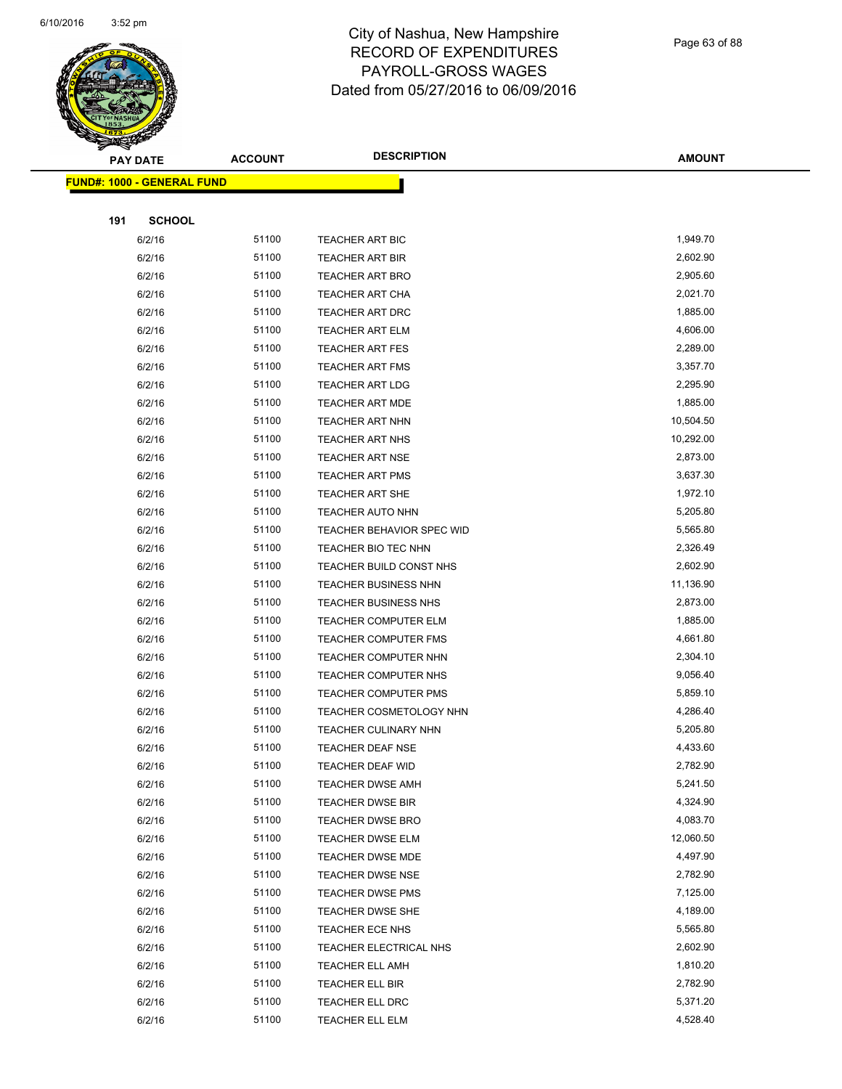

Page 63 of 88

|     | <b>PAY DATE</b>                   | <b>ACCOUNT</b> | <b>DESCRIPTION</b>          | <b>AMOUNT</b> |  |
|-----|-----------------------------------|----------------|-----------------------------|---------------|--|
|     | <b>FUND#: 1000 - GENERAL FUND</b> |                |                             |               |  |
|     |                                   |                |                             |               |  |
| 191 | <b>SCHOOL</b>                     |                |                             |               |  |
|     | 6/2/16                            | 51100          | <b>TEACHER ART BIC</b>      | 1,949.70      |  |
|     | 6/2/16                            | 51100          | <b>TEACHER ART BIR</b>      | 2,602.90      |  |
|     | 6/2/16                            | 51100          | <b>TEACHER ART BRO</b>      | 2,905.60      |  |
|     | 6/2/16                            | 51100          | <b>TEACHER ART CHA</b>      | 2,021.70      |  |
|     | 6/2/16                            | 51100          | <b>TEACHER ART DRC</b>      | 1,885.00      |  |
|     | 6/2/16                            | 51100          | TEACHER ART ELM             | 4,606.00      |  |
|     | 6/2/16                            | 51100          | <b>TEACHER ART FES</b>      | 2,289.00      |  |
|     | 6/2/16                            | 51100          | <b>TEACHER ART FMS</b>      | 3,357.70      |  |
|     | 6/2/16                            | 51100          | <b>TEACHER ART LDG</b>      | 2,295.90      |  |
|     | 6/2/16                            | 51100          | <b>TEACHER ART MDE</b>      | 1,885.00      |  |
|     | 6/2/16                            | 51100          | TEACHER ART NHN             | 10,504.50     |  |
|     | 6/2/16                            | 51100          | <b>TEACHER ART NHS</b>      | 10,292.00     |  |
|     | 6/2/16                            | 51100          | <b>TEACHER ART NSE</b>      | 2,873.00      |  |
|     | 6/2/16                            | 51100          | <b>TEACHER ART PMS</b>      | 3,637.30      |  |
|     | 6/2/16                            | 51100          | <b>TEACHER ART SHE</b>      | 1,972.10      |  |
|     | 6/2/16                            | 51100          | <b>TEACHER AUTO NHN</b>     | 5,205.80      |  |
|     | 6/2/16                            | 51100          | TEACHER BEHAVIOR SPEC WID   | 5,565.80      |  |
|     | 6/2/16                            | 51100          | TEACHER BIO TEC NHN         | 2,326.49      |  |
|     | 6/2/16                            | 51100          | TEACHER BUILD CONST NHS     | 2,602.90      |  |
|     | 6/2/16                            | 51100          | <b>TEACHER BUSINESS NHN</b> | 11,136.90     |  |
|     | 6/2/16                            | 51100          | TEACHER BUSINESS NHS        | 2,873.00      |  |
|     | 6/2/16                            | 51100          | <b>TEACHER COMPUTER ELM</b> | 1,885.00      |  |
|     | 6/2/16                            | 51100          | <b>TEACHER COMPUTER FMS</b> | 4,661.80      |  |
|     | 6/2/16                            | 51100          | TEACHER COMPUTER NHN        | 2,304.10      |  |
|     | 6/2/16                            | 51100          | TEACHER COMPUTER NHS        | 9,056.40      |  |
|     | 6/2/16                            | 51100          | <b>TEACHER COMPUTER PMS</b> | 5,859.10      |  |
|     | 6/2/16                            | 51100          | TEACHER COSMETOLOGY NHN     | 4,286.40      |  |
|     | 6/2/16                            | 51100          | <b>TEACHER CULINARY NHN</b> | 5,205.80      |  |
|     | 6/2/16                            | 51100          | <b>TEACHER DEAF NSE</b>     | 4,433.60      |  |
|     | 6/2/16                            | 51100          | TEACHER DEAF WID            | 2,782.90      |  |
|     | 6/2/16                            | 51100          | TEACHER DWSE AMH            | 5,241.50      |  |
|     | 6/2/16                            | 51100          | <b>TEACHER DWSE BIR</b>     | 4,324.90      |  |
|     | 6/2/16                            | 51100          | <b>TEACHER DWSE BRO</b>     | 4,083.70      |  |
|     | 6/2/16                            | 51100          | TEACHER DWSE ELM            | 12,060.50     |  |
|     | 6/2/16                            | 51100          | <b>TEACHER DWSE MDE</b>     | 4,497.90      |  |
|     | 6/2/16                            | 51100          | TEACHER DWSE NSE            | 2,782.90      |  |
|     | 6/2/16                            | 51100          | <b>TEACHER DWSE PMS</b>     | 7,125.00      |  |
|     | 6/2/16                            | 51100          | TEACHER DWSE SHE            | 4,189.00      |  |
|     | 6/2/16                            | 51100          | TEACHER ECE NHS             | 5,565.80      |  |
|     | 6/2/16                            | 51100          | TEACHER ELECTRICAL NHS      | 2,602.90      |  |
|     | 6/2/16                            | 51100          | TEACHER ELL AMH             | 1,810.20      |  |
|     | 6/2/16                            | 51100          | TEACHER ELL BIR             | 2,782.90      |  |
|     | 6/2/16                            | 51100          | TEACHER ELL DRC             | 5,371.20      |  |
|     | 6/2/16                            | 51100          | TEACHER ELL ELM             | 4,528.40      |  |
|     |                                   |                |                             |               |  |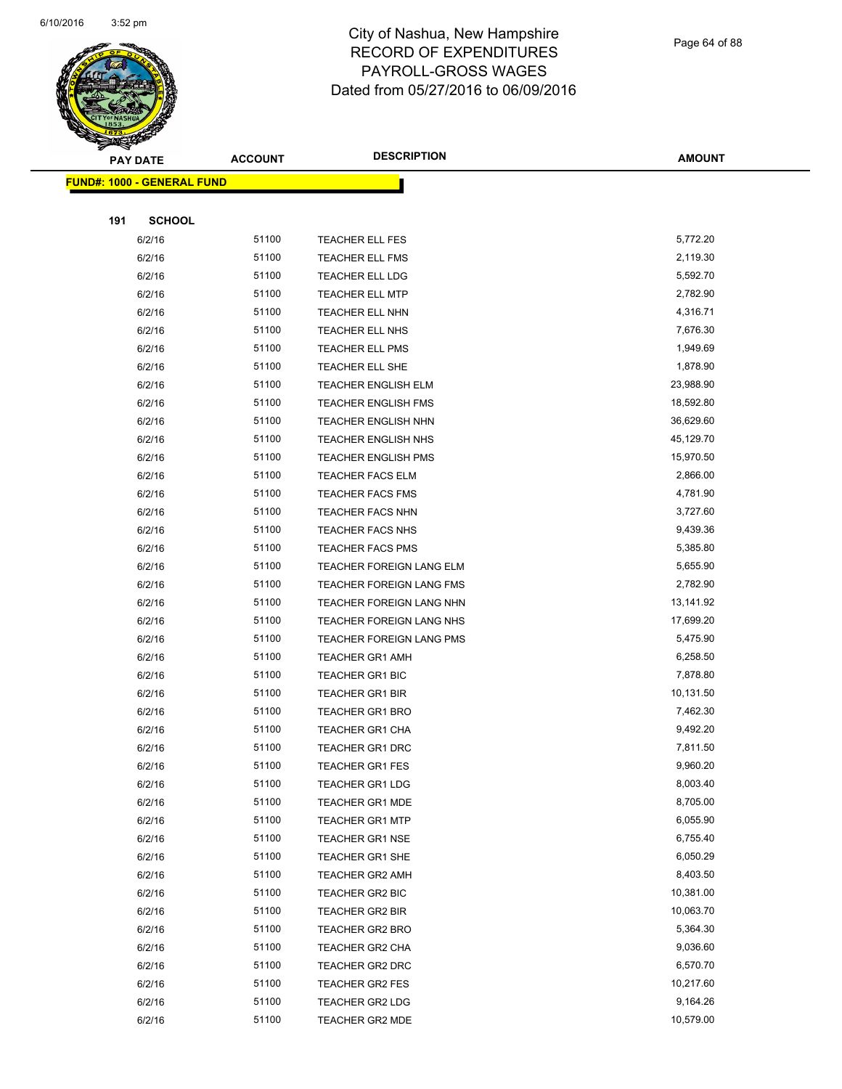

Page 64 of 88

| <b>FUND#: 1000 - GENERAL FUND</b>             |                       |
|-----------------------------------------------|-----------------------|
|                                               |                       |
|                                               |                       |
| 191<br><b>SCHOOL</b>                          |                       |
| 51100<br>6/2/16<br>TEACHER ELL FES            | 5,772.20              |
| 51100<br>6/2/16<br>TEACHER ELL FMS            | 2,119.30              |
| 6/2/16<br>51100<br><b>TEACHER ELL LDG</b>     | 5,592.70              |
| 6/2/16<br>51100<br><b>TEACHER ELL MTP</b>     | 2,782.90              |
| 51100<br>6/2/16<br>TEACHER ELL NHN            | 4,316.71              |
| 51100<br>6/2/16<br>TEACHER ELL NHS            | 7,676.30              |
| 51100<br>6/2/16<br><b>TEACHER ELL PMS</b>     | 1,949.69              |
| 51100<br>6/2/16<br>TEACHER ELL SHE            | 1,878.90              |
| 6/2/16<br>51100<br><b>TEACHER ENGLISH ELM</b> | 23,988.90             |
| 51100<br>6/2/16<br>TEACHER ENGLISH FMS        | 18,592.80             |
| 51100<br>6/2/16<br>TEACHER ENGLISH NHN        | 36,629.60             |
| 51100<br>6/2/16<br>TEACHER ENGLISH NHS        | 45,129.70             |
| 51100<br>6/2/16<br><b>TEACHER ENGLISH PMS</b> | 15,970.50             |
| 51100<br>6/2/16<br><b>TEACHER FACS ELM</b>    | 2,866.00              |
| 51100<br>6/2/16<br><b>TEACHER FACS FMS</b>    | 4,781.90              |
| 51100<br>6/2/16<br><b>TEACHER FACS NHN</b>    | 3,727.60              |
| 51100<br>6/2/16<br><b>TEACHER FACS NHS</b>    | 9,439.36              |
| 51100<br>6/2/16<br><b>TEACHER FACS PMS</b>    | 5,385.80              |
| 6/2/16<br>51100<br>TEACHER FOREIGN LANG ELM   | 5,655.90              |
| 51100<br>6/2/16<br>TEACHER FOREIGN LANG FMS   | 2,782.90              |
| 51100<br>6/2/16<br>TEACHER FOREIGN LANG NHN   | 13,141.92             |
| 51100<br>6/2/16<br>TEACHER FOREIGN LANG NHS   | 17,699.20             |
| 51100<br>6/2/16<br>TEACHER FOREIGN LANG PMS   | 5,475.90              |
| 51100<br>6/2/16<br><b>TEACHER GR1 AMH</b>     | 6,258.50              |
| 51100<br>6/2/16<br><b>TEACHER GR1 BIC</b>     | 7,878.80              |
| 51100<br>6/2/16<br><b>TEACHER GR1 BIR</b>     | 10,131.50             |
| 51100<br>6/2/16<br><b>TEACHER GR1 BRO</b>     | 7,462.30              |
| 51100<br>6/2/16<br><b>TEACHER GR1 CHA</b>     | 9,492.20              |
| 6/2/16<br>51100<br><b>TEACHER GR1 DRC</b>     | 7,811.50              |
| 51100<br>6/2/16<br><b>TEACHER GR1 FES</b>     | 9,960.20              |
| 51100<br>6/2/16<br><b>TEACHER GR1 LDG</b>     | 8,003.40              |
| 51100<br>6/2/16<br><b>TEACHER GR1 MDE</b>     | 8,705.00              |
| 6/2/16<br>51100<br><b>TEACHER GR1 MTP</b>     | 6,055.90              |
| 51100<br>6/2/16<br><b>TEACHER GR1 NSE</b>     | 6,755.40              |
| 51100<br>6/2/16<br>TEACHER GR1 SHE            | 6,050.29              |
| 51100<br>6/2/16<br>TEACHER GR2 AMH            | 8,403.50              |
| 51100<br>6/2/16<br>TEACHER GR2 BIC            | 10,381.00             |
| 6/2/16<br>51100<br><b>TEACHER GR2 BIR</b>     | 10,063.70             |
| 51100<br>6/2/16<br>TEACHER GR2 BRO            | 5,364.30              |
| 51100<br>6/2/16<br>TEACHER GR2 CHA            | 9,036.60              |
| 51100<br>6/2/16<br>TEACHER GR2 DRC            | 6,570.70              |
| 51100<br>6/2/16<br>TEACHER GR2 FES            | 10,217.60             |
| 6/2/16<br>51100<br>TEACHER GR2 LDG<br>51100   | 9,164.26<br>10,579.00 |
| 6/2/16<br>TEACHER GR2 MDE                     |                       |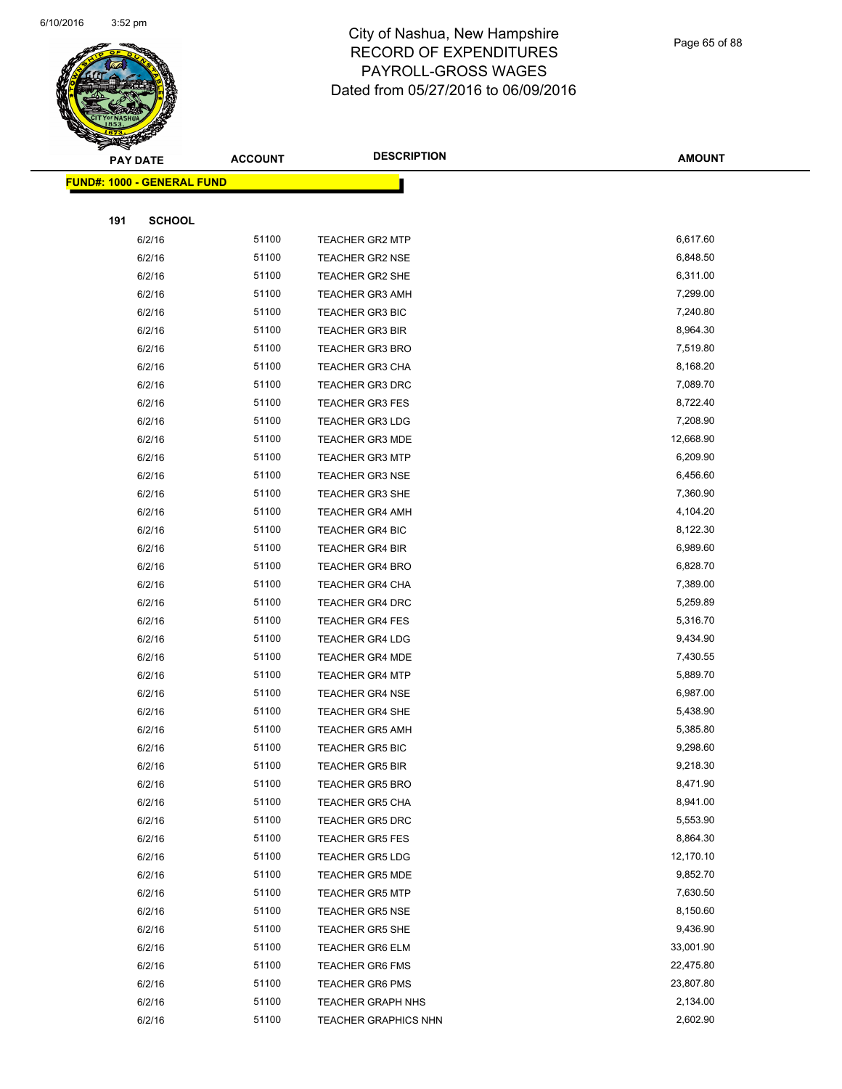

Page 65 of 88

| ॼ   | <b>PAY DATE</b>                   | <b>ACCOUNT</b> | <b>DESCRIPTION</b>          | <b>AMOUNT</b> |
|-----|-----------------------------------|----------------|-----------------------------|---------------|
|     | <b>FUND#: 1000 - GENERAL FUND</b> |                |                             |               |
|     |                                   |                |                             |               |
| 191 | <b>SCHOOL</b>                     |                |                             |               |
|     | 6/2/16                            | 51100          | TEACHER GR2 MTP             | 6,617.60      |
|     | 6/2/16                            | 51100          | <b>TEACHER GR2 NSE</b>      | 6,848.50      |
|     | 6/2/16                            | 51100          | <b>TEACHER GR2 SHE</b>      | 6,311.00      |
|     | 6/2/16                            | 51100          | <b>TEACHER GR3 AMH</b>      | 7,299.00      |
|     | 6/2/16                            | 51100          | <b>TEACHER GR3 BIC</b>      | 7,240.80      |
|     | 6/2/16                            | 51100          | <b>TEACHER GR3 BIR</b>      | 8,964.30      |
|     | 6/2/16                            | 51100          | <b>TEACHER GR3 BRO</b>      | 7,519.80      |
|     | 6/2/16                            | 51100          | <b>TEACHER GR3 CHA</b>      | 8,168.20      |
|     | 6/2/16                            | 51100          | <b>TEACHER GR3 DRC</b>      | 7,089.70      |
|     | 6/2/16                            | 51100          | <b>TEACHER GR3 FES</b>      | 8,722.40      |
|     | 6/2/16                            | 51100          | <b>TEACHER GR3 LDG</b>      | 7,208.90      |
|     | 6/2/16                            | 51100          | <b>TEACHER GR3 MDE</b>      | 12,668.90     |
|     | 6/2/16                            | 51100          | <b>TEACHER GR3 MTP</b>      | 6,209.90      |
|     | 6/2/16                            | 51100          | <b>TEACHER GR3 NSE</b>      | 6,456.60      |
|     | 6/2/16                            | 51100          | TEACHER GR3 SHE             | 7,360.90      |
|     | 6/2/16                            | 51100          | <b>TEACHER GR4 AMH</b>      | 4,104.20      |
|     | 6/2/16                            | 51100          | <b>TEACHER GR4 BIC</b>      | 8,122.30      |
|     | 6/2/16                            | 51100          | TEACHER GR4 BIR             | 6,989.60      |
|     | 6/2/16                            | 51100          | <b>TEACHER GR4 BRO</b>      | 6,828.70      |
|     | 6/2/16                            | 51100          | <b>TEACHER GR4 CHA</b>      | 7,389.00      |
|     | 6/2/16                            | 51100          | <b>TEACHER GR4 DRC</b>      | 5,259.89      |
|     | 6/2/16                            | 51100          | <b>TEACHER GR4 FES</b>      | 5,316.70      |
|     | 6/2/16                            | 51100          | <b>TEACHER GR4 LDG</b>      | 9,434.90      |
|     | 6/2/16                            | 51100          | <b>TEACHER GR4 MDE</b>      | 7,430.55      |
|     | 6/2/16                            | 51100          | <b>TEACHER GR4 MTP</b>      | 5,889.70      |
|     | 6/2/16                            | 51100          | <b>TEACHER GR4 NSE</b>      | 6,987.00      |
|     | 6/2/16                            | 51100          | <b>TEACHER GR4 SHE</b>      | 5,438.90      |
|     | 6/2/16                            | 51100          | <b>TEACHER GR5 AMH</b>      | 5,385.80      |
|     | 6/2/16                            | 51100          | <b>TEACHER GR5 BIC</b>      | 9,298.60      |
|     | 6/2/16                            | 51100          | TEACHER GR5 BIR             | 9,218.30      |
|     | 6/2/16                            | 51100          | <b>TEACHER GR5 BRO</b>      | 8,471.90      |
|     | 6/2/16                            | 51100          | <b>TEACHER GR5 CHA</b>      | 8,941.00      |
|     | 6/2/16                            | 51100          | <b>TEACHER GR5 DRC</b>      | 5,553.90      |
|     | 6/2/16                            | 51100          | <b>TEACHER GR5 FES</b>      | 8,864.30      |
|     | 6/2/16                            | 51100          | <b>TEACHER GR5 LDG</b>      | 12,170.10     |
|     | 6/2/16                            | 51100          | <b>TEACHER GR5 MDE</b>      | 9,852.70      |
|     | 6/2/16                            | 51100          | <b>TEACHER GR5 MTP</b>      | 7,630.50      |
|     | 6/2/16                            | 51100          | <b>TEACHER GR5 NSE</b>      | 8,150.60      |
|     | 6/2/16                            | 51100          | <b>TEACHER GR5 SHE</b>      | 9,436.90      |
|     | 6/2/16                            | 51100          | <b>TEACHER GR6 ELM</b>      | 33,001.90     |
|     | 6/2/16                            | 51100          | <b>TEACHER GR6 FMS</b>      | 22,475.80     |
|     | 6/2/16                            | 51100          | <b>TEACHER GR6 PMS</b>      | 23,807.80     |
|     | 6/2/16                            | 51100          | <b>TEACHER GRAPH NHS</b>    | 2,134.00      |
|     | 6/2/16                            | 51100          | <b>TEACHER GRAPHICS NHN</b> | 2,602.90      |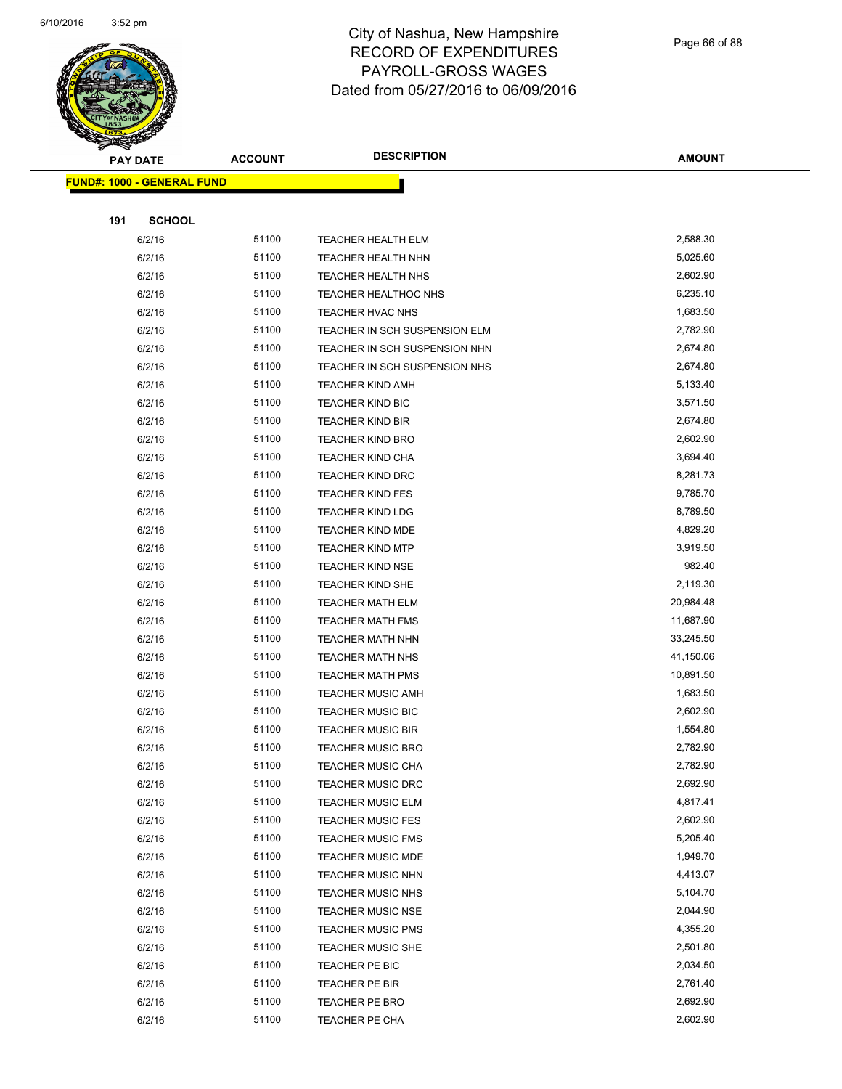

Page 66 of 88

| <b>PAY DATE</b>                   | <b>ACCOUNT</b> | <b>DESCRIPTION</b>                                   | <b>AMOUNT</b>        |
|-----------------------------------|----------------|------------------------------------------------------|----------------------|
| <b>FUND#: 1000 - GENERAL FUND</b> |                |                                                      |                      |
|                                   |                |                                                      |                      |
| 191<br><b>SCHOOL</b>              |                |                                                      |                      |
| 6/2/16                            | 51100          | <b>TEACHER HEALTH ELM</b>                            | 2,588.30             |
| 6/2/16                            | 51100          | TEACHER HEALTH NHN                                   | 5,025.60             |
| 6/2/16                            | 51100          | <b>TEACHER HEALTH NHS</b>                            | 2,602.90             |
| 6/2/16                            | 51100          | TEACHER HEALTHOC NHS                                 | 6,235.10             |
| 6/2/16                            | 51100          | TEACHER HVAC NHS                                     | 1,683.50             |
| 6/2/16                            | 51100          | TEACHER IN SCH SUSPENSION ELM                        | 2,782.90             |
| 6/2/16                            | 51100          | TEACHER IN SCH SUSPENSION NHN                        | 2,674.80             |
| 6/2/16                            | 51100          | TEACHER IN SCH SUSPENSION NHS                        | 2,674.80             |
| 6/2/16                            | 51100          | <b>TEACHER KIND AMH</b>                              | 5,133.40             |
| 6/2/16                            | 51100          | TEACHER KIND BIC                                     | 3,571.50             |
| 6/2/16                            | 51100          | <b>TEACHER KIND BIR</b>                              | 2,674.80             |
| 6/2/16                            | 51100          | <b>TEACHER KIND BRO</b>                              | 2,602.90             |
| 6/2/16                            | 51100          | <b>TEACHER KIND CHA</b>                              | 3,694.40             |
| 6/2/16                            | 51100          | <b>TEACHER KIND DRC</b>                              | 8,281.73             |
| 6/2/16                            | 51100          | <b>TEACHER KIND FES</b>                              | 9,785.70             |
| 6/2/16                            | 51100          | <b>TEACHER KIND LDG</b>                              | 8,789.50             |
| 6/2/16                            | 51100          | <b>TEACHER KIND MDE</b>                              | 4,829.20             |
| 6/2/16                            | 51100          | <b>TEACHER KIND MTP</b>                              | 3,919.50             |
| 6/2/16                            | 51100          | <b>TEACHER KIND NSE</b>                              | 982.40               |
| 6/2/16                            | 51100          | TEACHER KIND SHE                                     | 2,119.30             |
| 6/2/16                            | 51100          | <b>TEACHER MATH ELM</b>                              | 20,984.48            |
| 6/2/16                            | 51100          | <b>TEACHER MATH FMS</b>                              | 11,687.90            |
| 6/2/16                            | 51100          | <b>TEACHER MATH NHN</b>                              | 33,245.50            |
| 6/2/16                            | 51100          | <b>TEACHER MATH NHS</b>                              | 41,150.06            |
| 6/2/16                            | 51100          | <b>TEACHER MATH PMS</b>                              | 10,891.50            |
| 6/2/16                            | 51100          | <b>TEACHER MUSIC AMH</b>                             | 1,683.50             |
| 6/2/16                            | 51100          | <b>TEACHER MUSIC BIC</b>                             | 2,602.90             |
| 6/2/16                            | 51100          | <b>TEACHER MUSIC BIR</b>                             | 1,554.80             |
| 6/2/16                            | 51100          | <b>TEACHER MUSIC BRO</b>                             | 2,782.90             |
| 6/2/16                            | 51100          | TEACHER MUSIC CHA                                    | 2,782.90<br>2,692.90 |
| 6/2/16<br>6/2/16                  | 51100<br>51100 | <b>TEACHER MUSIC DRC</b><br><b>TEACHER MUSIC ELM</b> | 4,817.41             |
| 6/2/16                            | 51100          | <b>TEACHER MUSIC FES</b>                             | 2,602.90             |
| 6/2/16                            | 51100          | <b>TEACHER MUSIC FMS</b>                             | 5,205.40             |
| 6/2/16                            | 51100          | <b>TEACHER MUSIC MDE</b>                             | 1,949.70             |
| 6/2/16                            | 51100          | <b>TEACHER MUSIC NHN</b>                             | 4,413.07             |
| 6/2/16                            | 51100          | TEACHER MUSIC NHS                                    | 5,104.70             |
| 6/2/16                            | 51100          | <b>TEACHER MUSIC NSE</b>                             | 2,044.90             |
| 6/2/16                            | 51100          | <b>TEACHER MUSIC PMS</b>                             | 4,355.20             |
| 6/2/16                            | 51100          | <b>TEACHER MUSIC SHE</b>                             | 2,501.80             |
| 6/2/16                            | 51100          | TEACHER PE BIC                                       | 2,034.50             |
| 6/2/16                            | 51100          | TEACHER PE BIR                                       | 2,761.40             |
| 6/2/16                            | 51100          | TEACHER PE BRO                                       | 2,692.90             |
| 6/2/16                            | 51100          | <b>TEACHER PE CHA</b>                                | 2,602.90             |
|                                   |                |                                                      |                      |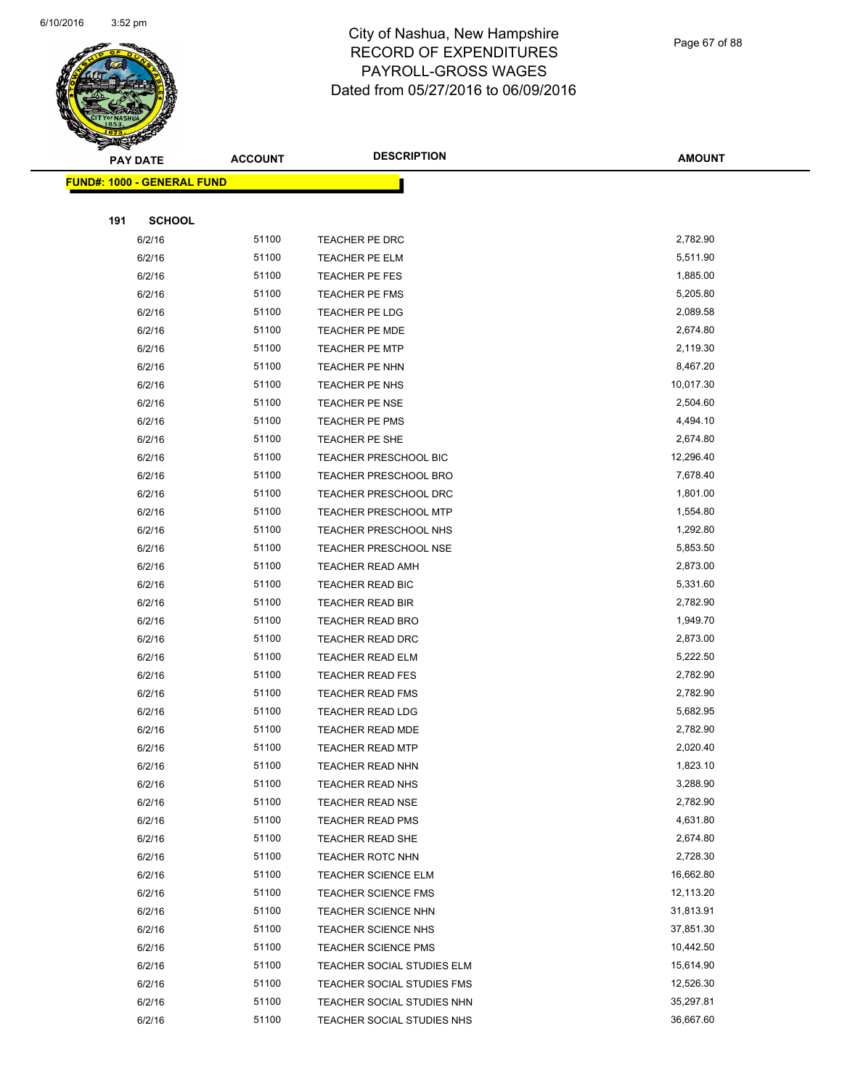

Page 67 of 88

|     | <b>PAY DATE</b>                   | <b>ACCOUNT</b> | <b>DESCRIPTION</b>                | <b>AMOUNT</b> |
|-----|-----------------------------------|----------------|-----------------------------------|---------------|
|     | <b>FUND#: 1000 - GENERAL FUND</b> |                |                                   |               |
|     |                                   |                |                                   |               |
| 191 | <b>SCHOOL</b>                     |                |                                   |               |
|     | 6/2/16                            | 51100          | TEACHER PE DRC                    | 2,782.90      |
|     | 6/2/16                            | 51100          | <b>TEACHER PE ELM</b>             | 5,511.90      |
|     | 6/2/16                            | 51100          | <b>TEACHER PE FES</b>             | 1,885.00      |
|     | 6/2/16                            | 51100          | <b>TEACHER PE FMS</b>             | 5,205.80      |
|     | 6/2/16                            | 51100          | <b>TEACHER PE LDG</b>             | 2,089.58      |
|     | 6/2/16                            | 51100          | TEACHER PE MDE                    | 2,674.80      |
|     | 6/2/16                            | 51100          | <b>TEACHER PE MTP</b>             | 2,119.30      |
|     | 6/2/16                            | 51100          | <b>TEACHER PE NHN</b>             | 8,467.20      |
|     | 6/2/16                            | 51100          | TEACHER PE NHS                    | 10,017.30     |
|     | 6/2/16                            | 51100          | <b>TEACHER PE NSE</b>             | 2,504.60      |
|     | 6/2/16                            | 51100          | TEACHER PE PMS                    | 4,494.10      |
|     | 6/2/16                            | 51100          | <b>TEACHER PE SHE</b>             | 2,674.80      |
|     | 6/2/16                            | 51100          | <b>TEACHER PRESCHOOL BIC</b>      | 12,296.40     |
|     | 6/2/16                            | 51100          | <b>TEACHER PRESCHOOL BRO</b>      | 7,678.40      |
|     | 6/2/16                            | 51100          | TEACHER PRESCHOOL DRC             | 1,801.00      |
|     | 6/2/16                            | 51100          | <b>TEACHER PRESCHOOL MTP</b>      | 1,554.80      |
|     | 6/2/16                            | 51100          | <b>TEACHER PRESCHOOL NHS</b>      | 1,292.80      |
|     | 6/2/16                            | 51100          | <b>TEACHER PRESCHOOL NSE</b>      | 5,853.50      |
|     | 6/2/16                            | 51100          | <b>TEACHER READ AMH</b>           | 2,873.00      |
|     | 6/2/16                            | 51100          | TEACHER READ BIC                  | 5,331.60      |
|     | 6/2/16                            | 51100          | <b>TEACHER READ BIR</b>           | 2,782.90      |
|     | 6/2/16                            | 51100          | TEACHER READ BRO                  | 1,949.70      |
|     | 6/2/16                            | 51100          | TEACHER READ DRC                  | 2,873.00      |
|     | 6/2/16                            | 51100          | <b>TEACHER READ ELM</b>           | 5,222.50      |
|     | 6/2/16                            | 51100          | <b>TEACHER READ FES</b>           | 2,782.90      |
|     | 6/2/16                            | 51100          | <b>TEACHER READ FMS</b>           | 2,782.90      |
|     | 6/2/16                            | 51100          | <b>TEACHER READ LDG</b>           | 5,682.95      |
|     | 6/2/16                            | 51100          | <b>TEACHER READ MDE</b>           | 2,782.90      |
|     | 6/2/16                            | 51100          | <b>TEACHER READ MTP</b>           | 2,020.40      |
|     | 6/2/16                            | 51100          | <b>TEACHER READ NHN</b>           | 1,823.10      |
|     | 6/2/16                            | 51100          | TEACHER READ NHS                  | 3,288.90      |
|     | 6/2/16                            | 51100          | <b>TEACHER READ NSE</b>           | 2,782.90      |
|     | 6/2/16                            | 51100          | <b>TEACHER READ PMS</b>           | 4,631.80      |
|     | 6/2/16                            | 51100          | TEACHER READ SHE                  | 2,674.80      |
|     | 6/2/16                            | 51100          | <b>TEACHER ROTC NHN</b>           | 2,728.30      |
|     | 6/2/16                            | 51100          | <b>TEACHER SCIENCE ELM</b>        | 16,662.80     |
|     | 6/2/16                            | 51100          | <b>TEACHER SCIENCE FMS</b>        | 12,113.20     |
|     | 6/2/16                            | 51100          | <b>TEACHER SCIENCE NHN</b>        | 31,813.91     |
|     | 6/2/16                            | 51100          | <b>TEACHER SCIENCE NHS</b>        | 37,851.30     |
|     | 6/2/16                            | 51100          | <b>TEACHER SCIENCE PMS</b>        | 10,442.50     |
|     | 6/2/16                            | 51100          | TEACHER SOCIAL STUDIES ELM        | 15,614.90     |
|     | 6/2/16                            | 51100          | <b>TEACHER SOCIAL STUDIES FMS</b> | 12,526.30     |
|     | 6/2/16                            | 51100          | TEACHER SOCIAL STUDIES NHN        | 35,297.81     |
|     | 6/2/16                            | 51100          | TEACHER SOCIAL STUDIES NHS        | 36,667.60     |
|     |                                   |                |                                   |               |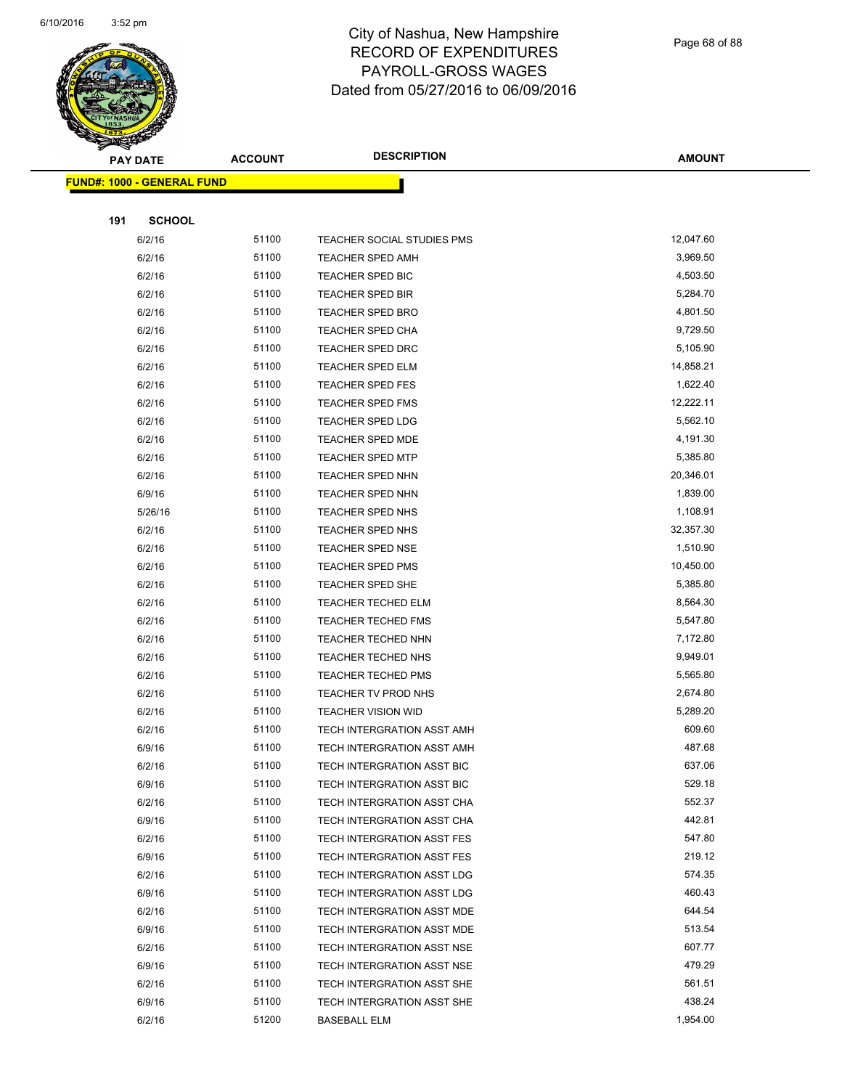

Page 68 of 88

|     | <b>PAY DATE</b>                    | <b>ACCOUNT</b> | <b>DESCRIPTION</b>                | <b>AMOUNT</b>    |
|-----|------------------------------------|----------------|-----------------------------------|------------------|
|     | <u> FUND#: 1000 - GENERAL FUND</u> |                |                                   |                  |
|     |                                    |                |                                   |                  |
| 191 | <b>SCHOOL</b>                      |                |                                   |                  |
|     | 6/2/16                             | 51100          | <b>TEACHER SOCIAL STUDIES PMS</b> | 12,047.60        |
|     | 6/2/16                             | 51100          | <b>TEACHER SPED AMH</b>           | 3,969.50         |
|     | 6/2/16                             | 51100          | TEACHER SPED BIC                  | 4,503.50         |
|     | 6/2/16                             | 51100          | TEACHER SPED BIR                  | 5,284.70         |
|     | 6/2/16                             | 51100          | <b>TEACHER SPED BRO</b>           | 4,801.50         |
|     | 6/2/16                             | 51100          | <b>TEACHER SPED CHA</b>           | 9,729.50         |
|     | 6/2/16                             | 51100          | <b>TEACHER SPED DRC</b>           | 5,105.90         |
|     | 6/2/16                             | 51100          | <b>TEACHER SPED ELM</b>           | 14,858.21        |
|     | 6/2/16                             | 51100          | <b>TEACHER SPED FES</b>           | 1,622.40         |
|     | 6/2/16                             | 51100          | <b>TEACHER SPED FMS</b>           | 12,222.11        |
|     | 6/2/16                             | 51100          | <b>TEACHER SPED LDG</b>           | 5,562.10         |
|     | 6/2/16                             | 51100          | <b>TEACHER SPED MDE</b>           | 4,191.30         |
|     | 6/2/16                             | 51100          | <b>TEACHER SPED MTP</b>           | 5,385.80         |
|     | 6/2/16                             | 51100          | TEACHER SPED NHN                  | 20,346.01        |
|     | 6/9/16                             | 51100          | <b>TEACHER SPED NHN</b>           | 1,839.00         |
|     | 5/26/16                            | 51100          | TEACHER SPED NHS                  | 1,108.91         |
|     | 6/2/16                             | 51100          | TEACHER SPED NHS                  | 32,357.30        |
|     | 6/2/16                             | 51100          | <b>TEACHER SPED NSE</b>           | 1,510.90         |
|     | 6/2/16                             | 51100          | <b>TEACHER SPED PMS</b>           | 10,450.00        |
|     | 6/2/16                             | 51100          | <b>TEACHER SPED SHE</b>           | 5,385.80         |
|     | 6/2/16                             | 51100          | <b>TEACHER TECHED ELM</b>         | 8,564.30         |
|     | 6/2/16                             | 51100          | <b>TEACHER TECHED FMS</b>         | 5,547.80         |
|     | 6/2/16                             | 51100          | <b>TEACHER TECHED NHN</b>         | 7,172.80         |
|     | 6/2/16                             | 51100          | <b>TEACHER TECHED NHS</b>         | 9,949.01         |
|     | 6/2/16                             | 51100          | TEACHER TECHED PMS                | 5,565.80         |
|     | 6/2/16                             | 51100          | TEACHER TV PROD NHS               | 2,674.80         |
|     | 6/2/16                             | 51100          | <b>TEACHER VISION WID</b>         | 5,289.20         |
|     | 6/2/16                             | 51100          | TECH INTERGRATION ASST AMH        | 609.60           |
|     | 6/9/16                             | 51100          | <b>TECH INTERGRATION ASST AMH</b> | 487.68           |
|     | 6/2/16                             | 51100          | TECH INTERGRATION ASST BIC        | 637.06           |
|     | 6/9/16                             | 51100          | TECH INTERGRATION ASST BIC        | 529.18           |
|     | 6/2/16                             | 51100          | TECH INTERGRATION ASST CHA        | 552.37           |
|     | 6/9/16                             | 51100          | TECH INTERGRATION ASST CHA        | 442.81           |
|     | 6/2/16                             | 51100          | TECH INTERGRATION ASST FES        | 547.80           |
|     | 6/9/16                             | 51100          | TECH INTERGRATION ASST FES        | 219.12           |
|     | 6/2/16                             | 51100          | TECH INTERGRATION ASST LDG        | 574.35           |
|     | 6/9/16                             | 51100          | TECH INTERGRATION ASST LDG        | 460.43           |
|     | 6/2/16                             | 51100          | TECH INTERGRATION ASST MDE        | 644.54           |
|     | 6/9/16                             | 51100          | TECH INTERGRATION ASST MDE        | 513.54           |
|     | 6/2/16                             | 51100<br>51100 | TECH INTERGRATION ASST NSE        | 607.77<br>479.29 |
|     | 6/9/16                             | 51100          | TECH INTERGRATION ASST NSE        | 561.51           |
|     | 6/2/16<br>6/9/16                   | 51100          | TECH INTERGRATION ASST SHE        | 438.24           |
|     | 6/2/16                             | 51200          | TECH INTERGRATION ASST SHE        | 1,954.00         |
|     |                                    |                | <b>BASEBALL ELM</b>               |                  |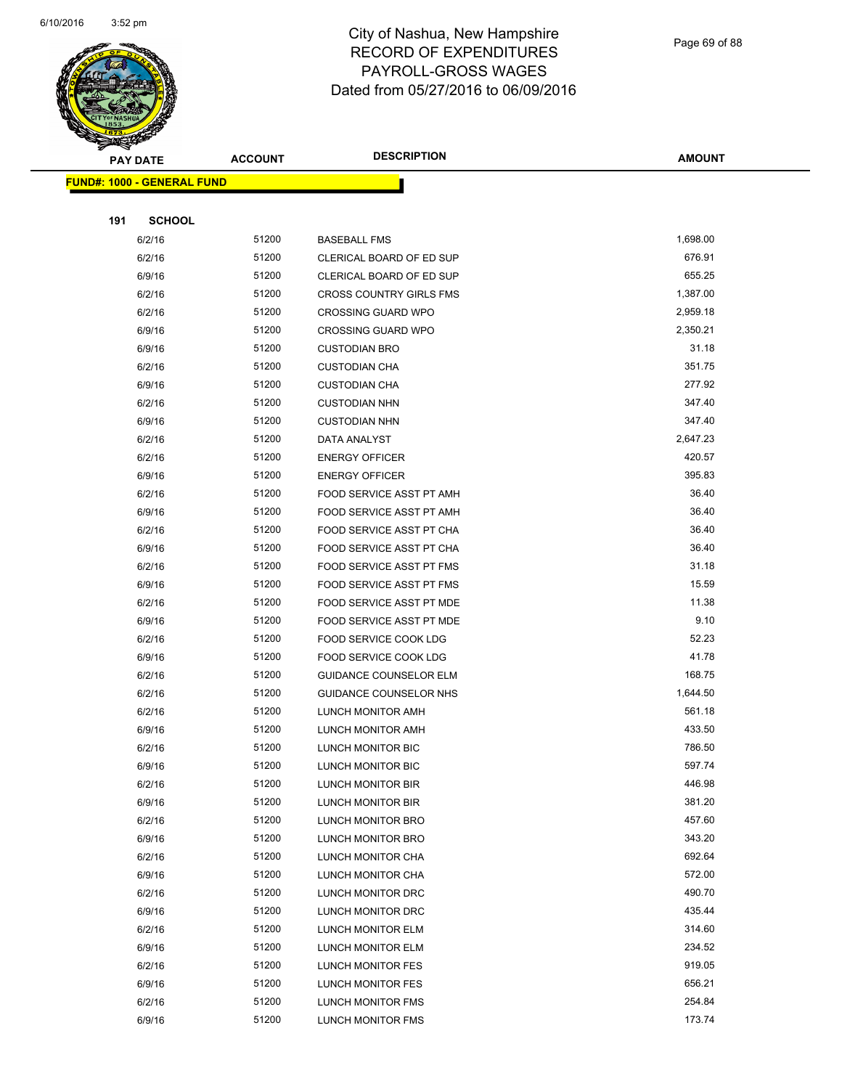

Page 69 of 88

| $\tilde{\phantom{a}}$<br><b>PAY DATE</b> | <b>ACCOUNT</b> | <b>DESCRIPTION</b>             | <b>AMOUNT</b> |
|------------------------------------------|----------------|--------------------------------|---------------|
| <b>FUND#: 1000 - GENERAL FUND</b>        |                |                                |               |
|                                          |                |                                |               |
| 191<br><b>SCHOOL</b>                     |                |                                |               |
| 6/2/16                                   | 51200          | <b>BASEBALL FMS</b>            | 1,698.00      |
| 6/2/16                                   | 51200          | CLERICAL BOARD OF ED SUP       | 676.91        |
| 6/9/16                                   | 51200          | CLERICAL BOARD OF ED SUP       | 655.25        |
| 6/2/16                                   | 51200          | <b>CROSS COUNTRY GIRLS FMS</b> | 1,387.00      |
| 6/2/16                                   | 51200          | <b>CROSSING GUARD WPO</b>      | 2,959.18      |
| 6/9/16                                   | 51200          | <b>CROSSING GUARD WPO</b>      | 2,350.21      |
| 6/9/16                                   | 51200          | <b>CUSTODIAN BRO</b>           | 31.18         |
| 6/2/16                                   | 51200          | <b>CUSTODIAN CHA</b>           | 351.75        |
| 6/9/16                                   | 51200          | <b>CUSTODIAN CHA</b>           | 277.92        |
| 6/2/16                                   | 51200          | <b>CUSTODIAN NHN</b>           | 347.40        |
| 6/9/16                                   | 51200          | <b>CUSTODIAN NHN</b>           | 347.40        |
| 6/2/16                                   | 51200          | DATA ANALYST                   | 2,647.23      |
| 6/2/16                                   | 51200          | <b>ENERGY OFFICER</b>          | 420.57        |
| 6/9/16                                   | 51200          | <b>ENERGY OFFICER</b>          | 395.83        |
| 6/2/16                                   | 51200          | FOOD SERVICE ASST PT AMH       | 36.40         |
| 6/9/16                                   | 51200          | FOOD SERVICE ASST PT AMH       | 36.40         |
| 6/2/16                                   | 51200          | FOOD SERVICE ASST PT CHA       | 36.40         |
| 6/9/16                                   | 51200          | FOOD SERVICE ASST PT CHA       | 36.40         |
| 6/2/16                                   | 51200          | FOOD SERVICE ASST PT FMS       | 31.18         |
| 6/9/16                                   | 51200          | FOOD SERVICE ASST PT FMS       | 15.59         |
| 6/2/16                                   | 51200          | FOOD SERVICE ASST PT MDE       | 11.38         |
| 6/9/16                                   | 51200          | FOOD SERVICE ASST PT MDE       | 9.10          |
| 6/2/16                                   | 51200          | FOOD SERVICE COOK LDG          | 52.23         |
| 6/9/16                                   | 51200          | FOOD SERVICE COOK LDG          | 41.78         |
| 6/2/16                                   | 51200          | <b>GUIDANCE COUNSELOR ELM</b>  | 168.75        |
| 6/2/16                                   | 51200          | GUIDANCE COUNSELOR NHS         | 1,644.50      |
| 6/2/16                                   | 51200          | LUNCH MONITOR AMH              | 561.18        |
| 6/9/16                                   | 51200          | LUNCH MONITOR AMH              | 433.50        |
| 6/2/16                                   | 51200          | <b>LUNCH MONITOR BIC</b>       | 786.50        |
| 6/9/16                                   | 51200          | LUNCH MONITOR BIC              | 597.74        |
| 6/2/16                                   | 51200          | LUNCH MONITOR BIR              | 446.98        |
| 6/9/16                                   | 51200          | LUNCH MONITOR BIR              | 381.20        |
| 6/2/16                                   | 51200          | LUNCH MONITOR BRO              | 457.60        |
| 6/9/16                                   | 51200          | LUNCH MONITOR BRO              | 343.20        |
| 6/2/16                                   | 51200          | LUNCH MONITOR CHA              | 692.64        |
| 6/9/16                                   | 51200          | LUNCH MONITOR CHA              | 572.00        |
| 6/2/16                                   | 51200          | LUNCH MONITOR DRC              | 490.70        |
| 6/9/16                                   | 51200          | LUNCH MONITOR DRC              | 435.44        |
| 6/2/16                                   | 51200          | LUNCH MONITOR ELM              | 314.60        |
| 6/9/16                                   | 51200          | LUNCH MONITOR ELM              | 234.52        |
| 6/2/16                                   | 51200          | LUNCH MONITOR FES              | 919.05        |
| 6/9/16                                   | 51200          | LUNCH MONITOR FES              | 656.21        |
| 6/2/16                                   | 51200          | LUNCH MONITOR FMS              | 254.84        |
| 6/9/16                                   | 51200          | LUNCH MONITOR FMS              | 173.74        |
|                                          |                |                                |               |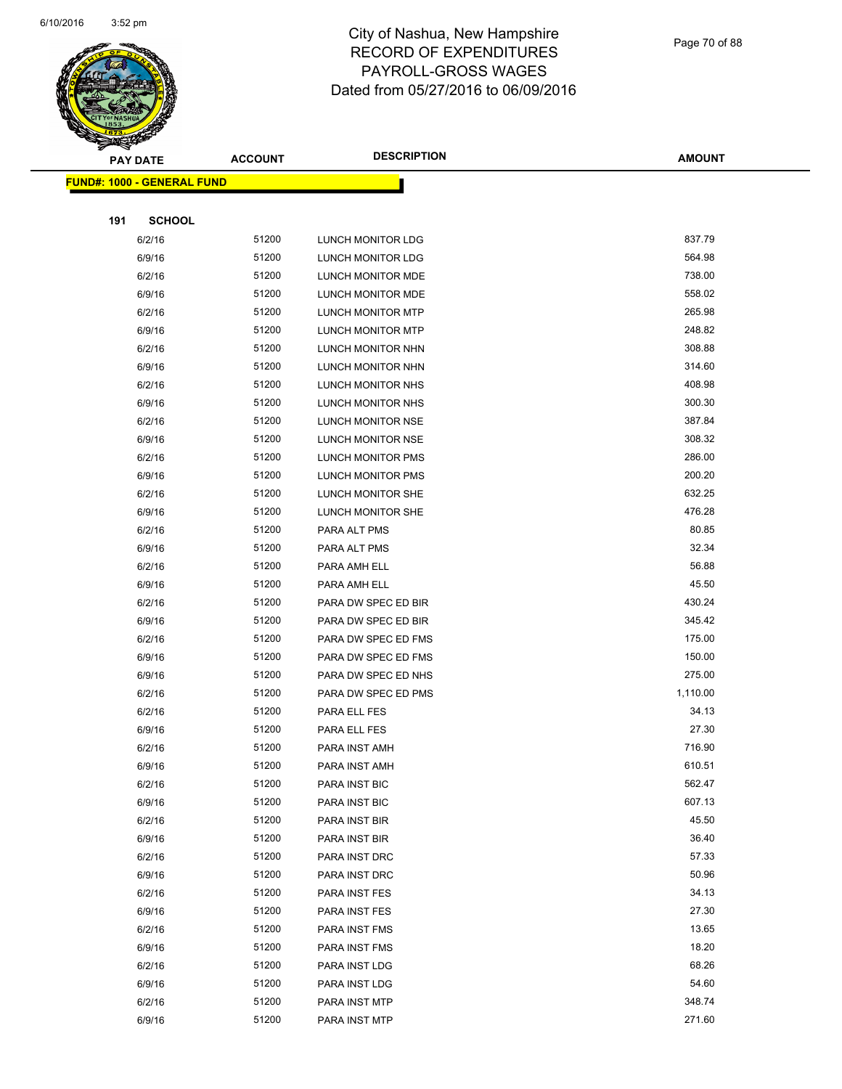

Page 70 of 88

|     | <b>PAY DATE</b>                   | <b>ACCOUNT</b> | <b>DESCRIPTION</b>       | <b>AMOUNT</b> |
|-----|-----------------------------------|----------------|--------------------------|---------------|
|     | <b>FUND#: 1000 - GENERAL FUND</b> |                |                          |               |
|     |                                   |                |                          |               |
| 191 | <b>SCHOOL</b>                     |                |                          |               |
|     | 6/2/16                            | 51200          | LUNCH MONITOR LDG        | 837.79        |
|     | 6/9/16                            | 51200          | LUNCH MONITOR LDG        | 564.98        |
|     | 6/2/16                            | 51200          | LUNCH MONITOR MDE        | 738.00        |
|     | 6/9/16                            | 51200          | LUNCH MONITOR MDE        | 558.02        |
|     | 6/2/16                            | 51200          | LUNCH MONITOR MTP        | 265.98        |
|     | 6/9/16                            | 51200          | <b>LUNCH MONITOR MTP</b> | 248.82        |
|     | 6/2/16                            | 51200          | LUNCH MONITOR NHN        | 308.88        |
|     | 6/9/16                            | 51200          | LUNCH MONITOR NHN        | 314.60        |
|     | 6/2/16                            | 51200          | LUNCH MONITOR NHS        | 408.98        |
|     | 6/9/16                            | 51200          | LUNCH MONITOR NHS        | 300.30        |
|     | 6/2/16                            | 51200          | LUNCH MONITOR NSE        | 387.84        |
|     | 6/9/16                            | 51200          | LUNCH MONITOR NSE        | 308.32        |
|     | 6/2/16                            | 51200          | LUNCH MONITOR PMS        | 286.00        |
|     | 6/9/16                            | 51200          | LUNCH MONITOR PMS        | 200.20        |
|     | 6/2/16                            | 51200          | LUNCH MONITOR SHE        | 632.25        |
|     | 6/9/16                            | 51200          | LUNCH MONITOR SHE        | 476.28        |
|     | 6/2/16                            | 51200          | PARA ALT PMS             | 80.85         |
|     | 6/9/16                            | 51200          | PARA ALT PMS             | 32.34         |
|     | 6/2/16                            | 51200          | PARA AMH ELL             | 56.88         |
|     | 6/9/16                            | 51200          | PARA AMH ELL             | 45.50         |
|     | 6/2/16                            | 51200          | PARA DW SPEC ED BIR      | 430.24        |
|     | 6/9/16                            | 51200          | PARA DW SPEC ED BIR      | 345.42        |
|     | 6/2/16                            | 51200          | PARA DW SPEC ED FMS      | 175.00        |
|     | 6/9/16                            | 51200          | PARA DW SPEC ED FMS      | 150.00        |
|     | 6/9/16                            | 51200          | PARA DW SPEC ED NHS      | 275.00        |
|     | 6/2/16                            | 51200          | PARA DW SPEC ED PMS      | 1,110.00      |
|     | 6/2/16                            | 51200          | PARA ELL FES             | 34.13         |
|     | 6/9/16                            | 51200          | PARA ELL FES             | 27.30         |
|     | 6/2/16                            | 51200          | PARA INST AMH            | 716.90        |
|     | 6/9/16                            | 51200          | PARA INST AMH            | 610.51        |
|     | 6/2/16                            | 51200          | PARA INST BIC            | 562.47        |
|     | 6/9/16                            | 51200          | PARA INST BIC            | 607.13        |
|     | 6/2/16                            | 51200          | PARA INST BIR            | 45.50         |
|     | 6/9/16                            | 51200          | PARA INST BIR            | 36.40         |
|     | 6/2/16                            | 51200          | PARA INST DRC            | 57.33         |
|     | 6/9/16                            | 51200          | PARA INST DRC            | 50.96         |
|     | 6/2/16                            | 51200          | PARA INST FES            | 34.13         |
|     | 6/9/16                            | 51200          | PARA INST FES            | 27.30         |
|     | 6/2/16                            | 51200          | PARA INST FMS            | 13.65         |
|     | 6/9/16                            | 51200          | PARA INST FMS            | 18.20         |
|     | 6/2/16                            | 51200          | PARA INST LDG            | 68.26         |
|     | 6/9/16                            | 51200          | PARA INST LDG            | 54.60         |
|     | 6/2/16                            | 51200          | PARA INST MTP            | 348.74        |
|     | 6/9/16                            | 51200          | PARA INST MTP            | 271.60        |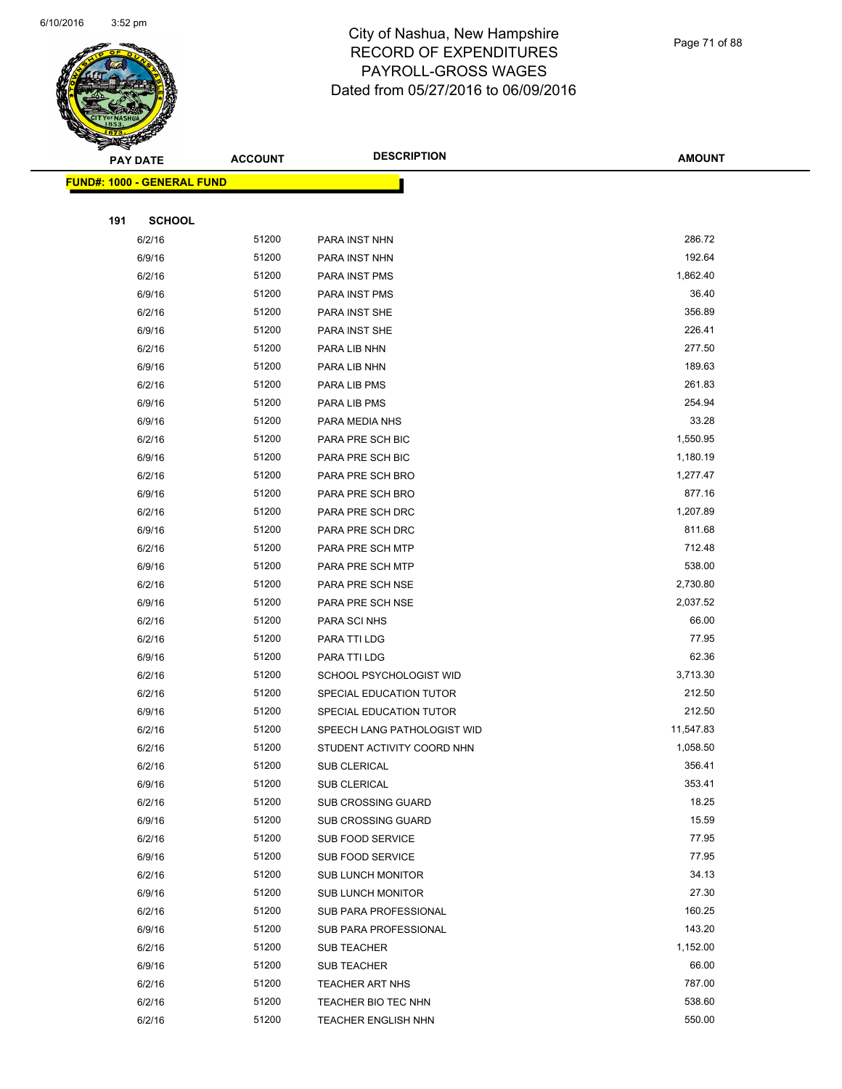

| $\tilde{\phantom{a}}$ | <b>PAY DATE</b>                   | <b>ACCOUNT</b> | <b>DESCRIPTION</b>                    | <b>AMOUNT</b>    |
|-----------------------|-----------------------------------|----------------|---------------------------------------|------------------|
|                       | <b>FUND#: 1000 - GENERAL FUND</b> |                |                                       |                  |
|                       |                                   |                |                                       |                  |
| 191                   | <b>SCHOOL</b>                     |                |                                       |                  |
|                       | 6/2/16                            | 51200          | PARA INST NHN                         | 286.72           |
|                       | 6/9/16                            | 51200          | PARA INST NHN                         | 192.64           |
|                       | 6/2/16                            | 51200          | PARA INST PMS                         | 1,862.40         |
|                       | 6/9/16                            | 51200          | PARA INST PMS                         | 36.40            |
|                       | 6/2/16                            | 51200          | PARA INST SHE                         | 356.89           |
|                       | 6/9/16                            | 51200          | PARA INST SHE                         | 226.41           |
|                       | 6/2/16                            | 51200          | PARA LIB NHN                          | 277.50           |
|                       | 6/9/16                            | 51200          | PARA LIB NHN                          | 189.63           |
|                       | 6/2/16                            | 51200          | PARA LIB PMS                          | 261.83           |
|                       | 6/9/16                            | 51200          | PARA LIB PMS                          | 254.94           |
|                       | 6/9/16                            | 51200          | PARA MEDIA NHS                        | 33.28            |
|                       | 6/2/16                            | 51200          | PARA PRE SCH BIC                      | 1,550.95         |
|                       | 6/9/16                            | 51200          | PARA PRE SCH BIC                      | 1,180.19         |
|                       | 6/2/16                            | 51200          | PARA PRE SCH BRO                      | 1,277.47         |
|                       | 6/9/16                            | 51200          | PARA PRE SCH BRO                      | 877.16           |
|                       | 6/2/16                            | 51200          | PARA PRE SCH DRC                      | 1,207.89         |
|                       | 6/9/16                            | 51200          | PARA PRE SCH DRC                      | 811.68           |
|                       | 6/2/16                            | 51200          | PARA PRE SCH MTP                      | 712.48           |
|                       | 6/9/16                            | 51200          | PARA PRE SCH MTP                      | 538.00           |
|                       | 6/2/16                            | 51200          | PARA PRE SCH NSE                      | 2,730.80         |
|                       | 6/9/16                            | 51200          | PARA PRE SCH NSE                      | 2,037.52         |
|                       | 6/2/16                            | 51200          | PARA SCI NHS                          | 66.00            |
|                       | 6/2/16                            | 51200          | PARA TTI LDG                          | 77.95            |
|                       | 6/9/16                            | 51200          | PARA TTI LDG                          | 62.36            |
|                       | 6/2/16                            | 51200          | SCHOOL PSYCHOLOGIST WID               | 3,713.30         |
|                       | 6/2/16                            | 51200          | SPECIAL EDUCATION TUTOR               | 212.50           |
|                       | 6/9/16                            | 51200          | SPECIAL EDUCATION TUTOR               | 212.50           |
|                       | 6/2/16                            | 51200          | SPEECH LANG PATHOLOGIST WID           | 11,547.83        |
|                       | 6/2/16                            | 51200          | STUDENT ACTIVITY COORD NHN            | 1,058.50         |
|                       | 6/2/16                            | 51200          | <b>SUB CLERICAL</b>                   | 356.41           |
|                       | 6/9/16                            | 51200          | <b>SUB CLERICAL</b>                   | 353.41           |
|                       | 6/2/16                            | 51200          | <b>SUB CROSSING GUARD</b>             | 18.25            |
|                       | 6/9/16                            | 51200          | SUB CROSSING GUARD                    | 15.59            |
|                       | 6/2/16                            | 51200          | SUB FOOD SERVICE                      | 77.95            |
|                       | 6/9/16                            | 51200<br>51200 | SUB FOOD SERVICE                      | 77.95<br>34.13   |
|                       | 6/2/16                            | 51200          | <b>SUB LUNCH MONITOR</b>              | 27.30            |
|                       | 6/9/16                            |                | <b>SUB LUNCH MONITOR</b>              |                  |
|                       | 6/2/16                            | 51200<br>51200 | SUB PARA PROFESSIONAL                 | 160.25<br>143.20 |
|                       | 6/9/16                            | 51200          | SUB PARA PROFESSIONAL                 | 1,152.00         |
|                       | 6/2/16                            | 51200          | <b>SUB TEACHER</b>                    | 66.00            |
|                       | 6/9/16<br>6/2/16                  | 51200          | <b>SUB TEACHER</b><br>TEACHER ART NHS | 787.00           |
|                       | 6/2/16                            | 51200          | TEACHER BIO TEC NHN                   | 538.60           |
|                       | 6/2/16                            | 51200          | <b>TEACHER ENGLISH NHN</b>            | 550.00           |
|                       |                                   |                |                                       |                  |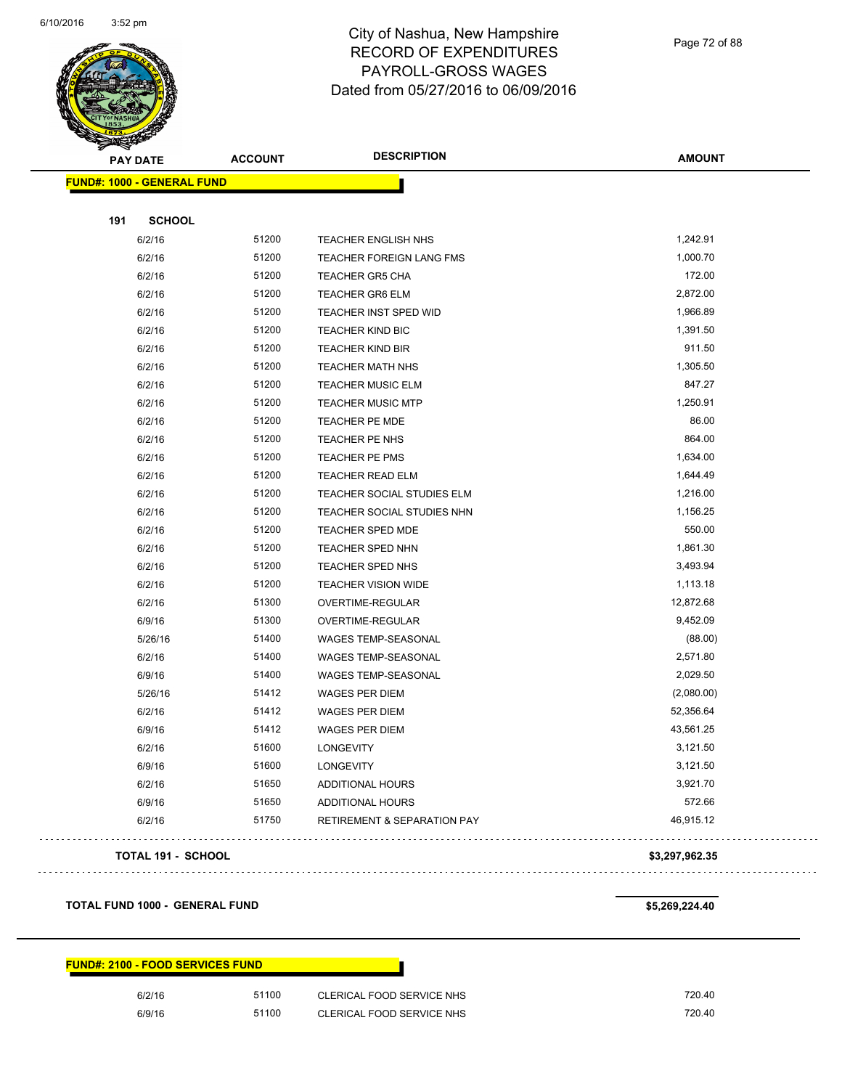

Page 72 of 88

| <b>PAY DATE</b>                   | <b>ACCOUNT</b> | <b>DESCRIPTION</b>                | <b>AMOUNT</b> |
|-----------------------------------|----------------|-----------------------------------|---------------|
| <b>FUND#: 1000 - GENERAL FUND</b> |                |                                   |               |
| 191                               | <b>SCHOOL</b>  |                                   |               |
| 6/2/16                            | 51200          | TEACHER ENGLISH NHS               | 1,242.91      |
| 6/2/16                            | 51200          | <b>TEACHER FOREIGN LANG FMS</b>   | 1,000.70      |
| 6/2/16                            | 51200          | <b>TEACHER GR5 CHA</b>            | 172.00        |
| 6/2/16                            | 51200          | <b>TEACHER GR6 ELM</b>            | 2,872.00      |
| 6/2/16                            | 51200          | TEACHER INST SPED WID             | 1,966.89      |
| 6/2/16                            | 51200          | <b>TEACHER KIND BIC</b>           | 1,391.50      |
| 6/2/16                            | 51200          | <b>TEACHER KIND BIR</b>           | 911.50        |
| 6/2/16                            | 51200          | TEACHER MATH NHS                  | 1,305.50      |
| 6/2/16                            | 51200          | <b>TEACHER MUSIC ELM</b>          | 847.27        |
| 6/2/16                            | 51200          | <b>TEACHER MUSIC MTP</b>          | 1,250.91      |
| 6/2/16                            | 51200          | TEACHER PE MDE                    | 86.00         |
| 6/2/16                            | 51200          | TEACHER PE NHS                    | 864.00        |
| 6/2/16                            | 51200          | TEACHER PE PMS                    | 1,634.00      |
| 6/2/16                            | 51200          | TEACHER READ ELM                  | 1,644.49      |
| 6/2/16                            | 51200          | TEACHER SOCIAL STUDIES ELM        | 1,216.00      |
| 6/2/16                            | 51200          | <b>TEACHER SOCIAL STUDIES NHN</b> | 1,156.25      |
| 6/2/16                            | 51200          | <b>TEACHER SPED MDE</b>           | 550.00        |
| 6/2/16                            | 51200          | TEACHER SPED NHN                  | 1,861.30      |
| 6/2/16                            | 51200          | TEACHER SPED NHS                  | 3,493.94      |
| 6/2/16                            | 51200          | <b>TEACHER VISION WIDE</b>        | 1,113.18      |
| 6/2/16                            | 51300          | <b>OVERTIME-REGULAR</b>           | 12,872.68     |
| 6/9/16                            | 51300          | <b>OVERTIME-REGULAR</b>           | 9,452.09      |
| 5/26/16                           | 51400          | WAGES TEMP-SEASONAL               | (88.00)       |
| 6/2/16                            | 51400          | WAGES TEMP-SEASONAL               | 2,571.80      |
| 6/9/16                            | 51400          | WAGES TEMP-SEASONAL               | 2,029.50      |
| 5/26/16                           | 51412          | WAGES PER DIEM                    | (2,080.00)    |
| 6/2/16                            | 51412          | WAGES PER DIEM                    | 52,356.64     |
| 6/9/16                            | 51412          | WAGES PER DIEM                    | 43,561.25     |
| 6/2/16                            | 51600          | LONGEVITY                         | 3,121.50      |
| 6/9/16                            | 51600          | <b>LONGEVITY</b>                  | 3,121.50      |
| 6/2/16                            | 51650          | ADDITIONAL HOURS                  | 3,921.70      |
| 6/9/16                            | 51650          | ADDITIONAL HOURS                  | 572.66        |
| 6/2/16                            | 51750          | RETIREMENT & SEPARATION PAY       | 46,915.12     |

#### **TOTAL 191 - SCHOOL \$3,297,962.35**

#### **TOTAL FUND 1000 - GENERAL FUND \$5,269,224.40**

#### **FUND#: 2100 - FOOD SERVICES FUND**

6/2/16 51100 CLERICAL FOOD SERVICE NHS 720.40 6/9/16 51100 CLERICAL FOOD SERVICE NHS 720.40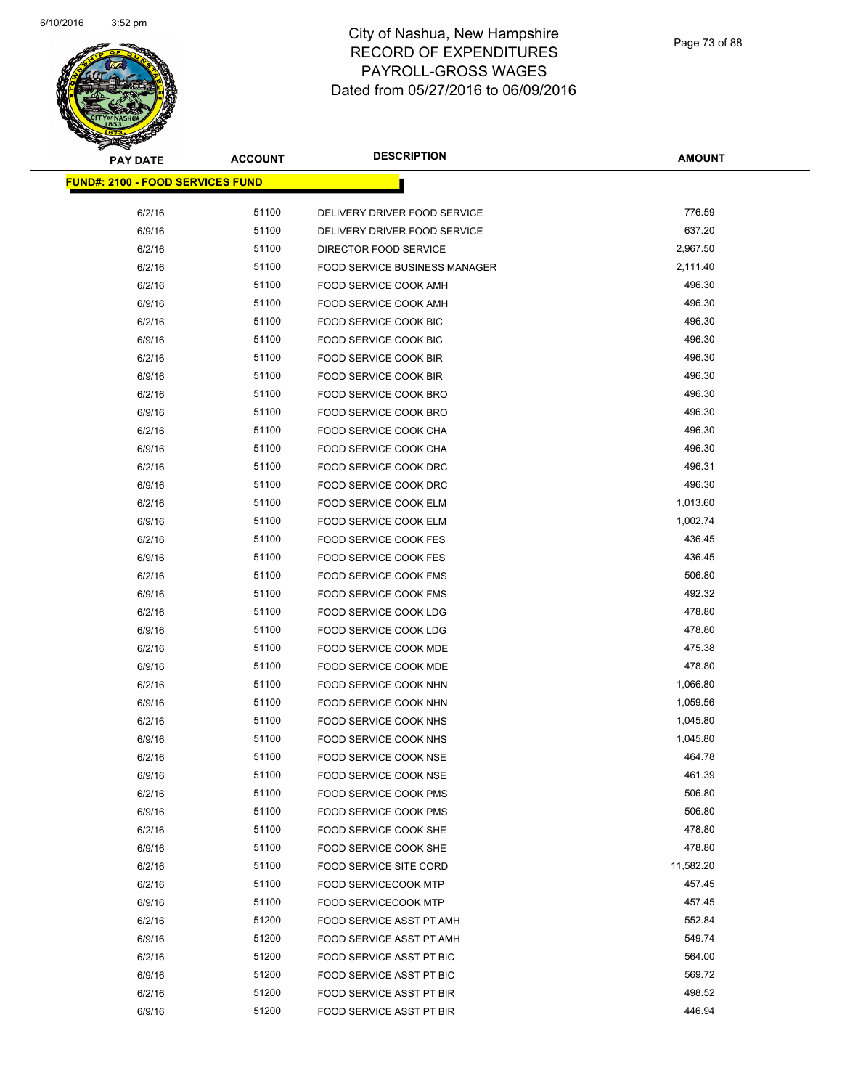

| <b>PAY DATE</b>                          | <b>ACCOUNT</b> | <b>DESCRIPTION</b>                   | <b>AMOUNT</b>      |
|------------------------------------------|----------------|--------------------------------------|--------------------|
| <u> FUND#: 2100 - FOOD SERVICES FUND</u> |                |                                      |                    |
| 6/2/16                                   | 51100          | DELIVERY DRIVER FOOD SERVICE         | 776.59             |
| 6/9/16                                   | 51100          | DELIVERY DRIVER FOOD SERVICE         | 637.20             |
| 6/2/16                                   | 51100          | DIRECTOR FOOD SERVICE                | 2,967.50           |
| 6/2/16                                   | 51100          | <b>FOOD SERVICE BUSINESS MANAGER</b> | 2,111.40           |
| 6/2/16                                   | 51100          | FOOD SERVICE COOK AMH                | 496.30             |
| 6/9/16                                   | 51100          | FOOD SERVICE COOK AMH                | 496.30             |
| 6/2/16                                   | 51100          | FOOD SERVICE COOK BIC                | 496.30             |
| 6/9/16                                   | 51100          | FOOD SERVICE COOK BIC                | 496.30             |
| 6/2/16                                   | 51100          |                                      | 496.30             |
|                                          | 51100          | FOOD SERVICE COOK BIR                | 496.30             |
| 6/9/16<br>6/2/16                         | 51100          | FOOD SERVICE COOK BIR                | 496.30             |
|                                          |                | FOOD SERVICE COOK BRO                |                    |
| 6/9/16                                   | 51100          | FOOD SERVICE COOK BRO                | 496.30<br>496.30   |
| 6/2/16                                   | 51100<br>51100 | FOOD SERVICE COOK CHA                | 496.30             |
| 6/9/16                                   | 51100          | FOOD SERVICE COOK CHA                | 496.31             |
| 6/2/16                                   |                | FOOD SERVICE COOK DRC                |                    |
| 6/9/16                                   | 51100          | FOOD SERVICE COOK DRC                | 496.30             |
| 6/2/16                                   | 51100          | FOOD SERVICE COOK ELM                | 1,013.60           |
| 6/9/16                                   | 51100          | FOOD SERVICE COOK ELM                | 1,002.74<br>436.45 |
| 6/2/16                                   | 51100          | <b>FOOD SERVICE COOK FES</b>         |                    |
| 6/9/16                                   | 51100          | <b>FOOD SERVICE COOK FES</b>         | 436.45             |
| 6/2/16                                   | 51100          | FOOD SERVICE COOK FMS                | 506.80             |
| 6/9/16                                   | 51100          | FOOD SERVICE COOK FMS                | 492.32             |
| 6/2/16                                   | 51100          | FOOD SERVICE COOK LDG                | 478.80             |
| 6/9/16                                   | 51100          | <b>FOOD SERVICE COOK LDG</b>         | 478.80             |
| 6/2/16                                   | 51100          | FOOD SERVICE COOK MDE                | 475.38             |
| 6/9/16                                   | 51100          | FOOD SERVICE COOK MDE                | 478.80             |
| 6/2/16                                   | 51100          | FOOD SERVICE COOK NHN                | 1,066.80           |
| 6/9/16                                   | 51100          | FOOD SERVICE COOK NHN                | 1,059.56           |
| 6/2/16                                   | 51100          | FOOD SERVICE COOK NHS                | 1,045.80           |
| 6/9/16                                   | 51100          | FOOD SERVICE COOK NHS                | 1,045.80           |
| 6/2/16                                   | 51100          | <b>FOOD SERVICE COOK NSE</b>         | 464.78             |
| 6/9/16                                   | 51100          | FOOD SERVICE COOK NSE                | 461.39             |
| 6/2/16                                   | 51100          | FOOD SERVICE COOK PMS                | 506.80             |
| 6/9/16                                   | 51100          | FOOD SERVICE COOK PMS                | 506.80             |
| 6/2/16                                   | 51100          | FOOD SERVICE COOK SHE                | 478.80             |
| 6/9/16                                   | 51100          | FOOD SERVICE COOK SHE                | 478.80             |
| 6/2/16                                   | 51100          | FOOD SERVICE SITE CORD               | 11,582.20          |
| 6/2/16                                   | 51100          | <b>FOOD SERVICECOOK MTP</b>          | 457.45             |
| 6/9/16                                   | 51100          | <b>FOOD SERVICECOOK MTP</b>          | 457.45             |
| 6/2/16                                   | 51200          | FOOD SERVICE ASST PT AMH             | 552.84             |
| 6/9/16                                   | 51200          | FOOD SERVICE ASST PT AMH             | 549.74             |
| 6/2/16                                   | 51200          | FOOD SERVICE ASST PT BIC             | 564.00             |
| 6/9/16                                   | 51200          | FOOD SERVICE ASST PT BIC             | 569.72             |
| 6/2/16                                   | 51200          | FOOD SERVICE ASST PT BIR             | 498.52             |
| 6/9/16                                   | 51200          | FOOD SERVICE ASST PT BIR             | 446.94             |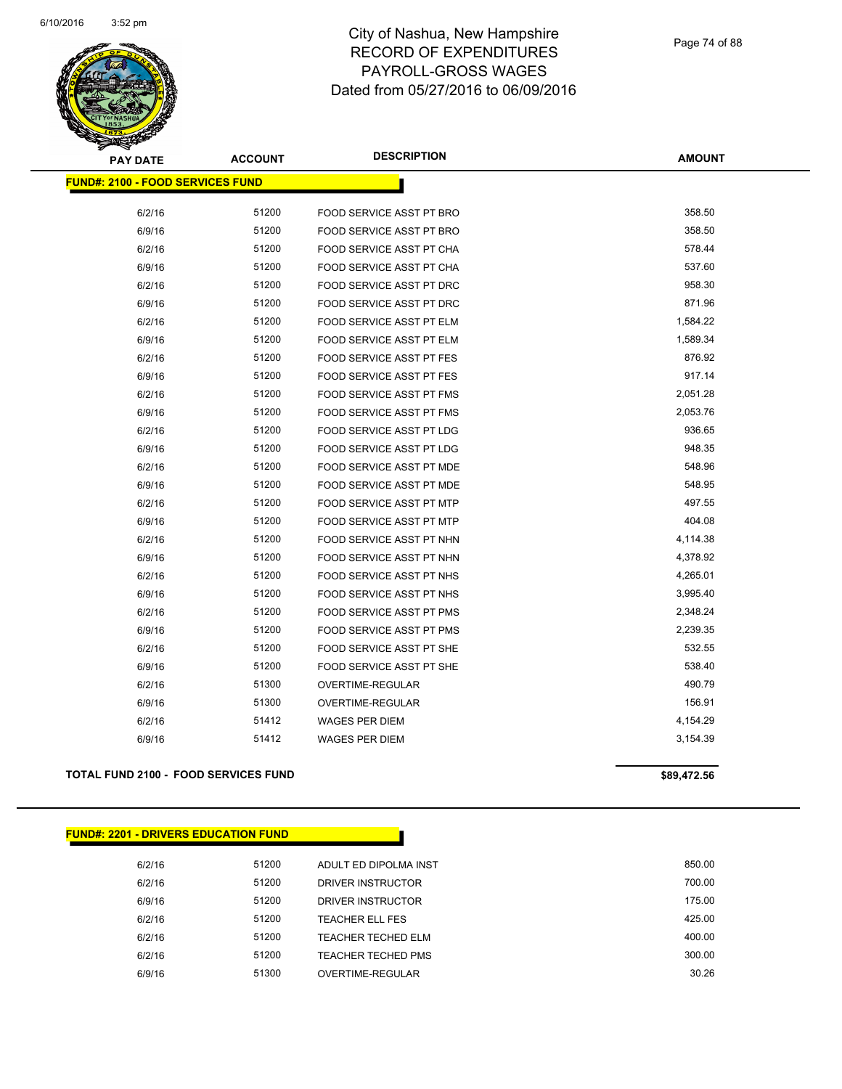

| <b>PAY DATE</b>                          | <b>ACCOUNT</b> | <b>DESCRIPTION</b>              | <b>AMOUNT</b> |
|------------------------------------------|----------------|---------------------------------|---------------|
| <u> FUND#: 2100 - FOOD SERVICES FUND</u> |                |                                 |               |
| 6/2/16                                   | 51200          | FOOD SERVICE ASST PT BRO        | 358.50        |
| 6/9/16                                   | 51200          | FOOD SERVICE ASST PT BRO        | 358.50        |
| 6/2/16                                   | 51200          | FOOD SERVICE ASST PT CHA        | 578.44        |
| 6/9/16                                   | 51200          | FOOD SERVICE ASST PT CHA        | 537.60        |
| 6/2/16                                   | 51200          | FOOD SERVICE ASST PT DRC        | 958.30        |
| 6/9/16                                   | 51200          | FOOD SERVICE ASST PT DRC        | 871.96        |
| 6/2/16                                   | 51200          | FOOD SERVICE ASST PT ELM        | 1,584.22      |
| 6/9/16                                   | 51200          | FOOD SERVICE ASST PT ELM        | 1,589.34      |
| 6/2/16                                   | 51200          | <b>FOOD SERVICE ASST PT FES</b> | 876.92        |
| 6/9/16                                   | 51200          | FOOD SERVICE ASST PT FES        | 917.14        |
| 6/2/16                                   | 51200          | FOOD SERVICE ASST PT FMS        | 2,051.28      |
| 6/9/16                                   | 51200          | FOOD SERVICE ASST PT FMS        | 2,053.76      |
| 6/2/16                                   | 51200          | <b>FOOD SERVICE ASST PT LDG</b> | 936.65        |
| 6/9/16                                   | 51200          | FOOD SERVICE ASST PT LDG        | 948.35        |
| 6/2/16                                   | 51200          | FOOD SERVICE ASST PT MDE        | 548.96        |
| 6/9/16                                   | 51200          | FOOD SERVICE ASST PT MDE        | 548.95        |
| 6/2/16                                   | 51200          | FOOD SERVICE ASST PT MTP        | 497.55        |
| 6/9/16                                   | 51200          | <b>FOOD SERVICE ASST PT MTP</b> | 404.08        |
| 6/2/16                                   | 51200          | FOOD SERVICE ASST PT NHN        | 4,114.38      |
| 6/9/16                                   | 51200          | FOOD SERVICE ASST PT NHN        | 4,378.92      |
| 6/2/16                                   | 51200          | FOOD SERVICE ASST PT NHS        | 4,265.01      |
| 6/9/16                                   | 51200          | FOOD SERVICE ASST PT NHS        | 3,995.40      |
| 6/2/16                                   | 51200          | FOOD SERVICE ASST PT PMS        | 2,348.24      |
| 6/9/16                                   | 51200          | FOOD SERVICE ASST PT PMS        | 2,239.35      |
| 6/2/16                                   | 51200          | FOOD SERVICE ASST PT SHE        | 532.55        |
| 6/9/16                                   | 51200          | FOOD SERVICE ASST PT SHE        | 538.40        |
| 6/2/16                                   | 51300          | <b>OVERTIME-REGULAR</b>         | 490.79        |
| 6/9/16                                   | 51300          | OVERTIME-REGULAR                | 156.91        |
| 6/2/16                                   | 51412          | <b>WAGES PER DIEM</b>           | 4,154.29      |
| 6/9/16                                   | 51412          | <b>WAGES PER DIEM</b>           | 3,154.39      |
|                                          |                |                                 |               |

#### TOTAL FUND 2100 - FOOD SERVICES FUND<br>
\$89,472.56

| <u> FUND#: 2201 - DRIVERS EDUCATION FUND</u> |       |                           |        |
|----------------------------------------------|-------|---------------------------|--------|
| 6/2/16                                       | 51200 | ADULT ED DIPOLMA INST     | 850.00 |
| 6/2/16                                       | 51200 | DRIVER INSTRUCTOR         | 700.00 |
| 6/9/16                                       | 51200 | DRIVER INSTRUCTOR         | 175.00 |
| 6/2/16                                       | 51200 | <b>TEACHER ELL FES</b>    | 425.00 |
| 6/2/16                                       | 51200 | TEACHER TECHED ELM        | 400.00 |
| 6/2/16                                       | 51200 | <b>TEACHER TECHED PMS</b> | 300.00 |
| 6/9/16                                       | 51300 | OVERTIME-REGULAR          | 30.26  |
|                                              |       |                           |        |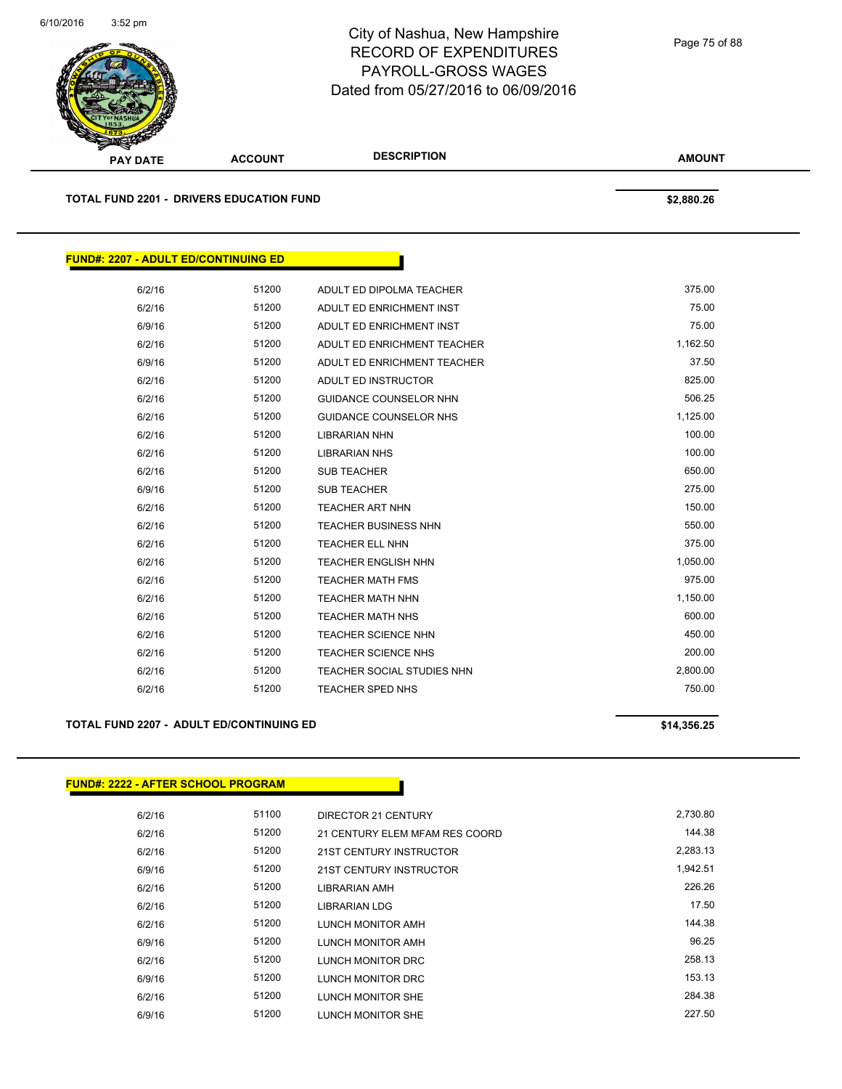

**TOTAL FUND 2201 - DRIVERS EDUCATION FUND \$2,880.26** 

|          |                               |       | <b>FUND#: 2207 - ADULT ED/CONTINUING ED</b> |
|----------|-------------------------------|-------|---------------------------------------------|
|          |                               |       |                                             |
| 375.00   | ADULT ED DIPOLMA TEACHER      | 51200 | 6/2/16                                      |
| 75.00    | ADULT ED ENRICHMENT INST      | 51200 | 6/2/16                                      |
| 75.00    | ADULT ED ENRICHMENT INST      | 51200 | 6/9/16                                      |
| 1,162.50 | ADULT ED ENRICHMENT TEACHER   | 51200 | 6/2/16                                      |
| 37.50    | ADULT ED ENRICHMENT TEACHER   | 51200 | 6/9/16                                      |
| 825.00   | ADULT ED INSTRUCTOR           | 51200 | 6/2/16                                      |
| 506.25   | <b>GUIDANCE COUNSELOR NHN</b> | 51200 | 6/2/16                                      |
| 1,125.00 | <b>GUIDANCE COUNSELOR NHS</b> | 51200 | 6/2/16                                      |
| 100.00   | <b>LIBRARIAN NHN</b>          | 51200 | 6/2/16                                      |
| 100.00   | <b>LIBRARIAN NHS</b>          | 51200 | 6/2/16                                      |
| 650.00   | <b>SUB TEACHER</b>            | 51200 | 6/2/16                                      |
| 275.00   | <b>SUB TEACHER</b>            | 51200 | 6/9/16                                      |
| 150.00   | <b>TEACHER ART NHN</b>        | 51200 | 6/2/16                                      |
| 550.00   | <b>TEACHER BUSINESS NHN</b>   | 51200 | 6/2/16                                      |
| 375.00   | <b>TEACHER ELL NHN</b>        | 51200 | 6/2/16                                      |
| 1,050.00 | <b>TEACHER ENGLISH NHN</b>    | 51200 | 6/2/16                                      |
| 975.00   | <b>TEACHER MATH FMS</b>       | 51200 | 6/2/16                                      |
| 1,150.00 | <b>TEACHER MATH NHN</b>       | 51200 | 6/2/16                                      |
| 600.00   | <b>TEACHER MATH NHS</b>       | 51200 | 6/2/16                                      |
| 450.00   | <b>TEACHER SCIENCE NHN</b>    | 51200 | 6/2/16                                      |
| 200.00   | <b>TEACHER SCIENCE NHS</b>    | 51200 | 6/2/16                                      |
| 2,800.00 | TEACHER SOCIAL STUDIES NHN    | 51200 | 6/2/16                                      |
| 750.00   | <b>TEACHER SPED NHS</b>       | 51200 | 6/2/16                                      |

#### TOTAL FUND 2207 - ADULT ED/CONTINUING ED **\$14,356.25**

#### **FUND#: 2222 - AFTER SCHOOL PROGRAM**

| 6/2/16 | 51100 | DIRECTOR 21 CENTURY            | 2,730.80 |
|--------|-------|--------------------------------|----------|
| 6/2/16 | 51200 | 21 CENTURY ELEM MFAM RES COORD | 144.38   |
| 6/2/16 | 51200 | 21ST CENTURY INSTRUCTOR        | 2.283.13 |
| 6/9/16 | 51200 | 21ST CENTURY INSTRUCTOR        | 1,942.51 |
| 6/2/16 | 51200 | LIBRARIAN AMH                  | 226.26   |
| 6/2/16 | 51200 | LIBRARIAN LDG                  | 17.50    |
| 6/2/16 | 51200 | LUNCH MONITOR AMH              | 144.38   |
| 6/9/16 | 51200 | LUNCH MONITOR AMH              | 96.25    |
| 6/2/16 | 51200 | LUNCH MONITOR DRC              | 258.13   |
| 6/9/16 | 51200 | LUNCH MONITOR DRC              | 153.13   |
| 6/2/16 | 51200 | LUNCH MONITOR SHE              | 284.38   |
| 6/9/16 | 51200 | LUNCH MONITOR SHE              | 227.50   |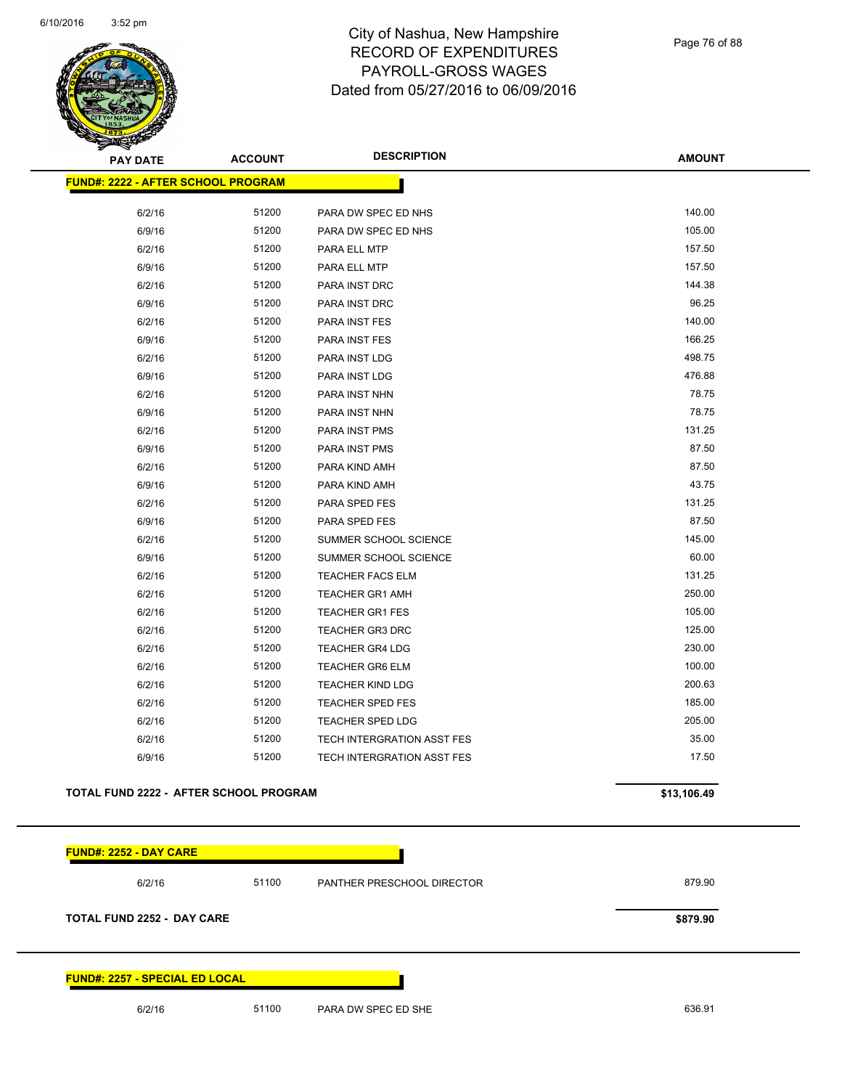

Page 76 of 88

| <b>PAY DATE</b>                           | <b>ACCOUNT</b> | <b>DESCRIPTION</b>                | <b>AMOUNT</b> |
|-------------------------------------------|----------------|-----------------------------------|---------------|
| <b>FUND#: 2222 - AFTER SCHOOL PROGRAM</b> |                |                                   |               |
| 6/2/16                                    | 51200          | PARA DW SPEC ED NHS               | 140.00        |
| 6/9/16                                    | 51200          | PARA DW SPEC ED NHS               | 105.00        |
| 6/2/16                                    | 51200          | PARA ELL MTP                      | 157.50        |
| 6/9/16                                    | 51200          | PARA ELL MTP                      | 157.50        |
| 6/2/16                                    | 51200          | PARA INST DRC                     | 144.38        |
| 6/9/16                                    | 51200          | PARA INST DRC                     | 96.25         |
| 6/2/16                                    | 51200          | PARA INST FES                     | 140.00        |
| 6/9/16                                    | 51200          | PARA INST FES                     | 166.25        |
| 6/2/16                                    | 51200          | PARA INST LDG                     | 498.75        |
| 6/9/16                                    | 51200          | PARA INST LDG                     | 476.88        |
| 6/2/16                                    | 51200          | PARA INST NHN                     | 78.75         |
| 6/9/16                                    | 51200          | PARA INST NHN                     | 78.75         |
| 6/2/16                                    | 51200          | PARA INST PMS                     | 131.25        |
| 6/9/16                                    | 51200          | <b>PARA INST PMS</b>              | 87.50         |
| 6/2/16                                    | 51200          | PARA KIND AMH                     | 87.50         |
| 6/9/16                                    | 51200          | PARA KIND AMH                     | 43.75         |
| 6/2/16                                    | 51200          | PARA SPED FES                     | 131.25        |
| 6/9/16                                    | 51200          | PARA SPED FES                     | 87.50         |
| 6/2/16                                    | 51200          | SUMMER SCHOOL SCIENCE             | 145.00        |
| 6/9/16                                    | 51200          | SUMMER SCHOOL SCIENCE             | 60.00         |
| 6/2/16                                    | 51200          | <b>TEACHER FACS ELM</b>           | 131.25        |
| 6/2/16                                    | 51200          | <b>TEACHER GR1 AMH</b>            | 250.00        |
| 6/2/16                                    | 51200          | <b>TEACHER GR1 FES</b>            | 105.00        |
| 6/2/16                                    | 51200          | <b>TEACHER GR3 DRC</b>            | 125.00        |
| 6/2/16                                    | 51200          | <b>TEACHER GR4 LDG</b>            | 230.00        |
| 6/2/16                                    | 51200          | <b>TEACHER GR6 ELM</b>            | 100.00        |
| 6/2/16                                    | 51200          | <b>TEACHER KIND LDG</b>           | 200.63        |
| 6/2/16                                    | 51200          | <b>TEACHER SPED FES</b>           | 185.00        |
| 6/2/16                                    | 51200          | <b>TEACHER SPED LDG</b>           | 205.00        |
| 6/2/16                                    | 51200          | TECH INTERGRATION ASST FES        | 35.00         |
| 6/9/16                                    | 51200          | <b>TECH INTERGRATION ASST FES</b> | 17.50         |
| TOTAL FUND 2222 - AFTER SCHOOL PROGRAM    |                |                                   | \$13,106.49   |
| <u> FUND#: 2252 - DAY CARE</u>            |                |                                   |               |
| 6/2/16                                    | 51100          | PANTHER PRESCHOOL DIRECTOR        | 879.90        |
| <b>TOTAL FUND 2252 - DAY CARE</b>         |                |                                   | \$879.90      |

#### **FUND#: 2257 - SPECIAL ED LOCAL**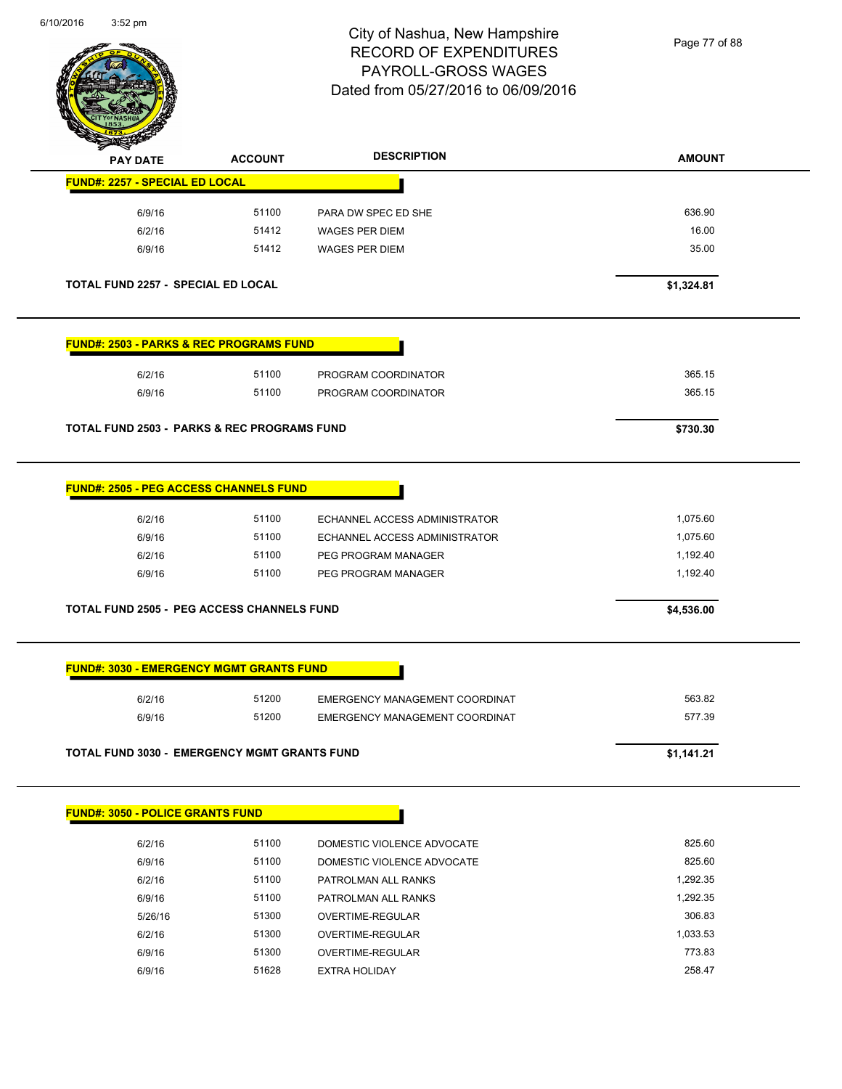and the contract of the contract of the contract of the contract of the contract of the contract of the contract of the contract of the contract of the contract of the contract of the contract of the contract of the contra



### City of Nashua, New Hampshire RECORD OF EXPENDITURES PAYROLL-GROSS WAGES Dated from 05/27/2016 to 06/09/2016

Page 77 of 88

| <b>PAY DATE</b>                                        | <b>ACCOUNT</b> | <b>DESCRIPTION</b>             | <b>AMOUNT</b> |
|--------------------------------------------------------|----------------|--------------------------------|---------------|
| <b>FUND#: 2257 - SPECIAL ED LOCAL</b>                  |                |                                |               |
| 6/9/16                                                 | 51100          | PARA DW SPEC ED SHE            | 636.90        |
| 6/2/16                                                 | 51412          | <b>WAGES PER DIEM</b>          | 16.00         |
| 6/9/16                                                 | 51412          | <b>WAGES PER DIEM</b>          | 35.00         |
| <b>TOTAL FUND 2257 - SPECIAL ED LOCAL</b>              |                |                                | \$1,324.81    |
| <b>FUND#: 2503 - PARKS &amp; REC PROGRAMS FUND</b>     |                |                                |               |
| 6/2/16                                                 | 51100          | PROGRAM COORDINATOR            | 365.15        |
| 6/9/16                                                 | 51100          | PROGRAM COORDINATOR            | 365.15        |
| <b>TOTAL FUND 2503 - PARKS &amp; REC PROGRAMS FUND</b> |                |                                | \$730.30      |
| <b>FUND#: 2505 - PEG ACCESS CHANNELS FUND</b>          |                |                                |               |
| 6/2/16                                                 | 51100          | ECHANNEL ACCESS ADMINISTRATOR  | 1,075.60      |
| 6/9/16                                                 | 51100          | ECHANNEL ACCESS ADMINISTRATOR  | 1,075.60      |
| 6/2/16                                                 | 51100          | PEG PROGRAM MANAGER            | 1,192.40      |
| 6/9/16                                                 | 51100          | PEG PROGRAM MANAGER            | 1,192.40      |
| <b>TOTAL FUND 2505 - PEG ACCESS CHANNELS FUND</b>      |                |                                | \$4,536.00    |
| <b>FUND#: 3030 - EMERGENCY MGMT GRANTS FUND</b>        |                |                                |               |
| 6/2/16                                                 | 51200          | EMERGENCY MANAGEMENT COORDINAT | 563.82        |
| 6/9/16                                                 | 51200          | EMERGENCY MANAGEMENT COORDINAT | 577.39        |
| <b>TOTAL FUND 3030 - EMERGENCY MGMT GRANTS FUND</b>    |                |                                | \$1,141.21    |
| <b>FUND#: 3050 - POLICE GRANTS FUND</b>                |                |                                |               |
| 6/2/16                                                 | 51100          | DOMESTIC VIOLENCE ADVOCATE     | 825.60        |
| 6/9/16                                                 | 51100          | DOMESTIC VIOLENCE ADVOCATE     | 825.60        |
| 6/2/16                                                 | 51100          | PATROLMAN ALL RANKS            | 1,292.35      |
| 6/9/16                                                 | 51100          | PATROLMAN ALL RANKS            | 1,292.35      |
| 5/26/16                                                | 51300          | OVERTIME-REGULAR               | 306.83        |
| 6/2/16                                                 | 51300          | OVERTIME-REGULAR               | 1,033.53      |
| 6/9/16                                                 | 51300          | OVERTIME-REGULAR               | 773.83        |
| 6/9/16                                                 | 51628          | <b>EXTRA HOLIDAY</b>           | 258.47        |
|                                                        |                |                                |               |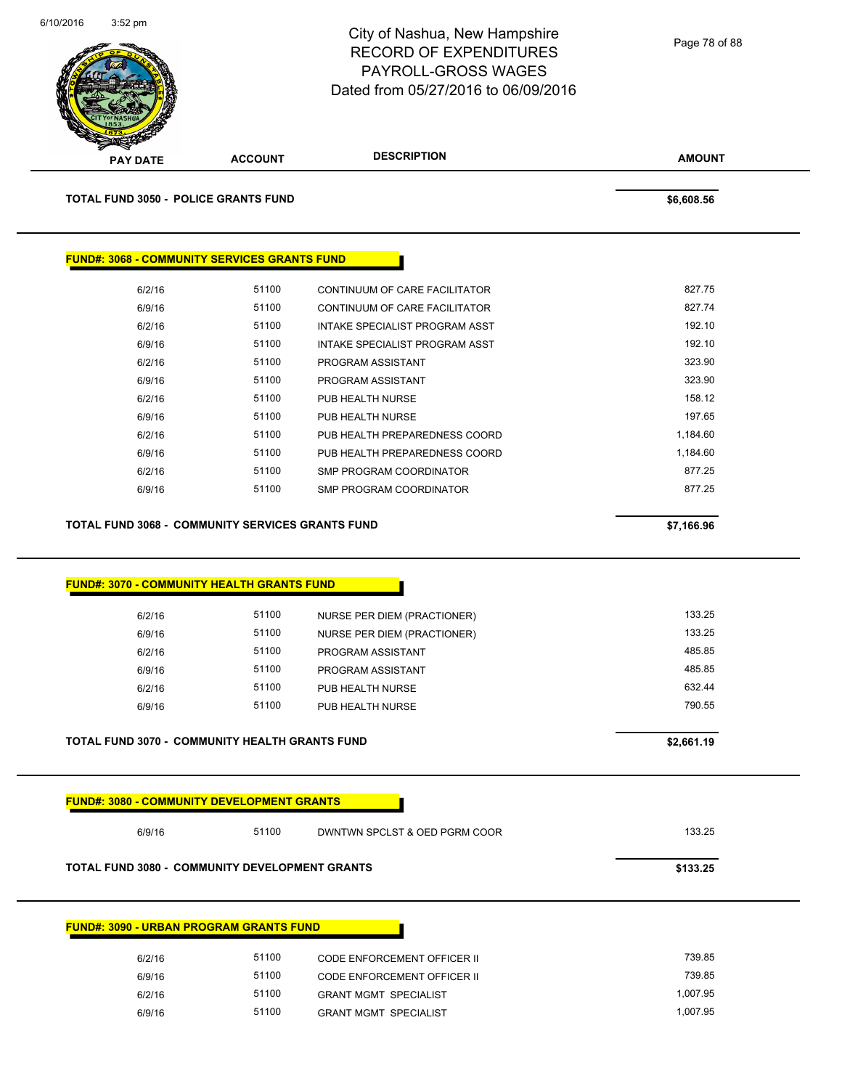

**TOTAL FUND 3050 - POLICE GRANTS FUND \$6,608.56** 

 $FUND<sup>2</sup>$ 

| #: 3068 - COMMUNITY SERVICES GRANTS FUND |       |                                       |          |
|------------------------------------------|-------|---------------------------------------|----------|
| 6/2/16                                   | 51100 | CONTINUUM OF CARE FACILITATOR         | 827.75   |
| 6/9/16                                   | 51100 | CONTINUUM OF CARE FACILITATOR         | 827.74   |
| 6/2/16                                   | 51100 | <b>INTAKE SPECIALIST PROGRAM ASST</b> | 192.10   |
| 6/9/16                                   | 51100 | INTAKE SPECIALIST PROGRAM ASST        | 192.10   |
| 6/2/16                                   | 51100 | PROGRAM ASSISTANT                     | 323.90   |
| 6/9/16                                   | 51100 | PROGRAM ASSISTANT                     | 323.90   |
| 6/2/16                                   | 51100 | PUB HEALTH NURSE                      | 158.12   |
| 6/9/16                                   | 51100 | PUB HEALTH NURSE                      | 197.65   |
| 6/2/16                                   | 51100 | PUB HEALTH PREPAREDNESS COORD         | 1,184.60 |
| 6/9/16                                   | 51100 | PUB HEALTH PREPAREDNESS COORD         | 1,184.60 |
| 6/2/16                                   | 51100 | SMP PROGRAM COORDINATOR               | 877.25   |
| 6/9/16                                   | 51100 | SMP PROGRAM COORDINATOR               | 877.25   |

**TOTAL FUND 3068 - COMMUNITY SERVICES GRANTS FUND \$7,166.96** 

| 6/2/16                                                                                                     | 51100 | NURSE PER DIEM (PRACTIONER)   | 133.25               |
|------------------------------------------------------------------------------------------------------------|-------|-------------------------------|----------------------|
| 6/9/16                                                                                                     | 51100 | NURSE PER DIEM (PRACTIONER)   | 133.25               |
| 6/2/16                                                                                                     | 51100 | PROGRAM ASSISTANT             | 485.85               |
| 6/9/16                                                                                                     | 51100 | PROGRAM ASSISTANT             | 485.85               |
| 6/2/16                                                                                                     | 51100 | PUB HEALTH NURSE              | 632.44               |
|                                                                                                            |       |                               |                      |
| 6/9/16                                                                                                     | 51100 | PUB HEALTH NURSE              | 790.55<br>\$2,661.19 |
| <b>TOTAL FUND 3070 - COMMUNITY HEALTH GRANTS FUND</b><br><b>FUND#: 3080 - COMMUNITY DEVELOPMENT GRANTS</b> |       |                               |                      |
| 6/9/16                                                                                                     | 51100 | DWNTWN SPCLST & OED PGRM COOR | 133.25               |

| 6/2/16 | 51100 | CODE ENFORCEMENT OFFICER II  | 739.85   |
|--------|-------|------------------------------|----------|
| 6/9/16 | 51100 | CODE ENFORCEMENT OFFICER II  | 739.85   |
| 6/2/16 | 51100 | <b>GRANT MGMT SPECIALIST</b> | 1,007.95 |
| 6/9/16 | 51100 | <b>GRANT MGMT SPECIALIST</b> | 1,007.95 |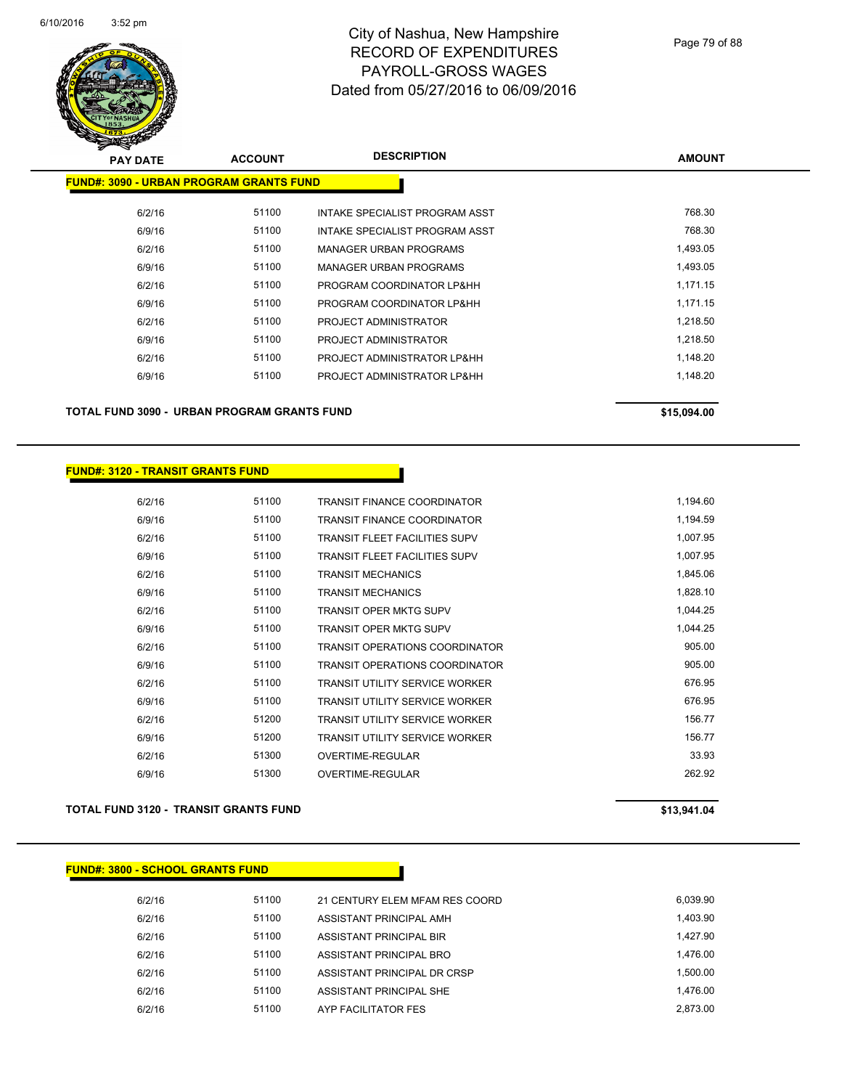

| <b>PAY DATE</b>                                | <b>ACCOUNT</b> | <b>DESCRIPTION</b>             | <b>AMOUNT</b> |
|------------------------------------------------|----------------|--------------------------------|---------------|
| <b>FUND#: 3090 - URBAN PROGRAM GRANTS FUND</b> |                |                                |               |
| 6/2/16                                         | 51100          | INTAKE SPECIALIST PROGRAM ASST | 768.30        |
| 6/9/16                                         | 51100          | INTAKE SPECIALIST PROGRAM ASST | 768.30        |
| 6/2/16                                         | 51100          | <b>MANAGER URBAN PROGRAMS</b>  | 1,493.05      |
| 6/9/16                                         | 51100          | <b>MANAGER URBAN PROGRAMS</b>  | 1,493.05      |
| 6/2/16                                         | 51100          | PROGRAM COORDINATOR LP&HH      | 1,171.15      |
| 6/9/16                                         | 51100          | PROGRAM COORDINATOR LP&HH      | 1,171.15      |
| 6/2/16                                         | 51100          | PROJECT ADMINISTRATOR          | 1,218.50      |
| 6/9/16                                         | 51100          | PROJECT ADMINISTRATOR          | 1,218.50      |
| 6/2/16                                         | 51100          | PROJECT ADMINISTRATOR LP&HH    | 1,148.20      |
| 6/9/16                                         | 51100          | PROJECT ADMINISTRATOR LP&HH    | 1,148.20      |
|                                                |                |                                |               |
|                                                |                |                                |               |

**TOTAL FUND 3090 - URBAN PROGRAM GRANTS FUND \$15,094.00** 

#### **FUND#: 3120 - TRANSIT GRANTS FUND**

| 6/2/16 | 51100 | <b>TRANSIT FINANCE COORDINATOR</b>    | 1,194.60 |
|--------|-------|---------------------------------------|----------|
| 6/9/16 | 51100 | <b>TRANSIT FINANCE COORDINATOR</b>    | 1,194.59 |
| 6/2/16 | 51100 | <b>TRANSIT FLEET FACILITIES SUPV</b>  | 1,007.95 |
| 6/9/16 | 51100 | <b>TRANSIT FLEET FACILITIES SUPV</b>  | 1,007.95 |
| 6/2/16 | 51100 | <b>TRANSIT MECHANICS</b>              | 1,845.06 |
| 6/9/16 | 51100 | <b>TRANSIT MECHANICS</b>              | 1,828.10 |
| 6/2/16 | 51100 | <b>TRANSIT OPER MKTG SUPV</b>         | 1,044.25 |
| 6/9/16 | 51100 | <b>TRANSIT OPER MKTG SUPV</b>         | 1,044.25 |
| 6/2/16 | 51100 | <b>TRANSIT OPERATIONS COORDINATOR</b> | 905.00   |
| 6/9/16 | 51100 | <b>TRANSIT OPERATIONS COORDINATOR</b> | 905.00   |
| 6/2/16 | 51100 | <b>TRANSIT UTILITY SERVICE WORKER</b> | 676.95   |
| 6/9/16 | 51100 | <b>TRANSIT UTILITY SERVICE WORKER</b> | 676.95   |
| 6/2/16 | 51200 | <b>TRANSIT UTILITY SERVICE WORKER</b> | 156.77   |
| 6/9/16 | 51200 | <b>TRANSIT UTILITY SERVICE WORKER</b> | 156.77   |
| 6/2/16 | 51300 | <b>OVERTIME-REGULAR</b>               | 33.93    |
| 6/9/16 | 51300 | <b>OVERTIME-REGULAR</b>               | 262.92   |

#### **TOTAL FUND 3120 - TRANSIT GRANTS FUND \$13,941.04**

#### **FUND#: 3800 - SCHOOL GRANTS FUND**

| 6/2/16 | 51100 | 21 CENTURY ELEM MFAM RES COORD | 6.039.90 |
|--------|-------|--------------------------------|----------|
| 6/2/16 | 51100 | ASSISTANT PRINCIPAL AMH        | 1.403.90 |
| 6/2/16 | 51100 | ASSISTANT PRINCIPAL BIR        | 1.427.90 |
| 6/2/16 | 51100 | ASSISTANT PRINCIPAL BRO        | 1.476.00 |
| 6/2/16 | 51100 | ASSISTANT PRINCIPAL DR CRSP    | 1.500.00 |
| 6/2/16 | 51100 | ASSISTANT PRINCIPAL SHE        | 1.476.00 |
| 6/2/16 | 51100 | AYP FACILITATOR FES            | 2.873.00 |
|        |       |                                |          |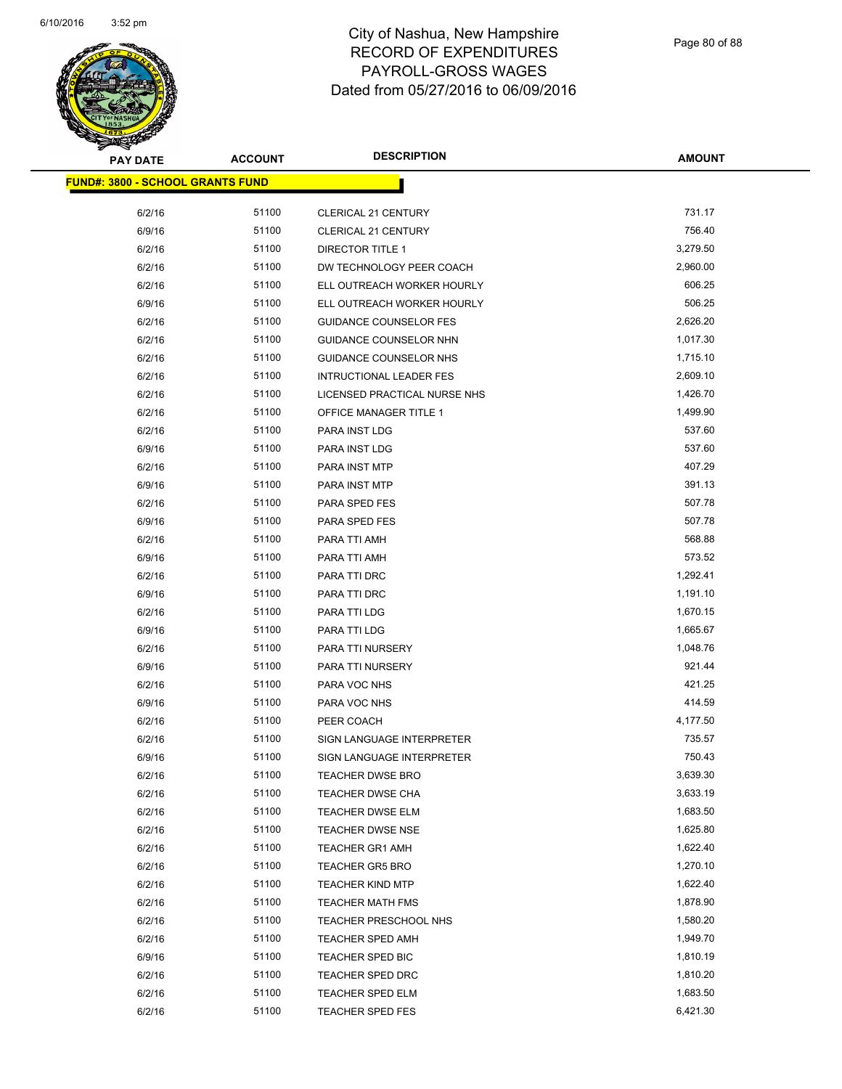

| <b>PAY DATE</b>                          | <b>ACCOUNT</b> | <b>DESCRIPTION</b>             | <b>AMOUNT</b>        |
|------------------------------------------|----------------|--------------------------------|----------------------|
| <u> FUND#: 3800 - SCHOOL GRANTS FUND</u> |                |                                |                      |
|                                          |                |                                |                      |
| 6/2/16<br>6/9/16                         | 51100<br>51100 | CLERICAL 21 CENTURY            | 731.17<br>756.40     |
|                                          | 51100          | <b>CLERICAL 21 CENTURY</b>     |                      |
| 6/2/16                                   |                | <b>DIRECTOR TITLE 1</b>        | 3,279.50<br>2,960.00 |
| 6/2/16                                   | 51100          | DW TECHNOLOGY PEER COACH       |                      |
| 6/2/16                                   | 51100          | ELL OUTREACH WORKER HOURLY     | 606.25               |
| 6/9/16                                   | 51100          | ELL OUTREACH WORKER HOURLY     | 506.25               |
| 6/2/16                                   | 51100          | <b>GUIDANCE COUNSELOR FES</b>  | 2,626.20             |
| 6/2/16                                   | 51100          | GUIDANCE COUNSELOR NHN         | 1,017.30             |
| 6/2/16                                   | 51100          | GUIDANCE COUNSELOR NHS         | 1,715.10             |
| 6/2/16                                   | 51100          | <b>INTRUCTIONAL LEADER FES</b> | 2,609.10             |
| 6/2/16                                   | 51100          | LICENSED PRACTICAL NURSE NHS   | 1,426.70             |
| 6/2/16                                   | 51100          | OFFICE MANAGER TITLE 1         | 1,499.90             |
| 6/2/16                                   | 51100          | PARA INST LDG                  | 537.60               |
| 6/9/16                                   | 51100          | PARA INST LDG                  | 537.60               |
| 6/2/16                                   | 51100          | PARA INST MTP                  | 407.29               |
| 6/9/16                                   | 51100          | PARA INST MTP                  | 391.13               |
| 6/2/16                                   | 51100          | PARA SPED FES                  | 507.78               |
| 6/9/16                                   | 51100          | PARA SPED FES                  | 507.78               |
| 6/2/16                                   | 51100          | PARA TTI AMH                   | 568.88               |
| 6/9/16                                   | 51100          | PARA TTI AMH                   | 573.52               |
| 6/2/16                                   | 51100          | PARA TTI DRC                   | 1,292.41             |
| 6/9/16                                   | 51100          | PARA TTI DRC                   | 1,191.10             |
| 6/2/16                                   | 51100          | PARA TTI LDG                   | 1,670.15             |
| 6/9/16                                   | 51100          | PARA TTI LDG                   | 1,665.67             |
| 6/2/16                                   | 51100          | PARA TTI NURSERY               | 1,048.76             |
| 6/9/16                                   | 51100          | PARA TTI NURSERY               | 921.44               |
| 6/2/16                                   | 51100          | PARA VOC NHS                   | 421.25               |
| 6/9/16                                   | 51100          | PARA VOC NHS                   | 414.59               |
| 6/2/16                                   | 51100          | PEER COACH                     | 4,177.50             |
| 6/2/16                                   | 51100          | SIGN LANGUAGE INTERPRETER      | 735.57               |
| 6/9/16                                   | 51100          | SIGN LANGUAGE INTERPRETER      | 750.43               |
| 6/2/16                                   | 51100          | <b>TEACHER DWSE BRO</b>        | 3,639.30             |
| 6/2/16                                   | 51100          | TEACHER DWSE CHA               | 3,633.19             |
| 6/2/16                                   | 51100          | TEACHER DWSE ELM               | 1,683.50             |
| 6/2/16                                   | 51100          | <b>TEACHER DWSE NSE</b>        | 1,625.80             |
| 6/2/16                                   | 51100          | <b>TEACHER GR1 AMH</b>         | 1,622.40             |
| 6/2/16                                   | 51100          | <b>TEACHER GR5 BRO</b>         | 1,270.10             |
| 6/2/16                                   | 51100          | <b>TEACHER KIND MTP</b>        | 1,622.40             |
| 6/2/16                                   | 51100          | <b>TEACHER MATH FMS</b>        | 1,878.90             |
| 6/2/16                                   | 51100          | TEACHER PRESCHOOL NHS          | 1,580.20             |
| 6/2/16                                   | 51100          | TEACHER SPED AMH               | 1,949.70             |
| 6/9/16                                   | 51100          | TEACHER SPED BIC               | 1,810.19             |
| 6/2/16                                   | 51100          | TEACHER SPED DRC               | 1,810.20             |
| 6/2/16                                   | 51100          | TEACHER SPED ELM               | 1,683.50             |
| 6/2/16                                   | 51100          | <b>TEACHER SPED FES</b>        | 6,421.30             |
|                                          |                |                                |                      |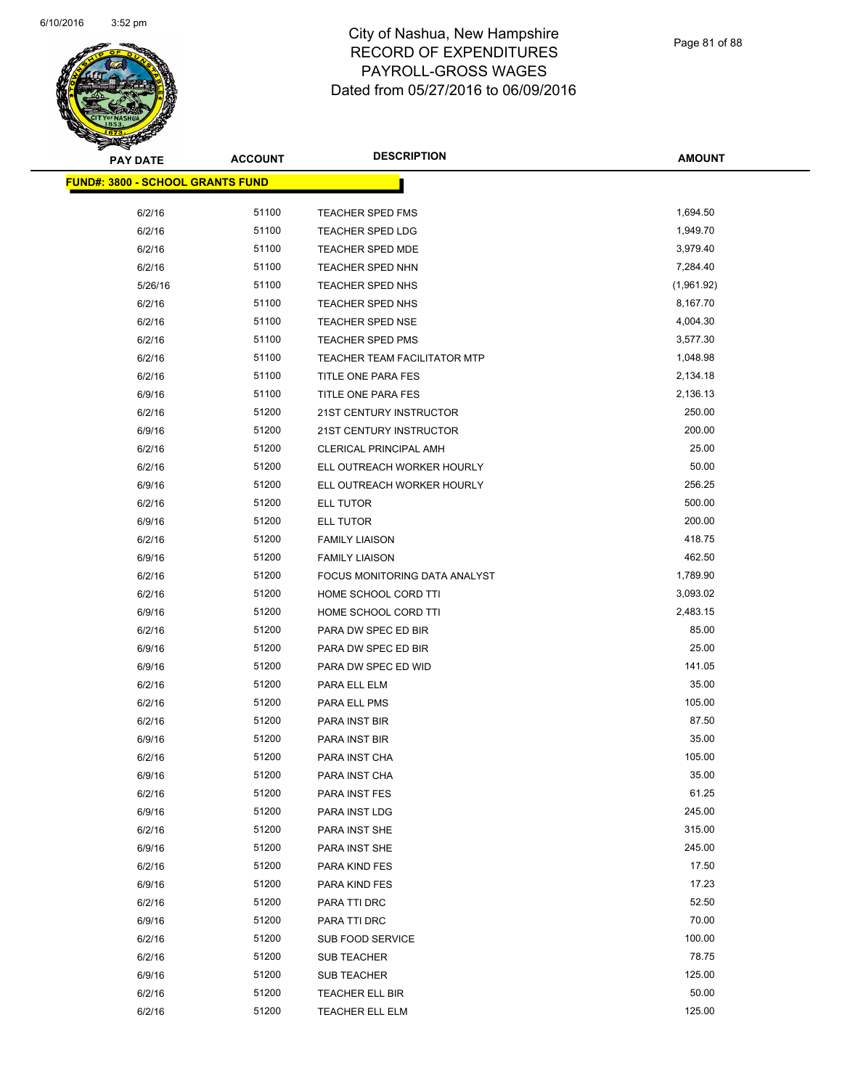

| <b>PAY DATE</b>                          | <b>ACCOUNT</b> | <b>DESCRIPTION</b>                  | <b>AMOUNT</b> |
|------------------------------------------|----------------|-------------------------------------|---------------|
| <u> FUND#: 3800 - SCHOOL GRANTS FUND</u> |                |                                     |               |
|                                          | 51100          |                                     | 1,694.50      |
| 6/2/16<br>6/2/16                         | 51100          | TEACHER SPED FMS                    | 1,949.70      |
|                                          | 51100          | <b>TEACHER SPED LDG</b>             | 3,979.40      |
| 6/2/16                                   |                | TEACHER SPED MDE                    | 7,284.40      |
| 6/2/16                                   | 51100          | TEACHER SPED NHN                    |               |
| 5/26/16                                  | 51100          | TEACHER SPED NHS                    | (1,961.92)    |
| 6/2/16                                   | 51100          | TEACHER SPED NHS                    | 8,167.70      |
| 6/2/16                                   | 51100          | <b>TEACHER SPED NSE</b>             | 4,004.30      |
| 6/2/16                                   | 51100          | <b>TEACHER SPED PMS</b>             | 3,577.30      |
| 6/2/16                                   | 51100          | <b>TEACHER TEAM FACILITATOR MTP</b> | 1,048.98      |
| 6/2/16                                   | 51100          | TITLE ONE PARA FES                  | 2,134.18      |
| 6/9/16                                   | 51100          | TITLE ONE PARA FES                  | 2,136.13      |
| 6/2/16                                   | 51200          | 21ST CENTURY INSTRUCTOR             | 250.00        |
| 6/9/16                                   | 51200          | 21ST CENTURY INSTRUCTOR             | 200.00        |
| 6/2/16                                   | 51200          | <b>CLERICAL PRINCIPAL AMH</b>       | 25.00         |
| 6/2/16                                   | 51200          | ELL OUTREACH WORKER HOURLY          | 50.00         |
| 6/9/16                                   | 51200          | ELL OUTREACH WORKER HOURLY          | 256.25        |
| 6/2/16                                   | 51200          | <b>ELL TUTOR</b>                    | 500.00        |
| 6/9/16                                   | 51200          | <b>ELL TUTOR</b>                    | 200.00        |
| 6/2/16                                   | 51200          | <b>FAMILY LIAISON</b>               | 418.75        |
| 6/9/16                                   | 51200          | <b>FAMILY LIAISON</b>               | 462.50        |
| 6/2/16                                   | 51200          | FOCUS MONITORING DATA ANALYST       | 1,789.90      |
| 6/2/16                                   | 51200          | HOME SCHOOL CORD TTI                | 3,093.02      |
| 6/9/16                                   | 51200          | HOME SCHOOL CORD TTI                | 2,483.15      |
| 6/2/16                                   | 51200          | PARA DW SPEC ED BIR                 | 85.00         |
| 6/9/16                                   | 51200          | PARA DW SPEC ED BIR                 | 25.00         |
| 6/9/16                                   | 51200          | PARA DW SPEC ED WID                 | 141.05        |
| 6/2/16                                   | 51200          | PARA ELL ELM                        | 35.00         |
| 6/2/16                                   | 51200          | PARA ELL PMS                        | 105.00        |
| 6/2/16                                   | 51200          | PARA INST BIR                       | 87.50         |
| 6/9/16                                   | 51200          | PARA INST BIR                       | 35.00         |
| 6/2/16                                   | 51200          | PARA INST CHA                       | 105.00        |
| 6/9/16                                   | 51200          | PARA INST CHA                       | 35.00         |
| 6/2/16                                   | 51200          | PARA INST FES                       | 61.25         |
| 6/9/16                                   | 51200          | PARA INST LDG                       | 245.00        |
| 6/2/16                                   | 51200          | PARA INST SHE                       | 315.00        |
| 6/9/16                                   | 51200          | PARA INST SHE                       | 245.00        |
| 6/2/16                                   | 51200          | PARA KIND FES                       | 17.50         |
| 6/9/16                                   | 51200          | PARA KIND FES                       | 17.23         |
| 6/2/16                                   | 51200          | PARA TTI DRC                        | 52.50         |
| 6/9/16                                   | 51200          | PARA TTI DRC                        | 70.00         |
| 6/2/16                                   | 51200          | SUB FOOD SERVICE                    | 100.00        |
| 6/2/16                                   | 51200          | <b>SUB TEACHER</b>                  | 78.75         |
| 6/9/16                                   | 51200          | <b>SUB TEACHER</b>                  | 125.00        |
| 6/2/16                                   | 51200          | TEACHER ELL BIR                     | 50.00         |
| 6/2/16                                   | 51200          | TEACHER ELL ELM                     | 125.00        |
|                                          |                |                                     |               |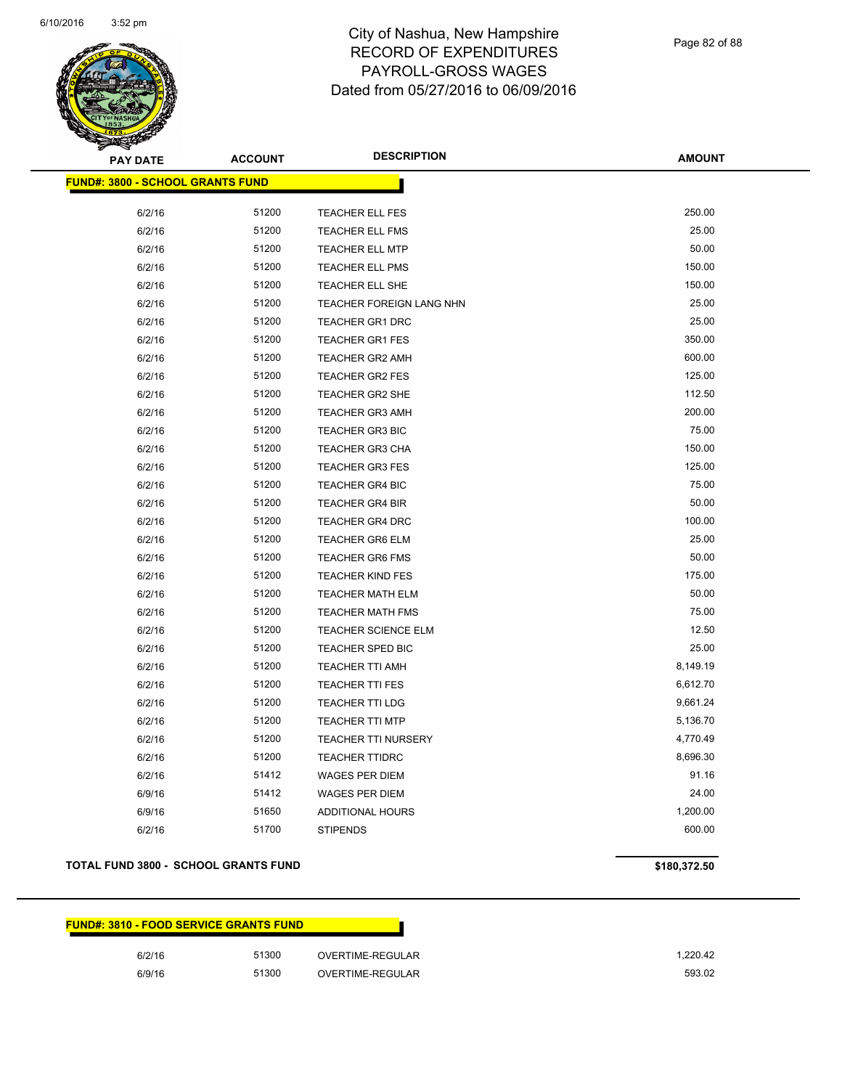

Page 82 of 88

| <b>PAY DATE</b>                         | <b>DESCRIPTION</b><br><b>ACCOUNT</b> |                            | <b>AMOUNT</b> |
|-----------------------------------------|--------------------------------------|----------------------------|---------------|
| <b>FUND#: 3800 - SCHOOL GRANTS FUND</b> |                                      |                            |               |
|                                         |                                      |                            |               |
| 6/2/16                                  | 51200                                | <b>TEACHER ELL FES</b>     | 250.00        |
| 6/2/16                                  | 51200                                | TEACHER ELL FMS            | 25.00         |
| 6/2/16                                  | 51200                                | <b>TEACHER ELL MTP</b>     | 50.00         |
| 6/2/16                                  | 51200                                | TEACHER ELL PMS            | 150.00        |
| 6/2/16                                  | 51200                                | TEACHER ELL SHE            | 150.00        |
| 6/2/16                                  | 51200                                | TEACHER FOREIGN LANG NHN   | 25.00         |
| 6/2/16                                  | 51200                                | <b>TEACHER GR1 DRC</b>     | 25.00         |
| 6/2/16                                  | 51200                                | <b>TEACHER GR1 FES</b>     | 350.00        |
| 6/2/16                                  | 51200                                | <b>TEACHER GR2 AMH</b>     | 600.00        |
| 6/2/16                                  | 51200                                | <b>TEACHER GR2 FES</b>     | 125.00        |
| 6/2/16                                  | 51200                                | <b>TEACHER GR2 SHE</b>     | 112.50        |
| 6/2/16                                  | 51200                                | <b>TEACHER GR3 AMH</b>     | 200.00        |
| 6/2/16                                  | 51200                                | TEACHER GR3 BIC            | 75.00         |
| 6/2/16                                  | 51200                                | TEACHER GR3 CHA            | 150.00        |
| 6/2/16                                  | 51200                                | <b>TEACHER GR3 FES</b>     | 125.00        |
| 6/2/16                                  | 51200                                | <b>TEACHER GR4 BIC</b>     | 75.00         |
| 6/2/16                                  | 51200                                | <b>TEACHER GR4 BIR</b>     | 50.00         |
| 6/2/16                                  | 51200                                | <b>TEACHER GR4 DRC</b>     | 100.00        |
| 6/2/16                                  | 51200                                | <b>TEACHER GR6 ELM</b>     | 25.00         |
| 6/2/16                                  | 51200                                | <b>TEACHER GR6 FMS</b>     | 50.00         |
| 6/2/16                                  | 51200                                | <b>TEACHER KIND FES</b>    | 175.00        |
| 6/2/16                                  | 51200                                | <b>TEACHER MATH ELM</b>    | 50.00         |
| 6/2/16                                  | 51200                                | TEACHER MATH FMS           | 75.00         |
| 6/2/16                                  | 51200                                | TEACHER SCIENCE ELM        | 12.50         |
| 6/2/16                                  | 51200                                | TEACHER SPED BIC           | 25.00         |
| 6/2/16                                  | 51200                                | <b>TEACHER TTI AMH</b>     | 8,149.19      |
| 6/2/16                                  | 51200                                | <b>TEACHER TTI FES</b>     | 6,612.70      |
| 6/2/16                                  | 51200                                | TEACHER TTI LDG            | 9,661.24      |
| 6/2/16                                  | 51200                                | <b>TEACHER TTI MTP</b>     | 5,136.70      |
| 6/2/16                                  | 51200                                | <b>TEACHER TTI NURSERY</b> | 4,770.49      |
| 6/2/16                                  | 51200                                | <b>TEACHER TTIDRC</b>      | 8,696.30      |
| 6/2/16                                  | 51412                                | WAGES PER DIEM             | 91.16         |
| 6/9/16                                  | 51412                                | <b>WAGES PER DIEM</b>      | 24.00         |
| 6/9/16                                  | 51650                                | <b>ADDITIONAL HOURS</b>    | 1,200.00      |
| 6/2/16                                  | 51700                                | <b>STIPENDS</b>            | 600.00        |
|                                         |                                      |                            |               |

#### **TOTAL FUND 3800 - SCHOOL GRANTS FUND \$180,372.50**

| <b>FUND#: 3810 - FOOD SERVICE GRANTS FUND</b> |       |                  |          |
|-----------------------------------------------|-------|------------------|----------|
| 6/2/16                                        | 51300 | OVERTIME-REGULAR | 1.220.42 |
| 6/9/16                                        | 51300 | OVERTIME-REGULAR | 593.02   |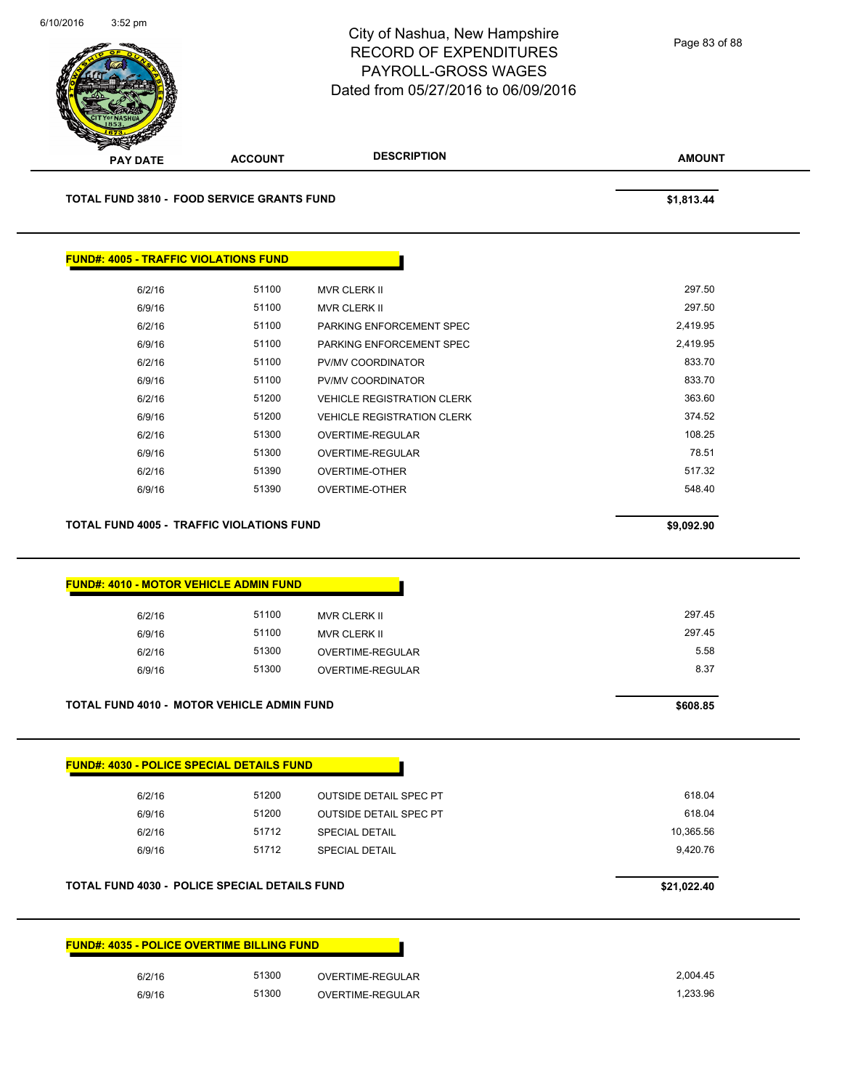

| 618.04    | <b>OUTSIDE DETAIL SPEC PT</b> | 51200 | 6/2/16 |
|-----------|-------------------------------|-------|--------|
| 618.04    | <b>OUTSIDE DETAIL SPEC PT</b> | 51200 | 6/9/16 |
| 10,365.56 | <b>SPECIAL DETAIL</b>         | 51712 | 6/2/16 |
| 9.420.76  | <b>SPECIAL DETAIL</b>         | 51712 | 6/9/16 |
|           |                               |       |        |

#### **TOTAL FUND 4030 - POLICE SPECIAL DETAILS FUND \$21,022.40**

| <u> FUND#: 4035 - POLICE OVERTIME BILLING FUND</u> |       |                  |
|----------------------------------------------------|-------|------------------|
| 6/2/16                                             | 51300 | OVERTIME-REGULAR |
| 6/9/16                                             | 51300 | OVERTIME-REGULAR |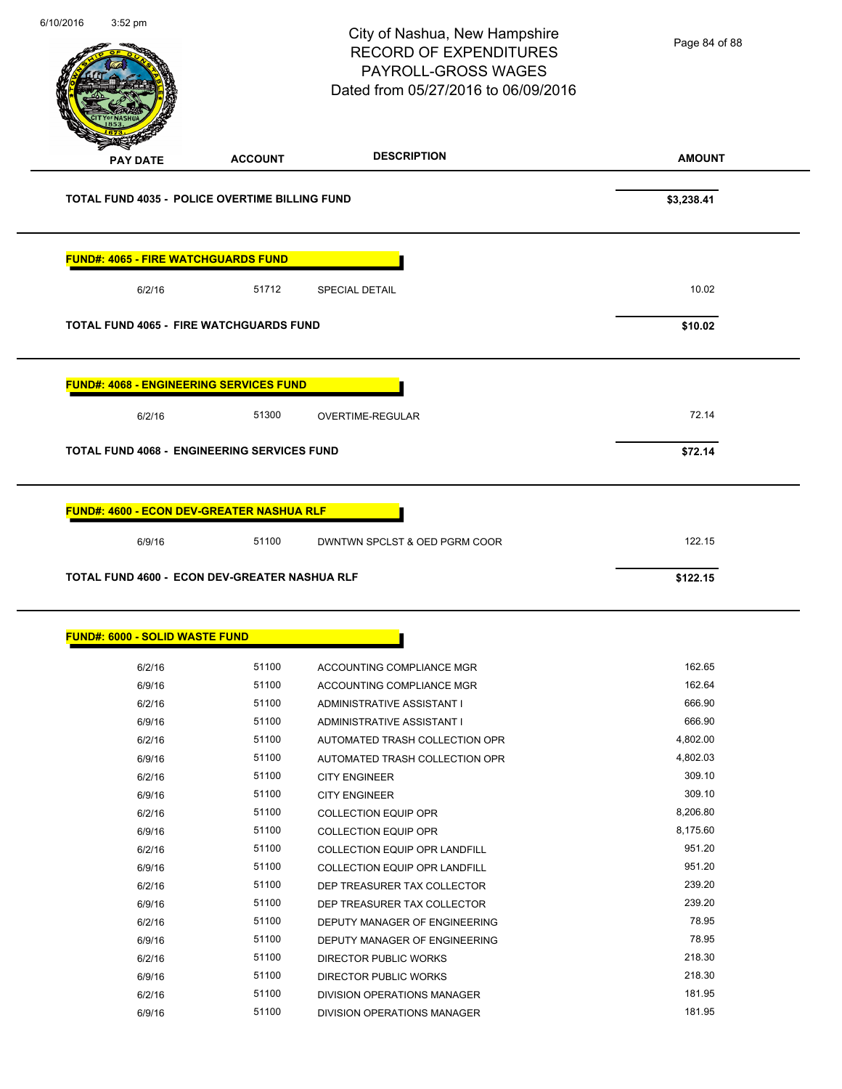Page 84 of 88

City of Nashua, New Hampshire RECORD OF EXPENDITURES PAYROLL-GROSS WAGES Dated from 05/27/2016 to 06/09/2016

6/10/2016 3:52 pm

# **AMOUNT PAY DATE ACCOUNT DESCRIPTION TOTAL FUND 4035 - POLICE OVERTIME BILLING FUND \$3,238.41 FUND#: 4065 - FIRE WATCHGUARDS FUND** 6/2/16 51712 SPECIAL DETAIL 6/10.02 **TOTAL FUND 4065 - FIRE WATCHGUARDS FUND \$10.02 FUND#: 4068 - ENGINEERING SERVICES FUND** 6/2/16 51300 OVERTIME-REGULAR 51300 51300 51300 512.14 **TOTAL FUND 4068 - ENGINEERING SERVICES FUND \$72.14 FUND#: 4600 - ECON DEV-GREATER NASHUA RLF** 6/9/16 51100 DWNTWN SPCLST & OED PGRM COOR 122.15 **TOTAL FUND 4600 - ECON DEV-GREATER NASHUA RLF \$122.15 FUND#: 6000 - SOLID WASTE FUND** 6/2/16 51100 ACCOUNTING COMPLIANCE MGR 162.65 6/9/16 51100 ACCOUNTING COMPLIANCE MGR 162.64 6/2/16 51100 ADMINISTRATIVE ASSISTANT I 666.90 6/9/16 51100 ADMINISTRATIVE ASSISTANT I 666.90 6/2/16 51100 AUTOMATED TRASH COLLECTION OPR 4,802.00 6/9/16 51100 AUTOMATED TRASH COLLECTION OPR 4,802.03 6/2/16 51100 CITY ENGINEER 309.10 6/9/16 51100 CITY ENGINEER 309.10 6/2/16 51100 COLLECTION EQUIP OPR 6/206.80 6/9/16 51100 COLLECTION EQUIP OPR 6/9/16 8,175.60 6/2/16 51100 COLLECTION EQUIP OPR LANDFILL 951.20 6/9/16 51100 COLLECTION EQUIP OPR LANDFILL 951.20 6/2/16 51100 DEP TREASURER TAX COLLECTOR 239.20 6/9/16 51100 DEP TREASURER TAX COLLECTOR 239.20

6/2/16 51100 DEPUTY MANAGER OF ENGINEERING 56/2/16 6/9/16 51100 DEPUTY MANAGER OF ENGINEERING 78.95 6/2/16 51100 DIRECTOR PUBLIC WORKS 218.30 6/9/16 51100 DIRECTOR PUBLIC WORKS 218.30 6/2/16 51100 DIVISION OPERATIONS MANAGER 181.95 6/9/16 51100 DIVISION OPERATIONS MANAGER 181.95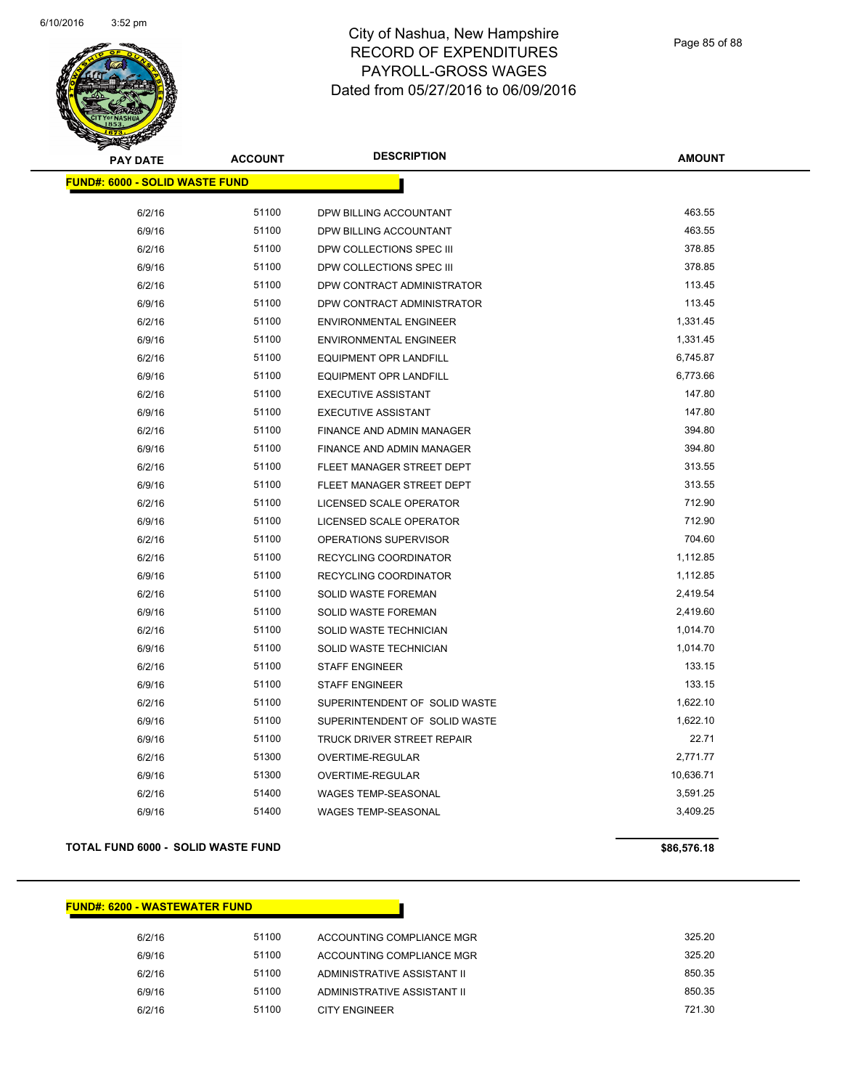

| <b>ACCOUNT</b><br><b>PAY DATE</b>     |       | <b>DESCRIPTION</b>                | <b>AMOUNT</b> |
|---------------------------------------|-------|-----------------------------------|---------------|
| <b>FUND#: 6000 - SOLID WASTE FUND</b> |       |                                   |               |
|                                       |       |                                   |               |
| 6/2/16                                | 51100 | DPW BILLING ACCOUNTANT            | 463.55        |
| 6/9/16                                | 51100 | DPW BILLING ACCOUNTANT            | 463.55        |
| 6/2/16                                | 51100 | DPW COLLECTIONS SPEC III          | 378.85        |
| 6/9/16                                | 51100 | DPW COLLECTIONS SPEC III          | 378.85        |
| 6/2/16                                | 51100 | DPW CONTRACT ADMINISTRATOR        | 113.45        |
| 6/9/16                                | 51100 | DPW CONTRACT ADMINISTRATOR        | 113.45        |
| 6/2/16                                | 51100 | <b>ENVIRONMENTAL ENGINEER</b>     | 1,331.45      |
| 6/9/16                                | 51100 | <b>ENVIRONMENTAL ENGINEER</b>     | 1,331.45      |
| 6/2/16                                | 51100 | EQUIPMENT OPR LANDFILL            | 6,745.87      |
| 6/9/16                                | 51100 | <b>EQUIPMENT OPR LANDFILL</b>     | 6,773.66      |
| 6/2/16                                | 51100 | <b>EXECUTIVE ASSISTANT</b>        | 147.80        |
| 6/9/16                                | 51100 | <b>EXECUTIVE ASSISTANT</b>        | 147.80        |
| 6/2/16                                | 51100 | FINANCE AND ADMIN MANAGER         | 394.80        |
| 6/9/16                                | 51100 | FINANCE AND ADMIN MANAGER         | 394.80        |
| 6/2/16                                | 51100 | FLEET MANAGER STREET DEPT         | 313.55        |
| 6/9/16                                | 51100 | FLEET MANAGER STREET DEPT         | 313.55        |
| 6/2/16                                | 51100 | LICENSED SCALE OPERATOR           | 712.90        |
| 6/9/16                                | 51100 | LICENSED SCALE OPERATOR           | 712.90        |
| 6/2/16                                | 51100 | OPERATIONS SUPERVISOR             | 704.60        |
| 6/2/16                                | 51100 | RECYCLING COORDINATOR             | 1,112.85      |
| 6/9/16                                | 51100 | RECYCLING COORDINATOR             | 1,112.85      |
| 6/2/16                                | 51100 | SOLID WASTE FOREMAN               | 2,419.54      |
| 6/9/16                                | 51100 | SOLID WASTE FOREMAN               | 2,419.60      |
| 6/2/16                                | 51100 | SOLID WASTE TECHNICIAN            | 1,014.70      |
| 6/9/16                                | 51100 | SOLID WASTE TECHNICIAN            | 1,014.70      |
| 6/2/16                                | 51100 | <b>STAFF ENGINEER</b>             | 133.15        |
| 6/9/16                                | 51100 | <b>STAFF ENGINEER</b>             | 133.15        |
| 6/2/16                                | 51100 | SUPERINTENDENT OF SOLID WASTE     | 1,622.10      |
| 6/9/16                                | 51100 | SUPERINTENDENT OF SOLID WASTE     | 1,622.10      |
| 6/9/16                                | 51100 | <b>TRUCK DRIVER STREET REPAIR</b> | 22.71         |
| 6/2/16                                | 51300 | OVERTIME-REGULAR                  | 2,771.77      |
| 6/9/16                                | 51300 | OVERTIME-REGULAR                  | 10,636.71     |
| 6/2/16                                | 51400 | <b>WAGES TEMP-SEASONAL</b>        | 3,591.25      |
| 6/9/16                                | 51400 | WAGES TEMP-SEASONAL               | 3,409.25      |
|                                       |       |                                   |               |

#### **TOTAL FUND 6000 - SOLID WASTE FUND \$86,576.18 \$86,576.18**

#### **FUND#: 6200 - WASTEWATER FUND**

| 6/2/16 | 51100 | ACCOUNTING COMPLIANCE MGR   | 325.20 |
|--------|-------|-----------------------------|--------|
| 6/9/16 | 51100 | ACCOUNTING COMPLIANCE MGR   | 325.20 |
| 6/2/16 | 51100 | ADMINISTRATIVE ASSISTANT II | 850.35 |
| 6/9/16 | 51100 | ADMINISTRATIVE ASSISTANT II | 850.35 |
| 6/2/16 | 51100 | CITY ENGINEER               | 721.30 |
|        |       |                             |        |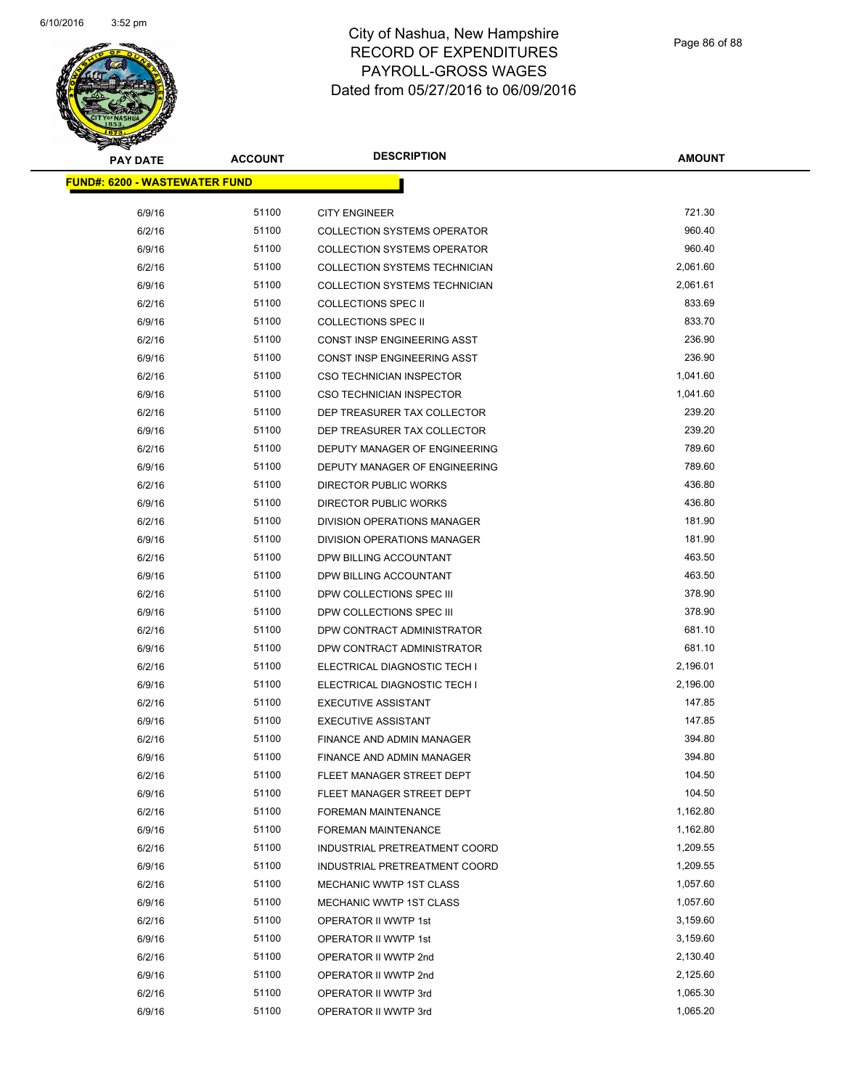

| <b>PAY DATE</b>                       | <b>ACCOUNT</b> | <b>DESCRIPTION</b>                 | <b>AMOUNT</b> |
|---------------------------------------|----------------|------------------------------------|---------------|
| <u> FUND#: 6200 - WASTEWATER FUND</u> |                |                                    |               |
|                                       |                |                                    |               |
| 6/9/16                                | 51100          | <b>CITY ENGINEER</b>               | 721.30        |
| 6/2/16                                | 51100          | <b>COLLECTION SYSTEMS OPERATOR</b> | 960.40        |
| 6/9/16                                | 51100          | <b>COLLECTION SYSTEMS OPERATOR</b> | 960.40        |
| 6/2/16                                | 51100          | COLLECTION SYSTEMS TECHNICIAN      | 2,061.60      |
| 6/9/16                                | 51100          | COLLECTION SYSTEMS TECHNICIAN      | 2,061.61      |
| 6/2/16                                | 51100          | <b>COLLECTIONS SPEC II</b>         | 833.69        |
| 6/9/16                                | 51100          | <b>COLLECTIONS SPEC II</b>         | 833.70        |
| 6/2/16                                | 51100          | CONST INSP ENGINEERING ASST        | 236.90        |
| 6/9/16                                | 51100          | CONST INSP ENGINEERING ASST        | 236.90        |
| 6/2/16                                | 51100          | CSO TECHNICIAN INSPECTOR           | 1,041.60      |
| 6/9/16                                | 51100          | CSO TECHNICIAN INSPECTOR           | 1,041.60      |
| 6/2/16                                | 51100          | DEP TREASURER TAX COLLECTOR        | 239.20        |
| 6/9/16                                | 51100          | DEP TREASURER TAX COLLECTOR        | 239.20        |
| 6/2/16                                | 51100          | DEPUTY MANAGER OF ENGINEERING      | 789.60        |
| 6/9/16                                | 51100          | DEPUTY MANAGER OF ENGINEERING      | 789.60        |
| 6/2/16                                | 51100          | <b>DIRECTOR PUBLIC WORKS</b>       | 436.80        |
| 6/9/16                                | 51100          | <b>DIRECTOR PUBLIC WORKS</b>       | 436.80        |
| 6/2/16                                | 51100          | DIVISION OPERATIONS MANAGER        | 181.90        |
| 6/9/16                                | 51100          | DIVISION OPERATIONS MANAGER        | 181.90        |
| 6/2/16                                | 51100          | DPW BILLING ACCOUNTANT             | 463.50        |
| 6/9/16                                | 51100          | DPW BILLING ACCOUNTANT             | 463.50        |
| 6/2/16                                | 51100          | DPW COLLECTIONS SPEC III           | 378.90        |
| 6/9/16                                | 51100          | DPW COLLECTIONS SPEC III           | 378.90        |
| 6/2/16                                | 51100          | DPW CONTRACT ADMINISTRATOR         | 681.10        |
| 6/9/16                                | 51100          | DPW CONTRACT ADMINISTRATOR         | 681.10        |
| 6/2/16                                | 51100          | ELECTRICAL DIAGNOSTIC TECH I       | 2,196.01      |
| 6/9/16                                | 51100          | ELECTRICAL DIAGNOSTIC TECH I       | 2,196.00      |
| 6/2/16                                | 51100          | <b>EXECUTIVE ASSISTANT</b>         | 147.85        |
| 6/9/16                                | 51100          | <b>EXECUTIVE ASSISTANT</b>         | 147.85        |
| 6/2/16                                | 51100          | FINANCE AND ADMIN MANAGER          | 394.80        |
| 6/9/16                                | 51100          | FINANCE AND ADMIN MANAGER          | 394.80        |
| 6/2/16                                | 51100          | FLEET MANAGER STREET DEPT          | 104.50        |
| 6/9/16                                | 51100          | FLEET MANAGER STREET DEPT          | 104.50        |
| 6/2/16                                | 51100          | FOREMAN MAINTENANCE                | 1,162.80      |
| 6/9/16                                | 51100          | <b>FOREMAN MAINTENANCE</b>         | 1,162.80      |
| 6/2/16                                | 51100          | INDUSTRIAL PRETREATMENT COORD      | 1,209.55      |
| 6/9/16                                | 51100          | INDUSTRIAL PRETREATMENT COORD      | 1,209.55      |
| 6/2/16                                | 51100          | MECHANIC WWTP 1ST CLASS            | 1,057.60      |
| 6/9/16                                | 51100          | MECHANIC WWTP 1ST CLASS            | 1,057.60      |
| 6/2/16                                | 51100          | OPERATOR II WWTP 1st               | 3,159.60      |
| 6/9/16                                | 51100          | OPERATOR II WWTP 1st               | 3,159.60      |
| 6/2/16                                | 51100          | OPERATOR II WWTP 2nd               | 2,130.40      |
| 6/9/16                                | 51100          | OPERATOR II WWTP 2nd               | 2,125.60      |
| 6/2/16                                | 51100          | OPERATOR II WWTP 3rd               | 1,065.30      |
| 6/9/16                                | 51100          | OPERATOR II WWTP 3rd               | 1,065.20      |
|                                       |                |                                    |               |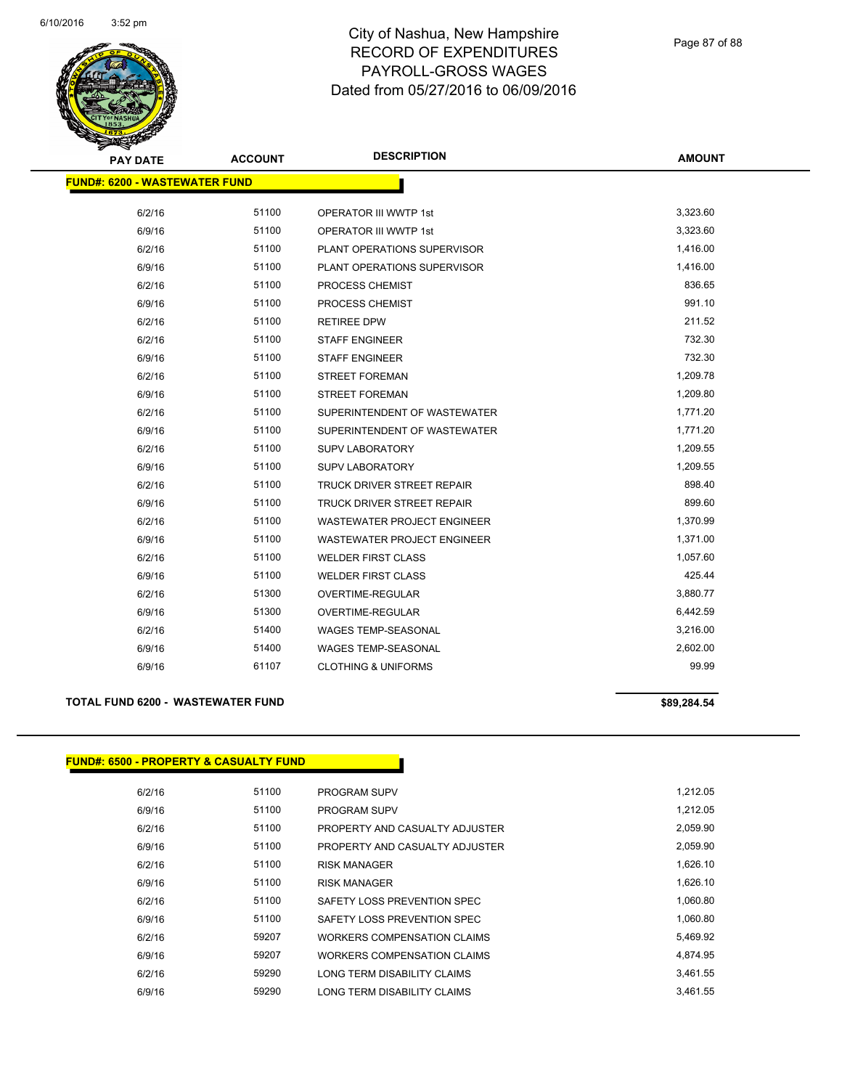

| <b>PAY DATE</b>                      | <b>DESCRIPTION</b><br><b>ACCOUNT</b> |                                    | <b>AMOUNT</b> |
|--------------------------------------|--------------------------------------|------------------------------------|---------------|
| <b>FUND#: 6200 - WASTEWATER FUND</b> |                                      |                                    |               |
|                                      |                                      |                                    |               |
| 6/2/16                               | 51100                                | <b>OPERATOR III WWTP 1st</b>       | 3,323.60      |
| 6/9/16                               | 51100                                | <b>OPERATOR III WWTP 1st</b>       | 3,323.60      |
| 6/2/16                               | 51100                                | PLANT OPERATIONS SUPERVISOR        | 1,416.00      |
| 6/9/16                               | 51100                                | PLANT OPERATIONS SUPERVISOR        | 1,416.00      |
| 6/2/16                               | 51100                                | PROCESS CHEMIST                    | 836.65        |
| 6/9/16                               | 51100                                | PROCESS CHEMIST                    | 991.10        |
| 6/2/16                               | 51100                                | <b>RETIREE DPW</b>                 | 211.52        |
| 6/2/16                               | 51100                                | <b>STAFF ENGINEER</b>              | 732.30        |
| 6/9/16                               | 51100                                | <b>STAFF ENGINEER</b>              | 732.30        |
| 6/2/16                               | 51100                                | <b>STREET FOREMAN</b>              | 1,209.78      |
| 6/9/16                               | 51100                                | <b>STREET FOREMAN</b>              | 1,209.80      |
| 6/2/16                               | 51100                                | SUPERINTENDENT OF WASTEWATER       | 1,771.20      |
| 6/9/16                               | 51100                                | SUPERINTENDENT OF WASTEWATER       | 1,771.20      |
| 6/2/16                               | 51100                                | <b>SUPV LABORATORY</b>             | 1,209.55      |
| 6/9/16                               | 51100                                | <b>SUPV LABORATORY</b>             | 1,209.55      |
| 6/2/16                               | 51100                                | <b>TRUCK DRIVER STREET REPAIR</b>  | 898.40        |
| 6/9/16                               | 51100                                | <b>TRUCK DRIVER STREET REPAIR</b>  | 899.60        |
| 6/2/16                               | 51100                                | <b>WASTEWATER PROJECT ENGINEER</b> | 1,370.99      |
| 6/9/16                               | 51100                                | <b>WASTEWATER PROJECT ENGINEER</b> | 1,371.00      |
| 6/2/16                               | 51100                                | <b>WELDER FIRST CLASS</b>          | 1,057.60      |
| 6/9/16                               | 51100                                | <b>WELDER FIRST CLASS</b>          | 425.44        |
| 6/2/16                               | 51300                                | OVERTIME-REGULAR                   | 3,880.77      |
| 6/9/16                               | 51300                                | OVERTIME-REGULAR                   | 6,442.59      |
| 6/2/16                               | 51400                                | <b>WAGES TEMP-SEASONAL</b>         | 3,216.00      |
| 6/9/16                               | 51400                                | <b>WAGES TEMP-SEASONAL</b>         | 2,602.00      |
| 6/9/16                               | 61107                                | <b>CLOTHING &amp; UNIFORMS</b>     | 99.99         |

# **TOTAL FUND 6200 - WASTEWATER FUND \$89,284.54 \$89,284.54**

### **FUND#: 6500 - PROPERTY & CASUALTY FUND**

|  | 89,284.54 |  |  |
|--|-----------|--|--|
|  |           |  |  |

| 6/2/16 | 51100 | <b>PROGRAM SUPV</b>                | 1.212.05 |
|--------|-------|------------------------------------|----------|
| 6/9/16 | 51100 | <b>PROGRAM SUPV</b>                | 1,212.05 |
| 6/2/16 | 51100 | PROPERTY AND CASUALTY ADJUSTER     | 2.059.90 |
| 6/9/16 | 51100 | PROPERTY AND CASUALTY ADJUSTER     | 2.059.90 |
| 6/2/16 | 51100 | <b>RISK MANAGER</b>                | 1,626.10 |
| 6/9/16 | 51100 | <b>RISK MANAGER</b>                | 1,626.10 |
| 6/2/16 | 51100 | SAFETY LOSS PREVENTION SPEC        | 1,060.80 |
| 6/9/16 | 51100 | SAFETY LOSS PREVENTION SPEC        | 1.060.80 |
| 6/2/16 | 59207 | <b>WORKERS COMPENSATION CLAIMS</b> | 5.469.92 |
| 6/9/16 | 59207 | WORKERS COMPENSATION CLAIMS        | 4,874.95 |
| 6/2/16 | 59290 | LONG TERM DISABILITY CLAIMS        | 3.461.55 |
| 6/9/16 | 59290 | LONG TERM DISABILITY CLAIMS        | 3.461.55 |